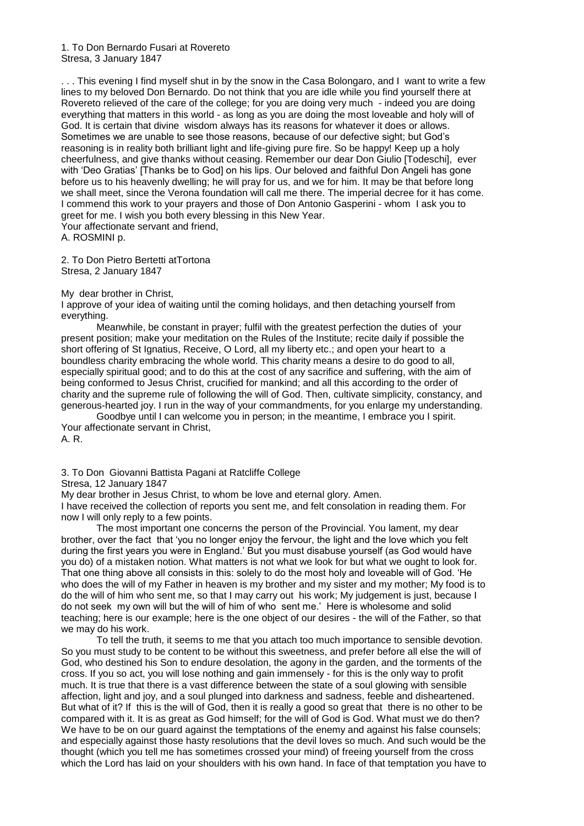. . . This evening I find myself shut in by the snow in the Casa Bolongaro, and I want to write a few lines to my beloved Don Bernardo. Do not think that you are idle while you find yourself there at Rovereto relieved of the care of the college; for you are doing very much - indeed you are doing everything that matters in this world - as long as you are doing the most loveable and holy will of God. It is certain that divine wisdom always has its reasons for whatever it does or allows. Sometimes we are unable to see those reasons, because of our defective sight; but God's reasoning is in reality both brilliant light and life-giving pure fire. So be happy! Keep up a holy cheerfulness, and give thanks without ceasing. Remember our dear Don Giulio [Todeschi], ever with 'Deo Gratias' [Thanks be to God] on his lips. Our beloved and faithful Don Angeli has gone before us to his heavenly dwelling; he will pray for us, and we for him. It may be that before long we shall meet, since the Verona foundation will call me there. The imperial decree for it has come. I commend this work to your prayers and those of Don Antonio Gasperini - whom I ask you to greet for me. I wish you both every blessing in this New Year. Your affectionate servant and friend,

A. ROSMINI p.

2. To Don Pietro Bertetti atTortona Stresa, 2 January 1847

# My dear brother in Christ,

I approve of your idea of waiting until the coming holidays, and then detaching yourself from everything.

Meanwhile, be constant in prayer; fulfil with the greatest perfection the duties of your present position; make your meditation on the Rules of the Institute; recite daily if possible the short offering of St Ignatius, Receive, O Lord, all my liberty etc.; and open your heart to a boundless charity embracing the whole world. This charity means a desire to do good to all, especially spiritual good; and to do this at the cost of any sacrifice and suffering, with the aim of being conformed to Jesus Christ, crucified for mankind; and all this according to the order of charity and the supreme rule of following the will of God. Then, cultivate simplicity, constancy, and generous-hearted joy. I run in the way of your commandments, for you enlarge my understanding.

Goodbye until I can welcome you in person; in the meantime, I embrace you I spirit. Your affectionate servant in Christ, A. R.

3. To Don Giovanni Battista Pagani at Ratcliffe College

#### Stresa, 12 January 1847

My dear brother in Jesus Christ, to whom be love and eternal glory. Amen.

I have received the collection of reports you sent me, and felt consolation in reading them. For now I will only reply to a few points.

The most important one concerns the person of the Provincial. You lament, my dear brother, over the fact that 'you no longer enjoy the fervour, the light and the love which you felt during the first years you were in England.' But you must disabuse yourself (as God would have you do) of a mistaken notion. What matters is not what we look for but what we ought to look for. That one thing above all consists in this: solely to do the most holy and loveable will of God. 'He who does the will of my Father in heaven is my brother and my sister and my mother; My food is to do the will of him who sent me, so that I may carry out his work; My judgement is just, because I do not seek my own will but the will of him of who sent me.' Here is wholesome and solid teaching; here is our example; here is the one object of our desires - the will of the Father, so that we may do his work.

To tell the truth, it seems to me that you attach too much importance to sensible devotion. So you must study to be content to be without this sweetness, and prefer before all else the will of God, who destined his Son to endure desolation, the agony in the garden, and the torments of the cross. If you so act, you will lose nothing and gain immensely - for this is the only way to profit much. It is true that there is a vast difference between the state of a soul glowing with sensible affection, light and joy, and a soul plunged into darkness and sadness, feeble and disheartened. But what of it? If this is the will of God, then it is really a good so great that there is no other to be compared with it. It is as great as God himself; for the will of God is God. What must we do then? We have to be on our guard against the temptations of the enemy and against his false counsels; and especially against those hasty resolutions that the devil loves so much. And such would be the thought (which you tell me has sometimes crossed your mind) of freeing yourself from the cross which the Lord has laid on your shoulders with his own hand. In face of that temptation you have to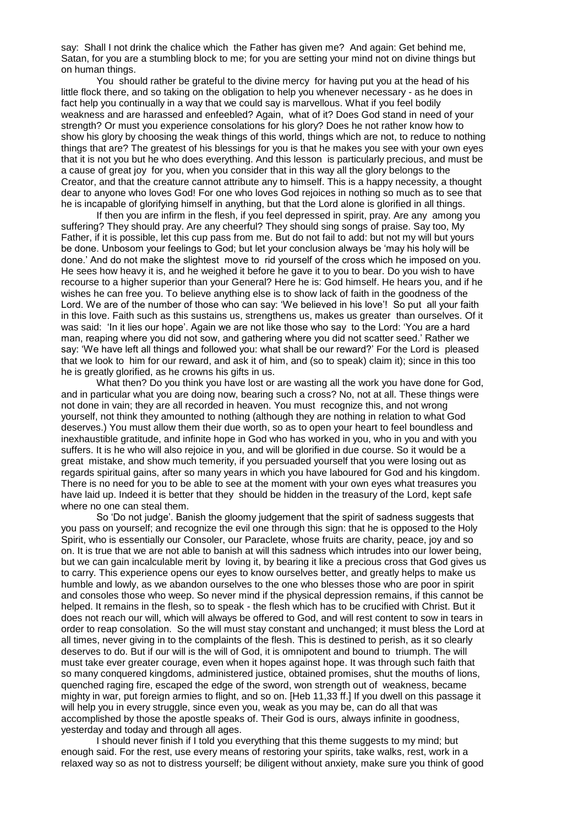say: Shall I not drink the chalice which the Father has given me? And again: Get behind me, Satan, for you are a stumbling block to me; for you are setting your mind not on divine things but on human things.

You should rather be grateful to the divine mercy for having put you at the head of his little flock there, and so taking on the obligation to help you whenever necessary - as he does in fact help you continually in a way that we could say is marvellous. What if you feel bodily weakness and are harassed and enfeebled? Again, what of it? Does God stand in need of your strength? Or must you experience consolations for his glory? Does he not rather know how to show his glory by choosing the weak things of this world, things which are not, to reduce to nothing things that are? The greatest of his blessings for you is that he makes you see with your own eyes that it is not you but he who does everything. And this lesson is particularly precious, and must be a cause of great joy for you, when you consider that in this way all the glory belongs to the Creator, and that the creature cannot attribute any to himself. This is a happy necessity, a thought dear to anyone who loves God! For one who loves God rejoices in nothing so much as to see that he is incapable of glorifying himself in anything, but that the Lord alone is glorified in all things.

If then you are infirm in the flesh, if you feel depressed in spirit, pray. Are any among you suffering? They should pray. Are any cheerful? They should sing songs of praise. Say too, My Father, if it is possible, let this cup pass from me. But do not fail to add: but not my will but yours be done. Unbosom your feelings to God; but let your conclusion always be 'may his holy will be done.' And do not make the slightest move to rid yourself of the cross which he imposed on you. He sees how heavy it is, and he weighed it before he gave it to you to bear. Do you wish to have recourse to a higher superior than your General? Here he is: God himself. He hears you, and if he wishes he can free you. To believe anything else is to show lack of faith in the goodness of the Lord. We are of the number of those who can say: 'We believed in his love'! So put all your faith in this love. Faith such as this sustains us, strengthens us, makes us greater than ourselves. Of it was said: 'In it lies our hope'. Again we are not like those who say to the Lord: 'You are a hard man, reaping where you did not sow, and gathering where you did not scatter seed.' Rather we say: 'We have left all things and followed you: what shall be our reward?' For the Lord is pleased that we look to him for our reward, and ask it of him, and (so to speak) claim it); since in this too he is greatly glorified, as he crowns his gifts in us.

What then? Do you think you have lost or are wasting all the work you have done for God, and in particular what you are doing now, bearing such a cross? No, not at all. These things were not done in vain; they are all recorded in heaven. You must recognize this, and not wrong yourself, not think they amounted to nothing (although they are nothing in relation to what God deserves.) You must allow them their due worth, so as to open your heart to feel boundless and inexhaustible gratitude, and infinite hope in God who has worked in you, who in you and with you suffers. It is he who will also rejoice in you, and will be glorified in due course. So it would be a great mistake, and show much temerity, if you persuaded yourself that you were losing out as regards spiritual gains, after so many years in which you have laboured for God and his kingdom. There is no need for you to be able to see at the moment with your own eyes what treasures you have laid up. Indeed it is better that they should be hidden in the treasury of the Lord, kept safe where no one can steal them.

So 'Do not judge'. Banish the gloomy judgement that the spirit of sadness suggests that you pass on yourself; and recognize the evil one through this sign: that he is opposed to the Holy Spirit, who is essentially our Consoler, our Paraclete, whose fruits are charity, peace, joy and so on. It is true that we are not able to banish at will this sadness which intrudes into our lower being, but we can gain incalculable merit by loving it, by bearing it like a precious cross that God gives us to carry. This experience opens our eyes to know ourselves better, and greatly helps to make us humble and lowly, as we abandon ourselves to the one who blesses those who are poor in spirit and consoles those who weep. So never mind if the physical depression remains, if this cannot be helped. It remains in the flesh, so to speak - the flesh which has to be crucified with Christ. But it does not reach our will, which will always be offered to God, and will rest content to sow in tears in order to reap consolation. So the will must stay constant and unchanged; it must bless the Lord at all times, never giving in to the complaints of the flesh. This is destined to perish, as it so clearly deserves to do. But if our will is the will of God, it is omnipotent and bound to triumph. The will must take ever greater courage, even when it hopes against hope. It was through such faith that so many conquered kingdoms, administered justice, obtained promises, shut the mouths of lions, quenched raging fire, escaped the edge of the sword, won strength out of weakness, became mighty in war, put foreign armies to flight, and so on. [Heb 11,33 ff.] If you dwell on this passage it will help you in every struggle, since even you, weak as you may be, can do all that was accomplished by those the apostle speaks of. Their God is ours, always infinite in goodness, yesterday and today and through all ages.

I should never finish if I told you everything that this theme suggests to my mind; but enough said. For the rest, use every means of restoring your spirits, take walks, rest, work in a relaxed way so as not to distress yourself; be diligent without anxiety, make sure you think of good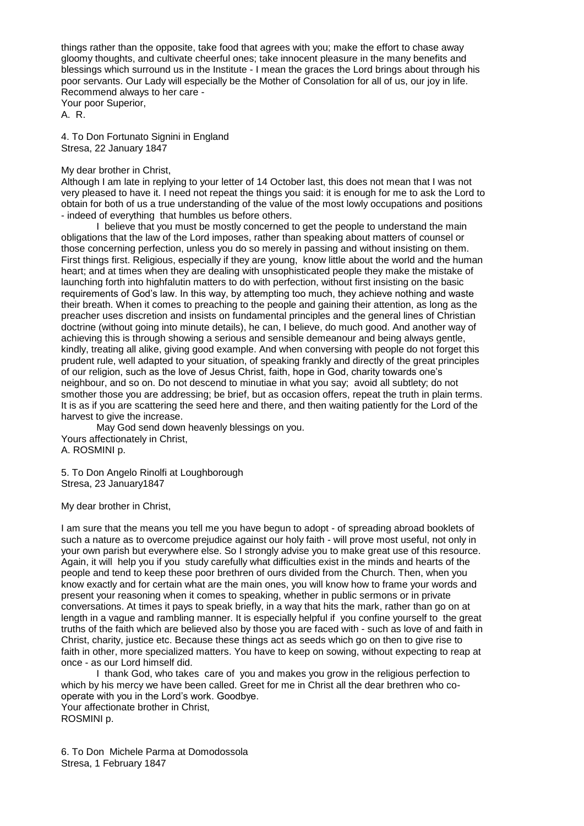things rather than the opposite, take food that agrees with you; make the effort to chase away gloomy thoughts, and cultivate cheerful ones; take innocent pleasure in the many benefits and blessings which surround us in the Institute - I mean the graces the Lord brings about through his poor servants. Our Lady will especially be the Mother of Consolation for all of us, our joy in life. Recommend always to her care - Your poor Superior,

A. R.

4. To Don Fortunato Signini in England Stresa, 22 January 1847

# My dear brother in Christ,

Although I am late in replying to your letter of 14 October last, this does not mean that I was not very pleased to have it. I need not repeat the things you said: it is enough for me to ask the Lord to obtain for both of us a true understanding of the value of the most lowly occupations and positions - indeed of everything that humbles us before others.

I believe that you must be mostly concerned to get the people to understand the main obligations that the law of the Lord imposes, rather than speaking about matters of counsel or those concerning perfection, unless you do so merely in passing and without insisting on them. First things first. Religious, especially if they are young, know little about the world and the human heart; and at times when they are dealing with unsophisticated people they make the mistake of launching forth into highfalutin matters to do with perfection, without first insisting on the basic requirements of God's law. In this way, by attempting too much, they achieve nothing and waste their breath. When it comes to preaching to the people and gaining their attention, as long as the preacher uses discretion and insists on fundamental principles and the general lines of Christian doctrine (without going into minute details), he can, I believe, do much good. And another way of achieving this is through showing a serious and sensible demeanour and being always gentle, kindly, treating all alike, giving good example. And when conversing with people do not forget this prudent rule, well adapted to your situation, of speaking frankly and directly of the great principles of our religion, such as the love of Jesus Christ, faith, hope in God, charity towards one's neighbour, and so on. Do not descend to minutiae in what you say; avoid all subtlety; do not smother those you are addressing; be brief, but as occasion offers, repeat the truth in plain terms. It is as if you are scattering the seed here and there, and then waiting patiently for the Lord of the harvest to give the increase.

May God send down heavenly blessings on you. Yours affectionately in Christ, A. ROSMINI p.

5. To Don Angelo Rinolfi at Loughborough Stresa, 23 January1847

My dear brother in Christ,

I am sure that the means you tell me you have begun to adopt - of spreading abroad booklets of such a nature as to overcome prejudice against our holy faith - will prove most useful, not only in your own parish but everywhere else. So I strongly advise you to make great use of this resource. Again, it will help you if you study carefully what difficulties exist in the minds and hearts of the people and tend to keep these poor brethren of ours divided from the Church. Then, when you know exactly and for certain what are the main ones, you will know how to frame your words and present your reasoning when it comes to speaking, whether in public sermons or in private conversations. At times it pays to speak briefly, in a way that hits the mark, rather than go on at length in a vague and rambling manner. It is especially helpful if you confine yourself to the great truths of the faith which are believed also by those you are faced with - such as love of and faith in Christ, charity, justice etc. Because these things act as seeds which go on then to give rise to faith in other, more specialized matters. You have to keep on sowing, without expecting to reap at once - as our Lord himself did.

I thank God, who takes care of you and makes you grow in the religious perfection to which by his mercy we have been called. Greet for me in Christ all the dear brethren who cooperate with you in the Lord's work. Goodbye.

Your affectionate brother in Christ, ROSMINI p.

6. To Don Michele Parma at Domodossola Stresa, 1 February 1847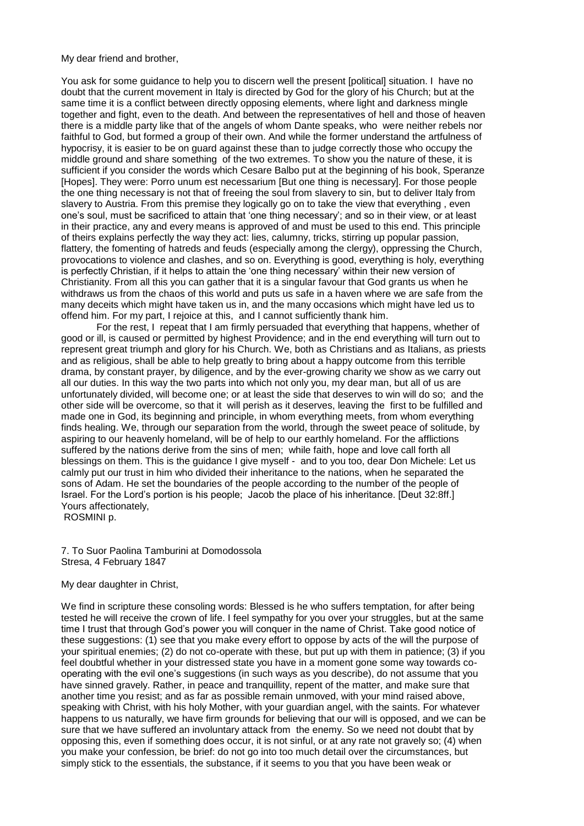My dear friend and brother,

You ask for some guidance to help you to discern well the present [political] situation. I have no doubt that the current movement in Italy is directed by God for the glory of his Church; but at the same time it is a conflict between directly opposing elements, where light and darkness mingle together and fight, even to the death. And between the representatives of hell and those of heaven there is a middle party like that of the angels of whom Dante speaks, who were neither rebels nor faithful to God, but formed a group of their own. And while the former understand the artfulness of hypocrisy, it is easier to be on guard against these than to judge correctly those who occupy the middle ground and share something of the two extremes. To show you the nature of these, it is sufficient if you consider the words which Cesare Balbo put at the beginning of his book, Speranze [Hopes]. They were: Porro unum est necessarium [But one thing is necessary]. For those people the one thing necessary is not that of freeing the soul from slavery to sin, but to deliver Italy from slavery to Austria. From this premise they logically go on to take the view that everything , even one's soul, must be sacrificed to attain that 'one thing necessary'; and so in their view, or at least in their practice, any and every means is approved of and must be used to this end. This principle of theirs explains perfectly the way they act: lies, calumny, tricks, stirring up popular passion, flattery, the fomenting of hatreds and feuds (especially among the clergy), oppressing the Church, provocations to violence and clashes, and so on. Everything is good, everything is holy, everything is perfectly Christian, if it helps to attain the 'one thing necessary' within their new version of Christianity. From all this you can gather that it is a singular favour that God grants us when he withdraws us from the chaos of this world and puts us safe in a haven where we are safe from the many deceits which might have taken us in, and the many occasions which might have led us to offend him. For my part, I rejoice at this, and I cannot sufficiently thank him.

For the rest, I repeat that I am firmly persuaded that everything that happens, whether of good or ill, is caused or permitted by highest Providence; and in the end everything will turn out to represent great triumph and glory for his Church. We, both as Christians and as Italians, as priests and as religious, shall be able to help greatly to bring about a happy outcome from this terrible drama, by constant prayer, by diligence, and by the ever-growing charity we show as we carry out all our duties. In this way the two parts into which not only you, my dear man, but all of us are unfortunately divided, will become one; or at least the side that deserves to win will do so; and the other side will be overcome, so that it will perish as it deserves, leaving the first to be fulfilled and made one in God, its beginning and principle, in whom everything meets, from whom everything finds healing. We, through our separation from the world, through the sweet peace of solitude, by aspiring to our heavenly homeland, will be of help to our earthly homeland. For the afflictions suffered by the nations derive from the sins of men; while faith, hope and love call forth all blessings on them. This is the guidance I give myself - and to you too, dear Don Michele: Let us calmly put our trust in him who divided their inheritance to the nations, when he separated the sons of Adam. He set the boundaries of the people according to the number of the people of Israel. For the Lord's portion is his people; Jacob the place of his inheritance. [Deut 32:8ff.] Yours affectionately,

ROSMINI p.

7. To Suor Paolina Tamburini at Domodossola Stresa, 4 February 1847

### My dear daughter in Christ,

We find in scripture these consoling words: Blessed is he who suffers temptation, for after being tested he will receive the crown of life. I feel sympathy for you over your struggles, but at the same time I trust that through God's power you will conquer in the name of Christ. Take good notice of these suggestions: (1) see that you make every effort to oppose by acts of the will the purpose of your spiritual enemies; (2) do not co-operate with these, but put up with them in patience; (3) if you feel doubtful whether in your distressed state you have in a moment gone some way towards cooperating with the evil one's suggestions (in such ways as you describe), do not assume that you have sinned gravely. Rather, in peace and tranquillity, repent of the matter, and make sure that another time you resist; and as far as possible remain unmoved, with your mind raised above, speaking with Christ, with his holy Mother, with your guardian angel, with the saints. For whatever happens to us naturally, we have firm grounds for believing that our will is opposed, and we can be sure that we have suffered an involuntary attack from the enemy. So we need not doubt that by opposing this, even if something does occur, it is not sinful, or at any rate not gravely so; (4) when you make your confession, be brief: do not go into too much detail over the circumstances, but simply stick to the essentials, the substance, if it seems to you that you have been weak or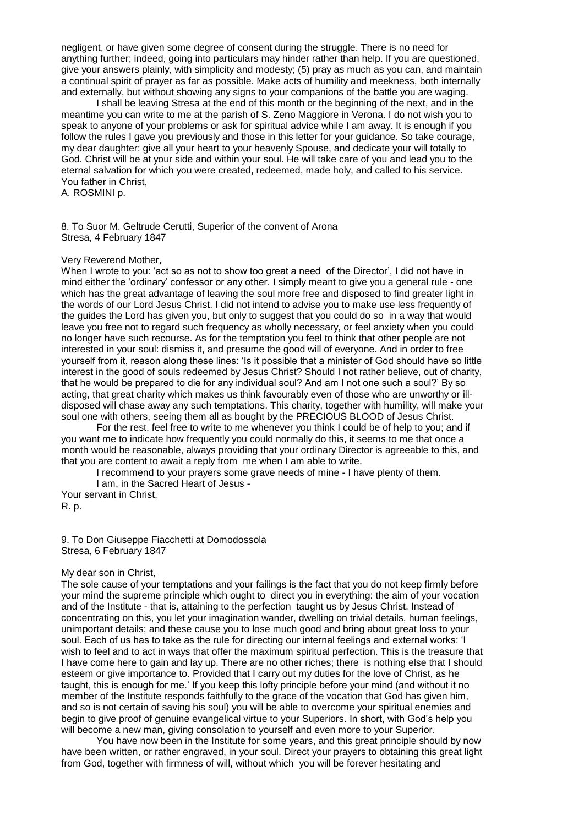negligent, or have given some degree of consent during the struggle. There is no need for anything further; indeed, going into particulars may hinder rather than help. If you are questioned, give your answers plainly, with simplicity and modesty; (5) pray as much as you can, and maintain a continual spirit of prayer as far as possible. Make acts of humility and meekness, both internally and externally, but without showing any signs to your companions of the battle you are waging.

I shall be leaving Stresa at the end of this month or the beginning of the next, and in the meantime you can write to me at the parish of S. Zeno Maggiore in Verona. I do not wish you to speak to anyone of your problems or ask for spiritual advice while I am away. It is enough if you follow the rules I gave you previously and those in this letter for your guidance. So take courage, my dear daughter: give all your heart to your heavenly Spouse, and dedicate your will totally to God. Christ will be at your side and within your soul. He will take care of you and lead you to the eternal salvation for which you were created, redeemed, made holy, and called to his service. You father in Christ,

A. ROSMINI p.

8. To Suor M. Geltrude Cerutti, Superior of the convent of Arona Stresa, 4 February 1847

## Very Reverend Mother,

When I wrote to you: 'act so as not to show too great a need of the Director', I did not have in mind either the 'ordinary' confessor or any other. I simply meant to give you a general rule - one which has the great advantage of leaving the soul more free and disposed to find greater light in the words of our Lord Jesus Christ. I did not intend to advise you to make use less frequently of the guides the Lord has given you, but only to suggest that you could do so in a way that would leave you free not to regard such frequency as wholly necessary, or feel anxiety when you could no longer have such recourse. As for the temptation you feel to think that other people are not interested in your soul: dismiss it, and presume the good will of everyone. And in order to free yourself from it, reason along these lines: 'Is it possible that a minister of God should have so little interest in the good of souls redeemed by Jesus Christ? Should I not rather believe, out of charity, that he would be prepared to die for any individual soul? And am I not one such a soul?' By so acting, that great charity which makes us think favourably even of those who are unworthy or illdisposed will chase away any such temptations. This charity, together with humility, will make your soul one with others, seeing them all as bought by the PRECIOUS BLOOD of Jesus Christ.

For the rest, feel free to write to me whenever you think I could be of help to you; and if you want me to indicate how frequently you could normally do this, it seems to me that once a month would be reasonable, always providing that your ordinary Director is agreeable to this, and that you are content to await a reply from me when I am able to write.

I recommend to your prayers some grave needs of mine - I have plenty of them.

I am, in the Sacred Heart of Jesus - Your servant in Christ,

R. p.

9. To Don Giuseppe Fiacchetti at Domodossola Stresa, 6 February 1847

## My dear son in Christ,

The sole cause of your temptations and your failings is the fact that you do not keep firmly before your mind the supreme principle which ought to direct you in everything: the aim of your vocation and of the Institute - that is, attaining to the perfection taught us by Jesus Christ. Instead of concentrating on this, you let your imagination wander, dwelling on trivial details, human feelings, unimportant details; and these cause you to lose much good and bring about great loss to your soul. Each of us has to take as the rule for directing our internal feelings and external works: 'I wish to feel and to act in ways that offer the maximum spiritual perfection. This is the treasure that I have come here to gain and lay up. There are no other riches; there is nothing else that I should esteem or give importance to. Provided that I carry out my duties for the love of Christ, as he taught, this is enough for me.' If you keep this lofty principle before your mind (and without it no member of the Institute responds faithfully to the grace of the vocation that God has given him, and so is not certain of saving his soul) you will be able to overcome your spiritual enemies and begin to give proof of genuine evangelical virtue to your Superiors. In short, with God's help you will become a new man, giving consolation to yourself and even more to your Superior.

You have now been in the Institute for some years, and this great principle should by now have been written, or rather engraved, in your soul. Direct your prayers to obtaining this great light from God, together with firmness of will, without which you will be forever hesitating and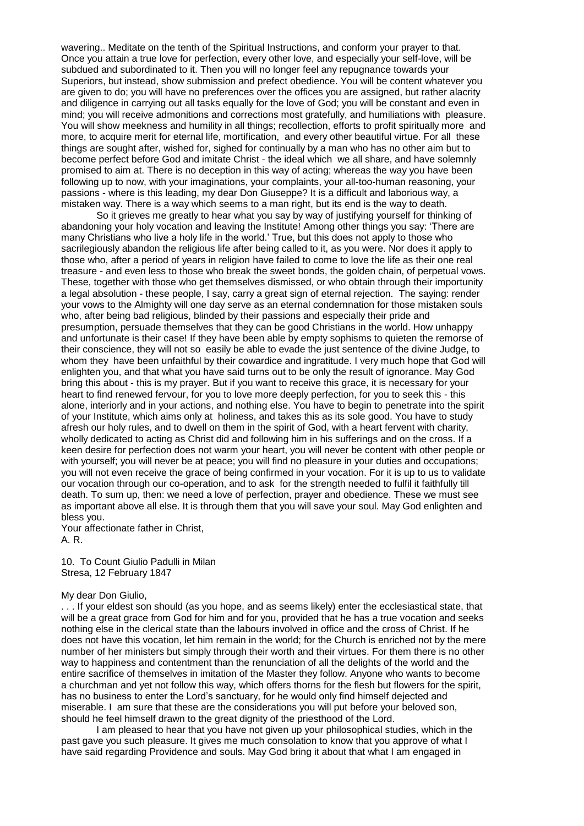wavering.. Meditate on the tenth of the Spiritual Instructions, and conform your prayer to that. Once you attain a true love for perfection, every other love, and especially your self-love, will be subdued and subordinated to it. Then you will no longer feel any repugnance towards your Superiors, but instead, show submission and prefect obedience. You will be content whatever you are given to do; you will have no preferences over the offices you are assigned, but rather alacrity and diligence in carrying out all tasks equally for the love of God; you will be constant and even in mind; you will receive admonitions and corrections most gratefully, and humiliations with pleasure. You will show meekness and humility in all things; recollection, efforts to profit spiritually more and more, to acquire merit for eternal life, mortification, and every other beautiful virtue. For all these things are sought after, wished for, sighed for continually by a man who has no other aim but to become perfect before God and imitate Christ - the ideal which we all share, and have solemnly promised to aim at. There is no deception in this way of acting; whereas the way you have been following up to now, with your imaginations, your complaints, your all-too-human reasoning, your passions - where is this leading, my dear Don Giuseppe? It is a difficult and laborious way, a mistaken way. There is a way which seems to a man right, but its end is the way to death.

So it grieves me greatly to hear what you say by way of justifying yourself for thinking of abandoning your holy vocation and leaving the Institute! Among other things you say: 'There are many Christians who live a holy life in the world.' True, but this does not apply to those who sacrilegiously abandon the religious life after being called to it, as you were. Nor does it apply to those who, after a period of years in religion have failed to come to love the life as their one real treasure - and even less to those who break the sweet bonds, the golden chain, of perpetual vows. These, together with those who get themselves dismissed, or who obtain through their importunity a legal absolution - these people, I say, carry a great sign of eternal rejection. The saying: render your vows to the Almighty will one day serve as an eternal condemnation for those mistaken souls who, after being bad religious, blinded by their passions and especially their pride and presumption, persuade themselves that they can be good Christians in the world. How unhappy and unfortunate is their case! If they have been able by empty sophisms to quieten the remorse of their conscience, they will not so easily be able to evade the just sentence of the divine Judge, to whom they have been unfaithful by their cowardice and ingratitude. I very much hope that God will enlighten you, and that what you have said turns out to be only the result of ignorance. May God bring this about - this is my prayer. But if you want to receive this grace, it is necessary for your heart to find renewed fervour, for you to love more deeply perfection, for you to seek this - this alone, interiorly and in your actions, and nothing else. You have to begin to penetrate into the spirit of your Institute, which aims only at holiness, and takes this as its sole good. You have to study afresh our holy rules, and to dwell on them in the spirit of God, with a heart fervent with charity, wholly dedicated to acting as Christ did and following him in his sufferings and on the cross. If a keen desire for perfection does not warm your heart, you will never be content with other people or with yourself; you will never be at peace; you will find no pleasure in your duties and occupations; you will not even receive the grace of being confirmed in your vocation. For it is up to us to validate our vocation through our co-operation, and to ask for the strength needed to fulfil it faithfully till death. To sum up, then: we need a love of perfection, prayer and obedience. These we must see as important above all else. It is through them that you will save your soul. May God enlighten and bless you.

Your affectionate father in Christ, A. R.

10. To Count Giulio Padulli in Milan Stresa, 12 February 1847

# My dear Don Giulio,

. . . If your eldest son should (as you hope, and as seems likely) enter the ecclesiastical state, that will be a great grace from God for him and for you, provided that he has a true vocation and seeks nothing else in the clerical state than the labours involved in office and the cross of Christ. If he does not have this vocation, let him remain in the world; for the Church is enriched not by the mere number of her ministers but simply through their worth and their virtues. For them there is no other way to happiness and contentment than the renunciation of all the delights of the world and the entire sacrifice of themselves in imitation of the Master they follow. Anyone who wants to become a churchman and yet not follow this way, which offers thorns for the flesh but flowers for the spirit, has no business to enter the Lord's sanctuary, for he would only find himself dejected and miserable. I am sure that these are the considerations you will put before your beloved son, should he feel himself drawn to the great dignity of the priesthood of the Lord.

I am pleased to hear that you have not given up your philosophical studies, which in the past gave you such pleasure. It gives me much consolation to know that you approve of what I have said regarding Providence and souls. May God bring it about that what I am engaged in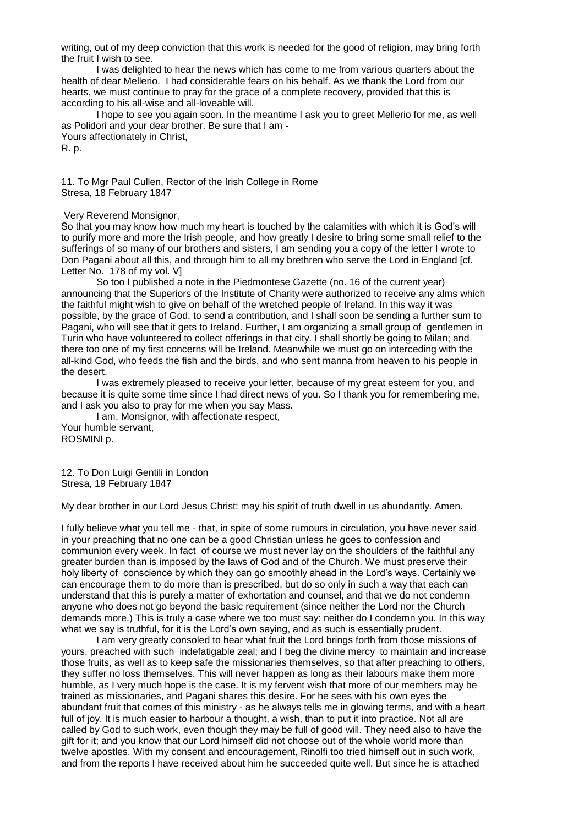writing, out of my deep conviction that this work is needed for the good of religion, may bring forth the fruit I wish to see.

I was delighted to hear the news which has come to me from various quarters about the health of dear Mellerio. I had considerable fears on his behalf. As we thank the Lord from our hearts, we must continue to pray for the grace of a complete recovery, provided that this is according to his all-wise and all-loveable will.

I hope to see you again soon. In the meantime I ask you to greet Mellerio for me, as well as Polidori and your dear brother. Be sure that I am - Yours affectionately in Christ, R. p.

11. To Mgr Paul Cullen, Rector of the Irish College in Rome Stresa, 18 February 1847

Very Reverend Monsignor,

So that you may know how much my heart is touched by the calamities with which it is God's will to purify more and more the Irish people, and how greatly I desire to bring some small relief to the sufferings of so many of our brothers and sisters, I am sending you a copy of the letter I wrote to Don Pagani about all this, and through him to all my brethren who serve the Lord in England [cf. Letter No. 178 of my vol. V]

So too I published a note in the Piedmontese Gazette (no. 16 of the current year) announcing that the Superiors of the Institute of Charity were authorized to receive any alms which the faithful might wish to give on behalf of the wretched people of Ireland. In this way it was possible, by the grace of God, to send a contribution, and I shall soon be sending a further sum to Pagani, who will see that it gets to Ireland. Further, I am organizing a small group of gentlemen in Turin who have volunteered to collect offerings in that city. I shall shortly be going to Milan; and there too one of my first concerns will be Ireland. Meanwhile we must go on interceding with the all-kind God, who feeds the fish and the birds, and who sent manna from heaven to his people in the desert.

I was extremely pleased to receive your letter, because of my great esteem for you, and because it is quite some time since I had direct news of you. So I thank you for remembering me, and I ask you also to pray for me when you say Mass.

I am, Monsignor, with affectionate respect, Your humble servant, ROSMINI p.

12. To Don Luigi Gentili in London Stresa, 19 February 1847

My dear brother in our Lord Jesus Christ: may his spirit of truth dwell in us abundantly. Amen.

I fully believe what you tell me - that, in spite of some rumours in circulation, you have never said in your preaching that no one can be a good Christian unless he goes to confession and communion every week. In fact of course we must never lay on the shoulders of the faithful any greater burden than is imposed by the laws of God and of the Church. We must preserve their holy liberty of conscience by which they can go smoothly ahead in the Lord's ways. Certainly we can encourage them to do more than is prescribed, but do so only in such a way that each can understand that this is purely a matter of exhortation and counsel, and that we do not condemn anyone who does not go beyond the basic requirement (since neither the Lord nor the Church demands more.) This is truly a case where we too must say: neither do I condemn you. In this way what we say is truthful, for it is the Lord's own saying, and as such is essentially prudent.

I am very greatly consoled to hear what fruit the Lord brings forth from those missions of yours, preached with such indefatigable zeal; and I beg the divine mercy to maintain and increase those fruits, as well as to keep safe the missionaries themselves, so that after preaching to others, they suffer no loss themselves. This will never happen as long as their labours make them more humble, as I very much hope is the case. It is my fervent wish that more of our members may be trained as missionaries, and Pagani shares this desire. For he sees with his own eyes the abundant fruit that comes of this ministry - as he always tells me in glowing terms, and with a heart full of joy. It is much easier to harbour a thought, a wish, than to put it into practice. Not all are called by God to such work, even though they may be full of good will. They need also to have the gift for it; and you know that our Lord himself did not choose out of the whole world more than twelve apostles. With my consent and encouragement, Rinolfi too tried himself out in such work, and from the reports I have received about him he succeeded quite well. But since he is attached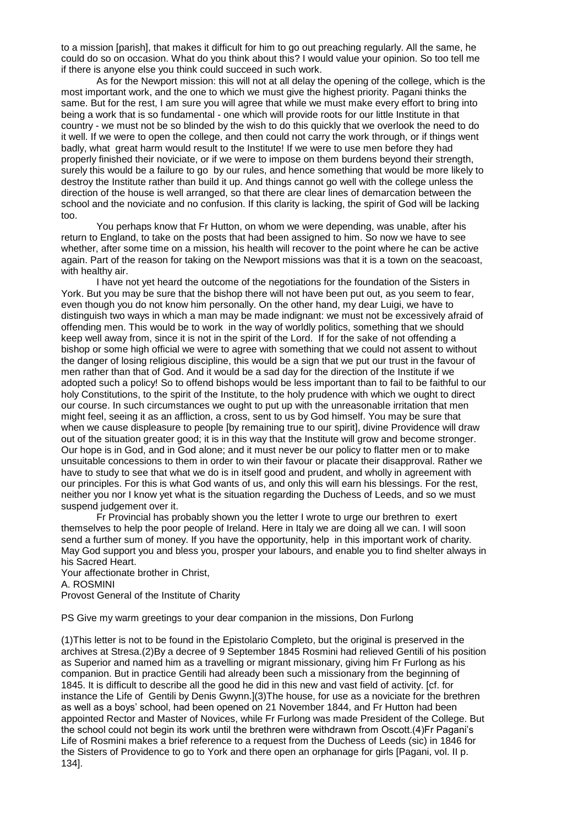to a mission [parish], that makes it difficult for him to go out preaching regularly. All the same, he could do so on occasion. What do you think about this? I would value your opinion. So too tell me if there is anyone else you think could succeed in such work.

As for the Newport mission: this will not at all delay the opening of the college, which is the most important work, and the one to which we must give the highest priority. Pagani thinks the same. But for the rest, I am sure you will agree that while we must make every effort to bring into being a work that is so fundamental - one which will provide roots for our little Institute in that country - we must not be so blinded by the wish to do this quickly that we overlook the need to do it well. If we were to open the college, and then could not carry the work through, or if things went badly, what great harm would result to the Institute! If we were to use men before they had properly finished their noviciate, or if we were to impose on them burdens beyond their strength, surely this would be a failure to go by our rules, and hence something that would be more likely to destroy the Institute rather than build it up. And things cannot go well with the college unless the direction of the house is well arranged, so that there are clear lines of demarcation between the school and the noviciate and no confusion. If this clarity is lacking, the spirit of God will be lacking too.

You perhaps know that Fr Hutton, on whom we were depending, was unable, after his return to England, to take on the posts that had been assigned to him. So now we have to see whether, after some time on a mission, his health will recover to the point where he can be active again. Part of the reason for taking on the Newport missions was that it is a town on the seacoast, with healthy air.

I have not yet heard the outcome of the negotiations for the foundation of the Sisters in York. But you may be sure that the bishop there will not have been put out, as you seem to fear, even though you do not know him personally. On the other hand, my dear Luigi, we have to distinguish two ways in which a man may be made indignant: we must not be excessively afraid of offending men. This would be to work in the way of worldly politics, something that we should keep well away from, since it is not in the spirit of the Lord. If for the sake of not offending a bishop or some high official we were to agree with something that we could not assent to without the danger of losing religious discipline, this would be a sign that we put our trust in the favour of men rather than that of God. And it would be a sad day for the direction of the Institute if we adopted such a policy! So to offend bishops would be less important than to fail to be faithful to our holy Constitutions, to the spirit of the Institute, to the holy prudence with which we ought to direct our course. In such circumstances we ought to put up with the unreasonable irritation that men might feel, seeing it as an affliction, a cross, sent to us by God himself. You may be sure that when we cause displeasure to people [by remaining true to our spirit], divine Providence will draw out of the situation greater good; it is in this way that the Institute will grow and become stronger. Our hope is in God, and in God alone; and it must never be our policy to flatter men or to make unsuitable concessions to them in order to win their favour or placate their disapproval. Rather we have to study to see that what we do is in itself good and prudent, and wholly in agreement with our principles. For this is what God wants of us, and only this will earn his blessings. For the rest, neither you nor I know yet what is the situation regarding the Duchess of Leeds, and so we must suspend judgement over it.

Fr Provincial has probably shown you the letter I wrote to urge our brethren to exert themselves to help the poor people of Ireland. Here in Italy we are doing all we can. I will soon send a further sum of money. If you have the opportunity, help in this important work of charity. May God support you and bless you, prosper your labours, and enable you to find shelter always in his Sacred Heart.

Your affectionate brother in Christ, A. ROSMINI Provost General of the Institute of Charity

PS Give my warm greetings to your dear companion in the missions, Don Furlong

(1)This letter is not to be found in the Epistolario Completo, but the original is preserved in the archives at Stresa.(2)By a decree of 9 September 1845 Rosmini had relieved Gentili of his position as Superior and named him as a travelling or migrant missionary, giving him Fr Furlong as his companion. But in practice Gentili had already been such a missionary from the beginning of 1845. It is difficult to describe all the good he did in this new and vast field of activity. [cf. for instance the Life of Gentili by Denis Gwynn.](3)The house, for use as a noviciate for the brethren as well as a boys' school, had been opened on 21 November 1844, and Fr Hutton had been appointed Rector and Master of Novices, while Fr Furlong was made President of the College. But the school could not begin its work until the brethren were withdrawn from Oscott.(4)Fr Pagani's Life of Rosmini makes a brief reference to a request from the Duchess of Leeds (sic) in 1846 for the Sisters of Providence to go to York and there open an orphanage for girls [Pagani, vol. II p. 134].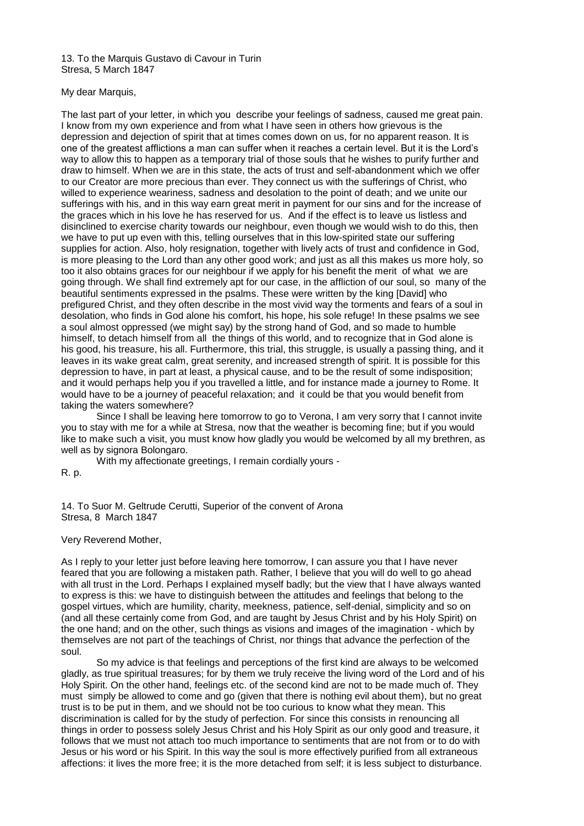13. To the Marquis Gustavo di Cavour in Turin Stresa, 5 March 1847

# My dear Marquis,

The last part of your letter, in which you describe your feelings of sadness, caused me great pain. I know from my own experience and from what I have seen in others how grievous is the depression and dejection of spirit that at times comes down on us, for no apparent reason. It is one of the greatest afflictions a man can suffer when it reaches a certain level. But it is the Lord's way to allow this to happen as a temporary trial of those souls that he wishes to purify further and draw to himself. When we are in this state, the acts of trust and self-abandonment which we offer to our Creator are more precious than ever. They connect us with the sufferings of Christ, who willed to experience weariness, sadness and desolation to the point of death; and we unite our sufferings with his, and in this way earn great merit in payment for our sins and for the increase of the graces which in his love he has reserved for us. And if the effect is to leave us listless and disinclined to exercise charity towards our neighbour, even though we would wish to do this, then we have to put up even with this, telling ourselves that in this low-spirited state our suffering supplies for action. Also, holy resignation, together with lively acts of trust and confidence in God, is more pleasing to the Lord than any other good work; and just as all this makes us more holy, so too it also obtains graces for our neighbour if we apply for his benefit the merit of what we are going through. We shall find extremely apt for our case, in the affliction of our soul, so many of the beautiful sentiments expressed in the psalms. These were written by the king [David] who prefigured Christ, and they often describe in the most vivid way the torments and fears of a soul in desolation, who finds in God alone his comfort, his hope, his sole refuge! In these psalms we see a soul almost oppressed (we might say) by the strong hand of God, and so made to humble himself, to detach himself from all the things of this world, and to recognize that in God alone is his good, his treasure, his all. Furthermore, this trial, this struggle, is usually a passing thing, and it leaves in its wake great calm, great serenity, and increased strength of spirit. It is possible for this depression to have, in part at least, a physical cause, and to be the result of some indisposition; and it would perhaps help you if you travelled a little, and for instance made a journey to Rome. It would have to be a journey of peaceful relaxation; and it could be that you would benefit from taking the waters somewhere?

Since I shall be leaving here tomorrow to go to Verona, I am very sorry that I cannot invite you to stay with me for a while at Stresa, now that the weather is becoming fine; but if you would like to make such a visit, you must know how gladly you would be welcomed by all my brethren, as well as by signora Bolongaro.

With my affectionate greetings, I remain cordially yours -

R. p.

14. To Suor M. Geltrude Cerutti, Superior of the convent of Arona Stresa, 8 March 1847

Very Reverend Mother,

As I reply to your letter just before leaving here tomorrow, I can assure you that I have never feared that you are following a mistaken path. Rather, I believe that you will do well to go ahead with all trust in the Lord. Perhaps I explained myself badly; but the view that I have always wanted to express is this: we have to distinguish between the attitudes and feelings that belong to the gospel virtues, which are humility, charity, meekness, patience, self-denial, simplicity and so on (and all these certainly come from God, and are taught by Jesus Christ and by his Holy Spirit) on the one hand; and on the other, such things as visions and images of the imagination - which by themselves are not part of the teachings of Christ, nor things that advance the perfection of the soul.

So my advice is that feelings and perceptions of the first kind are always to be welcomed gladly, as true spiritual treasures; for by them we truly receive the living word of the Lord and of his Holy Spirit. On the other hand, feelings etc. of the second kind are not to be made much of. They must simply be allowed to come and go (given that there is nothing evil about them), but no great trust is to be put in them, and we should not be too curious to know what they mean. This discrimination is called for by the study of perfection. For since this consists in renouncing all things in order to possess solely Jesus Christ and his Holy Spirit as our only good and treasure, it follows that we must not attach too much importance to sentiments that are not from or to do with Jesus or his word or his Spirit. In this way the soul is more effectively purified from all extraneous affections: it lives the more free; it is the more detached from self; it is less subject to disturbance.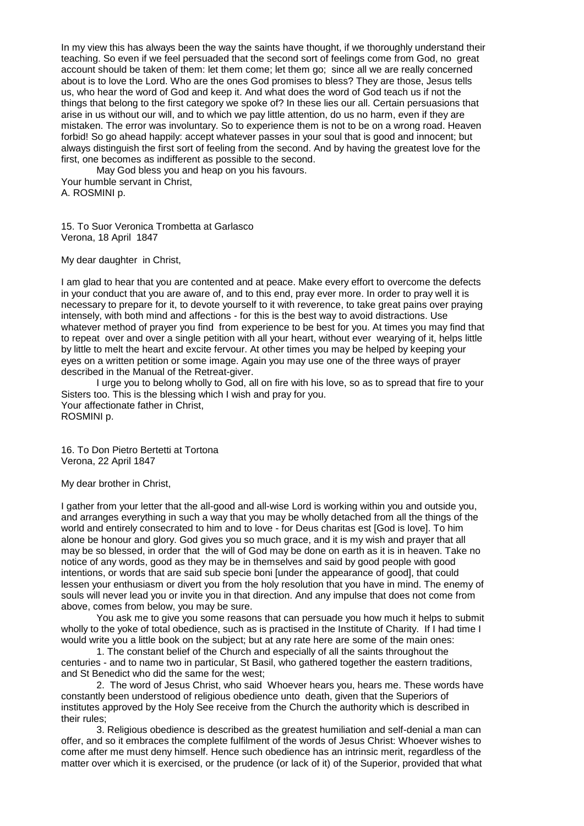In my view this has always been the way the saints have thought, if we thoroughly understand their teaching. So even if we feel persuaded that the second sort of feelings come from God, no great account should be taken of them: let them come; let them go; since all we are really concerned about is to love the Lord. Who are the ones God promises to bless? They are those, Jesus tells us, who hear the word of God and keep it. And what does the word of God teach us if not the things that belong to the first category we spoke of? In these lies our all. Certain persuasions that arise in us without our will, and to which we pay little attention, do us no harm, even if they are mistaken. The error was involuntary. So to experience them is not to be on a wrong road. Heaven forbid! So go ahead happily: accept whatever passes in your soul that is good and innocent; but always distinguish the first sort of feeling from the second. And by having the greatest love for the first, one becomes as indifferent as possible to the second.

May God bless you and heap on you his favours. Your humble servant in Christ, A. ROSMINI p.

15. To Suor Veronica Trombetta at Garlasco Verona, 18 April 1847

My dear daughter in Christ,

I am glad to hear that you are contented and at peace. Make every effort to overcome the defects in your conduct that you are aware of, and to this end, pray ever more. In order to pray well it is necessary to prepare for it, to devote yourself to it with reverence, to take great pains over praying intensely, with both mind and affections - for this is the best way to avoid distractions. Use whatever method of prayer you find from experience to be best for you. At times you may find that to repeat over and over a single petition with all your heart, without ever wearying of it, helps little by little to melt the heart and excite fervour. At other times you may be helped by keeping your eyes on a written petition or some image. Again you may use one of the three ways of prayer described in the Manual of the Retreat-giver.

I urge you to belong wholly to God, all on fire with his love, so as to spread that fire to your Sisters too. This is the blessing which I wish and pray for you. Your affectionate father in Christ, ROSMINI p.

16. To Don Pietro Bertetti at Tortona Verona, 22 April 1847

My dear brother in Christ,

I gather from your letter that the all-good and all-wise Lord is working within you and outside you, and arranges everything in such a way that you may be wholly detached from all the things of the world and entirely consecrated to him and to love - for Deus charitas est [God is love]. To him alone be honour and glory. God gives you so much grace, and it is my wish and prayer that all may be so blessed, in order that the will of God may be done on earth as it is in heaven. Take no notice of any words, good as they may be in themselves and said by good people with good intentions, or words that are said sub specie boni [under the appearance of good], that could lessen your enthusiasm or divert you from the holy resolution that you have in mind. The enemy of souls will never lead you or invite you in that direction. And any impulse that does not come from above, comes from below, you may be sure.

You ask me to give you some reasons that can persuade you how much it helps to submit wholly to the yoke of total obedience, such as is practised in the Institute of Charity. If I had time I would write you a little book on the subject; but at any rate here are some of the main ones:

1. The constant belief of the Church and especially of all the saints throughout the centuries - and to name two in particular, St Basil, who gathered together the eastern traditions, and St Benedict who did the same for the west;

2. The word of Jesus Christ, who said Whoever hears you, hears me. These words have constantly been understood of religious obedience unto death, given that the Superiors of institutes approved by the Holy See receive from the Church the authority which is described in their rules;

3. Religious obedience is described as the greatest humiliation and self-denial a man can offer, and so it embraces the complete fulfilment of the words of Jesus Christ: Whoever wishes to come after me must deny himself. Hence such obedience has an intrinsic merit, regardless of the matter over which it is exercised, or the prudence (or lack of it) of the Superior, provided that what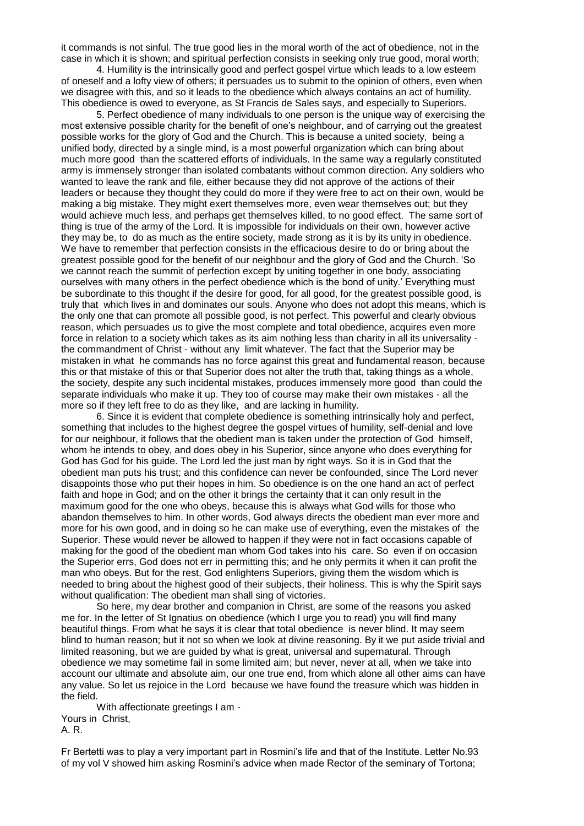it commands is not sinful. The true good lies in the moral worth of the act of obedience, not in the case in which it is shown; and spiritual perfection consists in seeking only true good, moral worth;

4. Humility is the intrinsically good and perfect gospel virtue which leads to a low esteem of oneself and a lofty view of others; it persuades us to submit to the opinion of others, even when we disagree with this, and so it leads to the obedience which always contains an act of humility. This obedience is owed to everyone, as St Francis de Sales says, and especially to Superiors.

5. Perfect obedience of many individuals to one person is the unique way of exercising the most extensive possible charity for the benefit of one's neighbour, and of carrying out the greatest possible works for the glory of God and the Church. This is because a united society, being a unified body, directed by a single mind, is a most powerful organization which can bring about much more good than the scattered efforts of individuals. In the same way a regularly constituted army is immensely stronger than isolated combatants without common direction. Any soldiers who wanted to leave the rank and file, either because they did not approve of the actions of their leaders or because they thought they could do more if they were free to act on their own, would be making a big mistake. They might exert themselves more, even wear themselves out; but they would achieve much less, and perhaps get themselves killed, to no good effect. The same sort of thing is true of the army of the Lord. It is impossible for individuals on their own, however active they may be, to do as much as the entire society, made strong as it is by its unity in obedience. We have to remember that perfection consists in the efficacious desire to do or bring about the greatest possible good for the benefit of our neighbour and the glory of God and the Church. 'So we cannot reach the summit of perfection except by uniting together in one body, associating ourselves with many others in the perfect obedience which is the bond of unity.' Everything must be subordinate to this thought if the desire for good, for all good, for the greatest possible good, is truly that which lives in and dominates our souls. Anyone who does not adopt this means, which is the only one that can promote all possible good, is not perfect. This powerful and clearly obvious reason, which persuades us to give the most complete and total obedience, acquires even more force in relation to a society which takes as its aim nothing less than charity in all its universality the commandment of Christ - without any limit whatever. The fact that the Superior may be mistaken in what he commands has no force against this great and fundamental reason, because this or that mistake of this or that Superior does not alter the truth that, taking things as a whole, the society, despite any such incidental mistakes, produces immensely more good than could the separate individuals who make it up. They too of course may make their own mistakes - all the more so if they left free to do as they like, and are lacking in humility.

6. Since it is evident that complete obedience is something intrinsically holy and perfect, something that includes to the highest degree the gospel virtues of humility, self-denial and love for our neighbour, it follows that the obedient man is taken under the protection of God himself, whom he intends to obey, and does obey in his Superior, since anyone who does everything for God has God for his guide. The Lord led the just man by right ways. So it is in God that the obedient man puts his trust; and this confidence can never be confounded, since The Lord never disappoints those who put their hopes in him. So obedience is on the one hand an act of perfect faith and hope in God; and on the other it brings the certainty that it can only result in the maximum good for the one who obeys, because this is always what God wills for those who abandon themselves to him. In other words, God always directs the obedient man ever more and more for his own good, and in doing so he can make use of everything, even the mistakes of the Superior. These would never be allowed to happen if they were not in fact occasions capable of making for the good of the obedient man whom God takes into his care. So even if on occasion the Superior errs, God does not err in permitting this; and he only permits it when it can profit the man who obeys. But for the rest, God enlightens Superiors, giving them the wisdom which is needed to bring about the highest good of their subjects, their holiness. This is why the Spirit says without qualification: The obedient man shall sing of victories.

So here, my dear brother and companion in Christ, are some of the reasons you asked me for. In the letter of St Ignatius on obedience (which I urge you to read) you will find many beautiful things. From what he says it is clear that total obedience is never blind. It may seem blind to human reason; but it not so when we look at divine reasoning. By it we put aside trivial and limited reasoning, but we are guided by what is great, universal and supernatural. Through obedience we may sometime fail in some limited aim; but never, never at all, when we take into account our ultimate and absolute aim, our one true end, from which alone all other aims can have any value. So let us rejoice in the Lord because we have found the treasure which was hidden in the field.

With affectionate greetings I am - Yours in Christ, A. R.

Fr Bertetti was to play a very important part in Rosmini's life and that of the Institute. Letter No.93 of my vol V showed him asking Rosmini's advice when made Rector of the seminary of Tortona;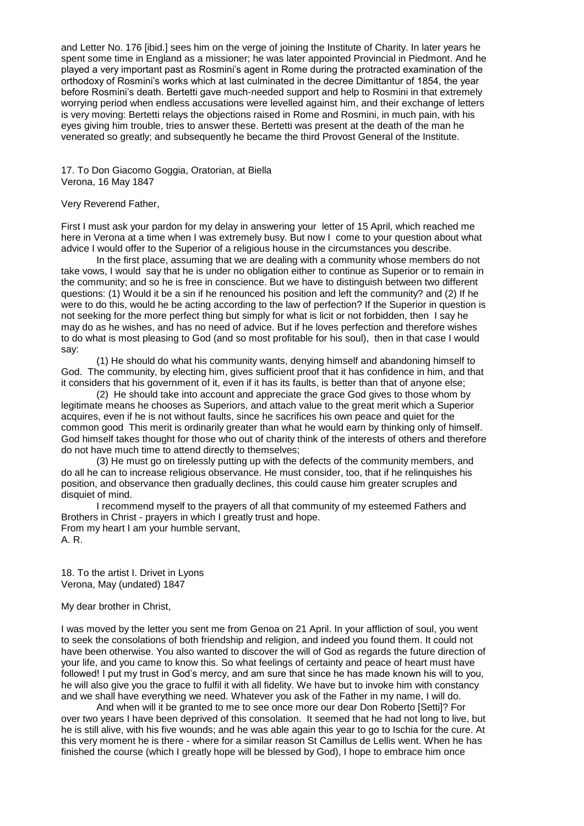and Letter No. 176 [ibid.] sees him on the verge of joining the Institute of Charity. In later years he spent some time in England as a missioner; he was later appointed Provincial in Piedmont. And he played a very important past as Rosmini's agent in Rome during the protracted examination of the orthodoxy of Rosmini's works which at last culminated in the decree Dimittantur of 1854, the year before Rosmini's death. Bertetti gave much-needed support and help to Rosmini in that extremely worrying period when endless accusations were levelled against him, and their exchange of letters is very moving: Bertetti relays the objections raised in Rome and Rosmini, in much pain, with his eyes giving him trouble, tries to answer these. Bertetti was present at the death of the man he venerated so greatly; and subsequently he became the third Provost General of the Institute.

17. To Don Giacomo Goggia, Oratorian, at Biella Verona, 16 May 1847

# Very Reverend Father,

First I must ask your pardon for my delay in answering your letter of 15 April, which reached me here in Verona at a time when I was extremely busy. But now I come to your question about what advice I would offer to the Superior of a religious house in the circumstances you describe.

In the first place, assuming that we are dealing with a community whose members do not take vows, I would say that he is under no obligation either to continue as Superior or to remain in the community; and so he is free in conscience. But we have to distinguish between two different questions: (1) Would it be a sin if he renounced his position and left the community? and (2) If he were to do this, would he be acting according to the law of perfection? If the Superior in question is not seeking for the more perfect thing but simply for what is licit or not forbidden, then I say he may do as he wishes, and has no need of advice. But if he loves perfection and therefore wishes to do what is most pleasing to God (and so most profitable for his soul), then in that case I would say:

(1) He should do what his community wants, denying himself and abandoning himself to God. The community, by electing him, gives sufficient proof that it has confidence in him, and that it considers that his government of it, even if it has its faults, is better than that of anyone else;

(2) He should take into account and appreciate the grace God gives to those whom by legitimate means he chooses as Superiors, and attach value to the great merit which a Superior acquires, even if he is not without faults, since he sacrifices his own peace and quiet for the common good This merit is ordinarily greater than what he would earn by thinking only of himself. God himself takes thought for those who out of charity think of the interests of others and therefore do not have much time to attend directly to themselves;

(3) He must go on tirelessly putting up with the defects of the community members, and do all he can to increase religious observance. He must consider, too, that if he relinquishes his position, and observance then gradually declines, this could cause him greater scruples and disquiet of mind.

I recommend myself to the prayers of all that community of my esteemed Fathers and Brothers in Christ - prayers in which I greatly trust and hope. From my heart I am your humble servant, A. R.

18. To the artist I. Drivet in Lyons Verona, May (undated) 1847

## My dear brother in Christ,

I was moved by the letter you sent me from Genoa on 21 April. In your affliction of soul, you went to seek the consolations of both friendship and religion, and indeed you found them. It could not have been otherwise. You also wanted to discover the will of God as regards the future direction of your life, and you came to know this. So what feelings of certainty and peace of heart must have followed! I put my trust in God's mercy, and am sure that since he has made known his will to you, he will also give you the grace to fulfil it with all fidelity. We have but to invoke him with constancy and we shall have everything we need. Whatever you ask of the Father in my name, I will do.

And when will it be granted to me to see once more our dear Don Roberto [Setti]? For over two years I have been deprived of this consolation. It seemed that he had not long to live, but he is still alive, with his five wounds; and he was able again this year to go to Ischia for the cure. At this very moment he is there - where for a similar reason St Camillus de Lellis went. When he has finished the course (which I greatly hope will be blessed by God), I hope to embrace him once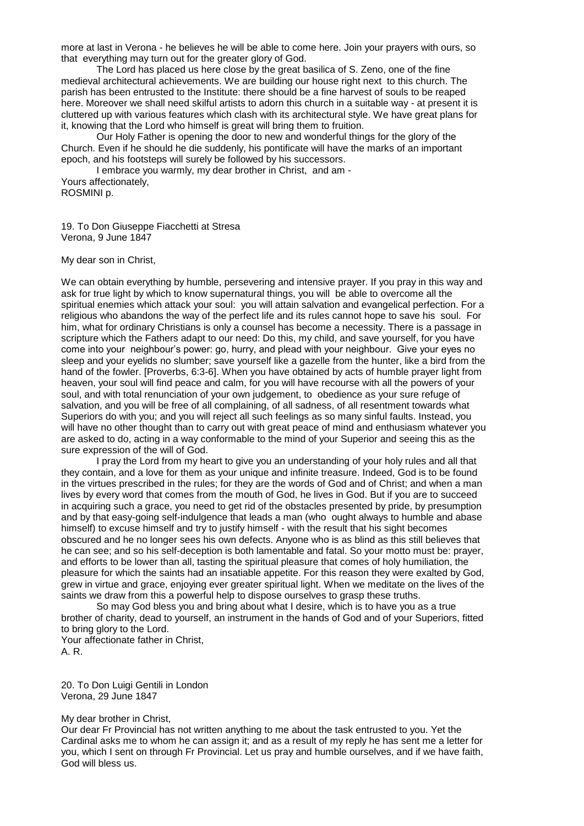more at last in Verona - he believes he will be able to come here. Join your prayers with ours, so that everything may turn out for the greater glory of God.

The Lord has placed us here close by the great basilica of S. Zeno, one of the fine medieval architectural achievements. We are building our house right next to this church. The parish has been entrusted to the Institute: there should be a fine harvest of souls to be reaped here. Moreover we shall need skilful artists to adorn this church in a suitable way - at present it is cluttered up with various features which clash with its architectural style. We have great plans for it, knowing that the Lord who himself is great will bring them to fruition.

Our Holy Father is opening the door to new and wonderful things for the glory of the Church. Even if he should he die suddenly, his pontificate will have the marks of an important epoch, and his footsteps will surely be followed by his successors.

I embrace you warmly, my dear brother in Christ, and am - Yours affectionately, ROSMINI p.

19. To Don Giuseppe Fiacchetti at Stresa Verona, 9 June 1847

My dear son in Christ,

We can obtain everything by humble, persevering and intensive prayer. If you pray in this way and ask for true light by which to know supernatural things, you will be able to overcome all the spiritual enemies which attack your soul: you will attain salvation and evangelical perfection. For a religious who abandons the way of the perfect life and its rules cannot hope to save his soul. For him, what for ordinary Christians is only a counsel has become a necessity. There is a passage in scripture which the Fathers adapt to our need: Do this, my child, and save yourself, for you have come into your neighbour's power: go, hurry, and plead with your neighbour. Give your eyes no sleep and your eyelids no slumber; save yourself like a gazelle from the hunter, like a bird from the hand of the fowler. [Proverbs, 6:3-6]. When you have obtained by acts of humble prayer light from heaven, your soul will find peace and calm, for you will have recourse with all the powers of your soul, and with total renunciation of your own judgement, to obedience as your sure refuge of salvation, and you will be free of all complaining, of all sadness, of all resentment towards what Superiors do with you; and you will reject all such feelings as so many sinful faults. Instead, you will have no other thought than to carry out with great peace of mind and enthusiasm whatever you are asked to do, acting in a way conformable to the mind of your Superior and seeing this as the sure expression of the will of God.

I pray the Lord from my heart to give you an understanding of your holy rules and all that they contain, and a love for them as your unique and infinite treasure. Indeed, God is to be found in the virtues prescribed in the rules; for they are the words of God and of Christ; and when a man lives by every word that comes from the mouth of God, he lives in God. But if you are to succeed in acquiring such a grace, you need to get rid of the obstacles presented by pride, by presumption and by that easy-going self-indulgence that leads a man (who ought always to humble and abase himself) to excuse himself and try to justify himself - with the result that his sight becomes obscured and he no longer sees his own defects. Anyone who is as blind as this still believes that he can see; and so his self-deception is both lamentable and fatal. So your motto must be: prayer, and efforts to be lower than all, tasting the spiritual pleasure that comes of holy humiliation, the pleasure for which the saints had an insatiable appetite. For this reason they were exalted by God, grew in virtue and grace, enjoying ever greater spiritual light. When we meditate on the lives of the saints we draw from this a powerful help to dispose ourselves to grasp these truths.

So may God bless you and bring about what I desire, which is to have you as a true brother of charity, dead to yourself, an instrument in the hands of God and of your Superiors, fitted to bring glory to the Lord.

Your affectionate father in Christ, A. R.

20. To Don Luigi Gentili in London Verona, 29 June 1847

#### My dear brother in Christ,

Our dear Fr Provincial has not written anything to me about the task entrusted to you. Yet the Cardinal asks me to whom he can assign it; and as a result of my reply he has sent me a letter for you, which I sent on through Fr Provincial. Let us pray and humble ourselves, and if we have faith, God will bless us.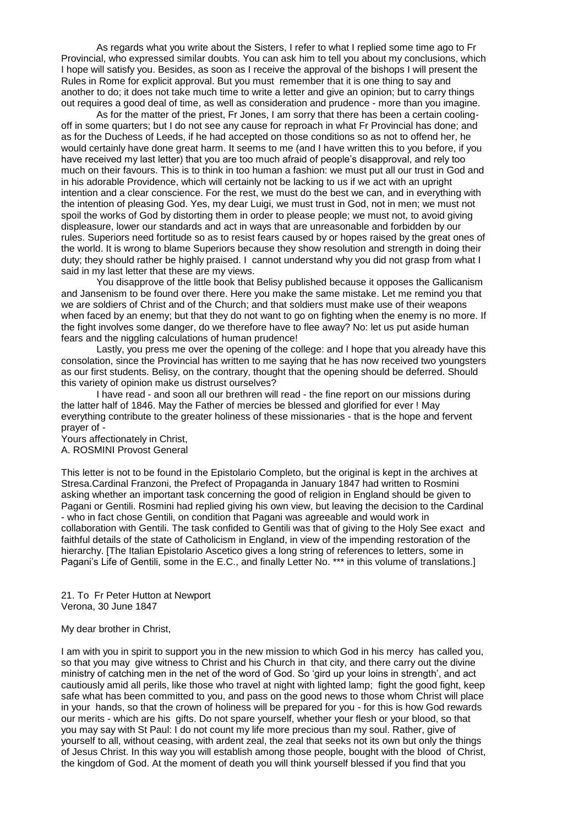As regards what you write about the Sisters, I refer to what I replied some time ago to Fr Provincial, who expressed similar doubts. You can ask him to tell you about my conclusions, which I hope will satisfy you. Besides, as soon as I receive the approval of the bishops I will present the Rules in Rome for explicit approval. But you must remember that it is one thing to say and another to do; it does not take much time to write a letter and give an opinion; but to carry things out requires a good deal of time, as well as consideration and prudence - more than you imagine.

As for the matter of the priest, Fr Jones, I am sorry that there has been a certain coolingoff in some quarters; but I do not see any cause for reproach in what Fr Provincial has done; and as for the Duchess of Leeds, if he had accepted on those conditions so as not to offend her, he would certainly have done great harm. It seems to me (and I have written this to you before, if you have received my last letter) that you are too much afraid of people's disapproval, and rely too much on their favours. This is to think in too human a fashion: we must put all our trust in God and in his adorable Providence, which will certainly not be lacking to us if we act with an upright intention and a clear conscience. For the rest, we must do the best we can, and in everything with the intention of pleasing God. Yes, my dear Luigi, we must trust in God, not in men; we must not spoil the works of God by distorting them in order to please people; we must not, to avoid giving displeasure, lower our standards and act in ways that are unreasonable and forbidden by our rules. Superiors need fortitude so as to resist fears caused by or hopes raised by the great ones of the world. It is wrong to blame Superiors because they show resolution and strength in doing their duty; they should rather be highly praised. I cannot understand why you did not grasp from what I said in my last letter that these are my views.

You disapprove of the little book that Belisy published because it opposes the Gallicanism and Jansenism to be found over there. Here you make the same mistake. Let me remind you that we are soldiers of Christ and of the Church; and that soldiers must make use of their weapons when faced by an enemy; but that they do not want to go on fighting when the enemy is no more. If the fight involves some danger, do we therefore have to flee away? No: let us put aside human fears and the niggling calculations of human prudence!

Lastly, you press me over the opening of the college: and I hope that you already have this consolation, since the Provincial has written to me saying that he has now received two youngsters as our first students. Belisy, on the contrary, thought that the opening should be deferred. Should this variety of opinion make us distrust ourselves?

I have read - and soon all our brethren will read - the fine report on our missions during the latter half of 1846. May the Father of mercies be blessed and glorified for ever ! May everything contribute to the greater holiness of these missionaries - that is the hope and fervent prayer of -

Yours affectionately in Christ, A. ROSMINI Provost General

This letter is not to be found in the Epistolario Completo, but the original is kept in the archives at Stresa.Cardinal Franzoni, the Prefect of Propaganda in January 1847 had written to Rosmini asking whether an important task concerning the good of religion in England should be given to Pagani or Gentili. Rosmini had replied giving his own view, but leaving the decision to the Cardinal - who in fact chose Gentili, on condition that Pagani was agreeable and would work in collaboration with Gentili. The task confided to Gentili was that of giving to the Holy See exact and faithful details of the state of Catholicism in England, in view of the impending restoration of the hierarchy. [The Italian Epistolario Ascetico gives a long string of references to letters, some in Pagani's Life of Gentili, some in the E.C., and finally Letter No. \*\*\* in this volume of translations.]

21. To Fr Peter Hutton at Newport Verona, 30 June 1847

My dear brother in Christ,

I am with you in spirit to support you in the new mission to which God in his mercy has called you, so that you may give witness to Christ and his Church in that city, and there carry out the divine ministry of catching men in the net of the word of God. So 'gird up your loins in strength', and act cautiously amid all perils, like those who travel at night with lighted lamp; fight the good fight, keep safe what has been committed to you, and pass on the good news to those whom Christ will place in your hands, so that the crown of holiness will be prepared for you - for this is how God rewards our merits - which are his gifts. Do not spare yourself, whether your flesh or your blood, so that you may say with St Paul: I do not count my life more precious than my soul. Rather, give of yourself to all, without ceasing, with ardent zeal, the zeal that seeks not its own but only the things of Jesus Christ. In this way you will establish among those people, bought with the blood of Christ, the kingdom of God. At the moment of death you will think yourself blessed if you find that you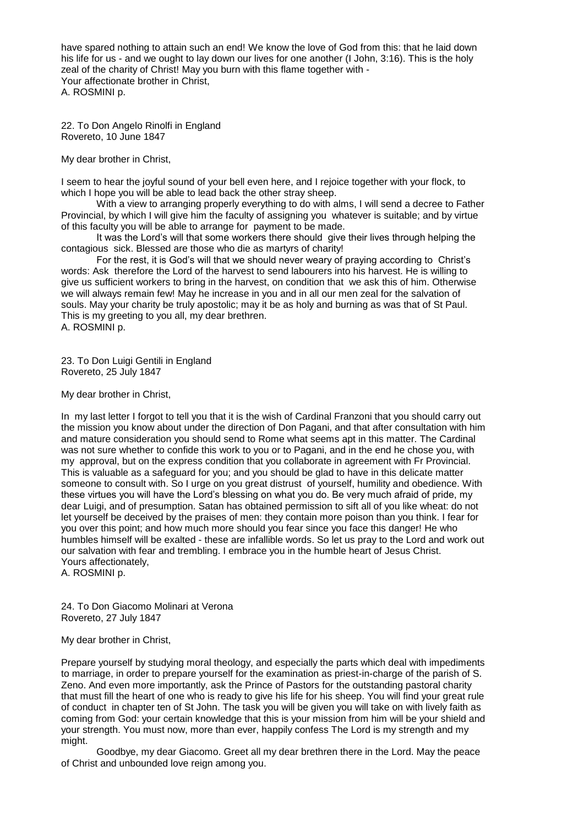have spared nothing to attain such an end! We know the love of God from this: that he laid down his life for us - and we ought to lay down our lives for one another (I John, 3:16). This is the holy zeal of the charity of Christ! May you burn with this flame together with - Your affectionate brother in Christ, A. ROSMINI p.

22. To Don Angelo Rinolfi in England Rovereto, 10 June 1847

My dear brother in Christ,

I seem to hear the joyful sound of your bell even here, and I rejoice together with your flock, to which I hope you will be able to lead back the other stray sheep.

With a view to arranging properly everything to do with alms, I will send a decree to Father Provincial, by which I will give him the faculty of assigning you whatever is suitable; and by virtue of this faculty you will be able to arrange for payment to be made.

It was the Lord's will that some workers there should give their lives through helping the contagious sick. Blessed are those who die as martyrs of charity!

For the rest, it is God's will that we should never weary of praying according to Christ's words: Ask therefore the Lord of the harvest to send labourers into his harvest. He is willing to give us sufficient workers to bring in the harvest, on condition that we ask this of him. Otherwise we will always remain few! May he increase in you and in all our men zeal for the salvation of souls. May your charity be truly apostolic; may it be as holy and burning as was that of St Paul. This is my greeting to you all, my dear brethren. A. ROSMINI p.

23. To Don Luigi Gentili in England Rovereto, 25 July 1847

My dear brother in Christ,

In my last letter I forgot to tell you that it is the wish of Cardinal Franzoni that you should carry out the mission you know about under the direction of Don Pagani, and that after consultation with him and mature consideration you should send to Rome what seems apt in this matter. The Cardinal was not sure whether to confide this work to you or to Pagani, and in the end he chose you, with my approval, but on the express condition that you collaborate in agreement with Fr Provincial. This is valuable as a safeguard for you; and you should be glad to have in this delicate matter someone to consult with. So I urge on you great distrust of yourself, humility and obedience. With these virtues you will have the Lord's blessing on what you do. Be very much afraid of pride, my dear Luigi, and of presumption. Satan has obtained permission to sift all of you like wheat: do not let yourself be deceived by the praises of men: they contain more poison than you think. I fear for you over this point; and how much more should you fear since you face this danger! He who humbles himself will be exalted - these are infallible words. So let us pray to the Lord and work out our salvation with fear and trembling. I embrace you in the humble heart of Jesus Christ. Yours affectionately,

A. ROSMINI p.

24. To Don Giacomo Molinari at Verona Rovereto, 27 July 1847

# My dear brother in Christ,

Prepare yourself by studying moral theology, and especially the parts which deal with impediments to marriage, in order to prepare yourself for the examination as priest-in-charge of the parish of S. Zeno. And even more importantly, ask the Prince of Pastors for the outstanding pastoral charity that must fill the heart of one who is ready to give his life for his sheep. You will find your great rule of conduct in chapter ten of St John. The task you will be given you will take on with lively faith as coming from God: your certain knowledge that this is your mission from him will be your shield and your strength. You must now, more than ever, happily confess The Lord is my strength and my might.

Goodbye, my dear Giacomo. Greet all my dear brethren there in the Lord. May the peace of Christ and unbounded love reign among you.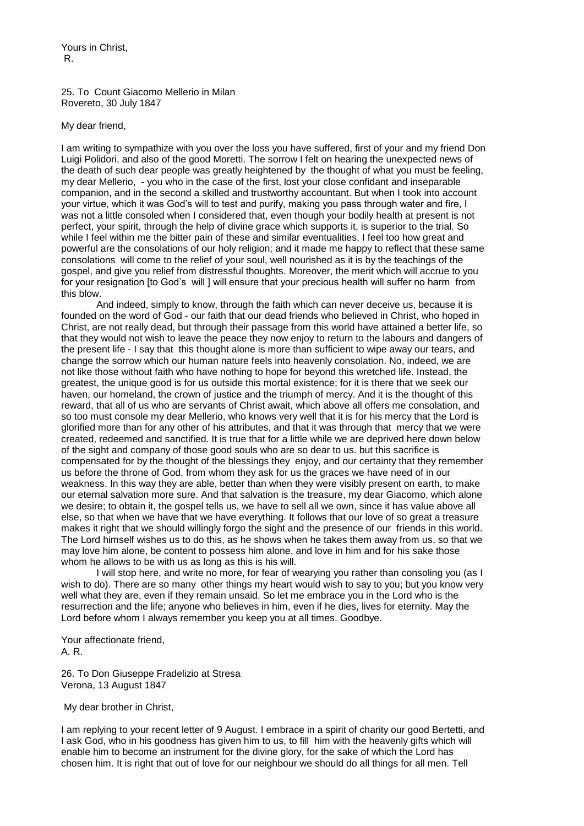Yours in Christ, R.

25. To Count Giacomo Mellerio in Milan Rovereto, 30 July 1847

My dear friend,

I am writing to sympathize with you over the loss you have suffered, first of your and my friend Don Luigi Polidori, and also of the good Moretti. The sorrow I felt on hearing the unexpected news of the death of such dear people was greatly heightened by the thought of what you must be feeling, my dear Mellerio, - you who in the case of the first, lost your close confidant and inseparable companion, and in the second a skilled and trustworthy accountant. But when I took into account your virtue, which it was God's will to test and purify, making you pass through water and fire, I was not a little consoled when I considered that, even though your bodily health at present is not perfect, your spirit, through the help of divine grace which supports it, is superior to the trial. So while I feel within me the bitter pain of these and similar eventualities, I feel too how great and powerful are the consolations of our holy religion; and it made me happy to reflect that these same consolations will come to the relief of your soul, well nourished as it is by the teachings of the gospel, and give you relief from distressful thoughts. Moreover, the merit which will accrue to you for your resignation [to God's will ] will ensure that your precious health will suffer no harm from this blow.

And indeed, simply to know, through the faith which can never deceive us, because it is founded on the word of God - our faith that our dead friends who believed in Christ, who hoped in Christ, are not really dead, but through their passage from this world have attained a better life, so that they would not wish to leave the peace they now enjoy to return to the labours and dangers of the present life - I say that this thought alone is more than sufficient to wipe away our tears, and change the sorrow which our human nature feels into heavenly consolation. No, indeed, we are not like those without faith who have nothing to hope for beyond this wretched life. Instead, the greatest, the unique good is for us outside this mortal existence; for it is there that we seek our haven, our homeland, the crown of justice and the triumph of mercy. And it is the thought of this reward, that all of us who are servants of Christ await, which above all offers me consolation, and so too must console my dear Mellerio, who knows very well that it is for his mercy that the Lord is glorified more than for any other of his attributes, and that it was through that mercy that we were created, redeemed and sanctified. It is true that for a little while we are deprived here down below of the sight and company of those good souls who are so dear to us. but this sacrifice is compensated for by the thought of the blessings they enjoy, and our certainty that they remember us before the throne of God, from whom they ask for us the graces we have need of in our weakness. In this way they are able, better than when they were visibly present on earth, to make our eternal salvation more sure. And that salvation is the treasure, my dear Giacomo, which alone we desire; to obtain it, the gospel tells us, we have to sell all we own, since it has value above all else, so that when we have that we have everything. It follows that our love of so great a treasure makes it right that we should willingly forgo the sight and the presence of our friends in this world. The Lord himself wishes us to do this, as he shows when he takes them away from us, so that we may love him alone, be content to possess him alone, and love in him and for his sake those whom he allows to be with us as long as this is his will.

I will stop here, and write no more, for fear of wearying you rather than consoling you (as I wish to do). There are so many other things my heart would wish to say to you; but you know very well what they are, even if they remain unsaid. So let me embrace you in the Lord who is the resurrection and the life; anyone who believes in him, even if he dies, lives for eternity. May the Lord before whom I always remember you keep you at all times. Goodbye.

Your affectionate friend, A. R.

26. To Don Giuseppe Fradelizio at Stresa Verona, 13 August 1847

My dear brother in Christ,

I am replying to your recent letter of 9 August. I embrace in a spirit of charity our good Bertetti, and I ask God, who in his goodness has given him to us, to fill him with the heavenly gifts which will enable him to become an instrument for the divine glory, for the sake of which the Lord has chosen him. It is right that out of love for our neighbour we should do all things for all men. Tell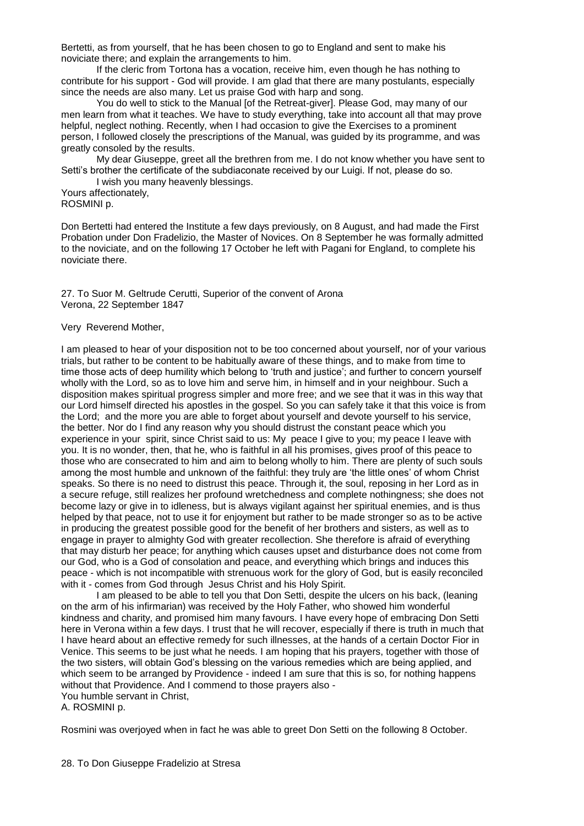Bertetti, as from yourself, that he has been chosen to go to England and sent to make his noviciate there; and explain the arrangements to him.

If the cleric from Tortona has a vocation, receive him, even though he has nothing to contribute for his support - God will provide. I am glad that there are many postulants, especially since the needs are also many. Let us praise God with harp and song.

You do well to stick to the Manual [of the Retreat-giver]. Please God, may many of our men learn from what it teaches. We have to study everything, take into account all that may prove helpful, neglect nothing. Recently, when I had occasion to give the Exercises to a prominent person, I followed closely the prescriptions of the Manual, was guided by its programme, and was greatly consoled by the results.

My dear Giuseppe, greet all the brethren from me. I do not know whether you have sent to Setti's brother the certificate of the subdiaconate received by our Luigi. If not, please do so.

I wish you many heavenly blessings.

Yours affectionately, ROSMINI p.

Don Bertetti had entered the Institute a few days previously, on 8 August, and had made the First Probation under Don Fradelizio, the Master of Novices. On 8 September he was formally admitted to the noviciate, and on the following 17 October he left with Pagani for England, to complete his noviciate there.

27. To Suor M. Geltrude Cerutti, Superior of the convent of Arona Verona, 22 September 1847

# Very Reverend Mother,

I am pleased to hear of your disposition not to be too concerned about yourself, nor of your various trials, but rather to be content to be habitually aware of these things, and to make from time to time those acts of deep humility which belong to 'truth and justice'; and further to concern yourself wholly with the Lord, so as to love him and serve him, in himself and in your neighbour. Such a disposition makes spiritual progress simpler and more free; and we see that it was in this way that our Lord himself directed his apostles in the gospel. So you can safely take it that this voice is from the Lord; and the more you are able to forget about yourself and devote yourself to his service, the better. Nor do I find any reason why you should distrust the constant peace which you experience in your spirit, since Christ said to us: My peace I give to you; my peace I leave with you. It is no wonder, then, that he, who is faithful in all his promises, gives proof of this peace to those who are consecrated to him and aim to belong wholly to him. There are plenty of such souls among the most humble and unknown of the faithful: they truly are 'the little ones' of whom Christ speaks. So there is no need to distrust this peace. Through it, the soul, reposing in her Lord as in a secure refuge, still realizes her profound wretchedness and complete nothingness; she does not become lazy or give in to idleness, but is always vigilant against her spiritual enemies, and is thus helped by that peace, not to use it for enjoyment but rather to be made stronger so as to be active in producing the greatest possible good for the benefit of her brothers and sisters, as well as to engage in prayer to almighty God with greater recollection. She therefore is afraid of everything that may disturb her peace; for anything which causes upset and disturbance does not come from our God, who is a God of consolation and peace, and everything which brings and induces this peace - which is not incompatible with strenuous work for the glory of God, but is easily reconciled with it - comes from God through Jesus Christ and his Holy Spirit.

I am pleased to be able to tell you that Don Setti, despite the ulcers on his back, (leaning on the arm of his infirmarian) was received by the Holy Father, who showed him wonderful kindness and charity, and promised him many favours. I have every hope of embracing Don Setti here in Verona within a few days. I trust that he will recover, especially if there is truth in much that I have heard about an effective remedy for such illnesses, at the hands of a certain Doctor Fior in Venice. This seems to be just what he needs. I am hoping that his prayers, together with those of the two sisters, will obtain God's blessing on the various remedies which are being applied, and which seem to be arranged by Providence - indeed I am sure that this is so, for nothing happens without that Providence. And I commend to those prayers also -

You humble servant in Christ, A. ROSMINI p.

Rosmini was overjoyed when in fact he was able to greet Don Setti on the following 8 October.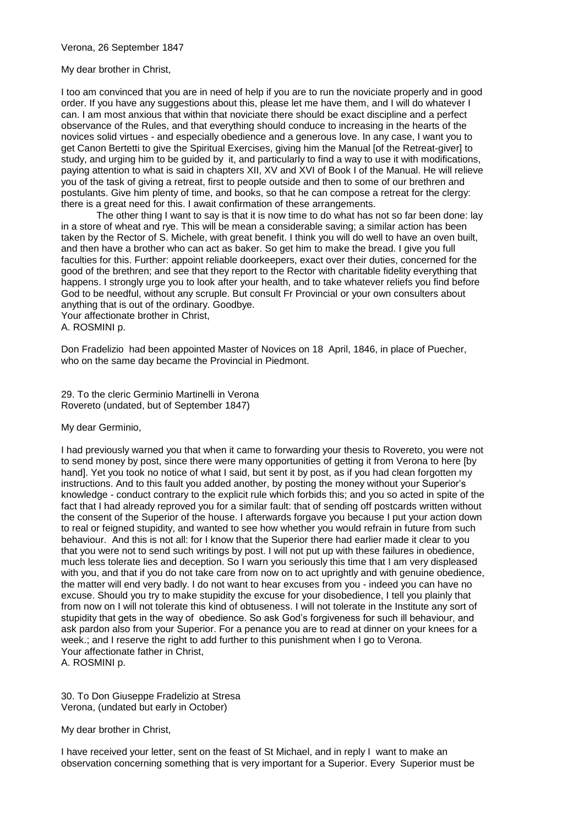# Verona, 26 September 1847

# My dear brother in Christ,

I too am convinced that you are in need of help if you are to run the noviciate properly and in good order. If you have any suggestions about this, please let me have them, and I will do whatever I can. I am most anxious that within that noviciate there should be exact discipline and a perfect observance of the Rules, and that everything should conduce to increasing in the hearts of the novices solid virtues - and especially obedience and a generous love. In any case, I want you to get Canon Bertetti to give the Spiritual Exercises, giving him the Manual [of the Retreat-giver] to study, and urging him to be guided by it, and particularly to find a way to use it with modifications, paying attention to what is said in chapters XII, XV and XVI of Book I of the Manual. He will relieve you of the task of giving a retreat, first to people outside and then to some of our brethren and postulants. Give him plenty of time, and books, so that he can compose a retreat for the clergy: there is a great need for this. I await confirmation of these arrangements.

The other thing I want to say is that it is now time to do what has not so far been done: lay in a store of wheat and rye. This will be mean a considerable saving; a similar action has been taken by the Rector of S. Michele, with great benefit. I think you will do well to have an oven built, and then have a brother who can act as baker. So get him to make the bread. I give you full faculties for this. Further: appoint reliable doorkeepers, exact over their duties, concerned for the good of the brethren; and see that they report to the Rector with charitable fidelity everything that happens. I strongly urge you to look after your health, and to take whatever reliefs you find before God to be needful, without any scruple. But consult Fr Provincial or your own consulters about anything that is out of the ordinary. Goodbye.

Your affectionate brother in Christ, A. ROSMINI p.

Don Fradelizio had been appointed Master of Novices on 18 April, 1846, in place of Puecher, who on the same day became the Provincial in Piedmont.

29. To the cleric Germinio Martinelli in Verona Rovereto (undated, but of September 1847)

# My dear Germinio,

I had previously warned you that when it came to forwarding your thesis to Rovereto, you were not to send money by post, since there were many opportunities of getting it from Verona to here [by hand]. Yet you took no notice of what I said, but sent it by post, as if you had clean forgotten my instructions. And to this fault you added another, by posting the money without your Superior's knowledge - conduct contrary to the explicit rule which forbids this; and you so acted in spite of the fact that I had already reproved you for a similar fault: that of sending off postcards written without the consent of the Superior of the house. I afterwards forgave you because I put your action down to real or feigned stupidity, and wanted to see how whether you would refrain in future from such behaviour. And this is not all: for I know that the Superior there had earlier made it clear to you that you were not to send such writings by post. I will not put up with these failures in obedience, much less tolerate lies and deception. So I warn you seriously this time that I am very displeased with you, and that if you do not take care from now on to act uprightly and with genuine obedience, the matter will end very badly. I do not want to hear excuses from you - indeed you can have no excuse. Should you try to make stupidity the excuse for your disobedience, I tell you plainly that from now on I will not tolerate this kind of obtuseness. I will not tolerate in the Institute any sort of stupidity that gets in the way of obedience. So ask God's forgiveness for such ill behaviour, and ask pardon also from your Superior. For a penance you are to read at dinner on your knees for a week.; and I reserve the right to add further to this punishment when I go to Verona. Your affectionate father in Christ, A. ROSMINI p.

30. To Don Giuseppe Fradelizio at Stresa Verona, (undated but early in October)

My dear brother in Christ,

I have received your letter, sent on the feast of St Michael, and in reply I want to make an observation concerning something that is very important for a Superior. Every Superior must be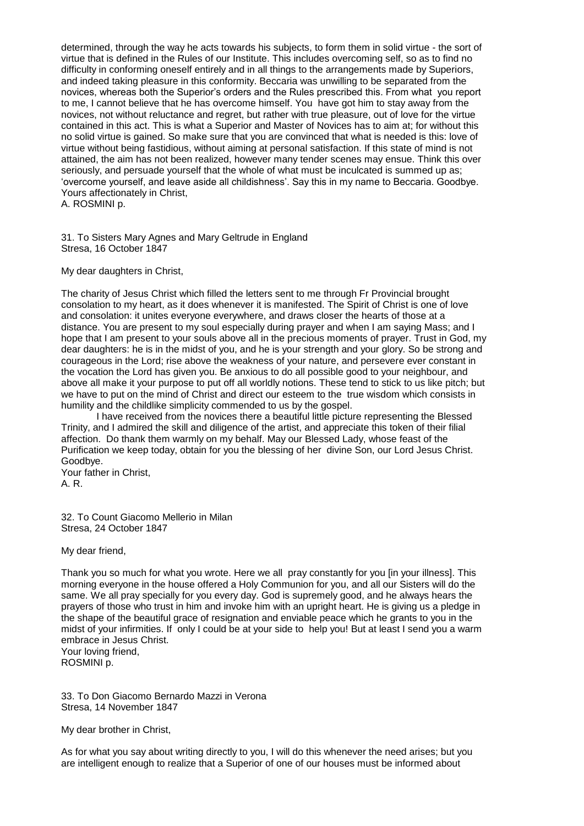determined, through the way he acts towards his subjects, to form them in solid virtue - the sort of virtue that is defined in the Rules of our Institute. This includes overcoming self, so as to find no difficulty in conforming oneself entirely and in all things to the arrangements made by Superiors, and indeed taking pleasure in this conformity. Beccaria was unwilling to be separated from the novices, whereas both the Superior's orders and the Rules prescribed this. From what you report to me, I cannot believe that he has overcome himself. You have got him to stay away from the novices, not without reluctance and regret, but rather with true pleasure, out of love for the virtue contained in this act. This is what a Superior and Master of Novices has to aim at; for without this no solid virtue is gained. So make sure that you are convinced that what is needed is this: love of virtue without being fastidious, without aiming at personal satisfaction. If this state of mind is not attained, the aim has not been realized, however many tender scenes may ensue. Think this over seriously, and persuade yourself that the whole of what must be inculcated is summed up as; 'overcome yourself, and leave aside all childishness'. Say this in my name to Beccaria. Goodbye. Yours affectionately in Christ,

A. ROSMINI p.

31. To Sisters Mary Agnes and Mary Geltrude in England Stresa, 16 October 1847

My dear daughters in Christ,

The charity of Jesus Christ which filled the letters sent to me through Fr Provincial brought consolation to my heart, as it does whenever it is manifested. The Spirit of Christ is one of love and consolation: it unites everyone everywhere, and draws closer the hearts of those at a distance. You are present to my soul especially during prayer and when I am saying Mass; and I hope that I am present to your souls above all in the precious moments of prayer. Trust in God, my dear daughters: he is in the midst of you, and he is your strength and your glory. So be strong and courageous in the Lord; rise above the weakness of your nature, and persevere ever constant in the vocation the Lord has given you. Be anxious to do all possible good to your neighbour, and above all make it your purpose to put off all worldly notions. These tend to stick to us like pitch; but we have to put on the mind of Christ and direct our esteem to the true wisdom which consists in humility and the childlike simplicity commended to us by the gospel.

I have received from the novices there a beautiful little picture representing the Blessed Trinity, and I admired the skill and diligence of the artist, and appreciate this token of their filial affection. Do thank them warmly on my behalf. May our Blessed Lady, whose feast of the Purification we keep today, obtain for you the blessing of her divine Son, our Lord Jesus Christ. Goodbye.

Your father in Christ, A. R.

32. To Count Giacomo Mellerio in Milan Stresa, 24 October 1847

My dear friend,

Thank you so much for what you wrote. Here we all pray constantly for you [in your illness]. This morning everyone in the house offered a Holy Communion for you, and all our Sisters will do the same. We all pray specially for you every day. God is supremely good, and he always hears the prayers of those who trust in him and invoke him with an upright heart. He is giving us a pledge in the shape of the beautiful grace of resignation and enviable peace which he grants to you in the midst of your infirmities. If only I could be at your side to help you! But at least I send you a warm embrace in Jesus Christ.

Your loving friend, ROSMINI p.

33. To Don Giacomo Bernardo Mazzi in Verona Stresa, 14 November 1847

My dear brother in Christ,

As for what you say about writing directly to you, I will do this whenever the need arises; but you are intelligent enough to realize that a Superior of one of our houses must be informed about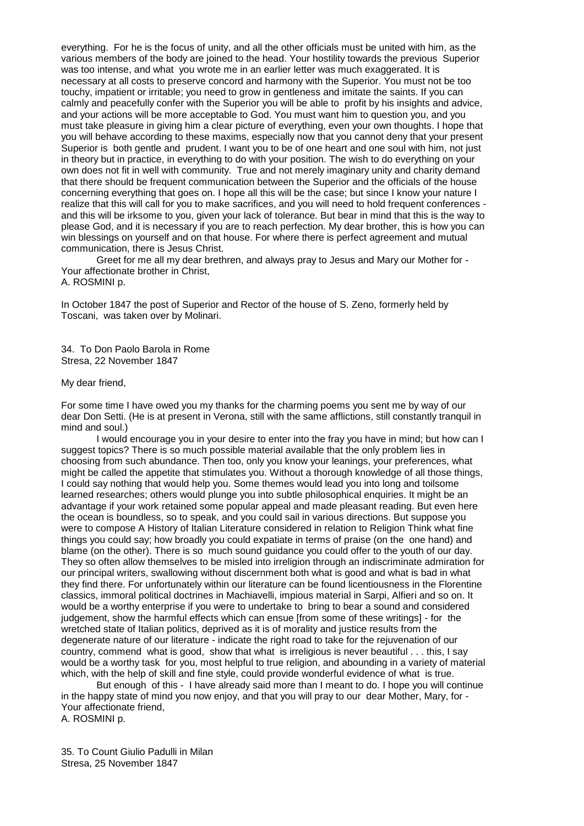everything. For he is the focus of unity, and all the other officials must be united with him, as the various members of the body are joined to the head. Your hostility towards the previous Superior was too intense, and what you wrote me in an earlier letter was much exaggerated. It is necessary at all costs to preserve concord and harmony with the Superior. You must not be too touchy, impatient or irritable; you need to grow in gentleness and imitate the saints. If you can calmly and peacefully confer with the Superior you will be able to profit by his insights and advice, and your actions will be more acceptable to God. You must want him to question you, and you must take pleasure in giving him a clear picture of everything, even your own thoughts. I hope that you will behave according to these maxims, especially now that you cannot deny that your present Superior is both gentle and prudent. I want you to be of one heart and one soul with him, not just in theory but in practice, in everything to do with your position. The wish to do everything on your own does not fit in well with community. True and not merely imaginary unity and charity demand that there should be frequent communication between the Superior and the officials of the house concerning everything that goes on. I hope all this will be the case; but since I know your nature I realize that this will call for you to make sacrifices, and you will need to hold frequent conferences and this will be irksome to you, given your lack of tolerance. But bear in mind that this is the way to please God, and it is necessary if you are to reach perfection. My dear brother, this is how you can win blessings on yourself and on that house. For where there is perfect agreement and mutual communication, there is Jesus Christ.

Greet for me all my dear brethren, and always pray to Jesus and Mary our Mother for - Your affectionate brother in Christ,

A. ROSMINI p.

In October 1847 the post of Superior and Rector of the house of S. Zeno, formerly held by Toscani, was taken over by Molinari.

34. To Don Paolo Barola in Rome Stresa, 22 November 1847

My dear friend,

For some time I have owed you my thanks for the charming poems you sent me by way of our dear Don Setti. (He is at present in Verona, still with the same afflictions, still constantly tranquil in mind and soul.)

I would encourage you in your desire to enter into the fray you have in mind; but how can I suggest topics? There is so much possible material available that the only problem lies in choosing from such abundance. Then too, only you know your leanings, your preferences, what might be called the appetite that stimulates you. Without a thorough knowledge of all those things, I could say nothing that would help you. Some themes would lead you into long and toilsome learned researches; others would plunge you into subtle philosophical enquiries. It might be an advantage if your work retained some popular appeal and made pleasant reading. But even here the ocean is boundless, so to speak, and you could sail in various directions. But suppose you were to compose A History of Italian Literature considered in relation to Religion Think what fine things you could say; how broadly you could expatiate in terms of praise (on the one hand) and blame (on the other). There is so much sound guidance you could offer to the youth of our day. They so often allow themselves to be misled into irreligion through an indiscriminate admiration for our principal writers, swallowing without discernment both what is good and what is bad in what they find there. For unfortunately within our literature can be found licentiousness in the Florentine classics, immoral political doctrines in Machiavelli, impious material in Sarpi, Alfieri and so on. It would be a worthy enterprise if you were to undertake to bring to bear a sound and considered judgement, show the harmful effects which can ensue [from some of these writings] - for the wretched state of Italian politics, deprived as it is of morality and justice results from the degenerate nature of our literature - indicate the right road to take for the rejuvenation of our country, commend what is good, show that what is irreligious is never beautiful . . . this, I say would be a worthy task for you, most helpful to true religion, and abounding in a variety of material which, with the help of skill and fine style, could provide wonderful evidence of what is true.

But enough of this - I have already said more than I meant to do. I hope you will continue in the happy state of mind you now enjoy, and that you will pray to our dear Mother, Mary, for - Your affectionate friend, A. ROSMINI p.

35. To Count Giulio Padulli in Milan Stresa, 25 November 1847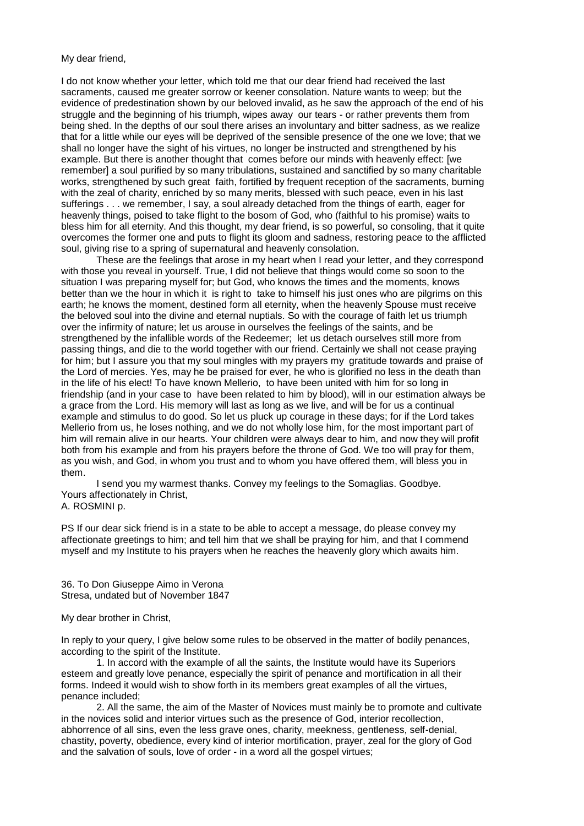My dear friend,

I do not know whether your letter, which told me that our dear friend had received the last sacraments, caused me greater sorrow or keener consolation. Nature wants to weep; but the evidence of predestination shown by our beloved invalid, as he saw the approach of the end of his struggle and the beginning of his triumph, wipes away our tears - or rather prevents them from being shed. In the depths of our soul there arises an involuntary and bitter sadness, as we realize that for a little while our eyes will be deprived of the sensible presence of the one we love; that we shall no longer have the sight of his virtues, no longer be instructed and strengthened by his example. But there is another thought that comes before our minds with heavenly effect: [we remember] a soul purified by so many tribulations, sustained and sanctified by so many charitable works, strengthened by such great faith, fortified by frequent reception of the sacraments, burning with the zeal of charity, enriched by so many merits, blessed with such peace, even in his last sufferings . . . we remember, I say, a soul already detached from the things of earth, eager for heavenly things, poised to take flight to the bosom of God, who (faithful to his promise) waits to bless him for all eternity. And this thought, my dear friend, is so powerful, so consoling, that it quite overcomes the former one and puts to flight its gloom and sadness, restoring peace to the afflicted soul, giving rise to a spring of supernatural and heavenly consolation.

These are the feelings that arose in my heart when I read your letter, and they correspond with those you reveal in yourself. True, I did not believe that things would come so soon to the situation I was preparing myself for; but God, who knows the times and the moments, knows better than we the hour in which it is right to take to himself his just ones who are pilgrims on this earth; he knows the moment, destined form all eternity, when the heavenly Spouse must receive the beloved soul into the divine and eternal nuptials. So with the courage of faith let us triumph over the infirmity of nature; let us arouse in ourselves the feelings of the saints, and be strengthened by the infallible words of the Redeemer; let us detach ourselves still more from passing things, and die to the world together with our friend. Certainly we shall not cease praying for him; but I assure you that my soul mingles with my prayers my gratitude towards and praise of the Lord of mercies. Yes, may he be praised for ever, he who is glorified no less in the death than in the life of his elect! To have known Mellerio, to have been united with him for so long in friendship (and in your case to have been related to him by blood), will in our estimation always be a grace from the Lord. His memory will last as long as we live, and will be for us a continual example and stimulus to do good. So let us pluck up courage in these days; for if the Lord takes Mellerio from us, he loses nothing, and we do not wholly lose him, for the most important part of him will remain alive in our hearts. Your children were always dear to him, and now they will profit both from his example and from his prayers before the throne of God. We too will pray for them, as you wish, and God, in whom you trust and to whom you have offered them, will bless you in them.

I send you my warmest thanks. Convey my feelings to the Somaglias. Goodbye. Yours affectionately in Christ, A. ROSMINI p.

PS If our dear sick friend is in a state to be able to accept a message, do please convey my affectionate greetings to him; and tell him that we shall be praying for him, and that I commend myself and my Institute to his prayers when he reaches the heavenly glory which awaits him.

36. To Don Giuseppe Aimo in Verona Stresa, undated but of November 1847

My dear brother in Christ,

In reply to your query, I give below some rules to be observed in the matter of bodily penances, according to the spirit of the Institute.

1. In accord with the example of all the saints, the Institute would have its Superiors esteem and greatly love penance, especially the spirit of penance and mortification in all their forms. Indeed it would wish to show forth in its members great examples of all the virtues, penance included;

2. All the same, the aim of the Master of Novices must mainly be to promote and cultivate in the novices solid and interior virtues such as the presence of God, interior recollection, abhorrence of all sins, even the less grave ones, charity, meekness, gentleness, self-denial, chastity, poverty, obedience, every kind of interior mortification, prayer, zeal for the glory of God and the salvation of souls, love of order - in a word all the gospel virtues;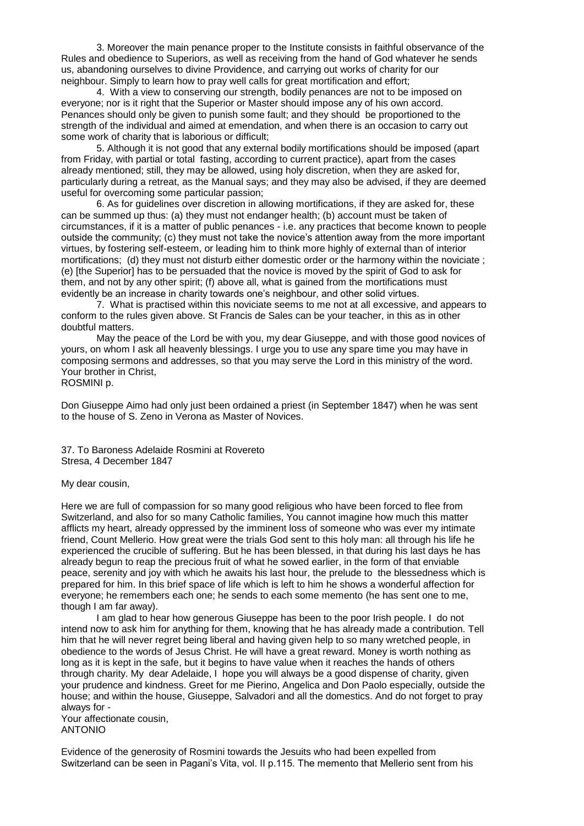3. Moreover the main penance proper to the Institute consists in faithful observance of the Rules and obedience to Superiors, as well as receiving from the hand of God whatever he sends us, abandoning ourselves to divine Providence, and carrying out works of charity for our neighbour. Simply to learn how to pray well calls for great mortification and effort;

4. With a view to conserving our strength, bodily penances are not to be imposed on everyone; nor is it right that the Superior or Master should impose any of his own accord. Penances should only be given to punish some fault; and they should be proportioned to the strength of the individual and aimed at emendation, and when there is an occasion to carry out some work of charity that is laborious or difficult;

5. Although it is not good that any external bodily mortifications should be imposed (apart from Friday, with partial or total fasting, according to current practice), apart from the cases already mentioned; still, they may be allowed, using holy discretion, when they are asked for, particularly during a retreat, as the Manual says; and they may also be advised, if they are deemed useful for overcoming some particular passion;

6. As for guidelines over discretion in allowing mortifications, if they are asked for, these can be summed up thus: (a) they must not endanger health; (b) account must be taken of circumstances, if it is a matter of public penances - i.e. any practices that become known to people outside the community; (c) they must not take the novice's attention away from the more important virtues, by fostering self-esteem, or leading him to think more highly of external than of interior mortifications; (d) they must not disturb either domestic order or the harmony within the noviciate ; (e) [the Superior] has to be persuaded that the novice is moved by the spirit of God to ask for them, and not by any other spirit; (f) above all, what is gained from the mortifications must evidently be an increase in charity towards one's neighbour, and other solid virtues.

7. What is practised within this noviciate seems to me not at all excessive, and appears to conform to the rules given above. St Francis de Sales can be your teacher, in this as in other doubtful matters.

May the peace of the Lord be with you, my dear Giuseppe, and with those good novices of yours, on whom I ask all heavenly blessings. I urge you to use any spare time you may have in composing sermons and addresses, so that you may serve the Lord in this ministry of the word. Your brother in Christ,

ROSMINI p.

Don Giuseppe Aimo had only just been ordained a priest (in September 1847) when he was sent to the house of S. Zeno in Verona as Master of Novices.

37. To Baroness Adelaide Rosmini at Rovereto Stresa, 4 December 1847

#### My dear cousin,

Here we are full of compassion for so many good religious who have been forced to flee from Switzerland, and also for so many Catholic families, You cannot imagine how much this matter afflicts my heart, already oppressed by the imminent loss of someone who was ever my intimate friend, Count Mellerio. How great were the trials God sent to this holy man: all through his life he experienced the crucible of suffering. But he has been blessed, in that during his last days he has already begun to reap the precious fruit of what he sowed earlier, in the form of that enviable peace, serenity and joy with which he awaits his last hour, the prelude to the blessedness which is prepared for him. In this brief space of life which is left to him he shows a wonderful affection for everyone; he remembers each one; he sends to each some memento (he has sent one to me, though I am far away).

I am glad to hear how generous Giuseppe has been to the poor Irish people. I do not intend now to ask him for anything for them, knowing that he has already made a contribution. Tell him that he will never regret being liberal and having given help to so many wretched people, in obedience to the words of Jesus Christ. He will have a great reward. Money is worth nothing as long as it is kept in the safe, but it begins to have value when it reaches the hands of others through charity. My dear Adelaide, I hope you will always be a good dispense of charity, given your prudence and kindness. Greet for me Pierino, Angelica and Don Paolo especially, outside the house; and within the house, Giuseppe, Salvadori and all the domestics. And do not forget to pray always for -

Your affectionate cousin, ANTONIO

Evidence of the generosity of Rosmini towards the Jesuits who had been expelled from Switzerland can be seen in Pagani's Vita, vol. II p.115. The memento that Mellerio sent from his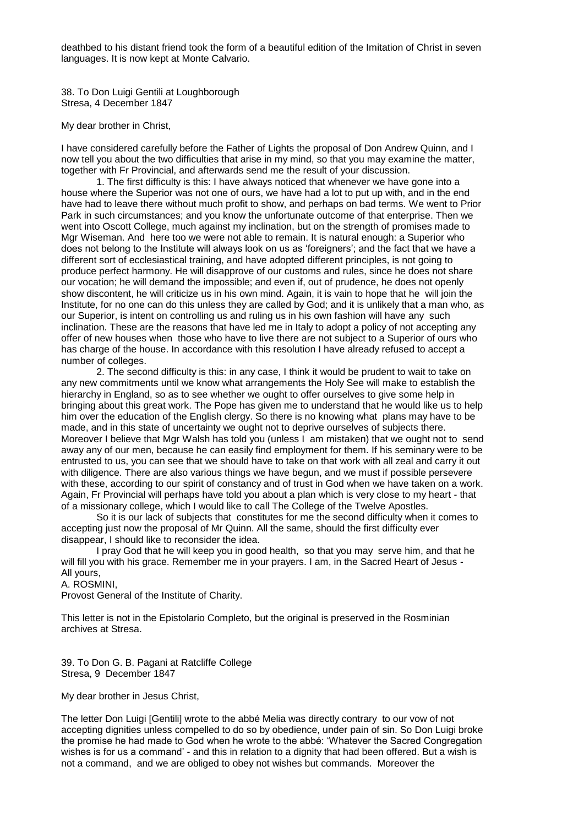deathbed to his distant friend took the form of a beautiful edition of the Imitation of Christ in seven languages. It is now kept at Monte Calvario.

38. To Don Luigi Gentili at Loughborough Stresa, 4 December 1847

My dear brother in Christ,

I have considered carefully before the Father of Lights the proposal of Don Andrew Quinn, and I now tell you about the two difficulties that arise in my mind, so that you may examine the matter, together with Fr Provincial, and afterwards send me the result of your discussion.

1. The first difficulty is this: I have always noticed that whenever we have gone into a house where the Superior was not one of ours, we have had a lot to put up with, and in the end have had to leave there without much profit to show, and perhaps on bad terms. We went to Prior Park in such circumstances; and you know the unfortunate outcome of that enterprise. Then we went into Oscott College, much against my inclination, but on the strength of promises made to Mgr Wiseman. And here too we were not able to remain. It is natural enough: a Superior who does not belong to the Institute will always look on us as 'foreigners'; and the fact that we have a different sort of ecclesiastical training, and have adopted different principles, is not going to produce perfect harmony. He will disapprove of our customs and rules, since he does not share our vocation; he will demand the impossible; and even if, out of prudence, he does not openly show discontent, he will criticize us in his own mind. Again, it is vain to hope that he will join the Institute, for no one can do this unless they are called by God; and it is unlikely that a man who, as our Superior, is intent on controlling us and ruling us in his own fashion will have any such inclination. These are the reasons that have led me in Italy to adopt a policy of not accepting any offer of new houses when those who have to live there are not subject to a Superior of ours who has charge of the house. In accordance with this resolution I have already refused to accept a number of colleges.

2. The second difficulty is this: in any case, I think it would be prudent to wait to take on any new commitments until we know what arrangements the Holy See will make to establish the hierarchy in England, so as to see whether we ought to offer ourselves to give some help in bringing about this great work. The Pope has given me to understand that he would like us to help him over the education of the English clergy. So there is no knowing what plans may have to be made, and in this state of uncertainty we ought not to deprive ourselves of subjects there. Moreover I believe that Mgr Walsh has told you (unless I am mistaken) that we ought not to send away any of our men, because he can easily find employment for them. If his seminary were to be entrusted to us, you can see that we should have to take on that work with all zeal and carry it out with diligence. There are also various things we have begun, and we must if possible persevere with these, according to our spirit of constancy and of trust in God when we have taken on a work. Again, Fr Provincial will perhaps have told you about a plan which is very close to my heart - that of a missionary college, which I would like to call The College of the Twelve Apostles.

So it is our lack of subjects that constitutes for me the second difficulty when it comes to accepting just now the proposal of Mr Quinn. All the same, should the first difficulty ever disappear, I should like to reconsider the idea.

I pray God that he will keep you in good health, so that you may serve him, and that he will fill you with his grace. Remember me in your prayers. I am, in the Sacred Heart of Jesus - All yours,

A. ROSMINI,

Provost General of the Institute of Charity.

This letter is not in the Epistolario Completo, but the original is preserved in the Rosminian archives at Stresa.

39. To Don G. B. Pagani at Ratcliffe College Stresa, 9 December 1847

My dear brother in Jesus Christ,

The letter Don Luigi [Gentili] wrote to the abbé Melia was directly contrary to our vow of not accepting dignities unless compelled to do so by obedience, under pain of sin. So Don Luigi broke the promise he had made to God when he wrote to the abbé: 'Whatever the Sacred Congregation wishes is for us a command' - and this in relation to a dignity that had been offered. But a wish is not a command, and we are obliged to obey not wishes but commands. Moreover the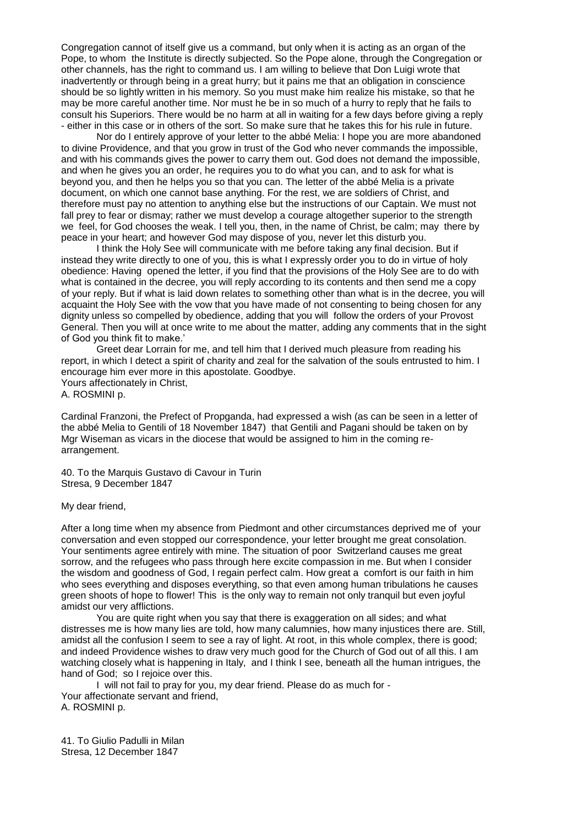Congregation cannot of itself give us a command, but only when it is acting as an organ of the Pope, to whom the Institute is directly subjected. So the Pope alone, through the Congregation or other channels, has the right to command us. I am willing to believe that Don Luigi wrote that inadvertently or through being in a great hurry; but it pains me that an obligation in conscience should be so lightly written in his memory. So you must make him realize his mistake, so that he may be more careful another time. Nor must he be in so much of a hurry to reply that he fails to consult his Superiors. There would be no harm at all in waiting for a few days before giving a reply - either in this case or in others of the sort. So make sure that he takes this for his rule in future.

Nor do I entirely approve of your letter to the abbé Melia: I hope you are more abandoned to divine Providence, and that you grow in trust of the God who never commands the impossible, and with his commands gives the power to carry them out. God does not demand the impossible, and when he gives you an order, he requires you to do what you can, and to ask for what is beyond you, and then he helps you so that you can. The letter of the abbé Melia is a private document, on which one cannot base anything. For the rest, we are soldiers of Christ, and therefore must pay no attention to anything else but the instructions of our Captain. We must not fall prey to fear or dismay; rather we must develop a courage altogether superior to the strength we feel, for God chooses the weak. I tell you, then, in the name of Christ, be calm; may there by peace in your heart; and however God may dispose of you, never let this disturb you.

I think the Holy See will communicate with me before taking any final decision. But if instead they write directly to one of you, this is what I expressly order you to do in virtue of holy obedience: Having opened the letter, if you find that the provisions of the Holy See are to do with what is contained in the decree, you will reply according to its contents and then send me a copy of your reply. But if what is laid down relates to something other than what is in the decree, you will acquaint the Holy See with the vow that you have made of not consenting to being chosen for any dignity unless so compelled by obedience, adding that you will follow the orders of your Provost General. Then you will at once write to me about the matter, adding any comments that in the sight of God you think fit to make.'

Greet dear Lorrain for me, and tell him that I derived much pleasure from reading his report, in which I detect a spirit of charity and zeal for the salvation of the souls entrusted to him. I encourage him ever more in this apostolate. Goodbye.

Yours affectionately in Christ,

A. ROSMINI p.

Cardinal Franzoni, the Prefect of Propganda, had expressed a wish (as can be seen in a letter of the abbé Melia to Gentili of 18 November 1847) that Gentili and Pagani should be taken on by Mgr Wiseman as vicars in the diocese that would be assigned to him in the coming rearrangement.

40. To the Marquis Gustavo di Cavour in Turin Stresa, 9 December 1847

#### My dear friend,

After a long time when my absence from Piedmont and other circumstances deprived me of your conversation and even stopped our correspondence, your letter brought me great consolation. Your sentiments agree entirely with mine. The situation of poor Switzerland causes me great sorrow, and the refugees who pass through here excite compassion in me. But when I consider the wisdom and goodness of God, I regain perfect calm. How great a comfort is our faith in him who sees everything and disposes everything, so that even among human tribulations he causes green shoots of hope to flower! This is the only way to remain not only tranquil but even joyful amidst our very afflictions.

You are quite right when you say that there is exaggeration on all sides; and what distresses me is how many lies are told, how many calumnies, how many injustices there are. Still, amidst all the confusion I seem to see a ray of light. At root, in this whole complex, there is good; and indeed Providence wishes to draw very much good for the Church of God out of all this. I am watching closely what is happening in Italy, and I think I see, beneath all the human intrigues, the hand of God; so I rejoice over this.

I will not fail to pray for you, my dear friend. Please do as much for - Your affectionate servant and friend, A. ROSMINI p.

41. To Giulio Padulli in Milan Stresa, 12 December 1847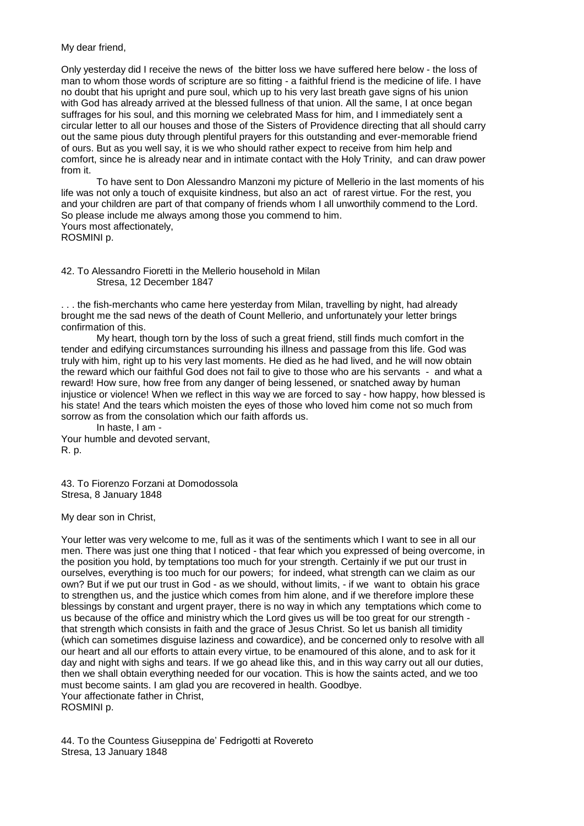## My dear friend,

Only yesterday did I receive the news of the bitter loss we have suffered here below - the loss of man to whom those words of scripture are so fitting - a faithful friend is the medicine of life. I have no doubt that his upright and pure soul, which up to his very last breath gave signs of his union with God has already arrived at the blessed fullness of that union. All the same, I at once began suffrages for his soul, and this morning we celebrated Mass for him, and I immediately sent a circular letter to all our houses and those of the Sisters of Providence directing that all should carry out the same pious duty through plentiful prayers for this outstanding and ever-memorable friend of ours. But as you well say, it is we who should rather expect to receive from him help and comfort, since he is already near and in intimate contact with the Holy Trinity, and can draw power from it.

To have sent to Don Alessandro Manzoni my picture of Mellerio in the last moments of his life was not only a touch of exquisite kindness, but also an act of rarest virtue. For the rest, you and your children are part of that company of friends whom I all unworthily commend to the Lord. So please include me always among those you commend to him. Yours most affectionately, ROSMINI p.

42. To Alessandro Fioretti in the Mellerio household in Milan Stresa, 12 December 1847

. . . the fish-merchants who came here yesterday from Milan, travelling by night, had already brought me the sad news of the death of Count Mellerio, and unfortunately your letter brings confirmation of this.

My heart, though torn by the loss of such a great friend, still finds much comfort in the tender and edifying circumstances surrounding his illness and passage from this life. God was truly with him, right up to his very last moments. He died as he had lived, and he will now obtain the reward which our faithful God does not fail to give to those who are his servants - and what a reward! How sure, how free from any danger of being lessened, or snatched away by human injustice or violence! When we reflect in this way we are forced to say - how happy, how blessed is his state! And the tears which moisten the eyes of those who loved him come not so much from sorrow as from the consolation which our faith affords us.

In haste, I am - Your humble and devoted servant, R. p.

43. To Fiorenzo Forzani at Domodossola Stresa, 8 January 1848

My dear son in Christ,

Your letter was very welcome to me, full as it was of the sentiments which I want to see in all our men. There was just one thing that I noticed - that fear which you expressed of being overcome, in the position you hold, by temptations too much for your strength. Certainly if we put our trust in ourselves, everything is too much for our powers; for indeed, what strength can we claim as our own? But if we put our trust in God - as we should, without limits, - if we want to obtain his grace to strengthen us, and the justice which comes from him alone, and if we therefore implore these blessings by constant and urgent prayer, there is no way in which any temptations which come to us because of the office and ministry which the Lord gives us will be too great for our strength that strength which consists in faith and the grace of Jesus Christ. So let us banish all timidity (which can sometimes disguise laziness and cowardice), and be concerned only to resolve with all our heart and all our efforts to attain every virtue, to be enamoured of this alone, and to ask for it day and night with sighs and tears. If we go ahead like this, and in this way carry out all our duties, then we shall obtain everything needed for our vocation. This is how the saints acted, and we too must become saints. I am glad you are recovered in health. Goodbye. Your affectionate father in Christ, ROSMINI p.

44. To the Countess Giuseppina de' Fedrigotti at Rovereto Stresa, 13 January 1848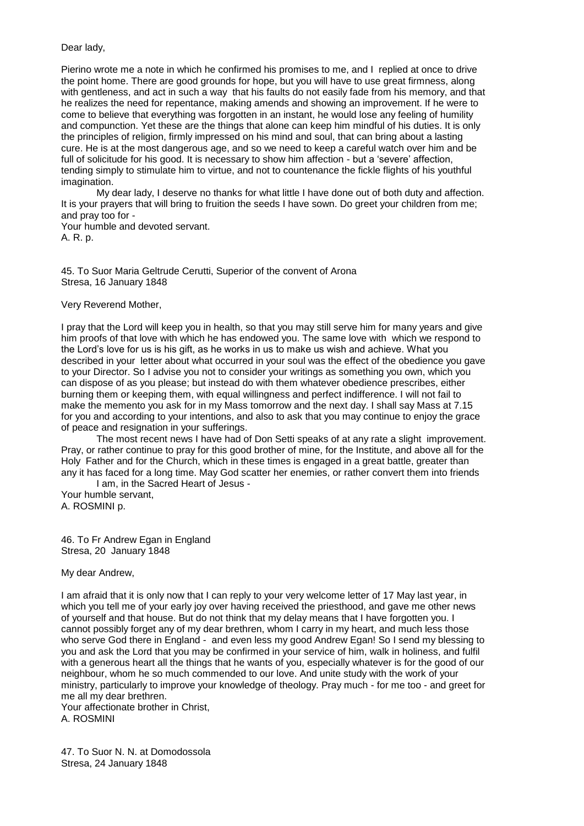### Dear lady,

Pierino wrote me a note in which he confirmed his promises to me, and I replied at once to drive the point home. There are good grounds for hope, but you will have to use great firmness, along with gentleness, and act in such a way that his faults do not easily fade from his memory, and that he realizes the need for repentance, making amends and showing an improvement. If he were to come to believe that everything was forgotten in an instant, he would lose any feeling of humility and compunction. Yet these are the things that alone can keep him mindful of his duties. It is only the principles of religion, firmly impressed on his mind and soul, that can bring about a lasting cure. He is at the most dangerous age, and so we need to keep a careful watch over him and be full of solicitude for his good. It is necessary to show him affection - but a 'severe' affection, tending simply to stimulate him to virtue, and not to countenance the fickle flights of his youthful imagination.

My dear lady, I deserve no thanks for what little I have done out of both duty and affection. It is your prayers that will bring to fruition the seeds I have sown. Do greet your children from me; and pray too for -

Your humble and devoted servant.

A. R. p.

45. To Suor Maria Geltrude Cerutti, Superior of the convent of Arona Stresa, 16 January 1848

# Very Reverend Mother,

I pray that the Lord will keep you in health, so that you may still serve him for many years and give him proofs of that love with which he has endowed you. The same love with which we respond to the Lord's love for us is his gift, as he works in us to make us wish and achieve. What you described in your letter about what occurred in your soul was the effect of the obedience you gave to your Director. So I advise you not to consider your writings as something you own, which you can dispose of as you please; but instead do with them whatever obedience prescribes, either burning them or keeping them, with equal willingness and perfect indifference. I will not fail to make the memento you ask for in my Mass tomorrow and the next day. I shall say Mass at 7.15 for you and according to your intentions, and also to ask that you may continue to enjoy the grace of peace and resignation in your sufferings.

The most recent news I have had of Don Setti speaks of at any rate a slight improvement. Pray, or rather continue to pray for this good brother of mine, for the Institute, and above all for the Holy Father and for the Church, which in these times is engaged in a great battle, greater than any it has faced for a long time. May God scatter her enemies, or rather convert them into friends I am, in the Sacred Heart of Jesus -

Your humble servant, A. ROSMINI p.

46. To Fr Andrew Egan in England Stresa, 20 January 1848

My dear Andrew,

I am afraid that it is only now that I can reply to your very welcome letter of 17 May last year, in which you tell me of your early joy over having received the priesthood, and gave me other news of yourself and that house. But do not think that my delay means that I have forgotten you. I cannot possibly forget any of my dear brethren, whom I carry in my heart, and much less those who serve God there in England - and even less my good Andrew Egan! So I send my blessing to you and ask the Lord that you may be confirmed in your service of him, walk in holiness, and fulfil with a generous heart all the things that he wants of you, especially whatever is for the good of our neighbour, whom he so much commended to our love. And unite study with the work of your ministry, particularly to improve your knowledge of theology. Pray much - for me too - and greet for me all my dear brethren.

Your affectionate brother in Christ, A. ROSMINI

47. To Suor N. N. at Domodossola Stresa, 24 January 1848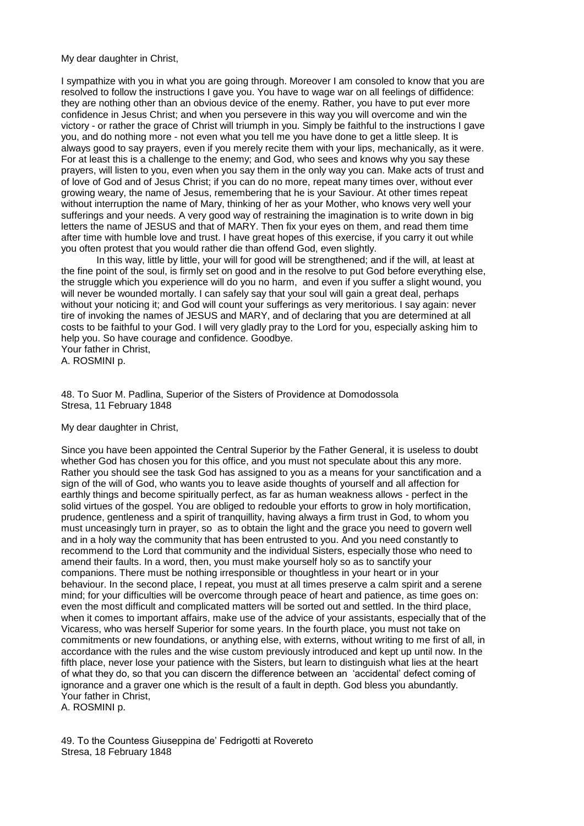My dear daughter in Christ,

I sympathize with you in what you are going through. Moreover I am consoled to know that you are resolved to follow the instructions I gave you. You have to wage war on all feelings of diffidence: they are nothing other than an obvious device of the enemy. Rather, you have to put ever more confidence in Jesus Christ; and when you persevere in this way you will overcome and win the victory - or rather the grace of Christ will triumph in you. Simply be faithful to the instructions I gave you, and do nothing more - not even what you tell me you have done to get a little sleep. It is always good to say prayers, even if you merely recite them with your lips, mechanically, as it were. For at least this is a challenge to the enemy; and God, who sees and knows why you say these prayers, will listen to you, even when you say them in the only way you can. Make acts of trust and of love of God and of Jesus Christ; if you can do no more, repeat many times over, without ever growing weary, the name of Jesus, remembering that he is your Saviour. At other times repeat without interruption the name of Mary, thinking of her as your Mother, who knows very well your sufferings and your needs. A very good way of restraining the imagination is to write down in big letters the name of JESUS and that of MARY. Then fix your eyes on them, and read them time after time with humble love and trust. I have great hopes of this exercise, if you carry it out while you often protest that you would rather die than offend God, even slightly.

In this way, little by little, your will for good will be strengthened; and if the will, at least at the fine point of the soul, is firmly set on good and in the resolve to put God before everything else, the struggle which you experience will do you no harm, and even if you suffer a slight wound, you will never be wounded mortally. I can safely say that your soul will gain a great deal, perhaps without your noticing it; and God will count your sufferings as very meritorious. I say again: never tire of invoking the names of JESUS and MARY, and of declaring that you are determined at all costs to be faithful to your God. I will very gladly pray to the Lord for you, especially asking him to help you. So have courage and confidence. Goodbye.

Your father in Christ, A. ROSMINI p.

48. To Suor M. Padlina, Superior of the Sisters of Providence at Domodossola Stresa, 11 February 1848

My dear daughter in Christ,

Since you have been appointed the Central Superior by the Father General, it is useless to doubt whether God has chosen you for this office, and you must not speculate about this any more. Rather you should see the task God has assigned to you as a means for your sanctification and a sign of the will of God, who wants you to leave aside thoughts of yourself and all affection for earthly things and become spiritually perfect, as far as human weakness allows - perfect in the solid virtues of the gospel. You are obliged to redouble your efforts to grow in holy mortification, prudence, gentleness and a spirit of tranquillity, having always a firm trust in God, to whom you must unceasingly turn in prayer, so as to obtain the light and the grace you need to govern well and in a holy way the community that has been entrusted to you. And you need constantly to recommend to the Lord that community and the individual Sisters, especially those who need to amend their faults. In a word, then, you must make yourself holy so as to sanctify your companions. There must be nothing irresponsible or thoughtless in your heart or in your behaviour. In the second place, I repeat, you must at all times preserve a calm spirit and a serene mind; for your difficulties will be overcome through peace of heart and patience, as time goes on: even the most difficult and complicated matters will be sorted out and settled. In the third place, when it comes to important affairs, make use of the advice of your assistants, especially that of the Vicaress, who was herself Superior for some years. In the fourth place, you must not take on commitments or new foundations, or anything else, with externs, without writing to me first of all, in accordance with the rules and the wise custom previously introduced and kept up until now. In the fifth place, never lose your patience with the Sisters, but learn to distinguish what lies at the heart of what they do, so that you can discern the difference between an 'accidental' defect coming of ignorance and a graver one which is the result of a fault in depth. God bless you abundantly. Your father in Christ,

A. ROSMINI p.

49. To the Countess Giuseppina de' Fedrigotti at Rovereto Stresa, 18 February 1848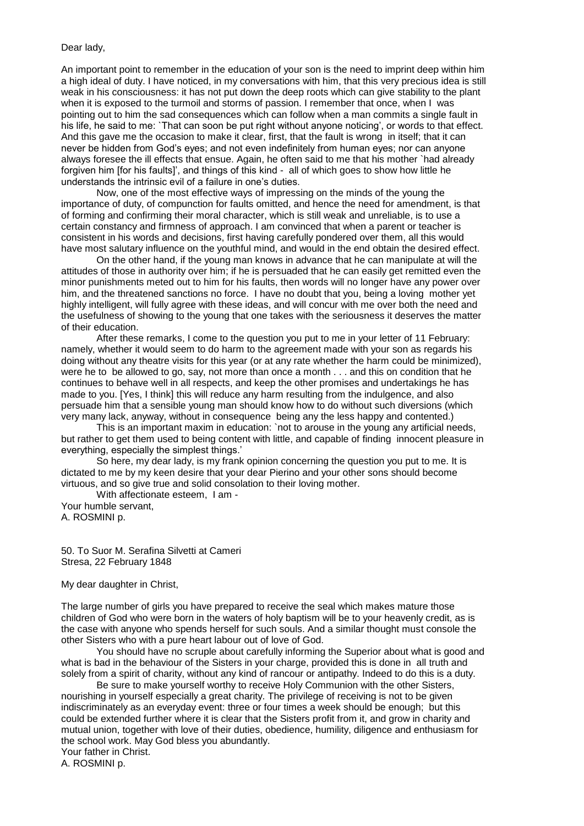#### Dear lady,

An important point to remember in the education of your son is the need to imprint deep within him a high ideal of duty. I have noticed, in my conversations with him, that this very precious idea is still weak in his consciousness: it has not put down the deep roots which can give stability to the plant when it is exposed to the turmoil and storms of passion. I remember that once, when I was pointing out to him the sad consequences which can follow when a man commits a single fault in his life, he said to me: `That can soon be put right without anyone noticing', or words to that effect. And this gave me the occasion to make it clear, first, that the fault is wrong in itself; that it can never be hidden from God's eyes; and not even indefinitely from human eyes; nor can anyone always foresee the ill effects that ensue. Again, he often said to me that his mother `had already forgiven him [for his faults]', and things of this kind - all of which goes to show how little he understands the intrinsic evil of a failure in one's duties.

Now, one of the most effective ways of impressing on the minds of the young the importance of duty, of compunction for faults omitted, and hence the need for amendment, is that of forming and confirming their moral character, which is still weak and unreliable, is to use a certain constancy and firmness of approach. I am convinced that when a parent or teacher is consistent in his words and decisions, first having carefully pondered over them, all this would have most salutary influence on the youthful mind, and would in the end obtain the desired effect.

On the other hand, if the young man knows in advance that he can manipulate at will the attitudes of those in authority over him; if he is persuaded that he can easily get remitted even the minor punishments meted out to him for his faults, then words will no longer have any power over him, and the threatened sanctions no force. I have no doubt that you, being a loving mother yet highly intelligent, will fully agree with these ideas, and will concur with me over both the need and the usefulness of showing to the young that one takes with the seriousness it deserves the matter of their education.

After these remarks, I come to the question you put to me in your letter of 11 February: namely, whether it would seem to do harm to the agreement made with your son as regards his doing without any theatre visits for this year (or at any rate whether the harm could be minimized), were he to be allowed to go, say, not more than once a month . . . and this on condition that he continues to behave well in all respects, and keep the other promises and undertakings he has made to you. [Yes, I think] this will reduce any harm resulting from the indulgence, and also persuade him that a sensible young man should know how to do without such diversions (which very many lack, anyway, without in consequence being any the less happy and contented.)

This is an important maxim in education: `not to arouse in the young any artificial needs, but rather to get them used to being content with little, and capable of finding innocent pleasure in everything, especially the simplest things.'

So here, my dear lady, is my frank opinion concerning the question you put to me. It is dictated to me by my keen desire that your dear Pierino and your other sons should become virtuous, and so give true and solid consolation to their loving mother.

With affectionate esteem, I am - Your humble servant, A. ROSMINI p.

50. To Suor M. Serafina Silvetti at Cameri Stresa, 22 February 1848

My dear daughter in Christ,

The large number of girls you have prepared to receive the seal which makes mature those children of God who were born in the waters of holy baptism will be to your heavenly credit, as is the case with anyone who spends herself for such souls. And a similar thought must console the other Sisters who with a pure heart labour out of love of God.

You should have no scruple about carefully informing the Superior about what is good and what is bad in the behaviour of the Sisters in your charge, provided this is done in all truth and solely from a spirit of charity, without any kind of rancour or antipathy. Indeed to do this is a duty.

Be sure to make yourself worthy to receive Holy Communion with the other Sisters, nourishing in yourself especially a great charity. The privilege of receiving is not to be given indiscriminately as an everyday event: three or four times a week should be enough; but this could be extended further where it is clear that the Sisters profit from it, and grow in charity and mutual union, together with love of their duties, obedience, humility, diligence and enthusiasm for the school work. May God bless you abundantly.

Your father in Christ.

A. ROSMINI p.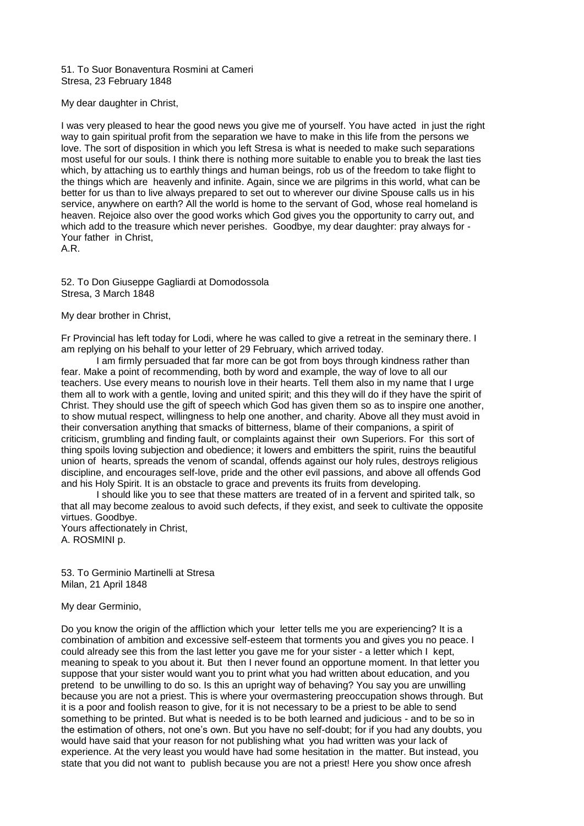51. To Suor Bonaventura Rosmini at Cameri Stresa, 23 February 1848

My dear daughter in Christ,

I was very pleased to hear the good news you give me of yourself. You have acted in just the right way to gain spiritual profit from the separation we have to make in this life from the persons we love. The sort of disposition in which you left Stresa is what is needed to make such separations most useful for our souls. I think there is nothing more suitable to enable you to break the last ties which, by attaching us to earthly things and human beings, rob us of the freedom to take flight to the things which are heavenly and infinite. Again, since we are pilgrims in this world, what can be better for us than to live always prepared to set out to wherever our divine Spouse calls us in his service, anywhere on earth? All the world is home to the servant of God, whose real homeland is heaven. Rejoice also over the good works which God gives you the opportunity to carry out, and which add to the treasure which never perishes. Goodbye, my dear daughter: pray always for - Your father in Christ,

A.R.

52. To Don Giuseppe Gagliardi at Domodossola Stresa, 3 March 1848

My dear brother in Christ,

Fr Provincial has left today for Lodi, where he was called to give a retreat in the seminary there. I am replying on his behalf to your letter of 29 February, which arrived today.

I am firmly persuaded that far more can be got from boys through kindness rather than fear. Make a point of recommending, both by word and example, the way of love to all our teachers. Use every means to nourish love in their hearts. Tell them also in my name that I urge them all to work with a gentle, loving and united spirit; and this they will do if they have the spirit of Christ. They should use the gift of speech which God has given them so as to inspire one another, to show mutual respect, willingness to help one another, and charity. Above all they must avoid in their conversation anything that smacks of bitterness, blame of their companions, a spirit of criticism, grumbling and finding fault, or complaints against their own Superiors. For this sort of thing spoils loving subjection and obedience; it lowers and embitters the spirit, ruins the beautiful union of hearts, spreads the venom of scandal, offends against our holy rules, destroys religious discipline, and encourages self-love, pride and the other evil passions, and above all offends God and his Holy Spirit. It is an obstacle to grace and prevents its fruits from developing.

I should like you to see that these matters are treated of in a fervent and spirited talk, so that all may become zealous to avoid such defects, if they exist, and seek to cultivate the opposite virtues. Goodbye.

Yours affectionately in Christ, A. ROSMINI p.

53. To Germinio Martinelli at Stresa Milan, 21 April 1848

My dear Germinio,

Do you know the origin of the affliction which your letter tells me you are experiencing? It is a combination of ambition and excessive self-esteem that torments you and gives you no peace. I could already see this from the last letter you gave me for your sister - a letter which I kept, meaning to speak to you about it. But then I never found an opportune moment. In that letter you suppose that your sister would want you to print what you had written about education, and you pretend to be unwilling to do so. Is this an upright way of behaving? You say you are unwilling because you are not a priest. This is where your overmastering preoccupation shows through. But it is a poor and foolish reason to give, for it is not necessary to be a priest to be able to send something to be printed. But what is needed is to be both learned and judicious - and to be so in the estimation of others, not one's own. But you have no self-doubt; for if you had any doubts, you would have said that your reason for not publishing what you had written was your lack of experience. At the very least you would have had some hesitation in the matter. But instead, you state that you did not want to publish because you are not a priest! Here you show once afresh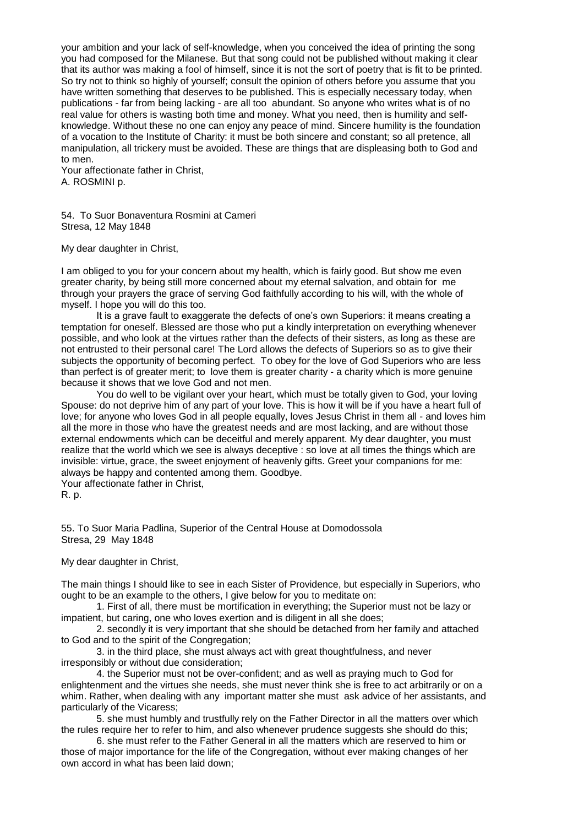your ambition and your lack of self-knowledge, when you conceived the idea of printing the song you had composed for the Milanese. But that song could not be published without making it clear that its author was making a fool of himself, since it is not the sort of poetry that is fit to be printed. So try not to think so highly of yourself; consult the opinion of others before you assume that you have written something that deserves to be published. This is especially necessary today, when publications - far from being lacking - are all too abundant. So anyone who writes what is of no real value for others is wasting both time and money. What you need, then is humility and selfknowledge. Without these no one can enjoy any peace of mind. Sincere humility is the foundation of a vocation to the Institute of Charity: it must be both sincere and constant; so all pretence, all manipulation, all trickery must be avoided. These are things that are displeasing both to God and to men.

Your affectionate father in Christ, A. ROSMINI p.

54. To Suor Bonaventura Rosmini at Cameri Stresa, 12 May 1848

My dear daughter in Christ,

I am obliged to you for your concern about my health, which is fairly good. But show me even greater charity, by being still more concerned about my eternal salvation, and obtain for me through your prayers the grace of serving God faithfully according to his will, with the whole of myself. I hope you will do this too.

It is a grave fault to exaggerate the defects of one's own Superiors: it means creating a temptation for oneself. Blessed are those who put a kindly interpretation on everything whenever possible, and who look at the virtues rather than the defects of their sisters, as long as these are not entrusted to their personal care! The Lord allows the defects of Superiors so as to give their subjects the opportunity of becoming perfect. To obey for the love of God Superiors who are less than perfect is of greater merit; to love them is greater charity - a charity which is more genuine because it shows that we love God and not men.

You do well to be vigilant over your heart, which must be totally given to God, your loving Spouse: do not deprive him of any part of your love. This is how it will be if you have a heart full of love; for anyone who loves God in all people equally, loves Jesus Christ in them all - and loves him all the more in those who have the greatest needs and are most lacking, and are without those external endowments which can be deceitful and merely apparent. My dear daughter, you must realize that the world which we see is always deceptive : so love at all times the things which are invisible: virtue, grace, the sweet enjoyment of heavenly gifts. Greet your companions for me: always be happy and contented among them. Goodbye.

Your affectionate father in Christ, R. p.

55. To Suor Maria Padlina, Superior of the Central House at Domodossola Stresa, 29 May 1848

My dear daughter in Christ,

The main things I should like to see in each Sister of Providence, but especially in Superiors, who ought to be an example to the others, I give below for you to meditate on:

1. First of all, there must be mortification in everything; the Superior must not be lazy or impatient, but caring, one who loves exertion and is diligent in all she does;

2. secondly it is very important that she should be detached from her family and attached to God and to the spirit of the Congregation;

3. in the third place, she must always act with great thoughtfulness, and never irresponsibly or without due consideration;

4. the Superior must not be over-confident; and as well as praying much to God for enlightenment and the virtues she needs, she must never think she is free to act arbitrarily or on a whim. Rather, when dealing with any important matter she must ask advice of her assistants, and particularly of the Vicaress;

5. she must humbly and trustfully rely on the Father Director in all the matters over which the rules require her to refer to him, and also whenever prudence suggests she should do this;

6. she must refer to the Father General in all the matters which are reserved to him or those of major importance for the life of the Congregation, without ever making changes of her own accord in what has been laid down;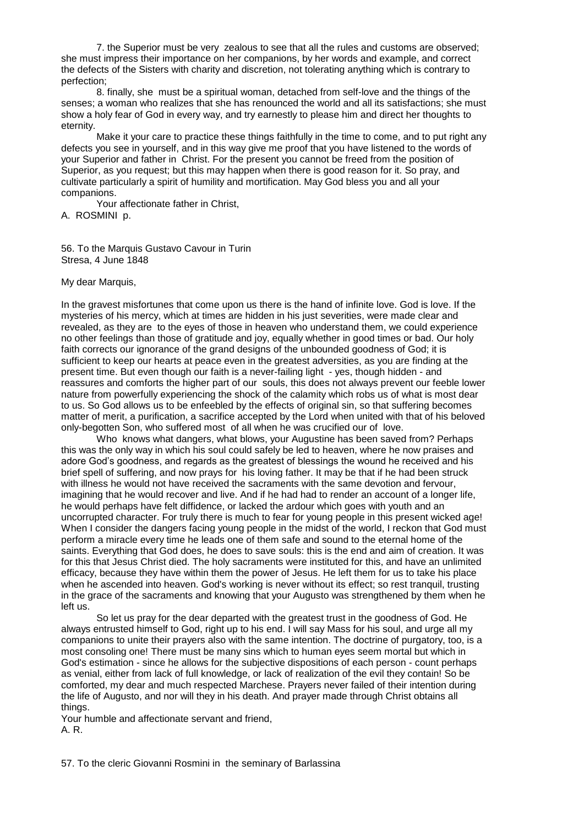7. the Superior must be very zealous to see that all the rules and customs are observed; she must impress their importance on her companions, by her words and example, and correct the defects of the Sisters with charity and discretion, not tolerating anything which is contrary to perfection;

8. finally, she must be a spiritual woman, detached from self-love and the things of the senses; a woman who realizes that she has renounced the world and all its satisfactions; she must show a holy fear of God in every way, and try earnestly to please him and direct her thoughts to eternity.

Make it your care to practice these things faithfully in the time to come, and to put right any defects you see in yourself, and in this way give me proof that you have listened to the words of your Superior and father in Christ. For the present you cannot be freed from the position of Superior, as you request; but this may happen when there is good reason for it. So pray, and cultivate particularly a spirit of humility and mortification. May God bless you and all your companions.

Your affectionate father in Christ,

A. ROSMINI p.

56. To the Marquis Gustavo Cavour in Turin Stresa, 4 June 1848

My dear Marquis,

In the gravest misfortunes that come upon us there is the hand of infinite love. God is love. If the mysteries of his mercy, which at times are hidden in his just severities, were made clear and revealed, as they are to the eyes of those in heaven who understand them, we could experience no other feelings than those of gratitude and joy, equally whether in good times or bad. Our holy faith corrects our ignorance of the grand designs of the unbounded goodness of God; it is sufficient to keep our hearts at peace even in the greatest adversities, as you are finding at the present time. But even though our faith is a never-failing light - yes, though hidden - and reassures and comforts the higher part of our souls, this does not always prevent our feeble lower nature from powerfully experiencing the shock of the calamity which robs us of what is most dear to us. So God allows us to be enfeebled by the effects of original sin, so that suffering becomes matter of merit, a purification, a sacrifice accepted by the Lord when united with that of his beloved only-begotten Son, who suffered most of all when he was crucified our of love.

Who knows what dangers, what blows, your Augustine has been saved from? Perhaps this was the only way in which his soul could safely be led to heaven, where he now praises and adore God's goodness, and regards as the greatest of blessings the wound he received and his brief spell of suffering, and now prays for his loving father. It may be that if he had been struck with illness he would not have received the sacraments with the same devotion and fervour, imagining that he would recover and live. And if he had had to render an account of a longer life, he would perhaps have felt diffidence, or lacked the ardour which goes with youth and an uncorrupted character. For truly there is much to fear for young people in this present wicked age! When I consider the dangers facing young people in the midst of the world, I reckon that God must perform a miracle every time he leads one of them safe and sound to the eternal home of the saints. Everything that God does, he does to save souls: this is the end and aim of creation. It was for this that Jesus Christ died. The holy sacraments were instituted for this, and have an unlimited efficacy, because they have within them the power of Jesus. He left them for us to take his place when he ascended into heaven. God's working is never without its effect; so rest tranquil, trusting in the grace of the sacraments and knowing that your Augusto was strengthened by them when he left us.

So let us pray for the dear departed with the greatest trust in the goodness of God. He always entrusted himself to God, right up to his end. I will say Mass for his soul, and urge all my companions to unite their prayers also with the same intention. The doctrine of purgatory, too, is a most consoling one! There must be many sins which to human eyes seem mortal but which in God's estimation - since he allows for the subjective dispositions of each person - count perhaps as venial, either from lack of full knowledge, or lack of realization of the evil they contain! So be comforted, my dear and much respected Marchese. Prayers never failed of their intention during the life of Augusto, and nor will they in his death. And prayer made through Christ obtains all things.

Your humble and affectionate servant and friend, A. R.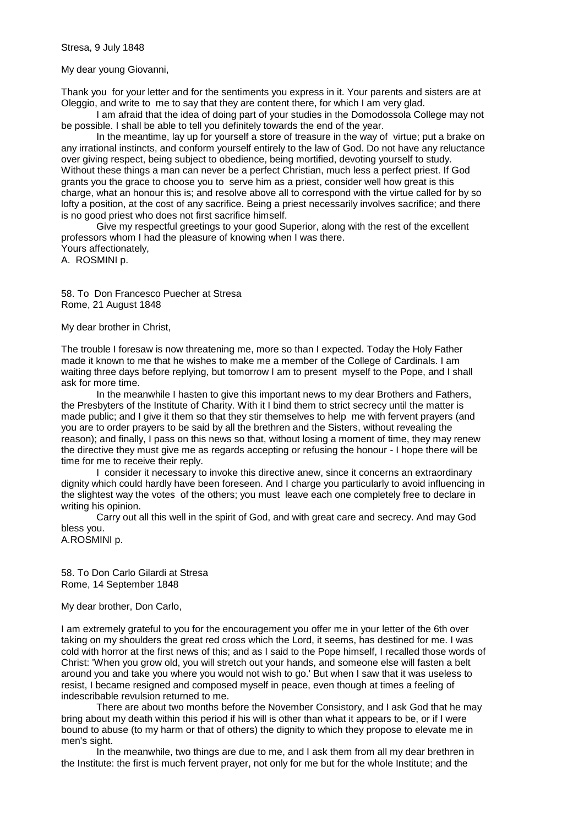My dear young Giovanni,

Thank you for your letter and for the sentiments you express in it. Your parents and sisters are at Oleggio, and write to me to say that they are content there, for which I am very glad.

I am afraid that the idea of doing part of your studies in the Domodossola College may not be possible. I shall be able to tell you definitely towards the end of the year.

In the meantime, lay up for yourself a store of treasure in the way of virtue; put a brake on any irrational instincts, and conform yourself entirely to the law of God. Do not have any reluctance over giving respect, being subject to obedience, being mortified, devoting yourself to study. Without these things a man can never be a perfect Christian, much less a perfect priest. If God grants you the grace to choose you to serve him as a priest, consider well how great is this charge, what an honour this is; and resolve above all to correspond with the virtue called for by so lofty a position, at the cost of any sacrifice. Being a priest necessarily involves sacrifice; and there is no good priest who does not first sacrifice himself.

Give my respectful greetings to your good Superior, along with the rest of the excellent professors whom I had the pleasure of knowing when I was there. Yours affectionately, A. ROSMINI p.

58. To Don Francesco Puecher at Stresa Rome, 21 August 1848

My dear brother in Christ,

The trouble I foresaw is now threatening me, more so than I expected. Today the Holy Father made it known to me that he wishes to make me a member of the College of Cardinals. I am waiting three days before replying, but tomorrow I am to present myself to the Pope, and I shall ask for more time.

In the meanwhile I hasten to give this important news to my dear Brothers and Fathers, the Presbyters of the Institute of Charity. With it I bind them to strict secrecy until the matter is made public; and I give it them so that they stir themselves to help me with fervent prayers (and you are to order prayers to be said by all the brethren and the Sisters, without revealing the reason); and finally, I pass on this news so that, without losing a moment of time, they may renew the directive they must give me as regards accepting or refusing the honour - I hope there will be time for me to receive their reply.

I consider it necessary to invoke this directive anew, since it concerns an extraordinary dignity which could hardly have been foreseen. And I charge you particularly to avoid influencing in the slightest way the votes of the others; you must leave each one completely free to declare in writing his opinion.

Carry out all this well in the spirit of God, and with great care and secrecy. And may God bless you.

A.ROSMINI p.

58. To Don Carlo Gilardi at Stresa Rome, 14 September 1848

My dear brother, Don Carlo,

I am extremely grateful to you for the encouragement you offer me in your letter of the 6th over taking on my shoulders the great red cross which the Lord, it seems, has destined for me. I was cold with horror at the first news of this; and as I said to the Pope himself, I recalled those words of Christ: 'When you grow old, you will stretch out your hands, and someone else will fasten a belt around you and take you where you would not wish to go.' But when I saw that it was useless to resist, I became resigned and composed myself in peace, even though at times a feeling of indescribable revulsion returned to me.

There are about two months before the November Consistory, and I ask God that he may bring about my death within this period if his will is other than what it appears to be, or if I were bound to abuse (to my harm or that of others) the dignity to which they propose to elevate me in men's sight.

In the meanwhile, two things are due to me, and I ask them from all my dear brethren in the Institute: the first is much fervent prayer, not only for me but for the whole Institute; and the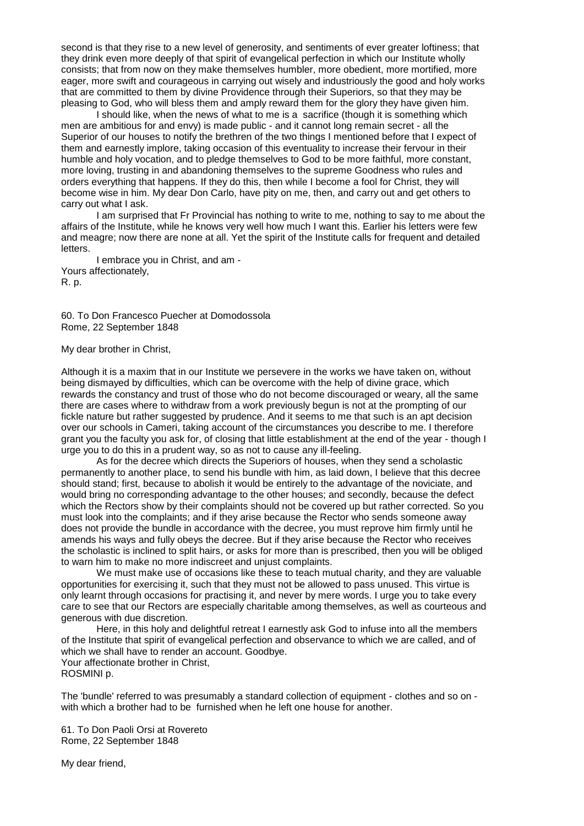second is that they rise to a new level of generosity, and sentiments of ever greater loftiness; that they drink even more deeply of that spirit of evangelical perfection in which our Institute wholly consists; that from now on they make themselves humbler, more obedient, more mortified, more eager, more swift and courageous in carrying out wisely and industriously the good and holy works that are committed to them by divine Providence through their Superiors, so that they may be pleasing to God, who will bless them and amply reward them for the glory they have given him.

I should like, when the news of what to me is a sacrifice (though it is something which men are ambitious for and envy) is made public - and it cannot long remain secret - all the Superior of our houses to notify the brethren of the two things I mentioned before that I expect of them and earnestly implore, taking occasion of this eventuality to increase their fervour in their humble and holy vocation, and to pledge themselves to God to be more faithful, more constant, more loving, trusting in and abandoning themselves to the supreme Goodness who rules and orders everything that happens. If they do this, then while I become a fool for Christ, they will become wise in him. My dear Don Carlo, have pity on me, then, and carry out and get others to carry out what I ask.

I am surprised that Fr Provincial has nothing to write to me, nothing to say to me about the affairs of the Institute, while he knows very well how much I want this. Earlier his letters were few and meagre; now there are none at all. Yet the spirit of the Institute calls for frequent and detailed letters.

I embrace you in Christ, and am - Yours affectionately, R. p.

60. To Don Francesco Puecher at Domodossola Rome, 22 September 1848

My dear brother in Christ,

Although it is a maxim that in our Institute we persevere in the works we have taken on, without being dismayed by difficulties, which can be overcome with the help of divine grace, which rewards the constancy and trust of those who do not become discouraged or weary, all the same there are cases where to withdraw from a work previously begun is not at the prompting of our fickle nature but rather suggested by prudence. And it seems to me that such is an apt decision over our schools in Cameri, taking account of the circumstances you describe to me. I therefore grant you the faculty you ask for, of closing that little establishment at the end of the year - though I urge you to do this in a prudent way, so as not to cause any ill-feeling.

As for the decree which directs the Superiors of houses, when they send a scholastic permanently to another place, to send his bundle with him, as laid down, I believe that this decree should stand; first, because to abolish it would be entirely to the advantage of the noviciate, and would bring no corresponding advantage to the other houses; and secondly, because the defect which the Rectors show by their complaints should not be covered up but rather corrected. So you must look into the complaints; and if they arise because the Rector who sends someone away does not provide the bundle in accordance with the decree, you must reprove him firmly until he amends his ways and fully obeys the decree. But if they arise because the Rector who receives the scholastic is inclined to split hairs, or asks for more than is prescribed, then you will be obliged to warn him to make no more indiscreet and unjust complaints.

We must make use of occasions like these to teach mutual charity, and they are valuable opportunities for exercising it, such that they must not be allowed to pass unused. This virtue is only learnt through occasions for practising it, and never by mere words. I urge you to take every care to see that our Rectors are especially charitable among themselves, as well as courteous and generous with due discretion.

Here, in this holy and delightful retreat I earnestly ask God to infuse into all the members of the Institute that spirit of evangelical perfection and observance to which we are called, and of which we shall have to render an account. Goodbye. Your affectionate brother in Christ,

ROSMINI p.

The 'bundle' referred to was presumably a standard collection of equipment - clothes and so on with which a brother had to be furnished when he left one house for another.

61. To Don Paoli Orsi at Rovereto Rome, 22 September 1848

My dear friend,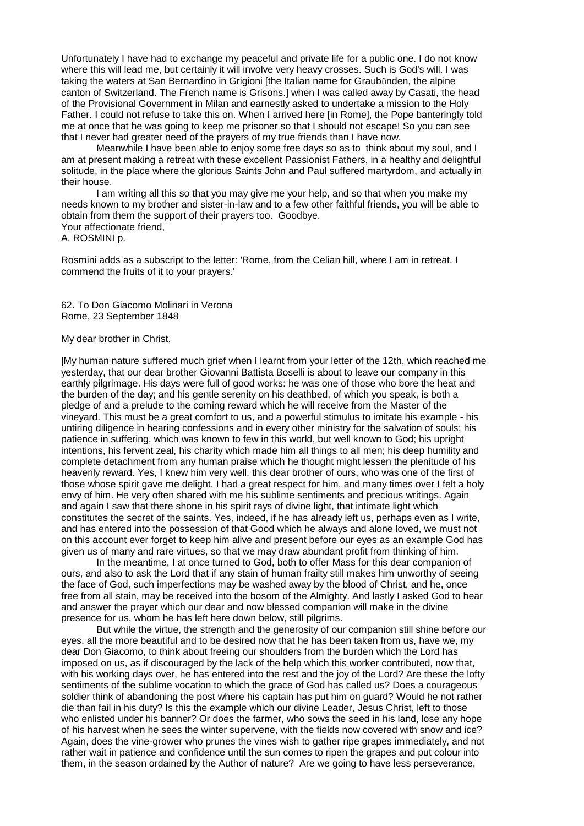Unfortunately I have had to exchange my peaceful and private life for a public one. I do not know where this will lead me, but certainly it will involve very heavy crosses. Such is God's will. I was taking the waters at San Bernardino in Grigioni [the Italian name for Graubünden, the alpine canton of Switzerland. The French name is Grisons.] when I was called away by Casati, the head of the Provisional Government in Milan and earnestly asked to undertake a mission to the Holy Father. I could not refuse to take this on. When I arrived here [in Rome], the Pope banteringly told me at once that he was going to keep me prisoner so that I should not escape! So you can see that I never had greater need of the prayers of my true friends than I have now.

Meanwhile I have been able to enjoy some free days so as to think about my soul, and I am at present making a retreat with these excellent Passionist Fathers, in a healthy and delightful solitude, in the place where the glorious Saints John and Paul suffered martyrdom, and actually in their house.

I am writing all this so that you may give me your help, and so that when you make my needs known to my brother and sister-in-law and to a few other faithful friends, you will be able to obtain from them the support of their prayers too. Goodbye. Your affectionate friend,

A. ROSMINI p.

Rosmini adds as a subscript to the letter: 'Rome, from the Celian hill, where I am in retreat. I commend the fruits of it to your prayers.'

# 62. To Don Giacomo Molinari in Verona Rome, 23 September 1848

#### My dear brother in Christ,

|My human nature suffered much grief when I learnt from your letter of the 12th, which reached me yesterday, that our dear brother Giovanni Battista Boselli is about to leave our company in this earthly pilgrimage. His days were full of good works: he was one of those who bore the heat and the burden of the day; and his gentle serenity on his deathbed, of which you speak, is both a pledge of and a prelude to the coming reward which he will receive from the Master of the vineyard. This must be a great comfort to us, and a powerful stimulus to imitate his example - his untiring diligence in hearing confessions and in every other ministry for the salvation of souls; his patience in suffering, which was known to few in this world, but well known to God; his upright intentions, his fervent zeal, his charity which made him all things to all men; his deep humility and complete detachment from any human praise which he thought might lessen the plenitude of his heavenly reward. Yes, I knew him very well, this dear brother of ours, who was one of the first of those whose spirit gave me delight. I had a great respect for him, and many times over I felt a holy envy of him. He very often shared with me his sublime sentiments and precious writings. Again and again I saw that there shone in his spirit rays of divine light, that intimate light which constitutes the secret of the saints. Yes, indeed, if he has already left us, perhaps even as I write, and has entered into the possession of that Good which he always and alone loved, we must not on this account ever forget to keep him alive and present before our eyes as an example God has given us of many and rare virtues, so that we may draw abundant profit from thinking of him.

In the meantime, I at once turned to God, both to offer Mass for this dear companion of ours, and also to ask the Lord that if any stain of human frailty still makes him unworthy of seeing the face of God, such imperfections may be washed away by the blood of Christ, and he, once free from all stain, may be received into the bosom of the Almighty. And lastly I asked God to hear and answer the prayer which our dear and now blessed companion will make in the divine presence for us, whom he has left here down below, still pilgrims.

But while the virtue, the strength and the generosity of our companion still shine before our eyes, all the more beautiful and to be desired now that he has been taken from us, have we, my dear Don Giacomo, to think about freeing our shoulders from the burden which the Lord has imposed on us, as if discouraged by the lack of the help which this worker contributed, now that, with his working days over, he has entered into the rest and the joy of the Lord? Are these the lofty sentiments of the sublime vocation to which the grace of God has called us? Does a courageous soldier think of abandoning the post where his captain has put him on guard? Would he not rather die than fail in his duty? Is this the example which our divine Leader, Jesus Christ, left to those who enlisted under his banner? Or does the farmer, who sows the seed in his land, lose any hope of his harvest when he sees the winter supervene, with the fields now covered with snow and ice? Again, does the vine-grower who prunes the vines wish to gather ripe grapes immediately, and not rather wait in patience and confidence until the sun comes to ripen the grapes and put colour into them, in the season ordained by the Author of nature? Are we going to have less perseverance,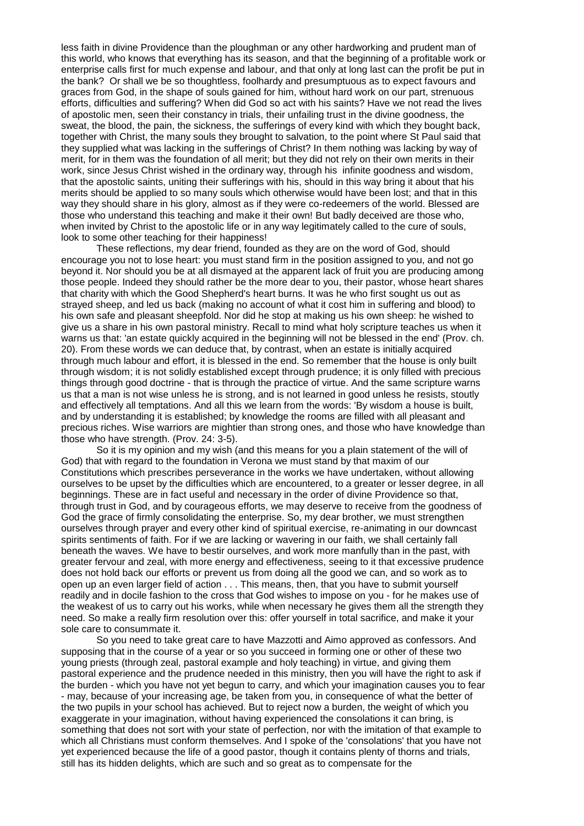less faith in divine Providence than the ploughman or any other hardworking and prudent man of this world, who knows that everything has its season, and that the beginning of a profitable work or enterprise calls first for much expense and labour, and that only at long last can the profit be put in the bank? Or shall we be so thoughtless, foolhardy and presumptuous as to expect favours and graces from God, in the shape of souls gained for him, without hard work on our part, strenuous efforts, difficulties and suffering? When did God so act with his saints? Have we not read the lives of apostolic men, seen their constancy in trials, their unfailing trust in the divine goodness, the sweat, the blood, the pain, the sickness, the sufferings of every kind with which they bought back, together with Christ, the many souls they brought to salvation, to the point where St Paul said that they supplied what was lacking in the sufferings of Christ? In them nothing was lacking by way of merit, for in them was the foundation of all merit; but they did not rely on their own merits in their work, since Jesus Christ wished in the ordinary way, through his infinite goodness and wisdom, that the apostolic saints, uniting their sufferings with his, should in this way bring it about that his merits should be applied to so many souls which otherwise would have been lost; and that in this way they should share in his glory, almost as if they were co-redeemers of the world. Blessed are those who understand this teaching and make it their own! But badly deceived are those who, when invited by Christ to the apostolic life or in any way legitimately called to the cure of souls, look to some other teaching for their happiness!

These reflections, my dear friend, founded as they are on the word of God, should encourage you not to lose heart: you must stand firm in the position assigned to you, and not go beyond it. Nor should you be at all dismayed at the apparent lack of fruit you are producing among those people. Indeed they should rather be the more dear to you, their pastor, whose heart shares that charity with which the Good Shepherd's heart burns. It was he who first sought us out as strayed sheep, and led us back (making no account of what it cost him in suffering and blood) to his own safe and pleasant sheepfold. Nor did he stop at making us his own sheep: he wished to give us a share in his own pastoral ministry. Recall to mind what holy scripture teaches us when it warns us that: 'an estate quickly acquired in the beginning will not be blessed in the end' (Prov. ch. 20). From these words we can deduce that, by contrast, when an estate is initially acquired through much labour and effort, it is blessed in the end. So remember that the house is only built through wisdom; it is not solidly established except through prudence; it is only filled with precious things through good doctrine - that is through the practice of virtue. And the same scripture warns us that a man is not wise unless he is strong, and is not learned in good unless he resists, stoutly and effectively all temptations. And all this we learn from the words: 'By wisdom a house is built, and by understanding it is established; by knowledge the rooms are filled with all pleasant and precious riches. Wise warriors are mightier than strong ones, and those who have knowledge than those who have strength. (Prov. 24: 3-5).

So it is my opinion and my wish (and this means for you a plain statement of the will of God) that with regard to the foundation in Verona we must stand by that maxim of our Constitutions which prescribes perseverance in the works we have undertaken, without allowing ourselves to be upset by the difficulties which are encountered, to a greater or lesser degree, in all beginnings. These are in fact useful and necessary in the order of divine Providence so that, through trust in God, and by courageous efforts, we may deserve to receive from the goodness of God the grace of firmly consolidating the enterprise. So, my dear brother, we must strengthen ourselves through prayer and every other kind of spiritual exercise, re-animating in our downcast spirits sentiments of faith. For if we are lacking or wavering in our faith, we shall certainly fall beneath the waves. We have to bestir ourselves, and work more manfully than in the past, with greater fervour and zeal, with more energy and effectiveness, seeing to it that excessive prudence does not hold back our efforts or prevent us from doing all the good we can, and so work as to open up an even larger field of action . . . This means, then, that you have to submit yourself readily and in docile fashion to the cross that God wishes to impose on you - for he makes use of the weakest of us to carry out his works, while when necessary he gives them all the strength they need. So make a really firm resolution over this: offer yourself in total sacrifice, and make it your sole care to consummate it.

So you need to take great care to have Mazzotti and Aimo approved as confessors. And supposing that in the course of a year or so you succeed in forming one or other of these two young priests (through zeal, pastoral example and holy teaching) in virtue, and giving them pastoral experience and the prudence needed in this ministry, then you will have the right to ask if the burden - which you have not yet begun to carry, and which your imagination causes you to fear - may, because of your increasing age, be taken from you, in consequence of what the better of the two pupils in your school has achieved. But to reject now a burden, the weight of which you exaggerate in your imagination, without having experienced the consolations it can bring, is something that does not sort with your state of perfection, nor with the imitation of that example to which all Christians must conform themselves. And I spoke of the 'consolations' that you have not yet experienced because the life of a good pastor, though it contains plenty of thorns and trials, still has its hidden delights, which are such and so great as to compensate for the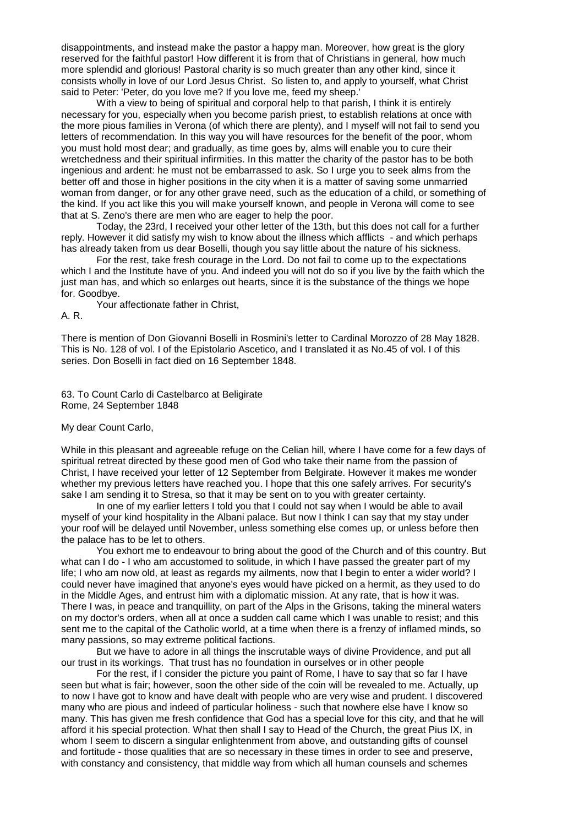disappointments, and instead make the pastor a happy man. Moreover, how great is the glory reserved for the faithful pastor! How different it is from that of Christians in general, how much more splendid and glorious! Pastoral charity is so much greater than any other kind, since it consists wholly in love of our Lord Jesus Christ. So listen to, and apply to yourself, what Christ said to Peter: 'Peter, do you love me? If you love me, feed my sheep.'

With a view to being of spiritual and corporal help to that parish, I think it is entirely necessary for you, especially when you become parish priest, to establish relations at once with the more pious families in Verona (of which there are plenty), and I myself will not fail to send you letters of recommendation. In this way you will have resources for the benefit of the poor, whom you must hold most dear; and gradually, as time goes by, alms will enable you to cure their wretchedness and their spiritual infirmities. In this matter the charity of the pastor has to be both ingenious and ardent: he must not be embarrassed to ask. So I urge you to seek alms from the better off and those in higher positions in the city when it is a matter of saving some unmarried woman from danger, or for any other grave need, such as the education of a child, or something of the kind. If you act like this you will make yourself known, and people in Verona will come to see that at S. Zeno's there are men who are eager to help the poor.

Today, the 23rd, I received your other letter of the 13th, but this does not call for a further reply. However it did satisfy my wish to know about the illness which afflicts - and which perhaps has already taken from us dear Boselli, though you say little about the nature of his sickness.

For the rest, take fresh courage in the Lord. Do not fail to come up to the expectations which I and the Institute have of you. And indeed you will not do so if you live by the faith which the just man has, and which so enlarges out hearts, since it is the substance of the things we hope for. Goodbye.

Your affectionate father in Christ,

A. R.

There is mention of Don Giovanni Boselli in Rosmini's letter to Cardinal Morozzo of 28 May 1828. This is No. 128 of vol. I of the Epistolario Ascetico, and I translated it as No.45 of vol. I of this series. Don Boselli in fact died on 16 September 1848.

63. To Count Carlo di Castelbarco at Beligirate Rome, 24 September 1848

My dear Count Carlo,

While in this pleasant and agreeable refuge on the Celian hill, where I have come for a few days of spiritual retreat directed by these good men of God who take their name from the passion of Christ, I have received your letter of 12 September from Belgirate. However it makes me wonder whether my previous letters have reached you. I hope that this one safely arrives. For security's sake I am sending it to Stresa, so that it may be sent on to you with greater certainty.

In one of my earlier letters I told you that I could not say when I would be able to avail myself of your kind hospitality in the Albani palace. But now I think I can say that my stay under your roof will be delayed until November, unless something else comes up, or unless before then the palace has to be let to others.

You exhort me to endeavour to bring about the good of the Church and of this country. But what can I do - I who am accustomed to solitude, in which I have passed the greater part of my life; I who am now old, at least as regards my ailments, now that I begin to enter a wider world? I could never have imagined that anyone's eyes would have picked on a hermit, as they used to do in the Middle Ages, and entrust him with a diplomatic mission. At any rate, that is how it was. There I was, in peace and tranquillity, on part of the Alps in the Grisons, taking the mineral waters on my doctor's orders, when all at once a sudden call came which I was unable to resist; and this sent me to the capital of the Catholic world, at a time when there is a frenzy of inflamed minds, so many passions, so may extreme political factions.

But we have to adore in all things the inscrutable ways of divine Providence, and put all our trust in its workings. That trust has no foundation in ourselves or in other people

For the rest, if I consider the picture you paint of Rome, I have to say that so far I have seen but what is fair; however, soon the other side of the coin will be revealed to me. Actually, up to now I have got to know and have dealt with people who are very wise and prudent. I discovered many who are pious and indeed of particular holiness - such that nowhere else have I know so many. This has given me fresh confidence that God has a special love for this city, and that he will afford it his special protection. What then shall I say to Head of the Church, the great Pius IX, in whom I seem to discern a singular enlightenment from above, and outstanding gifts of counsel and fortitude - those qualities that are so necessary in these times in order to see and preserve, with constancy and consistency, that middle way from which all human counsels and schemes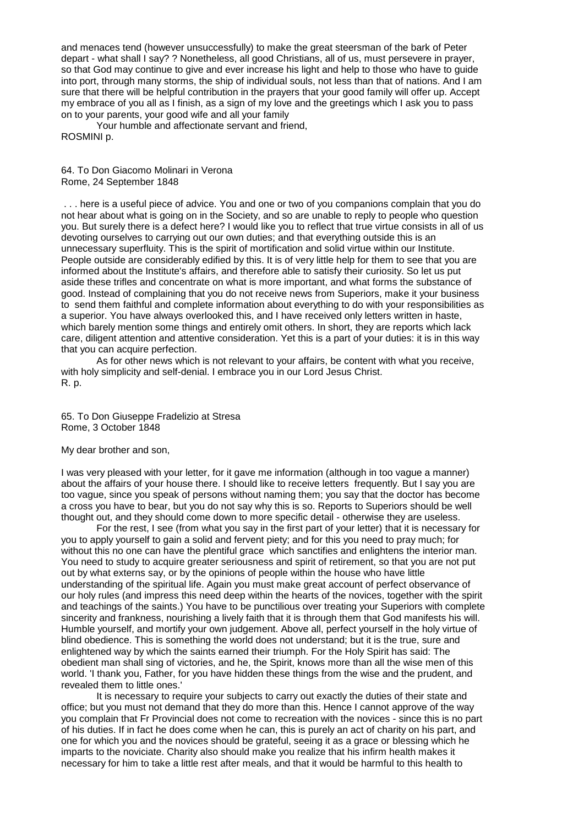and menaces tend (however unsuccessfully) to make the great steersman of the bark of Peter depart - what shall I say? ? Nonetheless, all good Christians, all of us, must persevere in prayer, so that God may continue to give and ever increase his light and help to those who have to guide into port, through many storms, the ship of individual souls, not less than that of nations. And I am sure that there will be helpful contribution in the prayers that your good family will offer up. Accept my embrace of you all as I finish, as a sign of my love and the greetings which I ask you to pass on to your parents, your good wife and all your family

Your humble and affectionate servant and friend, ROSMINI p.

64. To Don Giacomo Molinari in Verona Rome, 24 September 1848

. . . here is a useful piece of advice. You and one or two of you companions complain that you do not hear about what is going on in the Society, and so are unable to reply to people who question you. But surely there is a defect here? I would like you to reflect that true virtue consists in all of us devoting ourselves to carrying out our own duties; and that everything outside this is an unnecessary superfluity. This is the spirit of mortification and solid virtue within our Institute. People outside are considerably edified by this. It is of very little help for them to see that you are informed about the Institute's affairs, and therefore able to satisfy their curiosity. So let us put aside these trifles and concentrate on what is more important, and what forms the substance of good. Instead of complaining that you do not receive news from Superiors, make it your business to send them faithful and complete information about everything to do with your responsibilities as a superior. You have always overlooked this, and I have received only letters written in haste, which barely mention some things and entirely omit others. In short, they are reports which lack care, diligent attention and attentive consideration. Yet this is a part of your duties: it is in this way that you can acquire perfection.

As for other news which is not relevant to your affairs, be content with what you receive, with holy simplicity and self-denial. I embrace you in our Lord Jesus Christ. R. p.

65. To Don Giuseppe Fradelizio at Stresa Rome, 3 October 1848

My dear brother and son,

I was very pleased with your letter, for it gave me information (although in too vague a manner) about the affairs of your house there. I should like to receive letters frequently. But I say you are too vague, since you speak of persons without naming them; you say that the doctor has become a cross you have to bear, but you do not say why this is so. Reports to Superiors should be well thought out, and they should come down to more specific detail - otherwise they are useless.

For the rest, I see (from what you say in the first part of your letter) that it is necessary for you to apply yourself to gain a solid and fervent piety; and for this you need to pray much; for without this no one can have the plentiful grace which sanctifies and enlightens the interior man. You need to study to acquire greater seriousness and spirit of retirement, so that you are not put out by what externs say, or by the opinions of people within the house who have little understanding of the spiritual life. Again you must make great account of perfect observance of our holy rules (and impress this need deep within the hearts of the novices, together with the spirit and teachings of the saints.) You have to be punctilious over treating your Superiors with complete sincerity and frankness, nourishing a lively faith that it is through them that God manifests his will. Humble yourself, and mortify your own judgement. Above all, perfect yourself in the holy virtue of blind obedience. This is something the world does not understand; but it is the true, sure and enlightened way by which the saints earned their triumph. For the Holy Spirit has said: The obedient man shall sing of victories, and he, the Spirit, knows more than all the wise men of this world. 'I thank you, Father, for you have hidden these things from the wise and the prudent, and revealed them to little ones.'

It is necessary to require your subjects to carry out exactly the duties of their state and office; but you must not demand that they do more than this. Hence I cannot approve of the way you complain that Fr Provincial does not come to recreation with the novices - since this is no part of his duties. If in fact he does come when he can, this is purely an act of charity on his part, and one for which you and the novices should be grateful, seeing it as a grace or blessing which he imparts to the noviciate. Charity also should make you realize that his infirm health makes it necessary for him to take a little rest after meals, and that it would be harmful to this health to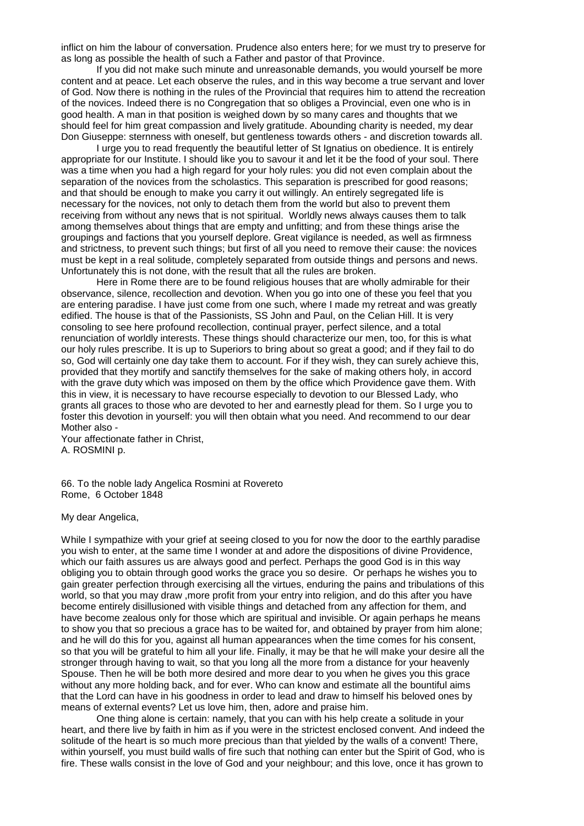inflict on him the labour of conversation. Prudence also enters here; for we must try to preserve for as long as possible the health of such a Father and pastor of that Province.

If you did not make such minute and unreasonable demands, you would yourself be more content and at peace. Let each observe the rules, and in this way become a true servant and lover of God. Now there is nothing in the rules of the Provincial that requires him to attend the recreation of the novices. Indeed there is no Congregation that so obliges a Provincial, even one who is in good health. A man in that position is weighed down by so many cares and thoughts that we should feel for him great compassion and lively gratitude. Abounding charity is needed, my dear Don Giuseppe: sternness with oneself, but gentleness towards others - and discretion towards all.

I urge you to read frequently the beautiful letter of St Ignatius on obedience. It is entirely appropriate for our Institute. I should like you to savour it and let it be the food of your soul. There was a time when you had a high regard for your holy rules: you did not even complain about the separation of the novices from the scholastics. This separation is prescribed for good reasons; and that should be enough to make you carry it out willingly. An entirely segregated life is necessary for the novices, not only to detach them from the world but also to prevent them receiving from without any news that is not spiritual. Worldly news always causes them to talk among themselves about things that are empty and unfitting; and from these things arise the groupings and factions that you yourself deplore. Great vigilance is needed, as well as firmness and strictness, to prevent such things; but first of all you need to remove their cause: the novices must be kept in a real solitude, completely separated from outside things and persons and news. Unfortunately this is not done, with the result that all the rules are broken.

Here in Rome there are to be found religious houses that are wholly admirable for their observance, silence, recollection and devotion. When you go into one of these you feel that you are entering paradise. I have just come from one such, where I made my retreat and was greatly edified. The house is that of the Passionists, SS John and Paul, on the Celian Hill. It is very consoling to see here profound recollection, continual prayer, perfect silence, and a total renunciation of worldly interests. These things should characterize our men, too, for this is what our holy rules prescribe. It is up to Superiors to bring about so great a good; and if they fail to do so, God will certainly one day take them to account. For if they wish, they can surely achieve this, provided that they mortify and sanctify themselves for the sake of making others holy, in accord with the grave duty which was imposed on them by the office which Providence gave them. With this in view, it is necessary to have recourse especially to devotion to our Blessed Lady, who grants all graces to those who are devoted to her and earnestly plead for them. So I urge you to foster this devotion in yourself: you will then obtain what you need. And recommend to our dear Mother also -

Your affectionate father in Christ, A. ROSMINI p.

66. To the noble lady Angelica Rosmini at Rovereto Rome, 6 October 1848

My dear Angelica,

While I sympathize with your grief at seeing closed to you for now the door to the earthly paradise you wish to enter, at the same time I wonder at and adore the dispositions of divine Providence, which our faith assures us are always good and perfect. Perhaps the good God is in this way obliging you to obtain through good works the grace you so desire. Or perhaps he wishes you to gain greater perfection through exercising all the virtues, enduring the pains and tribulations of this world, so that you may draw ,more profit from your entry into religion, and do this after you have become entirely disillusioned with visible things and detached from any affection for them, and have become zealous only for those which are spiritual and invisible. Or again perhaps he means to show you that so precious a grace has to be waited for, and obtained by prayer from him alone; and he will do this for you, against all human appearances when the time comes for his consent, so that you will be grateful to him all your life. Finally, it may be that he will make your desire all the stronger through having to wait, so that you long all the more from a distance for your heavenly Spouse. Then he will be both more desired and more dear to you when he gives you this grace without any more holding back, and for ever. Who can know and estimate all the bountiful aims that the Lord can have in his goodness in order to lead and draw to himself his beloved ones by means of external events? Let us love him, then, adore and praise him.

One thing alone is certain: namely, that you can with his help create a solitude in your heart, and there live by faith in him as if you were in the strictest enclosed convent. And indeed the solitude of the heart is so much more precious than that yielded by the walls of a convent! There, within yourself, you must build walls of fire such that nothing can enter but the Spirit of God, who is fire. These walls consist in the love of God and your neighbour; and this love, once it has grown to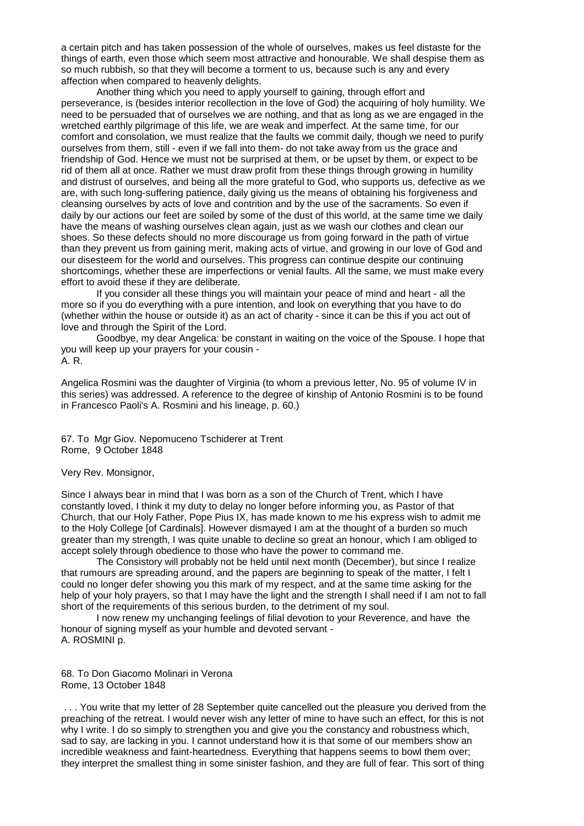a certain pitch and has taken possession of the whole of ourselves, makes us feel distaste for the things of earth, even those which seem most attractive and honourable. We shall despise them as so much rubbish, so that they will become a torment to us, because such is any and every affection when compared to heavenly delights.

Another thing which you need to apply yourself to gaining, through effort and perseverance, is (besides interior recollection in the love of God) the acquiring of holy humility. We need to be persuaded that of ourselves we are nothing, and that as long as we are engaged in the wretched earthly pilgrimage of this life, we are weak and imperfect. At the same time, for our comfort and consolation, we must realize that the faults we commit daily, though we need to purify ourselves from them, still - even if we fall into them- do not take away from us the grace and friendship of God. Hence we must not be surprised at them, or be upset by them, or expect to be rid of them all at once. Rather we must draw profit from these things through growing in humility and distrust of ourselves, and being all the more grateful to God, who supports us, defective as we are, with such long-suffering patience, daily giving us the means of obtaining his forgiveness and cleansing ourselves by acts of love and contrition and by the use of the sacraments. So even if daily by our actions our feet are soiled by some of the dust of this world, at the same time we daily have the means of washing ourselves clean again, just as we wash our clothes and clean our shoes. So these defects should no more discourage us from going forward in the path of virtue than they prevent us from gaining merit, making acts of virtue, and growing in our love of God and our disesteem for the world and ourselves. This progress can continue despite our continuing shortcomings, whether these are imperfections or venial faults. All the same, we must make every effort to avoid these if they are deliberate.

If you consider all these things you will maintain your peace of mind and heart - all the more so if you do everything with a pure intention, and look on everything that you have to do (whether within the house or outside it) as an act of charity - since it can be this if you act out of love and through the Spirit of the Lord.

Goodbye, my dear Angelica: be constant in waiting on the voice of the Spouse. I hope that you will keep up your prayers for your cousin - A. R.

Angelica Rosmini was the daughter of Virginia (to whom a previous letter, No. 95 of volume IV in this series) was addressed. A reference to the degree of kinship of Antonio Rosmini is to be found in Francesco Paoli's A. Rosmini and his lineage, p. 60.)

67. To Mgr Giov. Nepomuceno Tschiderer at Trent Rome, 9 October 1848

Very Rev. Monsignor,

Since I always bear in mind that I was born as a son of the Church of Trent, which I have constantly loved, I think it my duty to delay no longer before informing you, as Pastor of that Church, that our Holy Father, Pope Pius IX, has made known to me his express wish to admit me to the Holy College [of Cardinals]. However dismayed I am at the thought of a burden so much greater than my strength, I was quite unable to decline so great an honour, which I am obliged to accept solely through obedience to those who have the power to command me.

The Consistory will probably not be held until next month (December), but since I realize that rumours are spreading around, and the papers are beginning to speak of the matter, I felt I could no longer defer showing you this mark of my respect, and at the same time asking for the help of your holy prayers, so that I may have the light and the strength I shall need if I am not to fall short of the requirements of this serious burden, to the detriment of my soul.

I now renew my unchanging feelings of filial devotion to your Reverence, and have the honour of signing myself as your humble and devoted servant - A. ROSMINI p.

68. To Don Giacomo Molinari in Verona Rome, 13 October 1848

. . . You write that my letter of 28 September quite cancelled out the pleasure you derived from the preaching of the retreat. I would never wish any letter of mine to have such an effect, for this is not why I write. I do so simply to strengthen you and give you the constancy and robustness which, sad to say, are lacking in you. I cannot understand how it is that some of our members show an incredible weakness and faint-heartedness. Everything that happens seems to bowl them over; they interpret the smallest thing in some sinister fashion, and they are full of fear. This sort of thing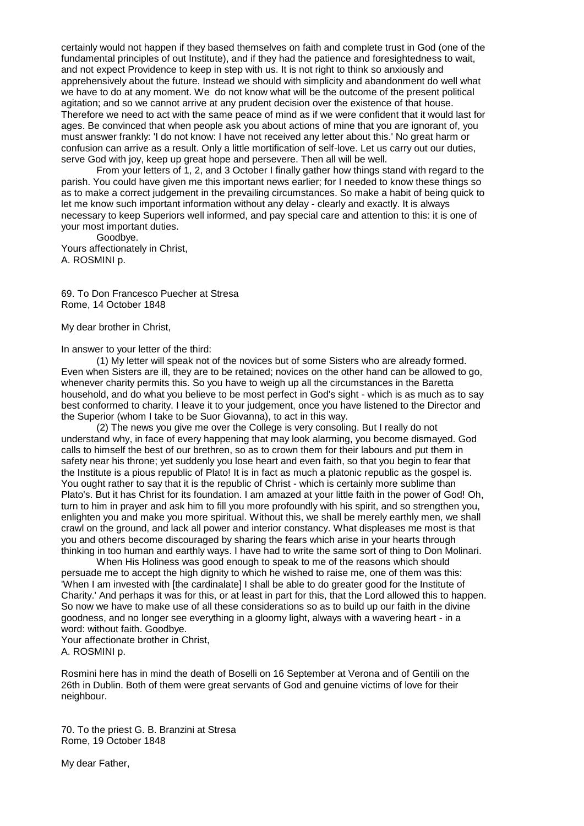certainly would not happen if they based themselves on faith and complete trust in God (one of the fundamental principles of out Institute), and if they had the patience and foresightedness to wait, and not expect Providence to keep in step with us. It is not right to think so anxiously and apprehensively about the future. Instead we should with simplicity and abandonment do well what we have to do at any moment. We do not know what will be the outcome of the present political agitation; and so we cannot arrive at any prudent decision over the existence of that house. Therefore we need to act with the same peace of mind as if we were confident that it would last for ages. Be convinced that when people ask you about actions of mine that you are ignorant of, you must answer frankly: 'I do not know: I have not received any letter about this.' No great harm or confusion can arrive as a result. Only a little mortification of self-love. Let us carry out our duties, serve God with joy, keep up great hope and persevere. Then all will be well.

From your letters of 1, 2, and 3 October I finally gather how things stand with regard to the parish. You could have given me this important news earlier; for I needed to know these things so as to make a correct judgement in the prevailing circumstances. So make a habit of being quick to let me know such important information without any delay - clearly and exactly. It is always necessary to keep Superiors well informed, and pay special care and attention to this: it is one of your most important duties.

Goodbye. Yours affectionately in Christ, A. ROSMINI p.

69. To Don Francesco Puecher at Stresa Rome, 14 October 1848

My dear brother in Christ,

In answer to your letter of the third:

(1) My letter will speak not of the novices but of some Sisters who are already formed. Even when Sisters are ill, they are to be retained; novices on the other hand can be allowed to go, whenever charity permits this. So you have to weigh up all the circumstances in the Baretta household, and do what you believe to be most perfect in God's sight - which is as much as to say best conformed to charity. I leave it to your judgement, once you have listened to the Director and the Superior (whom I take to be Suor Giovanna), to act in this way.

(2) The news you give me over the College is very consoling. But I really do not understand why, in face of every happening that may look alarming, you become dismayed. God calls to himself the best of our brethren, so as to crown them for their labours and put them in safety near his throne; yet suddenly you lose heart and even faith, so that you begin to fear that the Institute is a pious republic of Plato! It is in fact as much a platonic republic as the gospel is. You ought rather to say that it is the republic of Christ - which is certainly more sublime than Plato's. But it has Christ for its foundation. I am amazed at your little faith in the power of God! Oh, turn to him in prayer and ask him to fill you more profoundly with his spirit, and so strengthen you, enlighten you and make you more spiritual. Without this, we shall be merely earthly men, we shall crawl on the ground, and lack all power and interior constancy. What displeases me most is that you and others become discouraged by sharing the fears which arise in your hearts through thinking in too human and earthly ways. I have had to write the same sort of thing to Don Molinari.

When His Holiness was good enough to speak to me of the reasons which should persuade me to accept the high dignity to which he wished to raise me, one of them was this: 'When I am invested with [the cardinalate] I shall be able to do greater good for the Institute of Charity.' And perhaps it was for this, or at least in part for this, that the Lord allowed this to happen. So now we have to make use of all these considerations so as to build up our faith in the divine goodness, and no longer see everything in a gloomy light, always with a wavering heart - in a word: without faith. Goodbye.

Your affectionate brother in Christ, A. ROSMINI p.

Rosmini here has in mind the death of Boselli on 16 September at Verona and of Gentili on the 26th in Dublin. Both of them were great servants of God and genuine victims of love for their neighbour.

70. To the priest G. B. Branzini at Stresa Rome, 19 October 1848

My dear Father,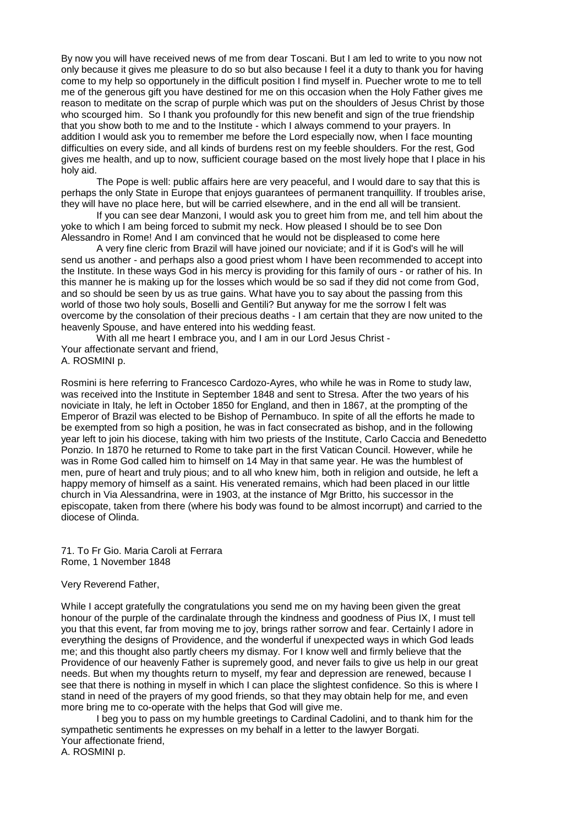By now you will have received news of me from dear Toscani. But I am led to write to you now not only because it gives me pleasure to do so but also because I feel it a duty to thank you for having come to my help so opportunely in the difficult position I find myself in. Puecher wrote to me to tell me of the generous gift you have destined for me on this occasion when the Holy Father gives me reason to meditate on the scrap of purple which was put on the shoulders of Jesus Christ by those who scourged him. So I thank you profoundly for this new benefit and sign of the true friendship that you show both to me and to the Institute - which I always commend to your prayers. In addition I would ask you to remember me before the Lord especially now, when I face mounting difficulties on every side, and all kinds of burdens rest on my feeble shoulders. For the rest, God gives me health, and up to now, sufficient courage based on the most lively hope that I place in his holy aid.

The Pope is well: public affairs here are very peaceful, and I would dare to say that this is perhaps the only State in Europe that enjoys guarantees of permanent tranquillity. If troubles arise, they will have no place here, but will be carried elsewhere, and in the end all will be transient.

If you can see dear Manzoni, I would ask you to greet him from me, and tell him about the yoke to which I am being forced to submit my neck. How pleased I should be to see Don Alessandro in Rome! And I am convinced that he would not be displeased to come here

A very fine cleric from Brazil will have joined our noviciate; and if it is God's will he will send us another - and perhaps also a good priest whom I have been recommended to accept into the Institute. In these ways God in his mercy is providing for this family of ours - or rather of his. In this manner he is making up for the losses which would be so sad if they did not come from God, and so should be seen by us as true gains. What have you to say about the passing from this world of those two holy souls, Boselli and Gentili? But anyway for me the sorrow I felt was overcome by the consolation of their precious deaths - I am certain that they are now united to the heavenly Spouse, and have entered into his wedding feast.

With all me heart I embrace you, and I am in our Lord Jesus Christ - Your affectionate servant and friend, A. ROSMINI p.

Rosmini is here referring to Francesco Cardozo-Ayres, who while he was in Rome to study law, was received into the Institute in September 1848 and sent to Stresa. After the two years of his noviciate in Italy, he left in October 1850 for England, and then in 1867, at the prompting of the Emperor of Brazil was elected to be Bishop of Pernambuco. In spite of all the efforts he made to be exempted from so high a position, he was in fact consecrated as bishop, and in the following year left to join his diocese, taking with him two priests of the Institute, Carlo Caccia and Benedetto Ponzio. In 1870 he returned to Rome to take part in the first Vatican Council. However, while he was in Rome God called him to himself on 14 May in that same year. He was the humblest of men, pure of heart and truly pious; and to all who knew him, both in religion and outside, he left a happy memory of himself as a saint. His venerated remains, which had been placed in our little church in Via Alessandrina, were in 1903, at the instance of Mgr Britto, his successor in the episcopate, taken from there (where his body was found to be almost incorrupt) and carried to the diocese of Olinda.

71. To Fr Gio. Maria Caroli at Ferrara Rome, 1 November 1848

#### Very Reverend Father,

While I accept gratefully the congratulations you send me on my having been given the great honour of the purple of the cardinalate through the kindness and goodness of Pius IX, I must tell you that this event, far from moving me to joy, brings rather sorrow and fear. Certainly I adore in everything the designs of Providence, and the wonderful if unexpected ways in which God leads me; and this thought also partly cheers my dismay. For I know well and firmly believe that the Providence of our heavenly Father is supremely good, and never fails to give us help in our great needs. But when my thoughts return to myself, my fear and depression are renewed, because I see that there is nothing in myself in which I can place the slightest confidence. So this is where I stand in need of the prayers of my good friends, so that they may obtain help for me, and even more bring me to co-operate with the helps that God will give me.

I beg you to pass on my humble greetings to Cardinal Cadolini, and to thank him for the sympathetic sentiments he expresses on my behalf in a letter to the lawyer Borgati. Your affectionate friend, A. ROSMINI p.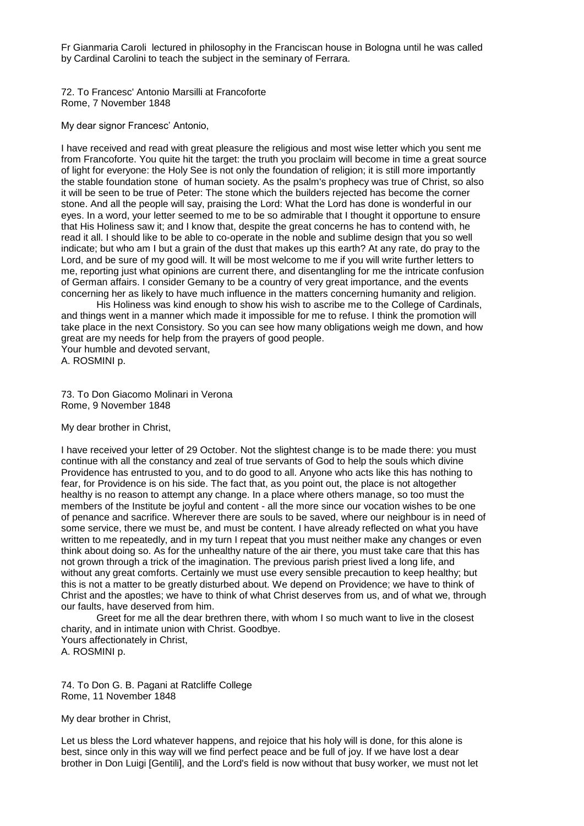Fr Gianmaria Caroli lectured in philosophy in the Franciscan house in Bologna until he was called by Cardinal Carolini to teach the subject in the seminary of Ferrara.

72. To Francesc' Antonio Marsilli at Francoforte Rome, 7 November 1848

My dear signor Francesc' Antonio,

I have received and read with great pleasure the religious and most wise letter which you sent me from Francoforte. You quite hit the target: the truth you proclaim will become in time a great source of light for everyone: the Holy See is not only the foundation of religion; it is still more importantly the stable foundation stone of human society. As the psalm's prophecy was true of Christ, so also it will be seen to be true of Peter: The stone which the builders rejected has become the corner stone. And all the people will say, praising the Lord: What the Lord has done is wonderful in our eyes. In a word, your letter seemed to me to be so admirable that I thought it opportune to ensure that His Holiness saw it; and I know that, despite the great concerns he has to contend with, he read it all. I should like to be able to co-operate in the noble and sublime design that you so well indicate; but who am I but a grain of the dust that makes up this earth? At any rate, do pray to the Lord, and be sure of my good will. It will be most welcome to me if you will write further letters to me, reporting just what opinions are current there, and disentangling for me the intricate confusion of German affairs. I consider Gemany to be a country of very great importance, and the events concerning her as likely to have much influence in the matters concerning humanity and religion.

His Holiness was kind enough to show his wish to ascribe me to the College of Cardinals, and things went in a manner which made it impossible for me to refuse. I think the promotion will take place in the next Consistory. So you can see how many obligations weigh me down, and how great are my needs for help from the prayers of good people.

Your humble and devoted servant,

A. ROSMINI p.

73. To Don Giacomo Molinari in Verona Rome, 9 November 1848

My dear brother in Christ,

I have received your letter of 29 October. Not the slightest change is to be made there: you must continue with all the constancy and zeal of true servants of God to help the souls which divine Providence has entrusted to you, and to do good to all. Anyone who acts like this has nothing to fear, for Providence is on his side. The fact that, as you point out, the place is not altogether healthy is no reason to attempt any change. In a place where others manage, so too must the members of the Institute be joyful and content - all the more since our vocation wishes to be one of penance and sacrifice. Wherever there are souls to be saved, where our neighbour is in need of some service, there we must be, and must be content. I have already reflected on what you have written to me repeatedly, and in my turn I repeat that you must neither make any changes or even think about doing so. As for the unhealthy nature of the air there, you must take care that this has not grown through a trick of the imagination. The previous parish priest lived a long life, and without any great comforts. Certainly we must use every sensible precaution to keep healthy; but this is not a matter to be greatly disturbed about. We depend on Providence; we have to think of Christ and the apostles; we have to think of what Christ deserves from us, and of what we, through our faults, have deserved from him.

Greet for me all the dear brethren there, with whom I so much want to live in the closest charity, and in intimate union with Christ. Goodbye. Yours affectionately in Christ, A. ROSMINI p.

74. To Don G. B. Pagani at Ratcliffe College Rome, 11 November 1848

My dear brother in Christ,

Let us bless the Lord whatever happens, and rejoice that his holy will is done, for this alone is best, since only in this way will we find perfect peace and be full of joy. If we have lost a dear brother in Don Luigi [Gentili], and the Lord's field is now without that busy worker, we must not let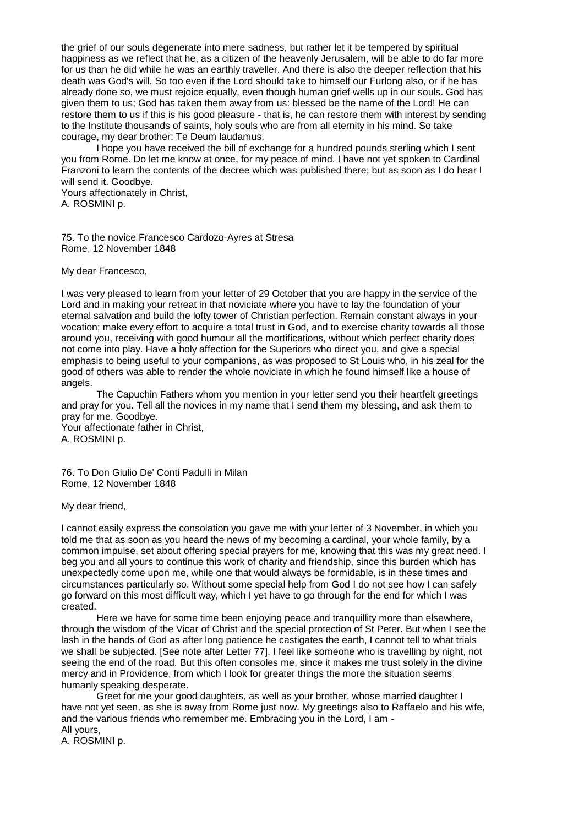the grief of our souls degenerate into mere sadness, but rather let it be tempered by spiritual happiness as we reflect that he, as a citizen of the heavenly Jerusalem, will be able to do far more for us than he did while he was an earthly traveller. And there is also the deeper reflection that his death was God's will. So too even if the Lord should take to himself our Furlong also, or if he has already done so, we must rejoice equally, even though human grief wells up in our souls. God has given them to us; God has taken them away from us: blessed be the name of the Lord! He can restore them to us if this is his good pleasure - that is, he can restore them with interest by sending to the Institute thousands of saints, holy souls who are from all eternity in his mind. So take courage, my dear brother: Te Deum laudamus.

I hope you have received the bill of exchange for a hundred pounds sterling which I sent you from Rome. Do let me know at once, for my peace of mind. I have not yet spoken to Cardinal Franzoni to learn the contents of the decree which was published there; but as soon as I do hear I will send it. Goodbye.

Yours affectionately in Christ, A. ROSMINI p.

75. To the novice Francesco Cardozo-Ayres at Stresa Rome, 12 November 1848

My dear Francesco,

I was very pleased to learn from your letter of 29 October that you are happy in the service of the Lord and in making your retreat in that noviciate where you have to lay the foundation of your eternal salvation and build the lofty tower of Christian perfection. Remain constant always in your vocation; make every effort to acquire a total trust in God, and to exercise charity towards all those around you, receiving with good humour all the mortifications, without which perfect charity does not come into play. Have a holy affection for the Superiors who direct you, and give a special emphasis to being useful to your companions, as was proposed to St Louis who, in his zeal for the good of others was able to render the whole noviciate in which he found himself like a house of angels.

The Capuchin Fathers whom you mention in your letter send you their heartfelt greetings and pray for you. Tell all the novices in my name that I send them my blessing, and ask them to pray for me. Goodbye. Your affectionate father in Christ,

A. ROSMINI p.

76. To Don Giulio De' Conti Padulli in Milan Rome, 12 November 1848

My dear friend,

I cannot easily express the consolation you gave me with your letter of 3 November, in which you told me that as soon as you heard the news of my becoming a cardinal, your whole family, by a common impulse, set about offering special prayers for me, knowing that this was my great need. I beg you and all yours to continue this work of charity and friendship, since this burden which has unexpectedly come upon me, while one that would always be formidable, is in these times and circumstances particularly so. Without some special help from God I do not see how I can safely go forward on this most difficult way, which I yet have to go through for the end for which I was created.

Here we have for some time been enjoying peace and tranquillity more than elsewhere, through the wisdom of the Vicar of Christ and the special protection of St Peter. But when I see the lash in the hands of God as after long patience he castigates the earth, I cannot tell to what trials we shall be subjected. [See note after Letter 77]. I feel like someone who is travelling by night, not seeing the end of the road. But this often consoles me, since it makes me trust solely in the divine mercy and in Providence, from which I look for greater things the more the situation seems humanly speaking desperate.

Greet for me your good daughters, as well as your brother, whose married daughter I have not yet seen, as she is away from Rome just now. My greetings also to Raffaelo and his wife, and the various friends who remember me. Embracing you in the Lord, I am - All yours,

A. ROSMINI p.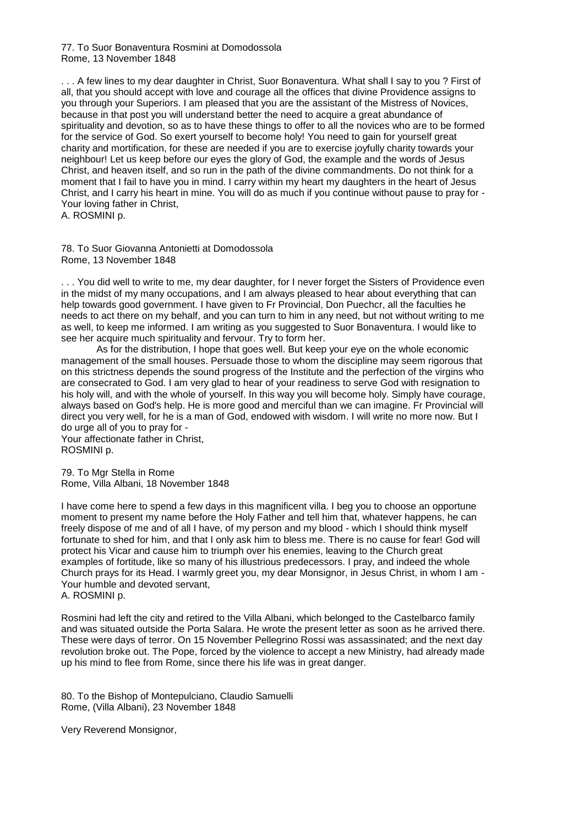77. To Suor Bonaventura Rosmini at Domodossola Rome, 13 November 1848

. . . A few lines to my dear daughter in Christ, Suor Bonaventura. What shall I say to you ? First of all, that you should accept with love and courage all the offices that divine Providence assigns to you through your Superiors. I am pleased that you are the assistant of the Mistress of Novices, because in that post you will understand better the need to acquire a great abundance of spirituality and devotion, so as to have these things to offer to all the novices who are to be formed for the service of God. So exert yourself to become holy! You need to gain for yourself great charity and mortification, for these are needed if you are to exercise joyfully charity towards your neighbour! Let us keep before our eyes the glory of God, the example and the words of Jesus Christ, and heaven itself, and so run in the path of the divine commandments. Do not think for a moment that I fail to have you in mind. I carry within my heart my daughters in the heart of Jesus Christ, and I carry his heart in mine. You will do as much if you continue without pause to pray for - Your loving father in Christ,

A. ROSMINI p.

78. To Suor Giovanna Antonietti at Domodossola Rome, 13 November 1848

. . . You did well to write to me, my dear daughter, for I never forget the Sisters of Providence even in the midst of my many occupations, and I am always pleased to hear about everything that can help towards good government. I have given to Fr Provincial, Don Puechcr, all the faculties he needs to act there on my behalf, and you can turn to him in any need, but not without writing to me as well, to keep me informed. I am writing as you suggested to Suor Bonaventura. I would like to see her acquire much spirituality and fervour. Try to form her.

As for the distribution, I hope that goes well. But keep your eye on the whole economic management of the small houses. Persuade those to whom the discipline may seem rigorous that on this strictness depends the sound progress of the Institute and the perfection of the virgins who are consecrated to God. I am very glad to hear of your readiness to serve God with resignation to his holy will, and with the whole of yourself. In this way you will become holy. Simply have courage, always based on God's help. He is more good and merciful than we can imagine. Fr Provincial will direct you very well, for he is a man of God, endowed with wisdom. I will write no more now. But I do urge all of you to pray for -

Your affectionate father in Christ, ROSMINI p.

79. To Mgr Stella in Rome Rome, Villa Albani, 18 November 1848

I have come here to spend a few days in this magnificent villa. I beg you to choose an opportune moment to present my name before the Holy Father and tell him that, whatever happens, he can freely dispose of me and of all I have, of my person and my blood - which I should think myself fortunate to shed for him, and that I only ask him to bless me. There is no cause for fear! God will protect his Vicar and cause him to triumph over his enemies, leaving to the Church great examples of fortitude, like so many of his illustrious predecessors. I pray, and indeed the whole Church prays for its Head. I warmly greet you, my dear Monsignor, in Jesus Christ, in whom I am - Your humble and devoted servant, A. ROSMINI p.

Rosmini had left the city and retired to the Villa Albani, which belonged to the Castelbarco family and was situated outside the Porta Salara. He wrote the present letter as soon as he arrived there. These were days of terror. On 15 November Pellegrino Rossi was assassinated; and the next day revolution broke out. The Pope, forced by the violence to accept a new Ministry, had already made up his mind to flee from Rome, since there his life was in great danger.

80. To the Bishop of Montepulciano, Claudio Samuelli Rome, (Villa Albani), 23 November 1848

Very Reverend Monsignor,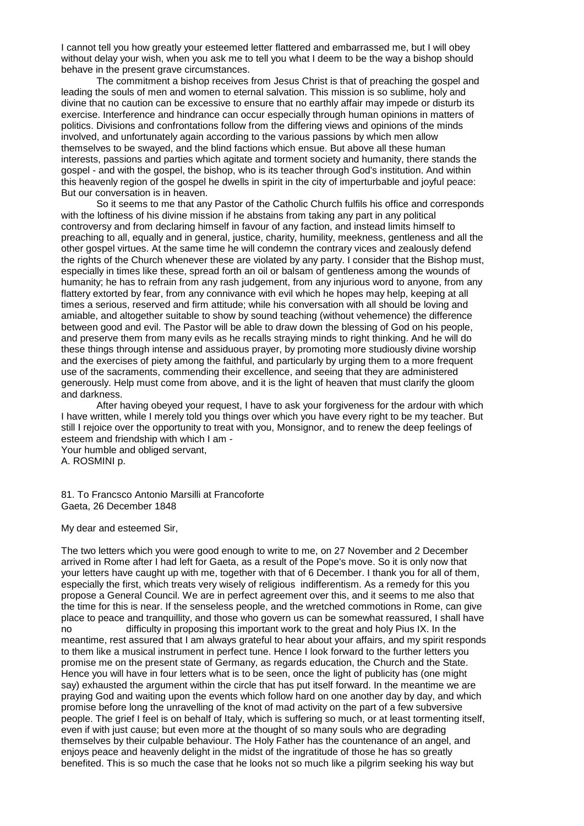I cannot tell you how greatly your esteemed letter flattered and embarrassed me, but I will obey without delay your wish, when you ask me to tell you what I deem to be the way a bishop should behave in the present grave circumstances.

The commitment a bishop receives from Jesus Christ is that of preaching the gospel and leading the souls of men and women to eternal salvation. This mission is so sublime, holy and divine that no caution can be excessive to ensure that no earthly affair may impede or disturb its exercise. Interference and hindrance can occur especially through human opinions in matters of politics. Divisions and confrontations follow from the differing views and opinions of the minds involved, and unfortunately again according to the various passions by which men allow themselves to be swayed, and the blind factions which ensue. But above all these human interests, passions and parties which agitate and torment society and humanity, there stands the gospel - and with the gospel, the bishop, who is its teacher through God's institution. And within this heavenly region of the gospel he dwells in spirit in the city of imperturbable and joyful peace: But our conversation is in heaven.

So it seems to me that any Pastor of the Catholic Church fulfils his office and corresponds with the loftiness of his divine mission if he abstains from taking any part in any political controversy and from declaring himself in favour of any faction, and instead limits himself to preaching to all, equally and in general, justice, charity, humility, meekness, gentleness and all the other gospel virtues. At the same time he will condemn the contrary vices and zealously defend the rights of the Church whenever these are violated by any party. I consider that the Bishop must, especially in times like these, spread forth an oil or balsam of gentleness among the wounds of humanity; he has to refrain from any rash judgement, from any injurious word to anyone, from any flattery extorted by fear, from any connivance with evil which he hopes may help, keeping at all times a serious, reserved and firm attitude; while his conversation with all should be loving and amiable, and altogether suitable to show by sound teaching (without vehemence) the difference between good and evil. The Pastor will be able to draw down the blessing of God on his people, and preserve them from many evils as he recalls straying minds to right thinking. And he will do these things through intense and assiduous prayer, by promoting more studiously divine worship and the exercises of piety among the faithful, and particularly by urging them to a more frequent use of the sacraments, commending their excellence, and seeing that they are administered generously. Help must come from above, and it is the light of heaven that must clarify the gloom and darkness.

After having obeyed your request, I have to ask your forgiveness for the ardour with which I have written, while I merely told you things over which you have every right to be my teacher. But still I rejoice over the opportunity to treat with you, Monsignor, and to renew the deep feelings of esteem and friendship with which I am -

Your humble and obliged servant, A. ROSMINI p.

81. To Francsco Antonio Marsilli at Francoforte Gaeta, 26 December 1848

My dear and esteemed Sir,

The two letters which you were good enough to write to me, on 27 November and 2 December arrived in Rome after I had left for Gaeta, as a result of the Pope's move. So it is only now that your letters have caught up with me, together with that of 6 December. I thank you for all of them, especially the first, which treats very wisely of religious indifferentism. As a remedy for this you propose a General Council. We are in perfect agreement over this, and it seems to me also that the time for this is near. If the senseless people, and the wretched commotions in Rome, can give place to peace and tranquillity, and those who govern us can be somewhat reassured, I shall have no difficulty in proposing this important work to the great and holy Pius IX. In the meantime, rest assured that I am always grateful to hear about your affairs, and my spirit responds to them like a musical instrument in perfect tune. Hence I look forward to the further letters you promise me on the present state of Germany, as regards education, the Church and the State. Hence you will have in four letters what is to be seen, once the light of publicity has (one might say) exhausted the argument within the circle that has put itself forward. In the meantime we are praying God and waiting upon the events which follow hard on one another day by day, and which promise before long the unravelling of the knot of mad activity on the part of a few subversive people. The grief I feel is on behalf of Italy, which is suffering so much, or at least tormenting itself, even if with just cause; but even more at the thought of so many souls who are degrading themselves by their culpable behaviour. The Holy Father has the countenance of an angel, and enjoys peace and heavenly delight in the midst of the ingratitude of those he has so greatly benefited. This is so much the case that he looks not so much like a pilgrim seeking his way but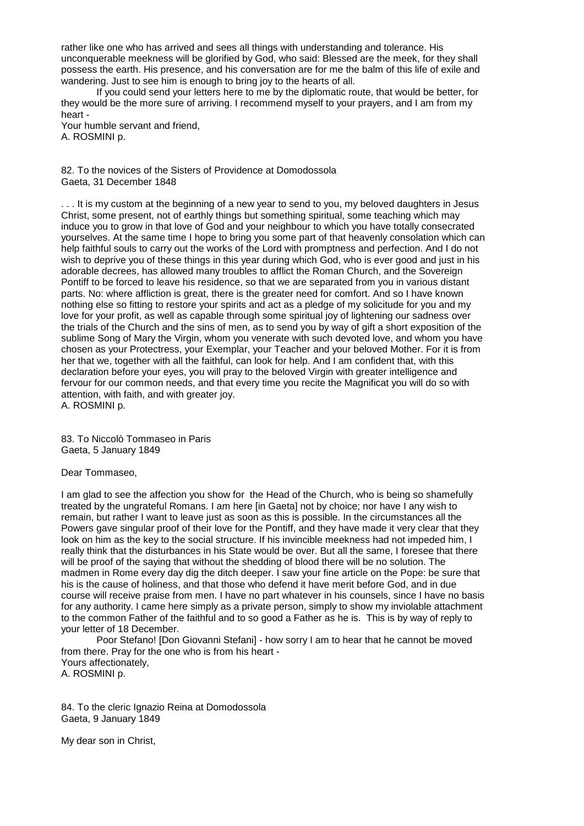rather like one who has arrived and sees all things with understanding and tolerance. His unconquerable meekness will be glorified by God, who said: Blessed are the meek, for they shall possess the earth. His presence, and his conversation are for me the balm of this life of exile and wandering. Just to see him is enough to bring joy to the hearts of all.

If you could send your letters here to me by the diplomatic route, that would be better, for they would be the more sure of arriving. I recommend myself to your prayers, and I am from my heart -

Your humble servant and friend, A. ROSMINI p.

82. To the novices of the Sisters of Providence at Domodossola Gaeta, 31 December 1848

... It is my custom at the beginning of a new year to send to you, my beloved daughters in Jesus Christ, some present, not of earthly things but something spiritual, some teaching which may induce you to grow in that love of God and your neighbour to which you have totally consecrated yourselves. At the same time I hope to bring you some part of that heavenly consolation which can help faithful souls to carry out the works of the Lord with promptness and perfection. And I do not wish to deprive you of these things in this year during which God, who is ever good and just in his adorable decrees, has allowed many troubles to afflict the Roman Church, and the Sovereign Pontiff to be forced to leave his residence, so that we are separated from you in various distant parts. No: where affliction is great, there is the greater need for comfort. And so I have known nothing else so fitting to restore your spirits and act as a pledge of my solicitude for you and my love for your profit, as well as capable through some spiritual joy of lightening our sadness over the trials of the Church and the sins of men, as to send you by way of gift a short exposition of the sublime Song of Mary the Virgin, whom you venerate with such devoted love, and whom you have chosen as your Protectress, your Exemplar, your Teacher and your beloved Mother. For it is from her that we, together with all the faithful, can look for help. And I am confident that, with this declaration before your eyes, you will pray to the beloved Virgin with greater intelligence and fervour for our common needs, and that every time you recite the Magnificat you will do so with attention, with faith, and with greater joy. A. ROSMINI p.

83. To Niccolò Tommaseo in Paris Gaeta, 5 January 1849

Dear Tommaseo,

I am glad to see the affection you show for the Head of the Church, who is being so shamefully treated by the ungrateful Romans. I am here [in Gaeta] not by choice; nor have I any wish to remain, but rather I want to leave just as soon as this is possible. In the circumstances all the Powers gave singular proof of their love for the Pontiff, and they have made it very clear that they look on him as the key to the social structure. If his invincible meekness had not impeded him, I really think that the disturbances in his State would be over. But all the same, I foresee that there will be proof of the saying that without the shedding of blood there will be no solution. The madmen in Rome every day dig the ditch deeper. I saw your fine article on the Pope: be sure that his is the cause of holiness, and that those who defend it have merit before God, and in due course will receive praise from men. I have no part whatever in his counsels, since I have no basis for any authority. I came here simply as a private person, simply to show my inviolable attachment to the common Father of the faithful and to so good a Father as he is. This is by way of reply to your letter of 18 December.

Poor Stefano! [Don Giovanni Stefani] - how sorry I am to hear that he cannot be moved from there. Pray for the one who is from his heart - Yours affectionately, A. ROSMINI p.

84. To the cleric Ignazio Reina at Domodossola Gaeta, 9 January 1849

My dear son in Christ,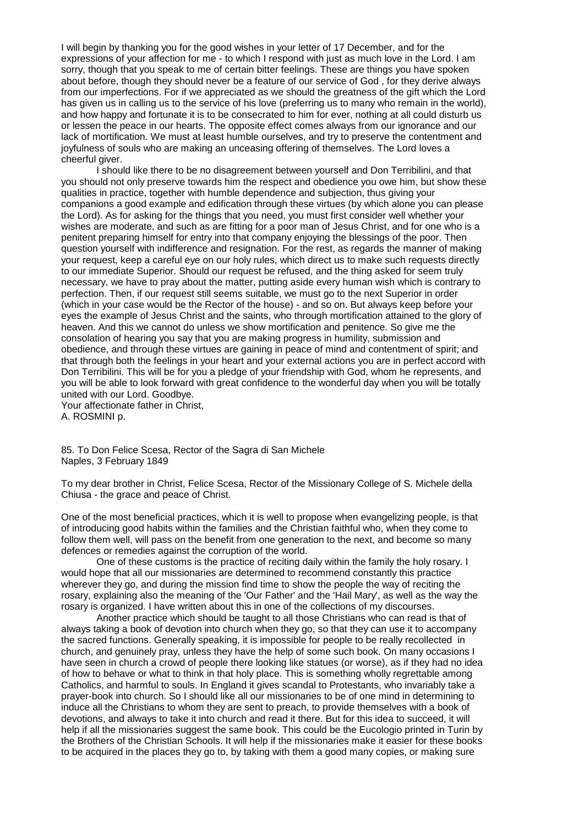I will begin by thanking you for the good wishes in your letter of 17 December, and for the expressions of your affection for me - to which I respond with just as much love in the Lord. I am sorry, though that you speak to me of certain bitter feelings. These are things you have spoken about before, though they should never be a feature of our service of God , for they derive always from our imperfections. For if we appreciated as we should the greatness of the gift which the Lord has given us in calling us to the service of his love (preferring us to many who remain in the world), and how happy and fortunate it is to be consecrated to him for ever, nothing at all could disturb us or lessen the peace in our hearts. The opposite effect comes always from our ignorance and our lack of mortification. We must at least humble ourselves, and try to preserve the contentment and joyfulness of souls who are making an unceasing offering of themselves. The Lord loves a cheerful giver.

I should like there to be no disagreement between yourself and Don Terribilini, and that you should not only preserve towards him the respect and obedience you owe him, but show these qualities in practice, together with humble dependence and subjection, thus giving your companions a good example and edification through these virtues (by which alone you can please the Lord). As for asking for the things that you need, you must first consider well whether your wishes are moderate, and such as are fitting for a poor man of Jesus Christ, and for one who is a penitent preparing himself for entry into that company enjoying the blessings of the poor. Then question yourself with indifference and resignation. For the rest, as regards the manner of making your request, keep a careful eye on our holy rules, which direct us to make such requests directly to our immediate Superior. Should our request be refused, and the thing asked for seem truly necessary, we have to pray about the matter, putting aside every human wish which is contrary to perfection. Then, if our request still seems suitable, we must go to the next Superior in order (which in your case would be the Rector of the house) - and so on. But always keep before your eyes the example of Jesus Christ and the saints, who through mortification attained to the glory of heaven. And this we cannot do unless we show mortification and penitence. So give me the consolation of hearing you say that you are making progress in humility, submission and obedience, and through these virtues are gaining in peace of mind and contentment of spirit; and that through both the feelings in your heart and your external actions you are in perfect accord with Don Terribilini. This will be for you a pledge of your friendship with God, whom he represents, and you will be able to look forward with great confidence to the wonderful day when you will be totally united with our Lord. Goodbye.

Your affectionate father in Christ, A. ROSMINI p.

85. To Don Felice Scesa, Rector of the Sagra di San Michele Naples, 3 February 1849

To my dear brother in Christ, Felice Scesa, Rector of the Missionary College of S. Michele della Chiusa - the grace and peace of Christ.

One of the most beneficial practices, which it is well to propose when evangelizing people, is that of introducing good habits within the families and the Christian faithful who, when they come to follow them well, will pass on the benefit from one generation to the next, and become so many defences or remedies against the corruption of the world.

One of these customs is the practice of reciting daily within the family the holy rosary. I would hope that all our missionaries are determined to recommend constantly this practice wherever they go, and during the mission find time to show the people the way of reciting the rosary, explaining also the meaning of the 'Our Father' and the 'Hail Mary', as well as the way the rosary is organized. I have written about this in one of the collections of my discourses.

Another practice which should be taught to all those Christians who can read is that of always taking a book of devotion into church when they go, so that they can use it to accompany the sacred functions. Generally speaking, it is impossible for people to be really recollected in church, and genuinely pray, unless they have the help of some such book. On many occasions I have seen in church a crowd of people there looking like statues (or worse), as if they had no idea of how to behave or what to think in that holy place. This is something wholly regrettable among Catholics, and harmful to souls. In England it gives scandal to Protestants, who invariably take a prayer-book into church. So I should like all our missionaries to be of one mind in determining to induce all the Christians to whom they are sent to preach, to provide themselves with a book of devotions, and always to take it into church and read it there. But for this idea to succeed, it will help if all the missionaries suggest the same book. This could be the Eucologio printed in Turin by the Brothers of the Christian Schools. It will help if the missionaries make it easier for these books to be acquired in the places they go to, by taking with them a good many copies, or making sure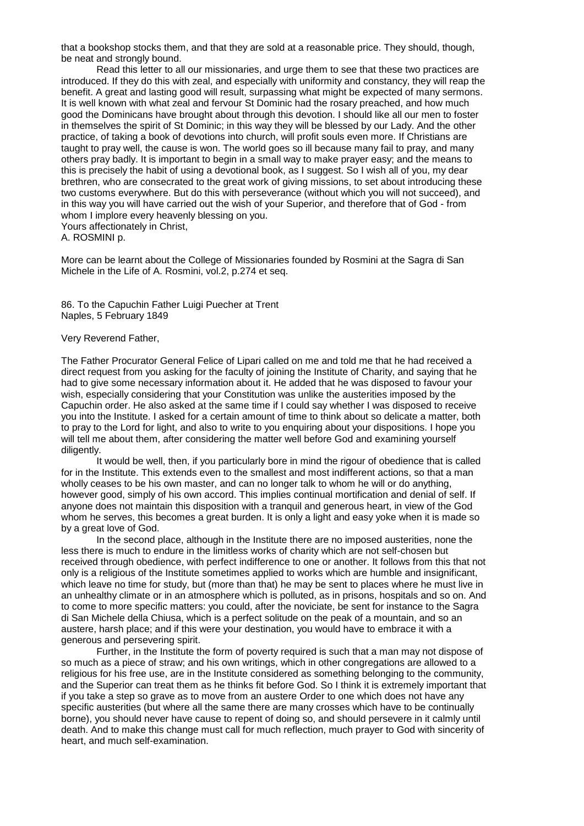that a bookshop stocks them, and that they are sold at a reasonable price. They should, though, be neat and strongly bound.

Read this letter to all our missionaries, and urge them to see that these two practices are introduced. If they do this with zeal, and especially with uniformity and constancy, they will reap the benefit. A great and lasting good will result, surpassing what might be expected of many sermons. It is well known with what zeal and fervour St Dominic had the rosary preached, and how much good the Dominicans have brought about through this devotion. I should like all our men to foster in themselves the spirit of St Dominic; in this way they will be blessed by our Lady. And the other practice, of taking a book of devotions into church, will profit souls even more. If Christians are taught to pray well, the cause is won. The world goes so ill because many fail to pray, and many others pray badly. It is important to begin in a small way to make prayer easy; and the means to this is precisely the habit of using a devotional book, as I suggest. So I wish all of you, my dear brethren, who are consecrated to the great work of giving missions, to set about introducing these two customs everywhere. But do this with perseverance (without which you will not succeed), and in this way you will have carried out the wish of your Superior, and therefore that of God - from whom I implore every heavenly blessing on you. Yours affectionately in Christ,

A. ROSMINI p.

More can be learnt about the College of Missionaries founded by Rosmini at the Sagra di San Michele in the Life of A. Rosmini, vol.2, p.274 et seq.

86. To the Capuchin Father Luigi Puecher at Trent Naples, 5 February 1849

#### Very Reverend Father,

The Father Procurator General Felice of Lipari called on me and told me that he had received a direct request from you asking for the faculty of joining the Institute of Charity, and saying that he had to give some necessary information about it. He added that he was disposed to favour your wish, especially considering that your Constitution was unlike the austerities imposed by the Capuchin order. He also asked at the same time if I could say whether I was disposed to receive you into the Institute. I asked for a certain amount of time to think about so delicate a matter, both to pray to the Lord for light, and also to write to you enquiring about your dispositions. I hope you will tell me about them, after considering the matter well before God and examining yourself diligently.

It would be well, then, if you particularly bore in mind the rigour of obedience that is called for in the Institute. This extends even to the smallest and most indifferent actions, so that a man wholly ceases to be his own master, and can no longer talk to whom he will or do anything, however good, simply of his own accord. This implies continual mortification and denial of self. If anyone does not maintain this disposition with a tranquil and generous heart, in view of the God whom he serves, this becomes a great burden. It is only a light and easy yoke when it is made so by a great love of God.

In the second place, although in the Institute there are no imposed austerities, none the less there is much to endure in the limitless works of charity which are not self-chosen but received through obedience, with perfect indifference to one or another. It follows from this that not only is a religious of the Institute sometimes applied to works which are humble and insignificant, which leave no time for study, but (more than that) he may be sent to places where he must live in an unhealthy climate or in an atmosphere which is polluted, as in prisons, hospitals and so on. And to come to more specific matters: you could, after the noviciate, be sent for instance to the Sagra di San Michele della Chiusa, which is a perfect solitude on the peak of a mountain, and so an austere, harsh place; and if this were your destination, you would have to embrace it with a generous and persevering spirit.

Further, in the Institute the form of poverty required is such that a man may not dispose of so much as a piece of straw; and his own writings, which in other congregations are allowed to a religious for his free use, are in the Institute considered as something belonging to the community, and the Superior can treat them as he thinks fit before God. So I think it is extremely important that if you take a step so grave as to move from an austere Order to one which does not have any specific austerities (but where all the same there are many crosses which have to be continually borne), you should never have cause to repent of doing so, and should persevere in it calmly until death. And to make this change must call for much reflection, much prayer to God with sincerity of heart, and much self-examination.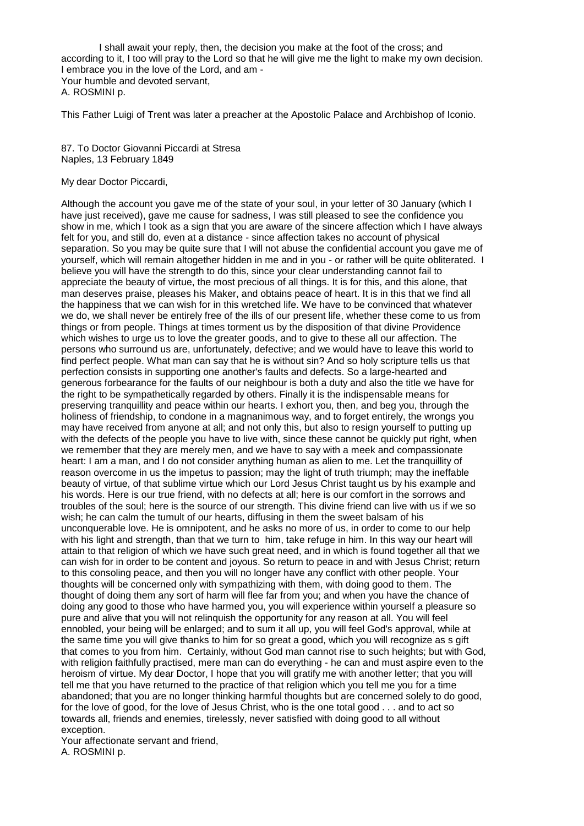I shall await your reply, then, the decision you make at the foot of the cross; and according to it, I too will pray to the Lord so that he will give me the light to make my own decision. I embrace you in the love of the Lord, and am - Your humble and devoted servant, A. ROSMINI p.

This Father Luigi of Trent was later a preacher at the Apostolic Palace and Archbishop of Iconio.

87. To Doctor Giovanni Piccardi at Stresa Naples, 13 February 1849

My dear Doctor Piccardi,

Although the account you gave me of the state of your soul, in your letter of 30 January (which I have just received), gave me cause for sadness, I was still pleased to see the confidence you show in me, which I took as a sign that you are aware of the sincere affection which I have always felt for you, and still do, even at a distance - since affection takes no account of physical separation. So you may be quite sure that I will not abuse the confidential account you gave me of yourself, which will remain altogether hidden in me and in you - or rather will be quite obliterated. I believe you will have the strength to do this, since your clear understanding cannot fail to appreciate the beauty of virtue, the most precious of all things. It is for this, and this alone, that man deserves praise, pleases his Maker, and obtains peace of heart. It is in this that we find all the happiness that we can wish for in this wretched life. We have to be convinced that whatever we do, we shall never be entirely free of the ills of our present life, whether these come to us from things or from people. Things at times torment us by the disposition of that divine Providence which wishes to urge us to love the greater goods, and to give to these all our affection. The persons who surround us are, unfortunately, defective; and we would have to leave this world to find perfect people. What man can say that he is without sin? And so holy scripture tells us that perfection consists in supporting one another's faults and defects. So a large-hearted and generous forbearance for the faults of our neighbour is both a duty and also the title we have for the right to be sympathetically regarded by others. Finally it is the indispensable means for preserving tranquillity and peace within our hearts. I exhort you, then, and beg you, through the holiness of friendship, to condone in a magnanimous way, and to forget entirely, the wrongs you may have received from anyone at all; and not only this, but also to resign yourself to putting up with the defects of the people you have to live with, since these cannot be quickly put right, when we remember that they are merely men, and we have to say with a meek and compassionate heart: I am a man, and I do not consider anything human as alien to me. Let the tranquillity of reason overcome in us the impetus to passion; may the light of truth triumph; may the ineffable beauty of virtue, of that sublime virtue which our Lord Jesus Christ taught us by his example and his words. Here is our true friend, with no defects at all; here is our comfort in the sorrows and troubles of the soul; here is the source of our strength. This divine friend can live with us if we so wish; he can calm the tumult of our hearts, diffusing in them the sweet balsam of his unconquerable love. He is omnipotent, and he asks no more of us, in order to come to our help with his light and strength, than that we turn to him, take refuge in him. In this way our heart will attain to that religion of which we have such great need, and in which is found together all that we can wish for in order to be content and joyous. So return to peace in and with Jesus Christ; return to this consoling peace, and then you will no longer have any conflict with other people. Your thoughts will be concerned only with sympathizing with them, with doing good to them. The thought of doing them any sort of harm will flee far from you; and when you have the chance of doing any good to those who have harmed you, you will experience within yourself a pleasure so pure and alive that you will not relinquish the opportunity for any reason at all. You will feel ennobled, your being will be enlarged; and to sum it all up, you will feel God's approval, while at the same time you will give thanks to him for so great a good, which you will recognize as s gift that comes to you from him. Certainly, without God man cannot rise to such heights; but with God, with religion faithfully practised, mere man can do everything - he can and must aspire even to the heroism of virtue. My dear Doctor, I hope that you will gratify me with another letter; that you will tell me that you have returned to the practice of that religion which you tell me you for a time abandoned; that you are no longer thinking harmful thoughts but are concerned solely to do good, for the love of good, for the love of Jesus Christ, who is the one total good . . . and to act so towards all, friends and enemies, tirelessly, never satisfied with doing good to all without exception.

Your affectionate servant and friend, A. ROSMINI p.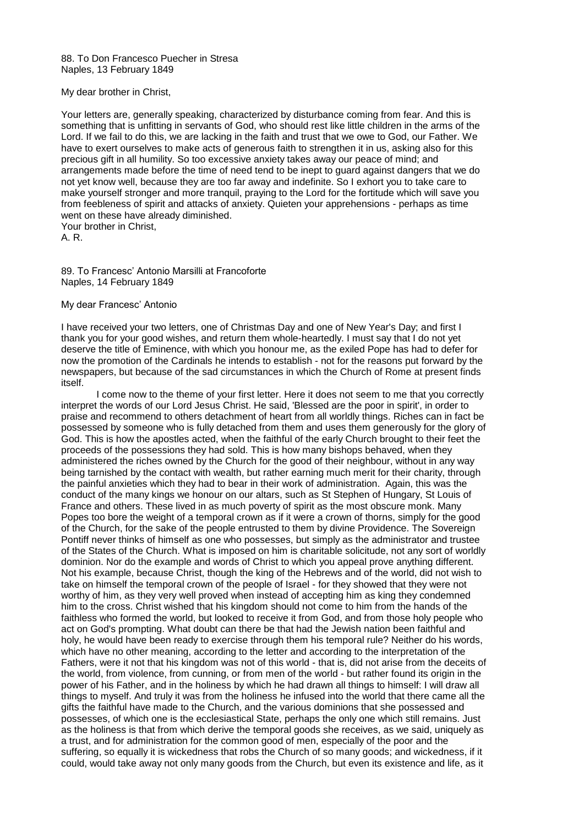88. To Don Francesco Puecher in Stresa Naples, 13 February 1849

My dear brother in Christ,

Your letters are, generally speaking, characterized by disturbance coming from fear. And this is something that is unfitting in servants of God, who should rest like little children in the arms of the Lord. If we fail to do this, we are lacking in the faith and trust that we owe to God, our Father. We have to exert ourselves to make acts of generous faith to strengthen it in us, asking also for this precious gift in all humility. So too excessive anxiety takes away our peace of mind; and arrangements made before the time of need tend to be inept to guard against dangers that we do not yet know well, because they are too far away and indefinite. So I exhort you to take care to make yourself stronger and more tranquil, praying to the Lord for the fortitude which will save you from feebleness of spirit and attacks of anxiety. Quieten your apprehensions - perhaps as time went on these have already diminished. Your brother in Christ,

A. R.

89. To Francesc' Antonio Marsilli at Francoforte Naples, 14 February 1849

## My dear Francesc' Antonio

I have received your two letters, one of Christmas Day and one of New Year's Day; and first I thank you for your good wishes, and return them whole-heartedly. I must say that I do not yet deserve the title of Eminence, with which you honour me, as the exiled Pope has had to defer for now the promotion of the Cardinals he intends to establish - not for the reasons put forward by the newspapers, but because of the sad circumstances in which the Church of Rome at present finds itself.

I come now to the theme of your first letter. Here it does not seem to me that you correctly interpret the words of our Lord Jesus Christ. He said, 'Blessed are the poor in spirit', in order to praise and recommend to others detachment of heart from all worldly things. Riches can in fact be possessed by someone who is fully detached from them and uses them generously for the glory of God. This is how the apostles acted, when the faithful of the early Church brought to their feet the proceeds of the possessions they had sold. This is how many bishops behaved, when they administered the riches owned by the Church for the good of their neighbour, without in any way being tarnished by the contact with wealth, but rather earning much merit for their charity, through the painful anxieties which they had to bear in their work of administration. Again, this was the conduct of the many kings we honour on our altars, such as St Stephen of Hungary, St Louis of France and others. These lived in as much poverty of spirit as the most obscure monk. Many Popes too bore the weight of a temporal crown as if it were a crown of thorns, simply for the good of the Church, for the sake of the people entrusted to them by divine Providence. The Sovereign Pontiff never thinks of himself as one who possesses, but simply as the administrator and trustee of the States of the Church. What is imposed on him is charitable solicitude, not any sort of worldly dominion. Nor do the example and words of Christ to which you appeal prove anything different. Not his example, because Christ, though the king of the Hebrews and of the world, did not wish to take on himself the temporal crown of the people of Israel - for they showed that they were not worthy of him, as they very well proved when instead of accepting him as king they condemned him to the cross. Christ wished that his kingdom should not come to him from the hands of the faithless who formed the world, but looked to receive it from God, and from those holy people who act on God's prompting. What doubt can there be that had the Jewish nation been faithful and holy, he would have been ready to exercise through them his temporal rule? Neither do his words, which have no other meaning, according to the letter and according to the interpretation of the Fathers, were it not that his kingdom was not of this world - that is, did not arise from the deceits of the world, from violence, from cunning, or from men of the world - but rather found its origin in the power of his Father, and in the holiness by which he had drawn all things to himself: I will draw all things to myself. And truly it was from the holiness he infused into the world that there came all the gifts the faithful have made to the Church, and the various dominions that she possessed and possesses, of which one is the ecclesiastical State, perhaps the only one which still remains. Just as the holiness is that from which derive the temporal goods she receives, as we said, uniquely as a trust, and for administration for the common good of men, especially of the poor and the suffering, so equally it is wickedness that robs the Church of so many goods; and wickedness, if it could, would take away not only many goods from the Church, but even its existence and life, as it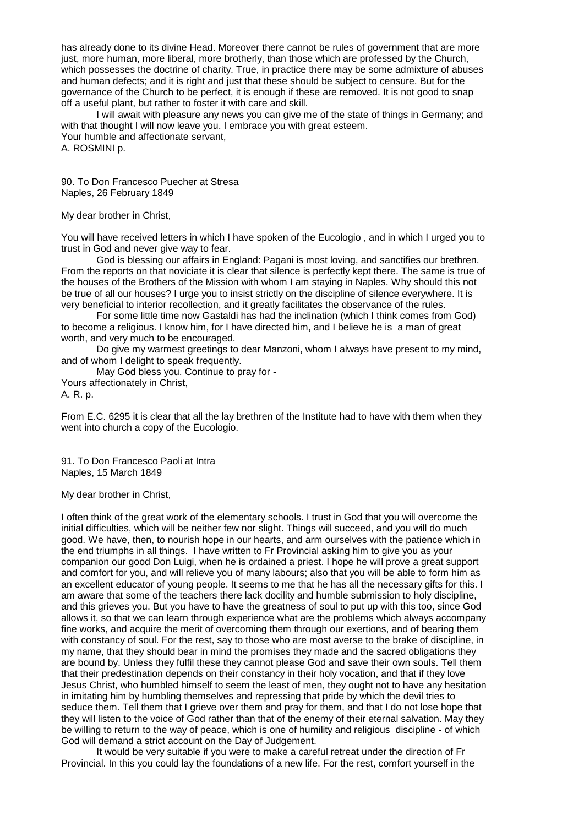has already done to its divine Head. Moreover there cannot be rules of government that are more just, more human, more liberal, more brotherly, than those which are professed by the Church, which possesses the doctrine of charity. True, in practice there may be some admixture of abuses and human defects; and it is right and just that these should be subject to censure. But for the governance of the Church to be perfect, it is enough if these are removed. It is not good to snap off a useful plant, but rather to foster it with care and skill.

I will await with pleasure any news you can give me of the state of things in Germany; and with that thought I will now leave you. I embrace you with great esteem. Your humble and affectionate servant, A. ROSMINI p.

90. To Don Francesco Puecher at Stresa Naples, 26 February 1849

My dear brother in Christ,

You will have received letters in which I have spoken of the Eucologio , and in which I urged you to trust in God and never give way to fear.

God is blessing our affairs in England: Pagani is most loving, and sanctifies our brethren. From the reports on that noviciate it is clear that silence is perfectly kept there. The same is true of the houses of the Brothers of the Mission with whom I am staying in Naples. Why should this not be true of all our houses? I urge you to insist strictly on the discipline of silence everywhere. It is very beneficial to interior recollection, and it greatly facilitates the observance of the rules.

For some little time now Gastaldi has had the inclination (which I think comes from God) to become a religious. I know him, for I have directed him, and I believe he is a man of great worth, and very much to be encouraged.

Do give my warmest greetings to dear Manzoni, whom I always have present to my mind, and of whom I delight to speak frequently.

May God bless you. Continue to pray for -

Yours affectionately in Christ,

A. R. p.

From E.C. 6295 it is clear that all the lay brethren of the Institute had to have with them when they went into church a copy of the Eucologio.

91. To Don Francesco Paoli at Intra Naples, 15 March 1849

My dear brother in Christ,

I often think of the great work of the elementary schools. I trust in God that you will overcome the initial difficulties, which will be neither few nor slight. Things will succeed, and you will do much good. We have, then, to nourish hope in our hearts, and arm ourselves with the patience which in the end triumphs in all things. I have written to Fr Provincial asking him to give you as your companion our good Don Luigi, when he is ordained a priest. I hope he will prove a great support and comfort for you, and will relieve you of many labours; also that you will be able to form him as an excellent educator of young people. It seems to me that he has all the necessary gifts for this. I am aware that some of the teachers there lack docility and humble submission to holy discipline, and this grieves you. But you have to have the greatness of soul to put up with this too, since God allows it, so that we can learn through experience what are the problems which always accompany fine works, and acquire the merit of overcoming them through our exertions, and of bearing them with constancy of soul. For the rest, say to those who are most averse to the brake of discipline, in my name, that they should bear in mind the promises they made and the sacred obligations they are bound by. Unless they fulfil these they cannot please God and save their own souls. Tell them that their predestination depends on their constancy in their holy vocation, and that if they love Jesus Christ, who humbled himself to seem the least of men, they ought not to have any hesitation in imitating him by humbling themselves and repressing that pride by which the devil tries to seduce them. Tell them that I grieve over them and pray for them, and that I do not lose hope that they will listen to the voice of God rather than that of the enemy of their eternal salvation. May they be willing to return to the way of peace, which is one of humility and religious discipline - of which God will demand a strict account on the Day of Judgement.

It would be very suitable if you were to make a careful retreat under the direction of Fr Provincial. In this you could lay the foundations of a new life. For the rest, comfort yourself in the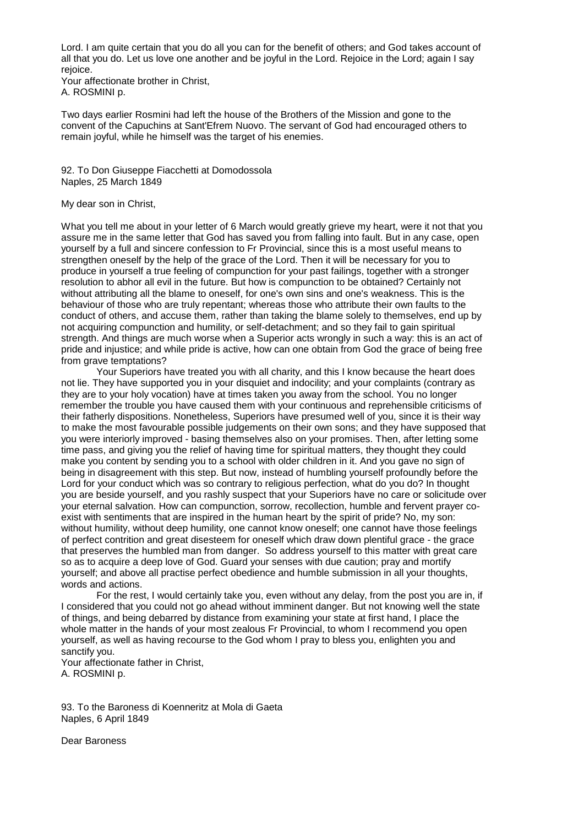Lord. I am quite certain that you do all you can for the benefit of others; and God takes account of all that you do. Let us love one another and be joyful in the Lord. Rejoice in the Lord; again I say rejoice.

Your affectionate brother in Christ, A. ROSMINI p.

Two days earlier Rosmini had left the house of the Brothers of the Mission and gone to the convent of the Capuchins at Sant'Efrem Nuovo. The servant of God had encouraged others to remain joyful, while he himself was the target of his enemies.

92. To Don Giuseppe Fiacchetti at Domodossola Naples, 25 March 1849

## My dear son in Christ,

What you tell me about in your letter of 6 March would greatly grieve my heart, were it not that you assure me in the same letter that God has saved you from falling into fault. But in any case, open yourself by a full and sincere confession to Fr Provincial, since this is a most useful means to strengthen oneself by the help of the grace of the Lord. Then it will be necessary for you to produce in yourself a true feeling of compunction for your past failings, together with a stronger resolution to abhor all evil in the future. But how is compunction to be obtained? Certainly not without attributing all the blame to oneself, for one's own sins and one's weakness. This is the behaviour of those who are truly repentant; whereas those who attribute their own faults to the conduct of others, and accuse them, rather than taking the blame solely to themselves, end up by not acquiring compunction and humility, or self-detachment; and so they fail to gain spiritual strength. And things are much worse when a Superior acts wrongly in such a way: this is an act of pride and injustice; and while pride is active, how can one obtain from God the grace of being free from grave temptations?

Your Superiors have treated you with all charity, and this I know because the heart does not lie. They have supported you in your disquiet and indocility; and your complaints (contrary as they are to your holy vocation) have at times taken you away from the school. You no longer remember the trouble you have caused them with your continuous and reprehensible criticisms of their fatherly dispositions. Nonetheless, Superiors have presumed well of you, since it is their way to make the most favourable possible judgements on their own sons; and they have supposed that you were interiorly improved - basing themselves also on your promises. Then, after letting some time pass, and giving you the relief of having time for spiritual matters, they thought they could make you content by sending you to a school with older children in it. And you gave no sign of being in disagreement with this step. But now, instead of humbling yourself profoundly before the Lord for your conduct which was so contrary to religious perfection, what do you do? In thought you are beside yourself, and you rashly suspect that your Superiors have no care or solicitude over your eternal salvation. How can compunction, sorrow, recollection, humble and fervent prayer coexist with sentiments that are inspired in the human heart by the spirit of pride? No, my son: without humility, without deep humility, one cannot know oneself; one cannot have those feelings of perfect contrition and great disesteem for oneself which draw down plentiful grace - the grace that preserves the humbled man from danger. So address yourself to this matter with great care so as to acquire a deep love of God. Guard your senses with due caution; pray and mortify yourself; and above all practise perfect obedience and humble submission in all your thoughts, words and actions.

For the rest, I would certainly take you, even without any delay, from the post you are in, if I considered that you could not go ahead without imminent danger. But not knowing well the state of things, and being debarred by distance from examining your state at first hand, I place the whole matter in the hands of your most zealous Fr Provincial, to whom I recommend you open yourself, as well as having recourse to the God whom I pray to bless you, enlighten you and sanctify you.

Your affectionate father in Christ, A. ROSMINI p.

93. To the Baroness di Koenneritz at Mola di Gaeta Naples, 6 April 1849

Dear Baroness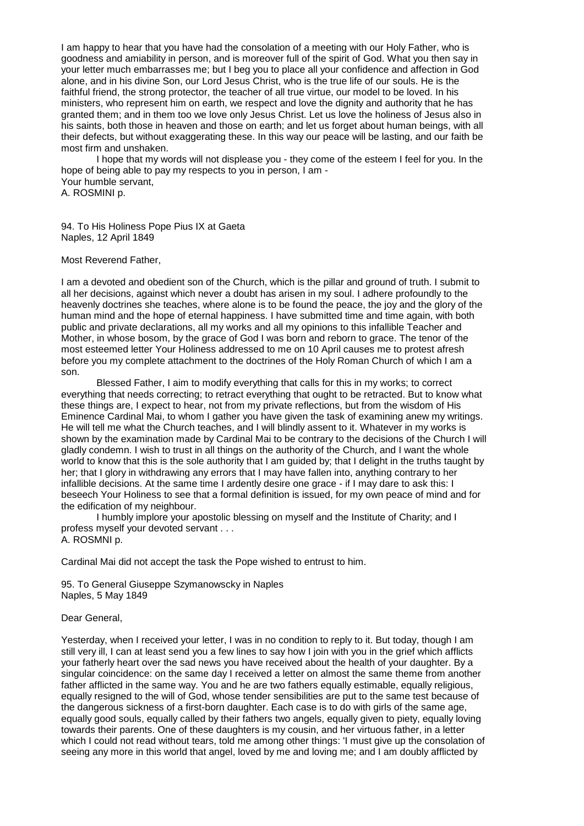I am happy to hear that you have had the consolation of a meeting with our Holy Father, who is goodness and amiability in person, and is moreover full of the spirit of God. What you then say in your letter much embarrasses me; but I beg you to place all your confidence and affection in God alone, and in his divine Son, our Lord Jesus Christ, who is the true life of our souls. He is the faithful friend, the strong protector, the teacher of all true virtue, our model to be loved. In his ministers, who represent him on earth, we respect and love the dignity and authority that he has granted them; and in them too we love only Jesus Christ. Let us love the holiness of Jesus also in his saints, both those in heaven and those on earth; and let us forget about human beings, with all their defects, but without exaggerating these. In this way our peace will be lasting, and our faith be most firm and unshaken.

I hope that my words will not displease you - they come of the esteem I feel for you. In the hope of being able to pay my respects to you in person, I am - Your humble servant, A. ROSMINI p.

94. To His Holiness Pope Pius IX at Gaeta Naples, 12 April 1849

#### Most Reverend Father,

I am a devoted and obedient son of the Church, which is the pillar and ground of truth. I submit to all her decisions, against which never a doubt has arisen in my soul. I adhere profoundly to the heavenly doctrines she teaches, where alone is to be found the peace, the joy and the glory of the human mind and the hope of eternal happiness. I have submitted time and time again, with both public and private declarations, all my works and all my opinions to this infallible Teacher and Mother, in whose bosom, by the grace of God I was born and reborn to grace. The tenor of the most esteemed letter Your Holiness addressed to me on 10 April causes me to protest afresh before you my complete attachment to the doctrines of the Holy Roman Church of which I am a son.

Blessed Father, I aim to modify everything that calls for this in my works; to correct everything that needs correcting; to retract everything that ought to be retracted. But to know what these things are, I expect to hear, not from my private reflections, but from the wisdom of His Eminence Cardinal Mai, to whom I gather you have given the task of examining anew my writings. He will tell me what the Church teaches, and I will blindly assent to it. Whatever in my works is shown by the examination made by Cardinal Mai to be contrary to the decisions of the Church I will gladly condemn. I wish to trust in all things on the authority of the Church, and I want the whole world to know that this is the sole authority that I am guided by; that I delight in the truths taught by her; that I glory in withdrawing any errors that I may have fallen into, anything contrary to her infallible decisions. At the same time I ardently desire one grace - if I may dare to ask this: I beseech Your Holiness to see that a formal definition is issued, for my own peace of mind and for the edification of my neighbour.

I humbly implore your apostolic blessing on myself and the Institute of Charity; and I profess myself your devoted servant . . . A. ROSMNI p.

Cardinal Mai did not accept the task the Pope wished to entrust to him.

95. To General Giuseppe Szymanowscky in Naples Naples, 5 May 1849

## Dear General,

Yesterday, when I received your letter, I was in no condition to reply to it. But today, though I am still very ill, I can at least send you a few lines to say how I join with you in the grief which afflicts your fatherly heart over the sad news you have received about the health of your daughter. By a singular coincidence: on the same day I received a letter on almost the same theme from another father afflicted in the same way. You and he are two fathers equally estimable, equally religious, equally resigned to the will of God, whose tender sensibilities are put to the same test because of the dangerous sickness of a first-born daughter. Each case is to do with girls of the same age, equally good souls, equally called by their fathers two angels, equally given to piety, equally loving towards their parents. One of these daughters is my cousin, and her virtuous father, in a letter which I could not read without tears, told me among other things: 'I must give up the consolation of seeing any more in this world that angel, loved by me and loving me; and I am doubly afflicted by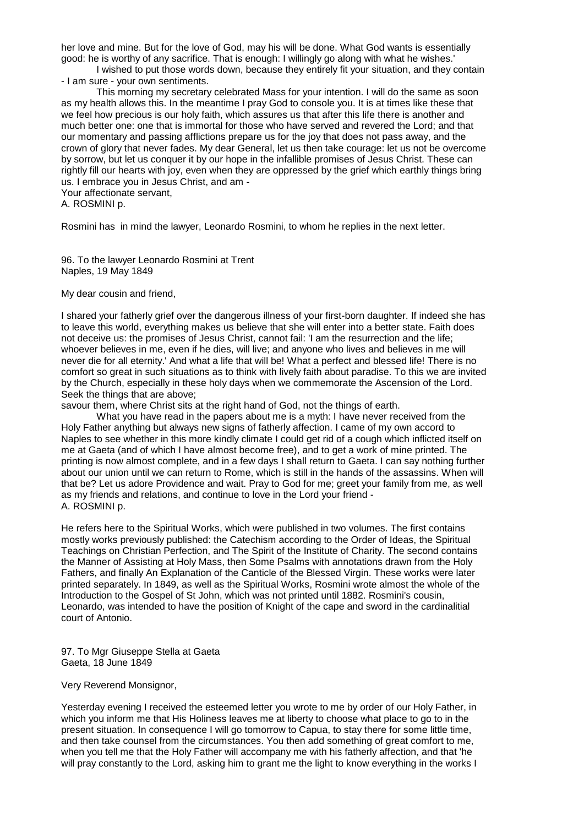her love and mine. But for the love of God, may his will be done. What God wants is essentially good: he is worthy of any sacrifice. That is enough: I willingly go along with what he wishes.'

I wished to put those words down, because they entirely fit your situation, and they contain - I am sure - your own sentiments.

This morning my secretary celebrated Mass for your intention. I will do the same as soon as my health allows this. In the meantime I pray God to console you. It is at times like these that we feel how precious is our holy faith, which assures us that after this life there is another and much better one: one that is immortal for those who have served and revered the Lord; and that our momentary and passing afflictions prepare us for the joy that does not pass away, and the crown of glory that never fades. My dear General, let us then take courage: let us not be overcome by sorrow, but let us conquer it by our hope in the infallible promises of Jesus Christ. These can rightly fill our hearts with joy, even when they are oppressed by the grief which earthly things bring us. I embrace you in Jesus Christ, and am -

Your affectionate servant,

A. ROSMINI p.

Rosmini has in mind the lawyer, Leonardo Rosmini, to whom he replies in the next letter.

96. To the lawyer Leonardo Rosmini at Trent Naples, 19 May 1849

My dear cousin and friend,

I shared your fatherly grief over the dangerous illness of your first-born daughter. If indeed she has to leave this world, everything makes us believe that she will enter into a better state. Faith does not deceive us: the promises of Jesus Christ, cannot fail: 'I am the resurrection and the life; whoever believes in me, even if he dies, will live; and anyone who lives and believes in me will never die for all eternity.' And what a life that will be! What a perfect and blessed life! There is no comfort so great in such situations as to think with lively faith about paradise. To this we are invited by the Church, especially in these holy days when we commemorate the Ascension of the Lord. Seek the things that are above;

savour them, where Christ sits at the right hand of God, not the things of earth.

What you have read in the papers about me is a myth: I have never received from the Holy Father anything but always new signs of fatherly affection. I came of my own accord to Naples to see whether in this more kindly climate I could get rid of a cough which inflicted itself on me at Gaeta (and of which I have almost become free), and to get a work of mine printed. The printing is now almost complete, and in a few days I shall return to Gaeta. I can say nothing further about our union until we can return to Rome, which is still in the hands of the assassins. When will that be? Let us adore Providence and wait. Pray to God for me; greet your family from me, as well as my friends and relations, and continue to love in the Lord your friend - A. ROSMINI p.

He refers here to the Spiritual Works, which were published in two volumes. The first contains mostly works previously published: the Catechism according to the Order of Ideas, the Spiritual Teachings on Christian Perfection, and The Spirit of the Institute of Charity. The second contains the Manner of Assisting at Holy Mass, then Some Psalms with annotations drawn from the Holy Fathers, and finally An Explanation of the Canticle of the Blessed Virgin. These works were later printed separately. In 1849, as well as the Spiritual Works, Rosmini wrote almost the whole of the Introduction to the Gospel of St John, which was not printed until 1882. Rosmini's cousin, Leonardo, was intended to have the position of Knight of the cape and sword in the cardinalitial court of Antonio.

97. To Mgr Giuseppe Stella at Gaeta Gaeta, 18 June 1849

Very Reverend Monsignor,

Yesterday evening I received the esteemed letter you wrote to me by order of our Holy Father, in which you inform me that His Holiness leaves me at liberty to choose what place to go to in the present situation. In consequence I will go tomorrow to Capua, to stay there for some little time, and then take counsel from the circumstances. You then add something of great comfort to me, when you tell me that the Holy Father will accompany me with his fatherly affection, and that 'he will pray constantly to the Lord, asking him to grant me the light to know everything in the works I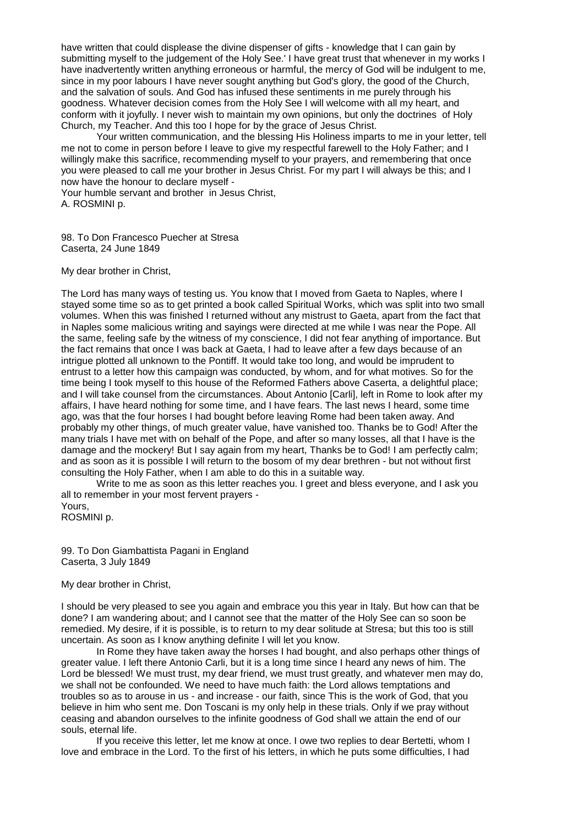have written that could displease the divine dispenser of gifts - knowledge that I can gain by submitting myself to the judgement of the Holy See.' I have great trust that whenever in my works I have inadvertently written anything erroneous or harmful, the mercy of God will be indulgent to me, since in my poor labours I have never sought anything but God's glory, the good of the Church, and the salvation of souls. And God has infused these sentiments in me purely through his goodness. Whatever decision comes from the Holy See I will welcome with all my heart, and conform with it joyfully. I never wish to maintain my own opinions, but only the doctrines of Holy Church, my Teacher. And this too I hope for by the grace of Jesus Christ.

Your written communication, and the blessing His Holiness imparts to me in your letter, tell me not to come in person before I leave to give my respectful farewell to the Holy Father; and I willingly make this sacrifice, recommending myself to your prayers, and remembering that once you were pleased to call me your brother in Jesus Christ. For my part I will always be this; and I now have the honour to declare myself -

Your humble servant and brother in Jesus Christ, A. ROSMINI p.

98. To Don Francesco Puecher at Stresa Caserta, 24 June 1849

My dear brother in Christ,

The Lord has many ways of testing us. You know that I moved from Gaeta to Naples, where I stayed some time so as to get printed a book called Spiritual Works, which was split into two small volumes. When this was finished I returned without any mistrust to Gaeta, apart from the fact that in Naples some malicious writing and sayings were directed at me while I was near the Pope. All the same, feeling safe by the witness of my conscience, I did not fear anything of importance. But the fact remains that once I was back at Gaeta, I had to leave after a few days because of an intrigue plotted all unknown to the Pontiff. It would take too long, and would be imprudent to entrust to a letter how this campaign was conducted, by whom, and for what motives. So for the time being I took myself to this house of the Reformed Fathers above Caserta, a delightful place; and I will take counsel from the circumstances. About Antonio [Carli], left in Rome to look after my affairs, I have heard nothing for some time, and I have fears. The last news I heard, some time ago, was that the four horses I had bought before leaving Rome had been taken away. And probably my other things, of much greater value, have vanished too. Thanks be to God! After the many trials I have met with on behalf of the Pope, and after so many losses, all that I have is the damage and the mockery! But I say again from my heart, Thanks be to God! I am perfectly calm; and as soon as it is possible I will return to the bosom of my dear brethren - but not without first consulting the Holy Father, when I am able to do this in a suitable way.

Write to me as soon as this letter reaches you. I greet and bless everyone, and I ask you all to remember in your most fervent prayers -

Yours, ROSMINI p.

99. To Don Giambattista Pagani in England Caserta, 3 July 1849

My dear brother in Christ,

I should be very pleased to see you again and embrace you this year in Italy. But how can that be done? I am wandering about; and I cannot see that the matter of the Holy See can so soon be remedied. My desire, if it is possible, is to return to my dear solitude at Stresa; but this too is still uncertain. As soon as I know anything definite I will let you know.

In Rome they have taken away the horses I had bought, and also perhaps other things of greater value. I left there Antonio Carli, but it is a long time since I heard any news of him. The Lord be blessed! We must trust, my dear friend, we must trust greatly, and whatever men may do, we shall not be confounded. We need to have much faith: the Lord allows temptations and troubles so as to arouse in us - and increase - our faith, since This is the work of God, that you believe in him who sent me. Don Toscani is my only help in these trials. Only if we pray without ceasing and abandon ourselves to the infinite goodness of God shall we attain the end of our souls, eternal life.

If you receive this letter, let me know at once. I owe two replies to dear Bertetti, whom I love and embrace in the Lord. To the first of his letters, in which he puts some difficulties, I had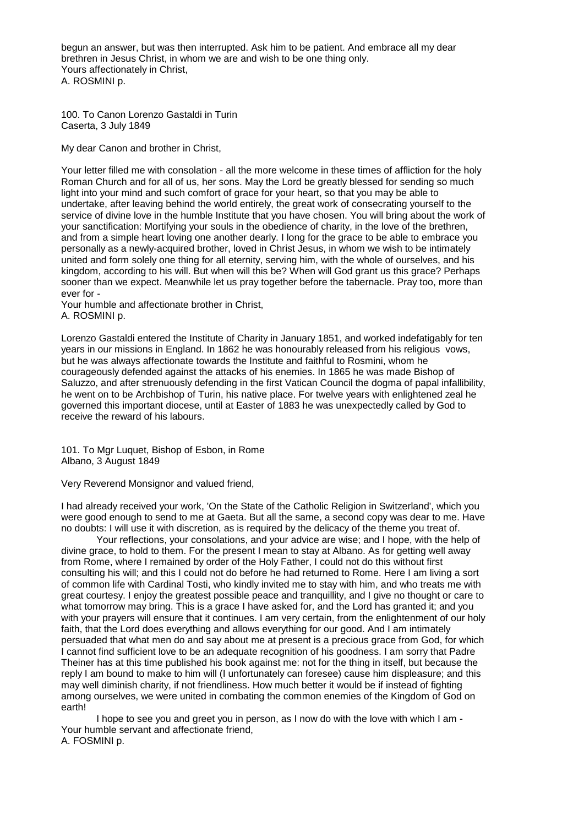begun an answer, but was then interrupted. Ask him to be patient. And embrace all my dear brethren in Jesus Christ, in whom we are and wish to be one thing only. Yours affectionately in Christ, A. ROSMINI p.

100. To Canon Lorenzo Gastaldi in Turin Caserta, 3 July 1849

My dear Canon and brother in Christ,

Your letter filled me with consolation - all the more welcome in these times of affliction for the holy Roman Church and for all of us, her sons. May the Lord be greatly blessed for sending so much light into your mind and such comfort of grace for your heart, so that you may be able to undertake, after leaving behind the world entirely, the great work of consecrating yourself to the service of divine love in the humble Institute that you have chosen. You will bring about the work of your sanctification: Mortifying your souls in the obedience of charity, in the love of the brethren, and from a simple heart loving one another dearly. I long for the grace to be able to embrace you personally as a newly-acquired brother, loved in Christ Jesus, in whom we wish to be intimately united and form solely one thing for all eternity, serving him, with the whole of ourselves, and his kingdom, according to his will. But when will this be? When will God grant us this grace? Perhaps sooner than we expect. Meanwhile let us pray together before the tabernacle. Pray too, more than ever for -

Your humble and affectionate brother in Christ, A. ROSMINI p.

Lorenzo Gastaldi entered the Institute of Charity in January 1851, and worked indefatigably for ten years in our missions in England. In 1862 he was honourably released from his religious vows, but he was always affectionate towards the Institute and faithful to Rosmini, whom he courageously defended against the attacks of his enemies. In 1865 he was made Bishop of Saluzzo, and after strenuously defending in the first Vatican Council the dogma of papal infallibility, he went on to be Archbishop of Turin, his native place. For twelve years with enlightened zeal he governed this important diocese, until at Easter of 1883 he was unexpectedly called by God to receive the reward of his labours.

101. To Mgr Luquet, Bishop of Esbon, in Rome Albano, 3 August 1849

Very Reverend Monsignor and valued friend,

I had already received your work, 'On the State of the Catholic Religion in Switzerland', which you were good enough to send to me at Gaeta. But all the same, a second copy was dear to me. Have no doubts: I will use it with discretion, as is required by the delicacy of the theme you treat of.

Your reflections, your consolations, and your advice are wise; and I hope, with the help of divine grace, to hold to them. For the present I mean to stay at Albano. As for getting well away from Rome, where I remained by order of the Holy Father, I could not do this without first consulting his will; and this I could not do before he had returned to Rome. Here I am living a sort of common life with Cardinal Tosti, who kindly invited me to stay with him, and who treats me with great courtesy. I enjoy the greatest possible peace and tranquillity, and I give no thought or care to what tomorrow may bring. This is a grace I have asked for, and the Lord has granted it; and you with your prayers will ensure that it continues. I am very certain, from the enlightenment of our holy faith, that the Lord does everything and allows everything for our good. And I am intimately persuaded that what men do and say about me at present is a precious grace from God, for which I cannot find sufficient love to be an adequate recognition of his goodness. I am sorry that Padre Theiner has at this time published his book against me: not for the thing in itself, but because the reply I am bound to make to him will (I unfortunately can foresee) cause him displeasure; and this may well diminish charity, if not friendliness. How much better it would be if instead of fighting among ourselves, we were united in combating the common enemies of the Kingdom of God on earth!

I hope to see you and greet you in person, as I now do with the love with which I am - Your humble servant and affectionate friend, A. FOSMINI p.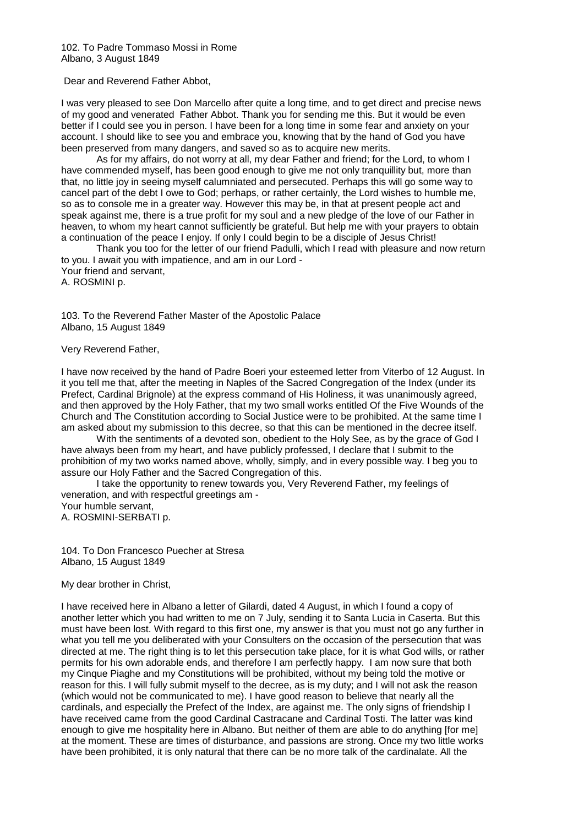102. To Padre Tommaso Mossi in Rome Albano, 3 August 1849

Dear and Reverend Father Abbot,

I was very pleased to see Don Marcello after quite a long time, and to get direct and precise news of my good and venerated Father Abbot. Thank you for sending me this. But it would be even better if I could see you in person. I have been for a long time in some fear and anxiety on your account. I should like to see you and embrace you, knowing that by the hand of God you have been preserved from many dangers, and saved so as to acquire new merits.

As for my affairs, do not worry at all, my dear Father and friend; for the Lord, to whom I have commended myself, has been good enough to give me not only tranquillity but, more than that, no little joy in seeing myself calumniated and persecuted. Perhaps this will go some way to cancel part of the debt I owe to God; perhaps, or rather certainly, the Lord wishes to humble me, so as to console me in a greater way. However this may be, in that at present people act and speak against me, there is a true profit for my soul and a new pledge of the love of our Father in heaven, to whom my heart cannot sufficiently be grateful. But help me with your prayers to obtain a continuation of the peace I enjoy. If only I could begin to be a disciple of Jesus Christ!

Thank you too for the letter of our friend Padulli, which I read with pleasure and now return to you. I await you with impatience, and am in our Lord - Your friend and servant, A. ROSMINI p.

103. To the Reverend Father Master of the Apostolic Palace Albano, 15 August 1849

Very Reverend Father,

I have now received by the hand of Padre Boeri your esteemed letter from Viterbo of 12 August. In it you tell me that, after the meeting in Naples of the Sacred Congregation of the Index (under its Prefect, Cardinal Brignole) at the express command of His Holiness, it was unanimously agreed, and then approved by the Holy Father, that my two small works entitled Of the Five Wounds of the Church and The Constitution according to Social Justice were to be prohibited. At the same time I am asked about my submission to this decree, so that this can be mentioned in the decree itself.

With the sentiments of a devoted son, obedient to the Holy See, as by the grace of God I have always been from my heart, and have publicly professed, I declare that I submit to the prohibition of my two works named above, wholly, simply, and in every possible way. I beg you to assure our Holy Father and the Sacred Congregation of this.

I take the opportunity to renew towards you, Very Reverend Father, my feelings of veneration, and with respectful greetings am - Your humble servant,

A. ROSMINI-SERBATI p.

104. To Don Francesco Puecher at Stresa Albano, 15 August 1849

My dear brother in Christ,

I have received here in Albano a letter of Gilardi, dated 4 August, in which I found a copy of another letter which you had written to me on 7 July, sending it to Santa Lucia in Caserta. But this must have been lost. With regard to this first one, my answer is that you must not go any further in what you tell me you deliberated with your Consulters on the occasion of the persecution that was directed at me. The right thing is to let this persecution take place, for it is what God wills, or rather permits for his own adorable ends, and therefore I am perfectly happy. I am now sure that both my Cinque Piaghe and my Constitutions will be prohibited, without my being told the motive or reason for this. I will fully submit myself to the decree, as is my duty; and I will not ask the reason (which would not be communicated to me). I have good reason to believe that nearly all the cardinals, and especially the Prefect of the Index, are against me. The only signs of friendship I have received came from the good Cardinal Castracane and Cardinal Tosti. The latter was kind enough to give me hospitality here in Albano. But neither of them are able to do anything [for me] at the moment. These are times of disturbance, and passions are strong. Once my two little works have been prohibited, it is only natural that there can be no more talk of the cardinalate. All the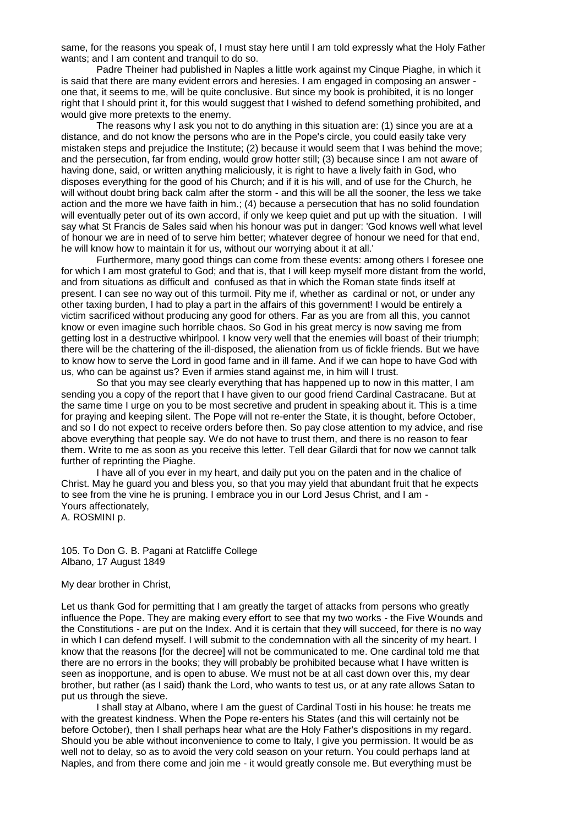same, for the reasons you speak of, I must stay here until I am told expressly what the Holy Father wants; and I am content and tranquil to do so.

Padre Theiner had published in Naples a little work against my Cinque Piaghe, in which it is said that there are many evident errors and heresies. I am engaged in composing an answer one that, it seems to me, will be quite conclusive. But since my book is prohibited, it is no longer right that I should print it, for this would suggest that I wished to defend something prohibited, and would give more pretexts to the enemy.

The reasons why I ask you not to do anything in this situation are: (1) since you are at a distance, and do not know the persons who are in the Pope's circle, you could easily take very mistaken steps and prejudice the Institute; (2) because it would seem that I was behind the move; and the persecution, far from ending, would grow hotter still; (3) because since I am not aware of having done, said, or written anything maliciously, it is right to have a lively faith in God, who disposes everything for the good of his Church; and if it is his will, and of use for the Church, he will without doubt bring back calm after the storm - and this will be all the sooner, the less we take action and the more we have faith in him.; (4) because a persecution that has no solid foundation will eventually peter out of its own accord, if only we keep quiet and put up with the situation. I will say what St Francis de Sales said when his honour was put in danger: 'God knows well what level of honour we are in need of to serve him better; whatever degree of honour we need for that end, he will know how to maintain it for us, without our worrying about it at all.'

Furthermore, many good things can come from these events: among others I foresee one for which I am most grateful to God; and that is, that I will keep myself more distant from the world, and from situations as difficult and confused as that in which the Roman state finds itself at present. I can see no way out of this turmoil. Pity me if, whether as cardinal or not, or under any other taxing burden, I had to play a part in the affairs of this government! I would be entirely a victim sacrificed without producing any good for others. Far as you are from all this, you cannot know or even imagine such horrible chaos. So God in his great mercy is now saving me from getting lost in a destructive whirlpool. I know very well that the enemies will boast of their triumph; there will be the chattering of the ill-disposed, the alienation from us of fickle friends. But we have to know how to serve the Lord in good fame and in ill fame. And if we can hope to have God with us, who can be against us? Even if armies stand against me, in him will I trust.

So that you may see clearly everything that has happened up to now in this matter, I am sending you a copy of the report that I have given to our good friend Cardinal Castracane. But at the same time I urge on you to be most secretive and prudent in speaking about it. This is a time for praying and keeping silent. The Pope will not re-enter the State, it is thought, before October, and so I do not expect to receive orders before then. So pay close attention to my advice, and rise above everything that people say. We do not have to trust them, and there is no reason to fear them. Write to me as soon as you receive this letter. Tell dear Gilardi that for now we cannot talk further of reprinting the Piaghe.

I have all of you ever in my heart, and daily put you on the paten and in the chalice of Christ. May he guard you and bless you, so that you may yield that abundant fruit that he expects to see from the vine he is pruning. I embrace you in our Lord Jesus Christ, and I am - Yours affectionately, A. ROSMINI p.

105. To Don G. B. Pagani at Ratcliffe College Albano, 17 August 1849

#### My dear brother in Christ,

Let us thank God for permitting that I am greatly the target of attacks from persons who greatly influence the Pope. They are making every effort to see that my two works - the Five Wounds and the Constitutions - are put on the Index. And it is certain that they will succeed, for there is no way in which I can defend myself. I will submit to the condemnation with all the sincerity of my heart. I know that the reasons [for the decree] will not be communicated to me. One cardinal told me that there are no errors in the books; they will probably be prohibited because what I have written is seen as inopportune, and is open to abuse. We must not be at all cast down over this, my dear brother, but rather (as I said) thank the Lord, who wants to test us, or at any rate allows Satan to put us through the sieve.

I shall stay at Albano, where I am the guest of Cardinal Tosti in his house: he treats me with the greatest kindness. When the Pope re-enters his States (and this will certainly not be before October), then I shall perhaps hear what are the Holy Father's dispositions in my regard. Should you be able without inconvenience to come to Italy, I give you permission. It would be as well not to delay, so as to avoid the very cold season on your return. You could perhaps land at Naples, and from there come and join me - it would greatly console me. But everything must be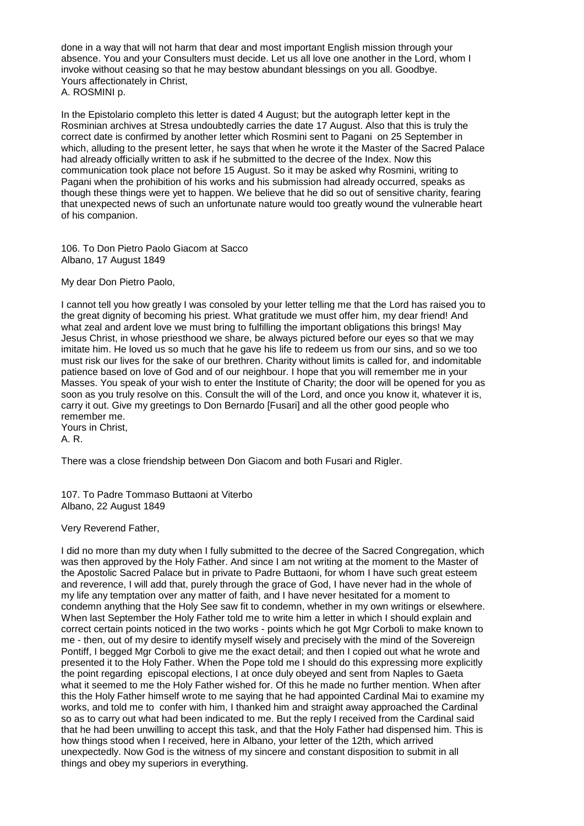done in a way that will not harm that dear and most important English mission through your absence. You and your Consulters must decide. Let us all love one another in the Lord, whom I invoke without ceasing so that he may bestow abundant blessings on you all. Goodbye. Yours affectionately in Christ, A. ROSMINI p.

In the Epistolario completo this letter is dated 4 August; but the autograph letter kept in the Rosminian archives at Stresa undoubtedly carries the date 17 August. Also that this is truly the correct date is confirmed by another letter which Rosmini sent to Pagani on 25 September in which, alluding to the present letter, he says that when he wrote it the Master of the Sacred Palace had already officially written to ask if he submitted to the decree of the Index. Now this communication took place not before 15 August. So it may be asked why Rosmini, writing to Pagani when the prohibition of his works and his submission had already occurred, speaks as though these things were yet to happen. We believe that he did so out of sensitive charity, fearing that unexpected news of such an unfortunate nature would too greatly wound the vulnerable heart of his companion.

106. To Don Pietro Paolo Giacom at Sacco Albano, 17 August 1849

My dear Don Pietro Paolo,

I cannot tell you how greatly I was consoled by your letter telling me that the Lord has raised you to the great dignity of becoming his priest. What gratitude we must offer him, my dear friend! And what zeal and ardent love we must bring to fulfilling the important obligations this brings! May Jesus Christ, in whose priesthood we share, be always pictured before our eyes so that we may imitate him. He loved us so much that he gave his life to redeem us from our sins, and so we too must risk our lives for the sake of our brethren. Charity without limits is called for, and indomitable patience based on love of God and of our neighbour. I hope that you will remember me in your Masses. You speak of your wish to enter the Institute of Charity; the door will be opened for you as soon as you truly resolve on this. Consult the will of the Lord, and once you know it, whatever it is, carry it out. Give my greetings to Don Bernardo [Fusari] and all the other good people who remember me. Yours in Christ,

A. R.

There was a close friendship between Don Giacom and both Fusari and Rigler.

107. To Padre Tommaso Buttaoni at Viterbo Albano, 22 August 1849

Very Reverend Father,

I did no more than my duty when I fully submitted to the decree of the Sacred Congregation, which was then approved by the Holy Father. And since I am not writing at the moment to the Master of the Apostolic Sacred Palace but in private to Padre Buttaoni, for whom I have such great esteem and reverence, I will add that, purely through the grace of God, I have never had in the whole of my life any temptation over any matter of faith, and I have never hesitated for a moment to condemn anything that the Holy See saw fit to condemn, whether in my own writings or elsewhere. When last September the Holy Father told me to write him a letter in which I should explain and correct certain points noticed in the two works - points which he got Mgr Corboli to make known to me - then, out of my desire to identify myself wisely and precisely with the mind of the Sovereign Pontiff, I begged Mgr Corboli to give me the exact detail; and then I copied out what he wrote and presented it to the Holy Father. When the Pope told me I should do this expressing more explicitly the point regarding episcopal elections, I at once duly obeyed and sent from Naples to Gaeta what it seemed to me the Holy Father wished for. Of this he made no further mention. When after this the Holy Father himself wrote to me saying that he had appointed Cardinal Mai to examine my works, and told me to confer with him, I thanked him and straight away approached the Cardinal so as to carry out what had been indicated to me. But the reply I received from the Cardinal said that he had been unwilling to accept this task, and that the Holy Father had dispensed him. This is how things stood when I received, here in Albano, your letter of the 12th, which arrived unexpectedly. Now God is the witness of my sincere and constant disposition to submit in all things and obey my superiors in everything.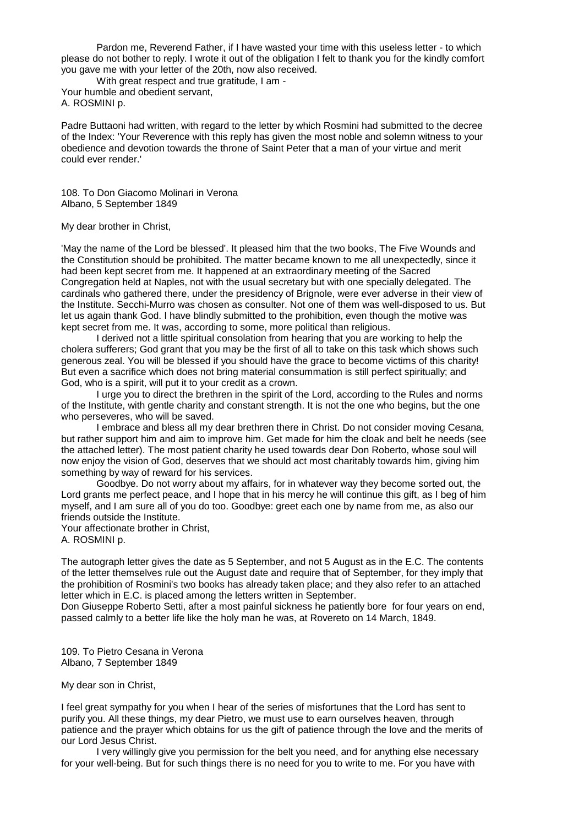Pardon me, Reverend Father, if I have wasted your time with this useless letter - to which please do not bother to reply. I wrote it out of the obligation I felt to thank you for the kindly comfort you gave me with your letter of the 20th, now also received.

With great respect and true gratitude, I am - Your humble and obedient servant, A. ROSMINI p.

Padre Buttaoni had written, with regard to the letter by which Rosmini had submitted to the decree of the Index: 'Your Reverence with this reply has given the most noble and solemn witness to your obedience and devotion towards the throne of Saint Peter that a man of your virtue and merit could ever render.'

108. To Don Giacomo Molinari in Verona Albano, 5 September 1849

## My dear brother in Christ,

'May the name of the Lord be blessed'. It pleased him that the two books, The Five Wounds and the Constitution should be prohibited. The matter became known to me all unexpectedly, since it had been kept secret from me. It happened at an extraordinary meeting of the Sacred Congregation held at Naples, not with the usual secretary but with one specially delegated. The cardinals who gathered there, under the presidency of Brignole, were ever adverse in their view of the Institute. Secchi-Murro was chosen as consulter. Not one of them was well-disposed to us. But let us again thank God. I have blindly submitted to the prohibition, even though the motive was kept secret from me. It was, according to some, more political than religious.

I derived not a little spiritual consolation from hearing that you are working to help the cholera sufferers; God grant that you may be the first of all to take on this task which shows such generous zeal. You will be blessed if you should have the grace to become victims of this charity! But even a sacrifice which does not bring material consummation is still perfect spiritually; and God, who is a spirit, will put it to your credit as a crown.

I urge you to direct the brethren in the spirit of the Lord, according to the Rules and norms of the Institute, with gentle charity and constant strength. It is not the one who begins, but the one who perseveres, who will be saved.

I embrace and bless all my dear brethren there in Christ. Do not consider moving Cesana, but rather support him and aim to improve him. Get made for him the cloak and belt he needs (see the attached letter). The most patient charity he used towards dear Don Roberto, whose soul will now enjoy the vision of God, deserves that we should act most charitably towards him, giving him something by way of reward for his services.

Goodbye. Do not worry about my affairs, for in whatever way they become sorted out, the Lord grants me perfect peace, and I hope that in his mercy he will continue this gift, as I beg of him myself, and I am sure all of you do too. Goodbye: greet each one by name from me, as also our friends outside the Institute.

Your affectionate brother in Christ,

A. ROSMINI p.

The autograph letter gives the date as 5 September, and not 5 August as in the E.C. The contents of the letter themselves rule out the August date and require that of September, for they imply that the prohibition of Rosmini's two books has already taken place; and they also refer to an attached letter which in E.C. is placed among the letters written in September.

Don Giuseppe Roberto Setti, after a most painful sickness he patiently bore for four years on end, passed calmly to a better life like the holy man he was, at Rovereto on 14 March, 1849.

109. To Pietro Cesana in Verona Albano, 7 September 1849

My dear son in Christ,

I feel great sympathy for you when I hear of the series of misfortunes that the Lord has sent to purify you. All these things, my dear Pietro, we must use to earn ourselves heaven, through patience and the prayer which obtains for us the gift of patience through the love and the merits of our Lord Jesus Christ.

I very willingly give you permission for the belt you need, and for anything else necessary for your well-being. But for such things there is no need for you to write to me. For you have with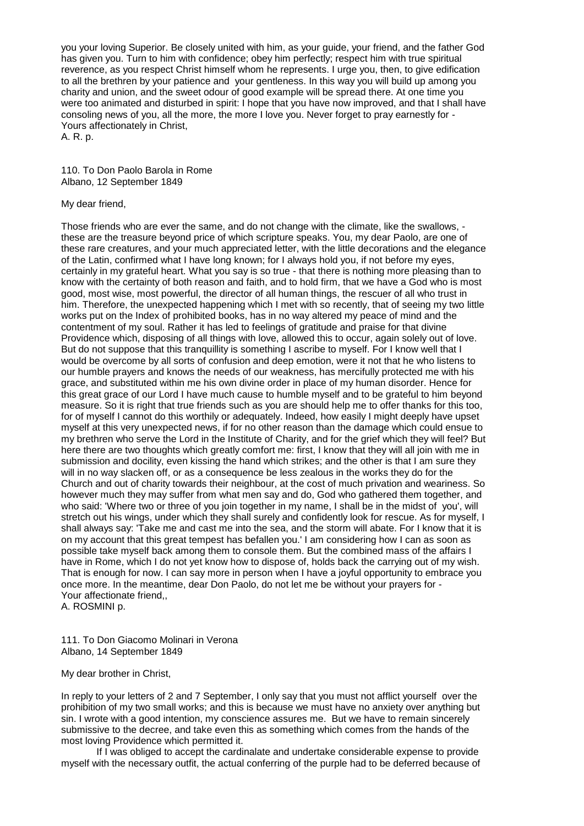you your loving Superior. Be closely united with him, as your guide, your friend, and the father God has given you. Turn to him with confidence; obey him perfectly; respect him with true spiritual reverence, as you respect Christ himself whom he represents. I urge you, then, to give edification to all the brethren by your patience and your gentleness. In this way you will build up among you charity and union, and the sweet odour of good example will be spread there. At one time you were too animated and disturbed in spirit: I hope that you have now improved, and that I shall have consoling news of you, all the more, the more I love you. Never forget to pray earnestly for - Yours affectionately in Christ,

A. R. p.

110. To Don Paolo Barola in Rome Albano, 12 September 1849

## My dear friend,

Those friends who are ever the same, and do not change with the climate, like the swallows, these are the treasure beyond price of which scripture speaks. You, my dear Paolo, are one of these rare creatures, and your much appreciated letter, with the little decorations and the elegance of the Latin, confirmed what I have long known; for I always hold you, if not before my eyes, certainly in my grateful heart. What you say is so true - that there is nothing more pleasing than to know with the certainty of both reason and faith, and to hold firm, that we have a God who is most good, most wise, most powerful, the director of all human things, the rescuer of all who trust in him. Therefore, the unexpected happening which I met with so recently, that of seeing my two little works put on the Index of prohibited books, has in no way altered my peace of mind and the contentment of my soul. Rather it has led to feelings of gratitude and praise for that divine Providence which, disposing of all things with love, allowed this to occur, again solely out of love. But do not suppose that this tranquillity is something I ascribe to myself. For I know well that I would be overcome by all sorts of confusion and deep emotion, were it not that he who listens to our humble prayers and knows the needs of our weakness, has mercifully protected me with his grace, and substituted within me his own divine order in place of my human disorder. Hence for this great grace of our Lord I have much cause to humble myself and to be grateful to him beyond measure. So it is right that true friends such as you are should help me to offer thanks for this too, for of myself I cannot do this worthily or adequately. Indeed, how easily I might deeply have upset myself at this very unexpected news, if for no other reason than the damage which could ensue to my brethren who serve the Lord in the Institute of Charity, and for the grief which they will feel? But here there are two thoughts which greatly comfort me: first, I know that they will all join with me in submission and docility, even kissing the hand which strikes; and the other is that I am sure they will in no way slacken off, or as a consequence be less zealous in the works they do for the Church and out of charity towards their neighbour, at the cost of much privation and weariness. So however much they may suffer from what men say and do, God who gathered them together, and who said: 'Where two or three of you join together in my name, I shall be in the midst of you', will stretch out his wings, under which they shall surely and confidently look for rescue. As for myself, I shall always say: 'Take me and cast me into the sea, and the storm will abate. For I know that it is on my account that this great tempest has befallen you.' I am considering how I can as soon as possible take myself back among them to console them. But the combined mass of the affairs I have in Rome, which I do not yet know how to dispose of, holds back the carrying out of my wish. That is enough for now. I can say more in person when I have a joyful opportunity to embrace you once more. In the meantime, dear Don Paolo, do not let me be without your prayers for - Your affectionate friend,,

A. ROSMINI p.

111. To Don Giacomo Molinari in Verona Albano, 14 September 1849

My dear brother in Christ,

In reply to your letters of 2 and 7 September, I only say that you must not afflict yourself over the prohibition of my two small works; and this is because we must have no anxiety over anything but sin. I wrote with a good intention, my conscience assures me. But we have to remain sincerely submissive to the decree, and take even this as something which comes from the hands of the most loving Providence which permitted it.

If I was obliged to accept the cardinalate and undertake considerable expense to provide myself with the necessary outfit, the actual conferring of the purple had to be deferred because of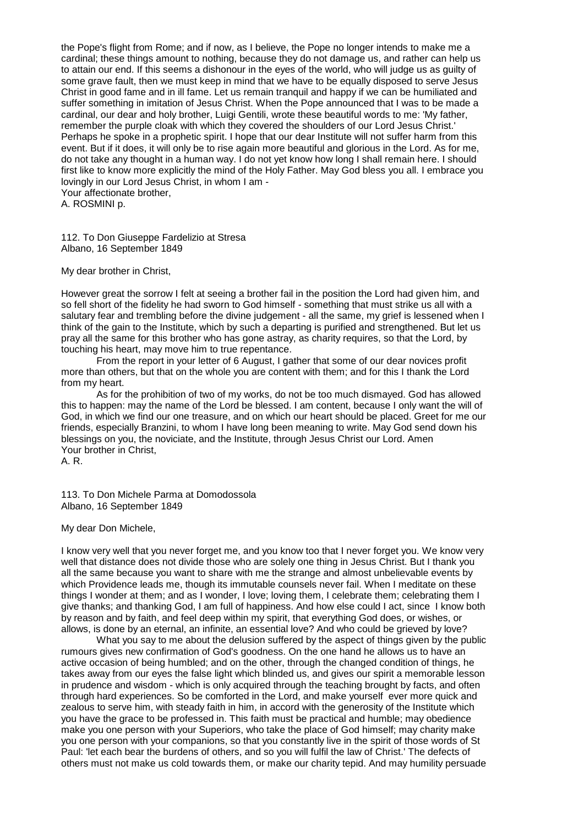the Pope's flight from Rome; and if now, as I believe, the Pope no longer intends to make me a cardinal; these things amount to nothing, because they do not damage us, and rather can help us to attain our end. If this seems a dishonour in the eyes of the world, who will judge us as guilty of some grave fault, then we must keep in mind that we have to be equally disposed to serve Jesus Christ in good fame and in ill fame. Let us remain tranquil and happy if we can be humiliated and suffer something in imitation of Jesus Christ. When the Pope announced that I was to be made a cardinal, our dear and holy brother, Luigi Gentili, wrote these beautiful words to me: 'My father, remember the purple cloak with which they covered the shoulders of our Lord Jesus Christ.' Perhaps he spoke in a prophetic spirit. I hope that our dear Institute will not suffer harm from this event. But if it does, it will only be to rise again more beautiful and glorious in the Lord. As for me, do not take any thought in a human way. I do not yet know how long I shall remain here. I should first like to know more explicitly the mind of the Holy Father. May God bless you all. I embrace you lovingly in our Lord Jesus Christ, in whom I am - Your affectionate brother,

A. ROSMINI p.

112. To Don Giuseppe Fardelizio at Stresa Albano, 16 September 1849

My dear brother in Christ,

However great the sorrow I felt at seeing a brother fail in the position the Lord had given him, and so fell short of the fidelity he had sworn to God himself - something that must strike us all with a salutary fear and trembling before the divine judgement - all the same, my grief is lessened when I think of the gain to the Institute, which by such a departing is purified and strengthened. But let us pray all the same for this brother who has gone astray, as charity requires, so that the Lord, by touching his heart, may move him to true repentance.

From the report in your letter of 6 August, I gather that some of our dear novices profit more than others, but that on the whole you are content with them; and for this I thank the Lord from my heart.

As for the prohibition of two of my works, do not be too much dismayed. God has allowed this to happen: may the name of the Lord be blessed. I am content, because I only want the will of God, in which we find our one treasure, and on which our heart should be placed. Greet for me our friends, especially Branzini, to whom I have long been meaning to write. May God send down his blessings on you, the noviciate, and the Institute, through Jesus Christ our Lord. Amen Your brother in Christ, A. R.

113. To Don Michele Parma at Domodossola Albano, 16 September 1849

My dear Don Michele,

I know very well that you never forget me, and you know too that I never forget you. We know very well that distance does not divide those who are solely one thing in Jesus Christ. But I thank you all the same because you want to share with me the strange and almost unbelievable events by which Providence leads me, though its immutable counsels never fail. When I meditate on these things I wonder at them; and as I wonder, I love; loving them, I celebrate them; celebrating them I give thanks; and thanking God, I am full of happiness. And how else could I act, since I know both by reason and by faith, and feel deep within my spirit, that everything God does, or wishes, or allows, is done by an eternal, an infinite, an essential love? And who could be grieved by love?

What you say to me about the delusion suffered by the aspect of things given by the public rumours gives new confirmation of God's goodness. On the one hand he allows us to have an active occasion of being humbled; and on the other, through the changed condition of things, he takes away from our eyes the false light which blinded us, and gives our spirit a memorable lesson in prudence and wisdom - which is only acquired through the teaching brought by facts, and often through hard experiences. So be comforted in the Lord, and make yourself ever more quick and zealous to serve him, with steady faith in him, in accord with the generosity of the Institute which you have the grace to be professed in. This faith must be practical and humble; may obedience make you one person with your Superiors, who take the place of God himself; may charity make you one person with your companions, so that you constantly live in the spirit of those words of St Paul: 'let each bear the burdens of others, and so you will fulfil the law of Christ.' The defects of others must not make us cold towards them, or make our charity tepid. And may humility persuade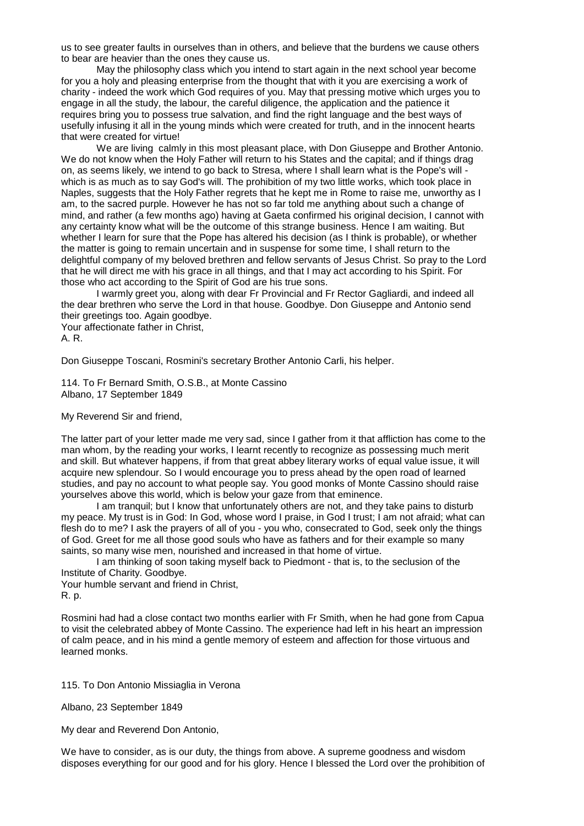us to see greater faults in ourselves than in others, and believe that the burdens we cause others to bear are heavier than the ones they cause us.

May the philosophy class which you intend to start again in the next school year become for you a holy and pleasing enterprise from the thought that with it you are exercising a work of charity - indeed the work which God requires of you. May that pressing motive which urges you to engage in all the study, the labour, the careful diligence, the application and the patience it requires bring you to possess true salvation, and find the right language and the best ways of usefully infusing it all in the young minds which were created for truth, and in the innocent hearts that were created for virtue!

We are living calmly in this most pleasant place, with Don Giuseppe and Brother Antonio. We do not know when the Holy Father will return to his States and the capital; and if things drag on, as seems likely, we intend to go back to Stresa, where I shall learn what is the Pope's will which is as much as to say God's will. The prohibition of my two little works, which took place in Naples, suggests that the Holy Father regrets that he kept me in Rome to raise me, unworthy as I am, to the sacred purple. However he has not so far told me anything about such a change of mind, and rather (a few months ago) having at Gaeta confirmed his original decision, I cannot with any certainty know what will be the outcome of this strange business. Hence I am waiting. But whether I learn for sure that the Pope has altered his decision (as I think is probable), or whether the matter is going to remain uncertain and in suspense for some time, I shall return to the delightful company of my beloved brethren and fellow servants of Jesus Christ. So pray to the Lord that he will direct me with his grace in all things, and that I may act according to his Spirit. For those who act according to the Spirit of God are his true sons.

I warmly greet you, along with dear Fr Provincial and Fr Rector Gagliardi, and indeed all the dear brethren who serve the Lord in that house. Goodbye. Don Giuseppe and Antonio send their greetings too. Again goodbye.

Your affectionate father in Christ,

A. R.

Don Giuseppe Toscani, Rosmini's secretary Brother Antonio Carli, his helper.

114. To Fr Bernard Smith, O.S.B., at Monte Cassino Albano, 17 September 1849

My Reverend Sir and friend,

The latter part of your letter made me very sad, since I gather from it that affliction has come to the man whom, by the reading your works, I learnt recently to recognize as possessing much merit and skill. But whatever happens, if from that great abbey literary works of equal value issue, it will acquire new splendour. So I would encourage you to press ahead by the open road of learned studies, and pay no account to what people say. You good monks of Monte Cassino should raise yourselves above this world, which is below your gaze from that eminence.

I am tranquil; but I know that unfortunately others are not, and they take pains to disturb my peace. My trust is in God: In God, whose word I praise, in God I trust; I am not afraid; what can flesh do to me? I ask the prayers of all of you - you who, consecrated to God, seek only the things of God. Greet for me all those good souls who have as fathers and for their example so many saints, so many wise men, nourished and increased in that home of virtue.

I am thinking of soon taking myself back to Piedmont - that is, to the seclusion of the Institute of Charity. Goodbye.

Your humble servant and friend in Christ, R. p.

Rosmini had had a close contact two months earlier with Fr Smith, when he had gone from Capua to visit the celebrated abbey of Monte Cassino. The experience had left in his heart an impression of calm peace, and in his mind a gentle memory of esteem and affection for those virtuous and learned monks.

115. To Don Antonio Missiaglia in Verona

Albano, 23 September 1849

My dear and Reverend Don Antonio,

We have to consider, as is our duty, the things from above. A supreme goodness and wisdom disposes everything for our good and for his glory. Hence I blessed the Lord over the prohibition of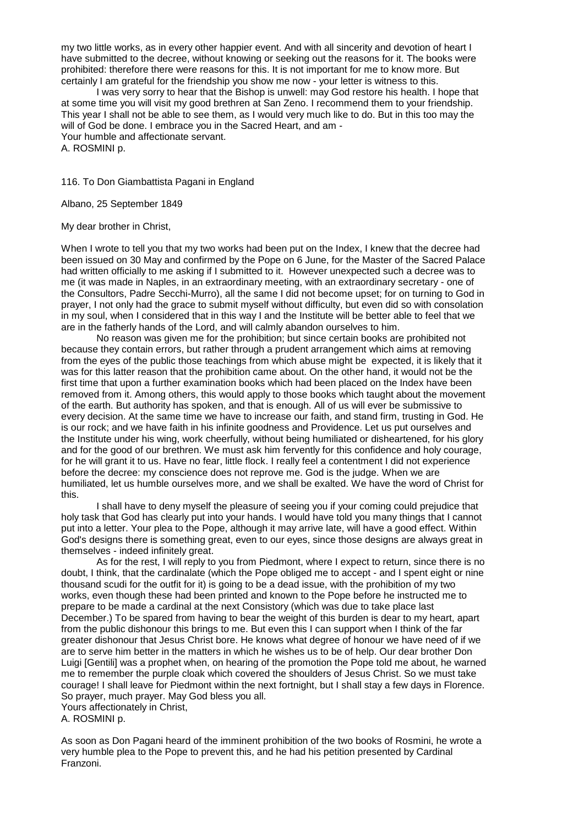my two little works, as in every other happier event. And with all sincerity and devotion of heart I have submitted to the decree, without knowing or seeking out the reasons for it. The books were prohibited: therefore there were reasons for this. It is not important for me to know more. But certainly I am grateful for the friendship you show me now - your letter is witness to this.

I was very sorry to hear that the Bishop is unwell: may God restore his health. I hope that at some time you will visit my good brethren at San Zeno. I recommend them to your friendship. This year I shall not be able to see them, as I would very much like to do. But in this too may the will of God be done. I embrace you in the Sacred Heart, and am - Your humble and affectionate servant.

A. ROSMINI p.

116. To Don Giambattista Pagani in England

Albano, 25 September 1849

My dear brother in Christ,

When I wrote to tell you that my two works had been put on the Index, I knew that the decree had been issued on 30 May and confirmed by the Pope on 6 June, for the Master of the Sacred Palace had written officially to me asking if I submitted to it. However unexpected such a decree was to me (it was made in Naples, in an extraordinary meeting, with an extraordinary secretary - one of the Consultors, Padre Secchi-Murro), all the same I did not become upset; for on turning to God in prayer, I not only had the grace to submit myself without difficulty, but even did so with consolation in my soul, when I considered that in this way I and the Institute will be better able to feel that we are in the fatherly hands of the Lord, and will calmly abandon ourselves to him.

No reason was given me for the prohibition; but since certain books are prohibited not because they contain errors, but rather through a prudent arrangement which aims at removing from the eyes of the public those teachings from which abuse might be expected, it is likely that it was for this latter reason that the prohibition came about. On the other hand, it would not be the first time that upon a further examination books which had been placed on the Index have been removed from it. Among others, this would apply to those books which taught about the movement of the earth. But authority has spoken, and that is enough. All of us will ever be submissive to every decision. At the same time we have to increase our faith, and stand firm, trusting in God. He is our rock; and we have faith in his infinite goodness and Providence. Let us put ourselves and the Institute under his wing, work cheerfully, without being humiliated or disheartened, for his glory and for the good of our brethren. We must ask him fervently for this confidence and holy courage, for he will grant it to us. Have no fear, little flock. I really feel a contentment I did not experience before the decree: my conscience does not reprove me. God is the judge. When we are humiliated, let us humble ourselves more, and we shall be exalted. We have the word of Christ for this.

I shall have to deny myself the pleasure of seeing you if your coming could prejudice that holy task that God has clearly put into your hands. I would have told you many things that I cannot put into a letter. Your plea to the Pope, although it may arrive late, will have a good effect. Within God's designs there is something great, even to our eyes, since those designs are always great in themselves - indeed infinitely great.

As for the rest, I will reply to you from Piedmont, where I expect to return, since there is no doubt, I think, that the cardinalate (which the Pope obliged me to accept - and I spent eight or nine thousand scudi for the outfit for it) is going to be a dead issue, with the prohibition of my two works, even though these had been printed and known to the Pope before he instructed me to prepare to be made a cardinal at the next Consistory (which was due to take place last December.) To be spared from having to bear the weight of this burden is dear to my heart, apart from the public dishonour this brings to me. But even this I can support when I think of the far greater dishonour that Jesus Christ bore. He knows what degree of honour we have need of if we are to serve him better in the matters in which he wishes us to be of help. Our dear brother Don Luigi [Gentili] was a prophet when, on hearing of the promotion the Pope told me about, he warned me to remember the purple cloak which covered the shoulders of Jesus Christ. So we must take courage! I shall leave for Piedmont within the next fortnight, but I shall stay a few days in Florence. So prayer, much prayer. May God bless you all.

Yours affectionately in Christ,

A. ROSMINI p.

As soon as Don Pagani heard of the imminent prohibition of the two books of Rosmini, he wrote a very humble plea to the Pope to prevent this, and he had his petition presented by Cardinal Franzoni.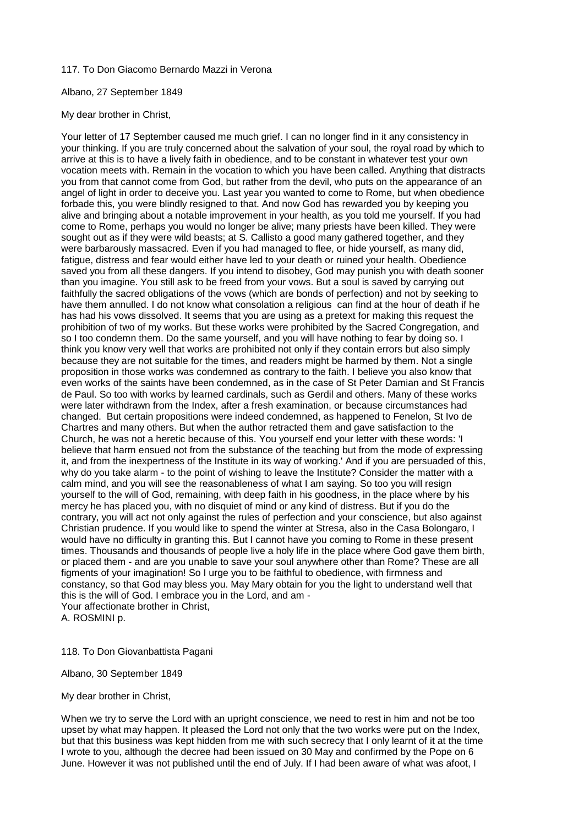# 117. To Don Giacomo Bernardo Mazzi in Verona

# Albano, 27 September 1849

# My dear brother in Christ,

Your letter of 17 September caused me much grief. I can no longer find in it any consistency in your thinking. If you are truly concerned about the salvation of your soul, the royal road by which to arrive at this is to have a lively faith in obedience, and to be constant in whatever test your own vocation meets with. Remain in the vocation to which you have been called. Anything that distracts you from that cannot come from God, but rather from the devil, who puts on the appearance of an angel of light in order to deceive you. Last year you wanted to come to Rome, but when obedience forbade this, you were blindly resigned to that. And now God has rewarded you by keeping you alive and bringing about a notable improvement in your health, as you told me yourself. If you had come to Rome, perhaps you would no longer be alive; many priests have been killed. They were sought out as if they were wild beasts; at S. Callisto a good many gathered together, and they were barbarously massacred. Even if you had managed to flee, or hide yourself, as many did, fatigue, distress and fear would either have led to your death or ruined your health. Obedience saved you from all these dangers. If you intend to disobey, God may punish you with death sooner than you imagine. You still ask to be freed from your vows. But a soul is saved by carrying out faithfully the sacred obligations of the vows (which are bonds of perfection) and not by seeking to have them annulled. I do not know what consolation a religious can find at the hour of death if he has had his vows dissolved. It seems that you are using as a pretext for making this request the prohibition of two of my works. But these works were prohibited by the Sacred Congregation, and so I too condemn them. Do the same yourself, and you will have nothing to fear by doing so. I think you know very well that works are prohibited not only if they contain errors but also simply because they are not suitable for the times, and readers might be harmed by them. Not a single proposition in those works was condemned as contrary to the faith. I believe you also know that even works of the saints have been condemned, as in the case of St Peter Damian and St Francis de Paul. So too with works by learned cardinals, such as Gerdil and others. Many of these works were later withdrawn from the Index, after a fresh examination, or because circumstances had changed. But certain propositions were indeed condemned, as happened to Fenelon, St Ivo de Chartres and many others. But when the author retracted them and gave satisfaction to the Church, he was not a heretic because of this. You yourself end your letter with these words: 'I believe that harm ensued not from the substance of the teaching but from the mode of expressing it, and from the inexpertness of the Institute in its way of working.' And if you are persuaded of this, why do you take alarm - to the point of wishing to leave the Institute? Consider the matter with a calm mind, and you will see the reasonableness of what I am saying. So too you will resign yourself to the will of God, remaining, with deep faith in his goodness, in the place where by his mercy he has placed you, with no disquiet of mind or any kind of distress. But if you do the contrary, you will act not only against the rules of perfection and your conscience, but also against Christian prudence. If you would like to spend the winter at Stresa, also in the Casa Bolongaro, I would have no difficulty in granting this. But I cannot have you coming to Rome in these present times. Thousands and thousands of people live a holy life in the place where God gave them birth, or placed them - and are you unable to save your soul anywhere other than Rome? These are all figments of your imagination! So I urge you to be faithful to obedience, with firmness and constancy, so that God may bless you. May Mary obtain for you the light to understand well that this is the will of God. I embrace you in the Lord, and am - Your affectionate brother in Christ,

A. ROSMINI p.

118. To Don Giovanbattista Pagani

Albano, 30 September 1849

My dear brother in Christ,

When we try to serve the Lord with an upright conscience, we need to rest in him and not be too upset by what may happen. It pleased the Lord not only that the two works were put on the Index, but that this business was kept hidden from me with such secrecy that I only learnt of it at the time I wrote to you, although the decree had been issued on 30 May and confirmed by the Pope on 6 June. However it was not published until the end of July. If I had been aware of what was afoot, I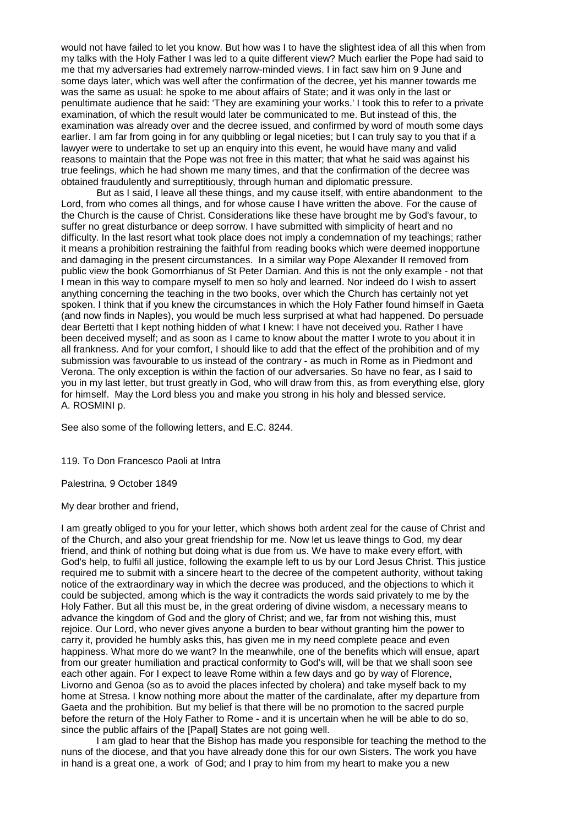would not have failed to let you know. But how was I to have the slightest idea of all this when from my talks with the Holy Father I was led to a quite different view? Much earlier the Pope had said to me that my adversaries had extremely narrow-minded views. I in fact saw him on 9 June and some days later, which was well after the confirmation of the decree, yet his manner towards me was the same as usual: he spoke to me about affairs of State; and it was only in the last or penultimate audience that he said: 'They are examining your works.' I took this to refer to a private examination, of which the result would later be communicated to me. But instead of this, the examination was already over and the decree issued, and confirmed by word of mouth some days earlier. I am far from going in for any quibbling or legal niceties; but I can truly say to you that if a lawyer were to undertake to set up an enquiry into this event, he would have many and valid reasons to maintain that the Pope was not free in this matter; that what he said was against his true feelings, which he had shown me many times, and that the confirmation of the decree was obtained fraudulently and surreptitiously, through human and diplomatic pressure.

But as I said, I leave all these things, and my cause itself, with entire abandonment to the Lord, from who comes all things, and for whose cause I have written the above. For the cause of the Church is the cause of Christ. Considerations like these have brought me by God's favour, to suffer no great disturbance or deep sorrow. I have submitted with simplicity of heart and no difficulty. In the last resort what took place does not imply a condemnation of my teachings; rather it means a prohibition restraining the faithful from reading books which were deemed inopportune and damaging in the present circumstances. In a similar way Pope Alexander II removed from public view the book Gomorrhianus of St Peter Damian. And this is not the only example - not that I mean in this way to compare myself to men so holy and learned. Nor indeed do I wish to assert anything concerning the teaching in the two books, over which the Church has certainly not yet spoken. I think that if you knew the circumstances in which the Holy Father found himself in Gaeta (and now finds in Naples), you would be much less surprised at what had happened. Do persuade dear Bertetti that I kept nothing hidden of what I knew: I have not deceived you. Rather I have been deceived myself; and as soon as I came to know about the matter I wrote to you about it in all frankness. And for your comfort, I should like to add that the effect of the prohibition and of my submission was favourable to us instead of the contrary - as much in Rome as in Piedmont and Verona. The only exception is within the faction of our adversaries. So have no fear, as I said to you in my last letter, but trust greatly in God, who will draw from this, as from everything else, glory for himself. May the Lord bless you and make you strong in his holy and blessed service. A. ROSMINI p.

See also some of the following letters, and E.C. 8244.

119. To Don Francesco Paoli at Intra

Palestrina, 9 October 1849

My dear brother and friend,

I am greatly obliged to you for your letter, which shows both ardent zeal for the cause of Christ and of the Church, and also your great friendship for me. Now let us leave things to God, my dear friend, and think of nothing but doing what is due from us. We have to make every effort, with God's help, to fulfil all justice, following the example left to us by our Lord Jesus Christ. This justice required me to submit with a sincere heart to the decree of the competent authority, without taking notice of the extraordinary way in which the decree was produced, and the objections to which it could be subjected, among which is the way it contradicts the words said privately to me by the Holy Father. But all this must be, in the great ordering of divine wisdom, a necessary means to advance the kingdom of God and the glory of Christ; and we, far from not wishing this, must rejoice. Our Lord, who never gives anyone a burden to bear without granting him the power to carry it, provided he humbly asks this, has given me in my need complete peace and even happiness. What more do we want? In the meanwhile, one of the benefits which will ensue, apart from our greater humiliation and practical conformity to God's will, will be that we shall soon see each other again. For I expect to leave Rome within a few days and go by way of Florence, Livorno and Genoa (so as to avoid the places infected by cholera) and take myself back to my home at Stresa. I know nothing more about the matter of the cardinalate, after my departure from Gaeta and the prohibition. But my belief is that there will be no promotion to the sacred purple before the return of the Holy Father to Rome - and it is uncertain when he will be able to do so, since the public affairs of the [Papal] States are not going well.

I am glad to hear that the Bishop has made you responsible for teaching the method to the nuns of the diocese, and that you have already done this for our own Sisters. The work you have in hand is a great one, a work of God; and I pray to him from my heart to make you a new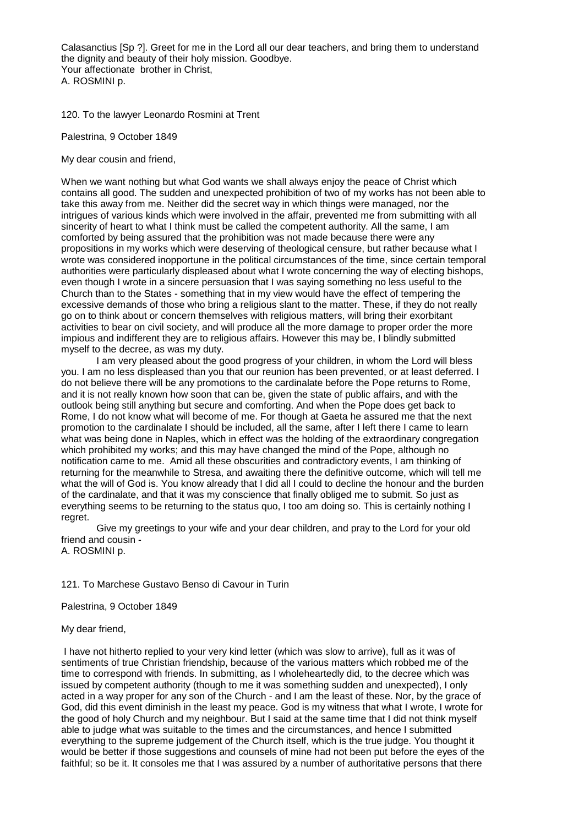Calasanctius [Sp ?]. Greet for me in the Lord all our dear teachers, and bring them to understand the dignity and beauty of their holy mission. Goodbye. Your affectionate brother in Christ, A. ROSMINI p.

120. To the lawyer Leonardo Rosmini at Trent

Palestrina, 9 October 1849

My dear cousin and friend,

When we want nothing but what God wants we shall always enjoy the peace of Christ which contains all good. The sudden and unexpected prohibition of two of my works has not been able to take this away from me. Neither did the secret way in which things were managed, nor the intrigues of various kinds which were involved in the affair, prevented me from submitting with all sincerity of heart to what I think must be called the competent authority. All the same, I am comforted by being assured that the prohibition was not made because there were any propositions in my works which were deserving of theological censure, but rather because what I wrote was considered inopportune in the political circumstances of the time, since certain temporal authorities were particularly displeased about what I wrote concerning the way of electing bishops, even though I wrote in a sincere persuasion that I was saying something no less useful to the Church than to the States - something that in my view would have the effect of tempering the excessive demands of those who bring a religious slant to the matter. These, if they do not really go on to think about or concern themselves with religious matters, will bring their exorbitant activities to bear on civil society, and will produce all the more damage to proper order the more impious and indifferent they are to religious affairs. However this may be, I blindly submitted myself to the decree, as was my duty.

I am very pleased about the good progress of your children, in whom the Lord will bless you. I am no less displeased than you that our reunion has been prevented, or at least deferred. I do not believe there will be any promotions to the cardinalate before the Pope returns to Rome, and it is not really known how soon that can be, given the state of public affairs, and with the outlook being still anything but secure and comforting. And when the Pope does get back to Rome, I do not know what will become of me. For though at Gaeta he assured me that the next promotion to the cardinalate I should be included, all the same, after I left there I came to learn what was being done in Naples, which in effect was the holding of the extraordinary congregation which prohibited my works; and this may have changed the mind of the Pope, although no notification came to me. Amid all these obscurities and contradictory events, I am thinking of returning for the meanwhile to Stresa, and awaiting there the definitive outcome, which will tell me what the will of God is. You know already that I did all I could to decline the honour and the burden of the cardinalate, and that it was my conscience that finally obliged me to submit. So just as everything seems to be returning to the status quo, I too am doing so. This is certainly nothing I regret.

Give my greetings to your wife and your dear children, and pray to the Lord for your old friend and cousin -

A. ROSMINI p.

# 121. To Marchese Gustavo Benso di Cavour in Turin

Palestrina, 9 October 1849

My dear friend,

I have not hitherto replied to your very kind letter (which was slow to arrive), full as it was of sentiments of true Christian friendship, because of the various matters which robbed me of the time to correspond with friends. In submitting, as I wholeheartedly did, to the decree which was issued by competent authority (though to me it was something sudden and unexpected), I only acted in a way proper for any son of the Church - and I am the least of these. Nor, by the grace of God, did this event diminish in the least my peace. God is my witness that what I wrote, I wrote for the good of holy Church and my neighbour. But I said at the same time that I did not think myself able to judge what was suitable to the times and the circumstances, and hence I submitted everything to the supreme judgement of the Church itself, which is the true judge. You thought it would be better if those suggestions and counsels of mine had not been put before the eyes of the faithful; so be it. It consoles me that I was assured by a number of authoritative persons that there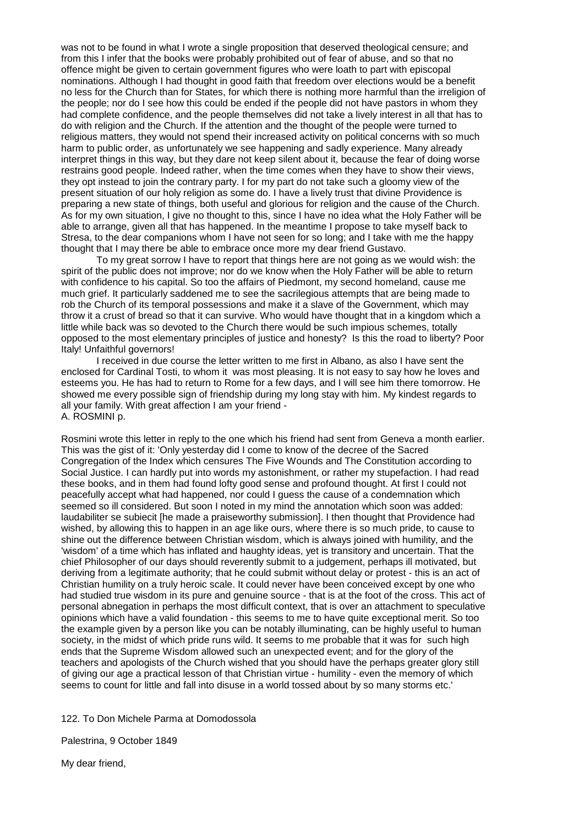was not to be found in what I wrote a single proposition that deserved theological censure; and from this I infer that the books were probably prohibited out of fear of abuse, and so that no offence might be given to certain government figures who were loath to part with episcopal nominations. Although I had thought in good faith that freedom over elections would be a benefit no less for the Church than for States, for which there is nothing more harmful than the irreligion of the people; nor do I see how this could be ended if the people did not have pastors in whom they had complete confidence, and the people themselves did not take a lively interest in all that has to do with religion and the Church. If the attention and the thought of the people were turned to religious matters, they would not spend their increased activity on political concerns with so much harm to public order, as unfortunately we see happening and sadly experience. Many already interpret things in this way, but they dare not keep silent about it, because the fear of doing worse restrains good people. Indeed rather, when the time comes when they have to show their views, they opt instead to join the contrary party. I for my part do not take such a gloomy view of the present situation of our holy religion as some do. I have a lively trust that divine Providence is preparing a new state of things, both useful and glorious for religion and the cause of the Church. As for my own situation, I give no thought to this, since I have no idea what the Holy Father will be able to arrange, given all that has happened. In the meantime I propose to take myself back to Stresa, to the dear companions whom I have not seen for so long; and I take with me the happy thought that I may there be able to embrace once more my dear friend Gustavo.

To my great sorrow I have to report that things here are not going as we would wish: the spirit of the public does not improve; nor do we know when the Holy Father will be able to return with confidence to his capital. So too the affairs of Piedmont, my second homeland, cause me much grief. It particularly saddened me to see the sacrilegious attempts that are being made to rob the Church of its temporal possessions and make it a slave of the Government, which may throw it a crust of bread so that it can survive. Who would have thought that in a kingdom which a little while back was so devoted to the Church there would be such impious schemes, totally opposed to the most elementary principles of justice and honesty? Is this the road to liberty? Poor Italy! Unfaithful governors!

I received in due course the letter written to me first in Albano, as also I have sent the enclosed for Cardinal Tosti, to whom it was most pleasing. It is not easy to say how he loves and esteems you. He has had to return to Rome for a few days, and I will see him there tomorrow. He showed me every possible sign of friendship during my long stay with him. My kindest regards to all your family. With great affection I am your friend - A. ROSMINI p.

Rosmini wrote this letter in reply to the one which his friend had sent from Geneva a month earlier. This was the gist of it: 'Only yesterday did I come to know of the decree of the Sacred Congregation of the Index which censures The Five Wounds and The Constitution according to Social Justice. I can hardly put into words my astonishment, or rather my stupefaction. I had read these books, and in them had found lofty good sense and profound thought. At first I could not peacefully accept what had happened, nor could I guess the cause of a condemnation which seemed so ill considered. But soon I noted in my mind the annotation which soon was added: laudabiliter se subiecit [he made a praiseworthy submission]. I then thought that Providence had wished, by allowing this to happen in an age like ours, where there is so much pride, to cause to shine out the difference between Christian wisdom, which is always joined with humility, and the 'wisdom' of a time which has inflated and haughty ideas, yet is transitory and uncertain. That the chief Philosopher of our days should reverently submit to a judgement, perhaps ill motivated, but deriving from a legitimate authority; that he could submit without delay or protest - this is an act of Christian humility on a truly heroic scale. It could never have been conceived except by one who had studied true wisdom in its pure and genuine source - that is at the foot of the cross. This act of personal abnegation in perhaps the most difficult context, that is over an attachment to speculative opinions which have a valid foundation - this seems to me to have quite exceptional merit. So too the example given by a person like you can be notably illuminating, can be highly useful to human society, in the midst of which pride runs wild. It seems to me probable that it was for such high ends that the Supreme Wisdom allowed such an unexpected event; and for the glory of the teachers and apologists of the Church wished that you should have the perhaps greater glory still of giving our age a practical lesson of that Christian virtue - humility - even the memory of which seems to count for little and fall into disuse in a world tossed about by so many storms etc.'

122. To Don Michele Parma at Domodossola

Palestrina, 9 October 1849

My dear friend,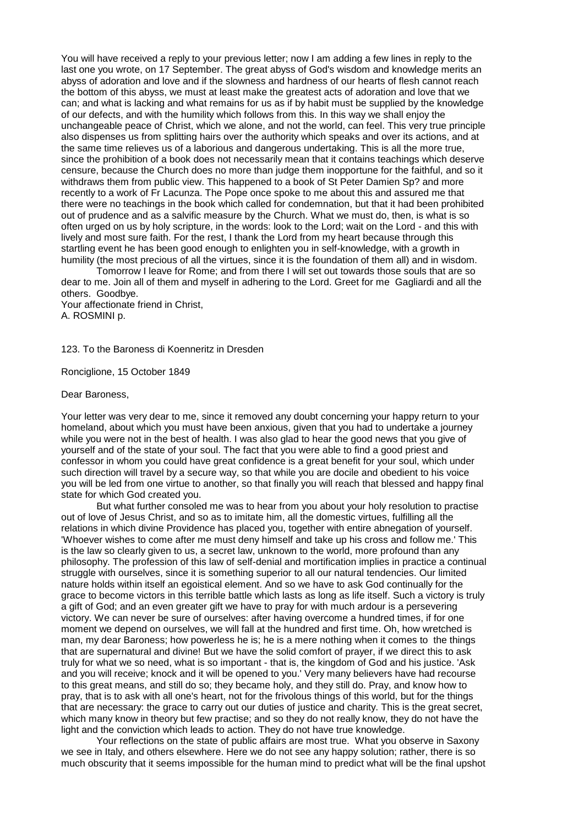You will have received a reply to your previous letter; now I am adding a few lines in reply to the last one you wrote, on 17 September. The great abyss of God's wisdom and knowledge merits an abyss of adoration and love and if the slowness and hardness of our hearts of flesh cannot reach the bottom of this abyss, we must at least make the greatest acts of adoration and love that we can; and what is lacking and what remains for us as if by habit must be supplied by the knowledge of our defects, and with the humility which follows from this. In this way we shall enjoy the unchangeable peace of Christ, which we alone, and not the world, can feel. This very true principle also dispenses us from splitting hairs over the authority which speaks and over its actions, and at the same time relieves us of a laborious and dangerous undertaking. This is all the more true, since the prohibition of a book does not necessarily mean that it contains teachings which deserve censure, because the Church does no more than judge them inopportune for the faithful, and so it withdraws them from public view. This happened to a book of St Peter Damien Sp? and more recently to a work of Fr Lacunza. The Pope once spoke to me about this and assured me that there were no teachings in the book which called for condemnation, but that it had been prohibited out of prudence and as a salvific measure by the Church. What we must do, then, is what is so often urged on us by holy scripture, in the words: look to the Lord; wait on the Lord - and this with lively and most sure faith. For the rest, I thank the Lord from my heart because through this startling event he has been good enough to enlighten you in self-knowledge, with a growth in humility (the most precious of all the virtues, since it is the foundation of them all) and in wisdom.

Tomorrow I leave for Rome; and from there I will set out towards those souls that are so dear to me. Join all of them and myself in adhering to the Lord. Greet for me Gagliardi and all the others. Goodbye.

Your affectionate friend in Christ, A. ROSMINI p.

123. To the Baroness di Koenneritz in Dresden

Ronciglione, 15 October 1849

### Dear Baroness,

Your letter was very dear to me, since it removed any doubt concerning your happy return to your homeland, about which you must have been anxious, given that you had to undertake a journey while you were not in the best of health. I was also glad to hear the good news that you give of yourself and of the state of your soul. The fact that you were able to find a good priest and confessor in whom you could have great confidence is a great benefit for your soul, which under such direction will travel by a secure way, so that while you are docile and obedient to his voice you will be led from one virtue to another, so that finally you will reach that blessed and happy final state for which God created you.

But what further consoled me was to hear from you about your holy resolution to practise out of love of Jesus Christ, and so as to imitate him, all the domestic virtues, fulfilling all the relations in which divine Providence has placed you, together with entire abnegation of yourself. 'Whoever wishes to come after me must deny himself and take up his cross and follow me.' This is the law so clearly given to us, a secret law, unknown to the world, more profound than any philosophy. The profession of this law of self-denial and mortification implies in practice a continual struggle with ourselves, since it is something superior to all our natural tendencies. Our limited nature holds within itself an egoistical element. And so we have to ask God continually for the grace to become victors in this terrible battle which lasts as long as life itself. Such a victory is truly a gift of God; and an even greater gift we have to pray for with much ardour is a persevering victory. We can never be sure of ourselves: after having overcome a hundred times, if for one moment we depend on ourselves, we will fall at the hundred and first time. Oh, how wretched is man, my dear Baroness; how powerless he is; he is a mere nothing when it comes to the things that are supernatural and divine! But we have the solid comfort of prayer, if we direct this to ask truly for what we so need, what is so important - that is, the kingdom of God and his justice. 'Ask and you will receive; knock and it will be opened to you.' Very many believers have had recourse to this great means, and still do so; they became holy, and they still do. Pray, and know how to pray, that is to ask with all one's heart, not for the frivolous things of this world, but for the things that are necessary: the grace to carry out our duties of justice and charity. This is the great secret, which many know in theory but few practise; and so they do not really know, they do not have the light and the conviction which leads to action. They do not have true knowledge.

Your reflections on the state of public affairs are most true. What you observe in Saxony we see in Italy, and others elsewhere. Here we do not see any happy solution; rather, there is so much obscurity that it seems impossible for the human mind to predict what will be the final upshot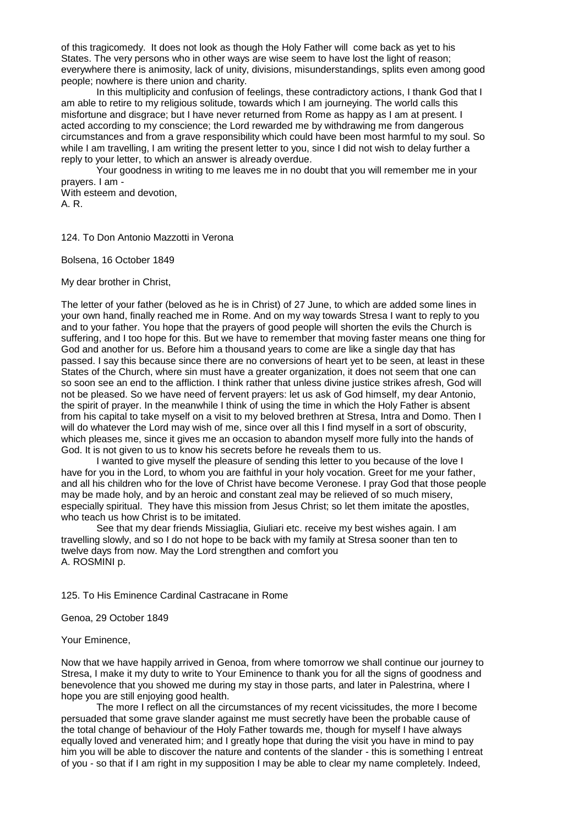of this tragicomedy. It does not look as though the Holy Father will come back as yet to his States. The very persons who in other ways are wise seem to have lost the light of reason; everywhere there is animosity, lack of unity, divisions, misunderstandings, splits even among good people; nowhere is there union and charity.

In this multiplicity and confusion of feelings, these contradictory actions, I thank God that I am able to retire to my religious solitude, towards which I am journeying. The world calls this misfortune and disgrace; but I have never returned from Rome as happy as I am at present. I acted according to my conscience; the Lord rewarded me by withdrawing me from dangerous circumstances and from a grave responsibility which could have been most harmful to my soul. So while I am travelling, I am writing the present letter to you, since I did not wish to delay further a reply to your letter, to which an answer is already overdue.

Your goodness in writing to me leaves me in no doubt that you will remember me in your prayers. I am -

With esteem and devotion, A. R.

124. To Don Antonio Mazzotti in Verona

Bolsena, 16 October 1849

My dear brother in Christ,

The letter of your father (beloved as he is in Christ) of 27 June, to which are added some lines in your own hand, finally reached me in Rome. And on my way towards Stresa I want to reply to you and to your father. You hope that the prayers of good people will shorten the evils the Church is suffering, and I too hope for this. But we have to remember that moving faster means one thing for God and another for us. Before him a thousand years to come are like a single day that has passed. I say this because since there are no conversions of heart yet to be seen, at least in these States of the Church, where sin must have a greater organization, it does not seem that one can so soon see an end to the affliction. I think rather that unless divine justice strikes afresh, God will not be pleased. So we have need of fervent prayers: let us ask of God himself, my dear Antonio, the spirit of prayer. In the meanwhile I think of using the time in which the Holy Father is absent from his capital to take myself on a visit to my beloved brethren at Stresa, Intra and Domo. Then I will do whatever the Lord may wish of me, since over all this I find myself in a sort of obscurity, which pleases me, since it gives me an occasion to abandon myself more fully into the hands of God. It is not given to us to know his secrets before he reveals them to us.

I wanted to give myself the pleasure of sending this letter to you because of the love I have for you in the Lord, to whom you are faithful in your holy vocation. Greet for me your father, and all his children who for the love of Christ have become Veronese. I pray God that those people may be made holy, and by an heroic and constant zeal may be relieved of so much misery, especially spiritual. They have this mission from Jesus Christ; so let them imitate the apostles, who teach us how Christ is to be imitated.

See that my dear friends Missiaglia, Giuliari etc. receive my best wishes again. I am travelling slowly, and so I do not hope to be back with my family at Stresa sooner than ten to twelve days from now. May the Lord strengthen and comfort you A. ROSMINI p.

125. To His Eminence Cardinal Castracane in Rome

Genoa, 29 October 1849

Your Eminence,

Now that we have happily arrived in Genoa, from where tomorrow we shall continue our journey to Stresa, I make it my duty to write to Your Eminence to thank you for all the signs of goodness and benevolence that you showed me during my stay in those parts, and later in Palestrina, where I hope you are still enjoying good health.

The more I reflect on all the circumstances of my recent vicissitudes, the more I become persuaded that some grave slander against me must secretly have been the probable cause of the total change of behaviour of the Holy Father towards me, though for myself I have always equally loved and venerated him; and I greatly hope that during the visit you have in mind to pay him you will be able to discover the nature and contents of the slander - this is something I entreat of you - so that if I am right in my supposition I may be able to clear my name completely. Indeed,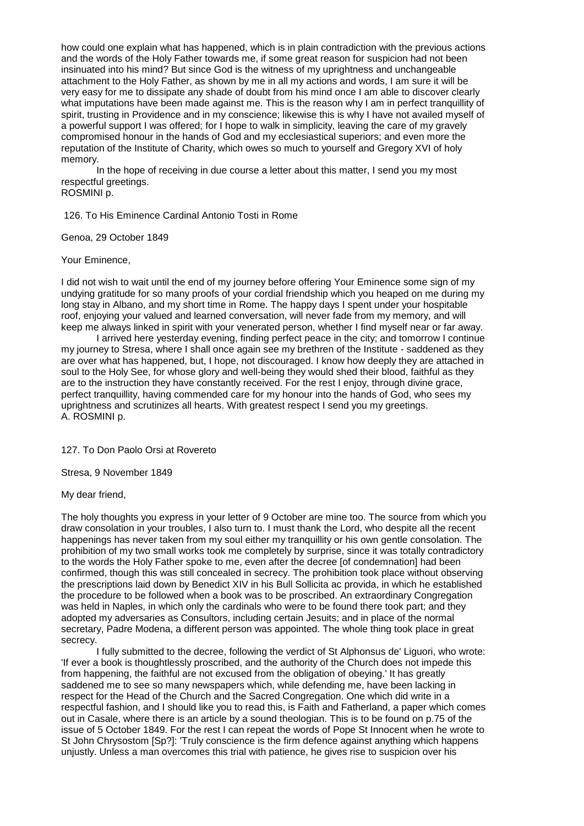how could one explain what has happened, which is in plain contradiction with the previous actions and the words of the Holy Father towards me, if some great reason for suspicion had not been insinuated into his mind? But since God is the witness of my uprightness and unchangeable attachment to the Holy Father, as shown by me in all my actions and words, I am sure it will be very easy for me to dissipate any shade of doubt from his mind once I am able to discover clearly what imputations have been made against me. This is the reason why I am in perfect tranquillity of spirit, trusting in Providence and in my conscience; likewise this is why I have not availed myself of a powerful support I was offered; for I hope to walk in simplicity, leaving the care of my gravely compromised honour in the hands of God and my ecclesiastical superiors; and even more the reputation of the Institute of Charity, which owes so much to yourself and Gregory XVI of holy memory.

In the hope of receiving in due course a letter about this matter, I send you my most respectful greetings.

ROSMINI p.

126. To His Eminence Cardinal Antonio Tosti in Rome

Genoa, 29 October 1849

Your Eminence,

I did not wish to wait until the end of my journey before offering Your Eminence some sign of my undying gratitude for so many proofs of your cordial friendship which you heaped on me during my long stay in Albano, and my short time in Rome. The happy days I spent under your hospitable roof, enjoying your valued and learned conversation, will never fade from my memory, and will keep me always linked in spirit with your venerated person, whether I find myself near or far away.

I arrived here yesterday evening, finding perfect peace in the city; and tomorrow I continue my journey to Stresa, where I shall once again see my brethren of the Institute - saddened as they are over what has happened, but, I hope, not discouraged. I know how deeply they are attached in soul to the Holy See, for whose glory and well-being they would shed their blood, faithful as they are to the instruction they have constantly received. For the rest I enjoy, through divine grace, perfect tranquillity, having commended care for my honour into the hands of God, who sees my uprightness and scrutinizes all hearts. With greatest respect I send you my greetings. A. ROSMINI p.

127. To Don Paolo Orsi at Rovereto

Stresa, 9 November 1849

My dear friend,

The holy thoughts you express in your letter of 9 October are mine too. The source from which you draw consolation in your troubles, I also turn to. I must thank the Lord, who despite all the recent happenings has never taken from my soul either my tranquillity or his own gentle consolation. The prohibition of my two small works took me completely by surprise, since it was totally contradictory to the words the Holy Father spoke to me, even after the decree [of condemnation] had been confirmed, though this was still concealed in secrecy. The prohibition took place without observing the prescriptions laid down by Benedict XIV in his Bull Sollicita ac provida, in which he established the procedure to be followed when a book was to be proscribed. An extraordinary Congregation was held in Naples, in which only the cardinals who were to be found there took part; and they adopted my adversaries as Consultors, including certain Jesuits; and in place of the normal secretary, Padre Modena, a different person was appointed. The whole thing took place in great secrecy.

I fully submitted to the decree, following the verdict of St Alphonsus de' Liguori, who wrote: 'If ever a book is thoughtlessly proscribed, and the authority of the Church does not impede this from happening, the faithful are not excused from the obligation of obeying.' It has greatly saddened me to see so many newspapers which, while defending me, have been lacking in respect for the Head of the Church and the Sacred Congregation. One which did write in a respectful fashion, and I should like you to read this, is Faith and Fatherland, a paper which comes out in Casale, where there is an article by a sound theologian. This is to be found on p.75 of the issue of 5 October 1849. For the rest I can repeat the words of Pope St Innocent when he wrote to St John Chrysostom [Sp?]: 'Truly conscience is the firm defence against anything which happens unjustly. Unless a man overcomes this trial with patience, he gives rise to suspicion over his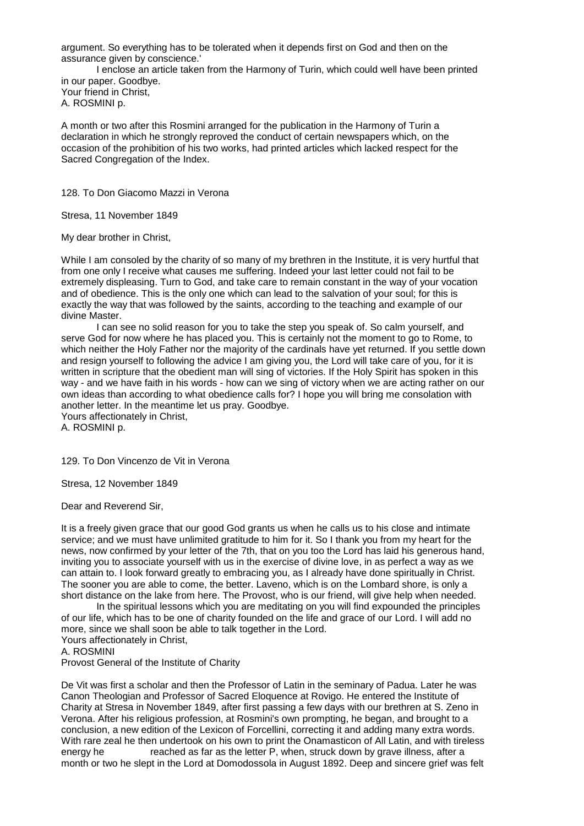argument. So everything has to be tolerated when it depends first on God and then on the assurance given by conscience.'

I enclose an article taken from the Harmony of Turin, which could well have been printed in our paper. Goodbye.

Your friend in Christ, A. ROSMINI p.

A month or two after this Rosmini arranged for the publication in the Harmony of Turin a declaration in which he strongly reproved the conduct of certain newspapers which, on the occasion of the prohibition of his two works, had printed articles which lacked respect for the Sacred Congregation of the Index.

128. To Don Giacomo Mazzi in Verona

Stresa, 11 November 1849

My dear brother in Christ,

While I am consoled by the charity of so many of my brethren in the Institute, it is very hurtful that from one only I receive what causes me suffering. Indeed your last letter could not fail to be extremely displeasing. Turn to God, and take care to remain constant in the way of your vocation and of obedience. This is the only one which can lead to the salvation of your soul; for this is exactly the way that was followed by the saints, according to the teaching and example of our divine Master.

I can see no solid reason for you to take the step you speak of. So calm yourself, and serve God for now where he has placed you. This is certainly not the moment to go to Rome, to which neither the Holy Father nor the majority of the cardinals have yet returned. If you settle down and resign yourself to following the advice I am giving you, the Lord will take care of you, for it is written in scripture that the obedient man will sing of victories. If the Holy Spirit has spoken in this way - and we have faith in his words - how can we sing of victory when we are acting rather on our own ideas than according to what obedience calls for? I hope you will bring me consolation with another letter. In the meantime let us pray. Goodbye.

Yours affectionately in Christ, A. ROSMINI p.

129. To Don Vincenzo de Vit in Verona

Stresa, 12 November 1849

Dear and Reverend Sir,

It is a freely given grace that our good God grants us when he calls us to his close and intimate service; and we must have unlimited gratitude to him for it. So I thank you from my heart for the news, now confirmed by your letter of the 7th, that on you too the Lord has laid his generous hand, inviting you to associate yourself with us in the exercise of divine love, in as perfect a way as we can attain to. I look forward greatly to embracing you, as I already have done spiritually in Christ. The sooner you are able to come, the better. Laveno, which is on the Lombard shore, is only a short distance on the lake from here. The Provost, who is our friend, will give help when needed.

In the spiritual lessons which you are meditating on you will find expounded the principles of our life, which has to be one of charity founded on the life and grace of our Lord. I will add no more, since we shall soon be able to talk together in the Lord.

Yours affectionately in Christ,

A. ROSMINI

Provost General of the Institute of Charity

De Vit was first a scholar and then the Professor of Latin in the seminary of Padua. Later he was Canon Theologian and Professor of Sacred Eloquence at Rovigo. He entered the Institute of Charity at Stresa in November 1849, after first passing a few days with our brethren at S. Zeno in Verona. After his religious profession, at Rosmini's own prompting, he began, and brought to a conclusion, a new edition of the Lexicon of Forcellini, correcting it and adding many extra words. With rare zeal he then undertook on his own to print the Onamasticon of All Latin, and with tireless energy he reached as far as the letter P, when, struck down by grave illness, after a month or two he slept in the Lord at Domodossola in August 1892. Deep and sincere grief was felt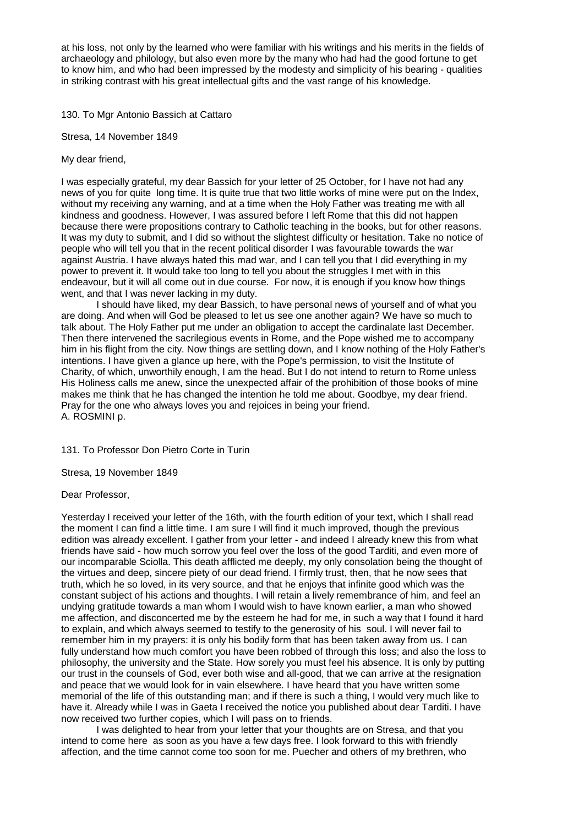at his loss, not only by the learned who were familiar with his writings and his merits in the fields of archaeology and philology, but also even more by the many who had had the good fortune to get to know him, and who had been impressed by the modesty and simplicity of his bearing - qualities in striking contrast with his great intellectual gifts and the vast range of his knowledge.

130. To Mgr Antonio Bassich at Cattaro

Stresa, 14 November 1849

My dear friend,

I was especially grateful, my dear Bassich for your letter of 25 October, for I have not had any news of you for quite long time. It is quite true that two little works of mine were put on the Index, without my receiving any warning, and at a time when the Holy Father was treating me with all kindness and goodness. However, I was assured before I left Rome that this did not happen because there were propositions contrary to Catholic teaching in the books, but for other reasons. It was my duty to submit, and I did so without the slightest difficulty or hesitation. Take no notice of people who will tell you that in the recent political disorder I was favourable towards the war against Austria. I have always hated this mad war, and I can tell you that I did everything in my power to prevent it. It would take too long to tell you about the struggles I met with in this endeavour, but it will all come out in due course. For now, it is enough if you know how things went, and that I was never lacking in my duty.

I should have liked, my dear Bassich, to have personal news of yourself and of what you are doing. And when will God be pleased to let us see one another again? We have so much to talk about. The Holy Father put me under an obligation to accept the cardinalate last December. Then there intervened the sacrilegious events in Rome, and the Pope wished me to accompany him in his flight from the city. Now things are settling down, and I know nothing of the Holy Father's intentions. I have given a glance up here, with the Pope's permission, to visit the Institute of Charity, of which, unworthily enough, I am the head. But I do not intend to return to Rome unless His Holiness calls me anew, since the unexpected affair of the prohibition of those books of mine makes me think that he has changed the intention he told me about. Goodbye, my dear friend. Pray for the one who always loves you and rejoices in being your friend. A. ROSMINI p.

131. To Professor Don Pietro Corte in Turin

Stresa, 19 November 1849

Dear Professor,

Yesterday I received your letter of the 16th, with the fourth edition of your text, which I shall read the moment I can find a little time. I am sure I will find it much improved, though the previous edition was already excellent. I gather from your letter - and indeed I already knew this from what friends have said - how much sorrow you feel over the loss of the good Tarditi, and even more of our incomparable Sciolla. This death afflicted me deeply, my only consolation being the thought of the virtues and deep, sincere piety of our dead friend. I firmly trust, then, that he now sees that truth, which he so loved, in its very source, and that he enjoys that infinite good which was the constant subject of his actions and thoughts. I will retain a lively remembrance of him, and feel an undying gratitude towards a man whom I would wish to have known earlier, a man who showed me affection, and disconcerted me by the esteem he had for me, in such a way that I found it hard to explain, and which always seemed to testify to the generosity of his soul. I will never fail to remember him in my prayers: it is only his bodily form that has been taken away from us. I can fully understand how much comfort you have been robbed of through this loss; and also the loss to philosophy, the university and the State. How sorely you must feel his absence. It is only by putting our trust in the counsels of God, ever both wise and all-good, that we can arrive at the resignation and peace that we would look for in vain elsewhere. I have heard that you have written some memorial of the life of this outstanding man; and if there is such a thing, I would very much like to have it. Already while I was in Gaeta I received the notice you published about dear Tarditi. I have now received two further copies, which I will pass on to friends.

I was delighted to hear from your letter that your thoughts are on Stresa, and that you intend to come here as soon as you have a few days free. I look forward to this with friendly affection, and the time cannot come too soon for me. Puecher and others of my brethren, who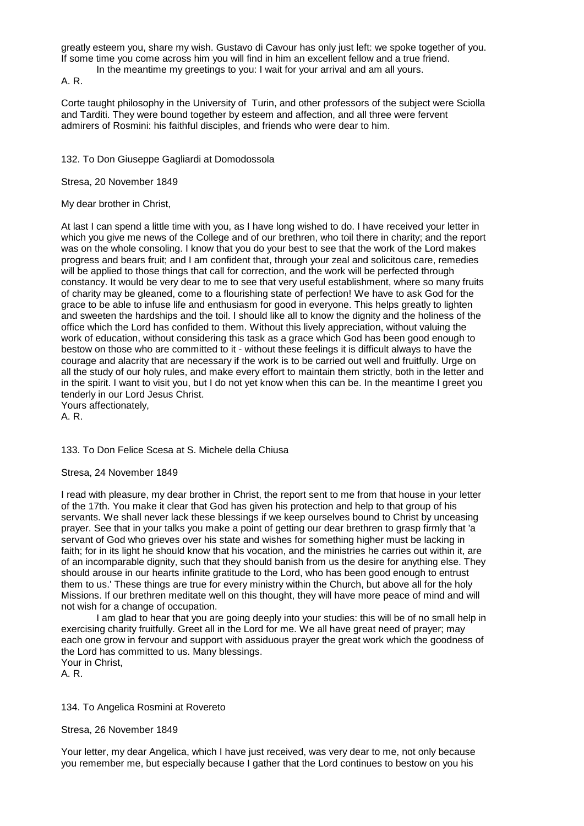greatly esteem you, share my wish. Gustavo di Cavour has only just left: we spoke together of you. If some time you come across him you will find in him an excellent fellow and a true friend.

In the meantime my greetings to you: I wait for your arrival and am all yours.

A. R.

Corte taught philosophy in the University of Turin, and other professors of the subject were Sciolla and Tarditi. They were bound together by esteem and affection, and all three were fervent admirers of Rosmini: his faithful disciples, and friends who were dear to him.

132. To Don Giuseppe Gagliardi at Domodossola

Stresa, 20 November 1849

My dear brother in Christ,

At last I can spend a little time with you, as I have long wished to do. I have received your letter in which you give me news of the College and of our brethren, who toil there in charity; and the report was on the whole consoling. I know that you do your best to see that the work of the Lord makes progress and bears fruit; and I am confident that, through your zeal and solicitous care, remedies will be applied to those things that call for correction, and the work will be perfected through constancy. It would be very dear to me to see that very useful establishment, where so many fruits of charity may be gleaned, come to a flourishing state of perfection! We have to ask God for the grace to be able to infuse life and enthusiasm for good in everyone. This helps greatly to lighten and sweeten the hardships and the toil. I should like all to know the dignity and the holiness of the office which the Lord has confided to them. Without this lively appreciation, without valuing the work of education, without considering this task as a grace which God has been good enough to bestow on those who are committed to it - without these feelings it is difficult always to have the courage and alacrity that are necessary if the work is to be carried out well and fruitfully. Urge on all the study of our holy rules, and make every effort to maintain them strictly, both in the letter and in the spirit. I want to visit you, but I do not yet know when this can be. In the meantime I greet you tenderly in our Lord Jesus Christ.

Yours affectionately, A. R.

133. To Don Felice Scesa at S. Michele della Chiusa

Stresa, 24 November 1849

I read with pleasure, my dear brother in Christ, the report sent to me from that house in your letter of the 17th. You make it clear that God has given his protection and help to that group of his servants. We shall never lack these blessings if we keep ourselves bound to Christ by unceasing prayer. See that in your talks you make a point of getting our dear brethren to grasp firmly that 'a servant of God who grieves over his state and wishes for something higher must be lacking in faith; for in its light he should know that his vocation, and the ministries he carries out within it, are of an incomparable dignity, such that they should banish from us the desire for anything else. They should arouse in our hearts infinite gratitude to the Lord, who has been good enough to entrust them to us.' These things are true for every ministry within the Church, but above all for the holy Missions. If our brethren meditate well on this thought, they will have more peace of mind and will not wish for a change of occupation.

I am glad to hear that you are going deeply into your studies: this will be of no small help in exercising charity fruitfully. Greet all in the Lord for me. We all have great need of prayer; may each one grow in fervour and support with assiduous prayer the great work which the goodness of the Lord has committed to us. Many blessings. Your in Christ,

A. R.

134. To Angelica Rosmini at Rovereto

Stresa, 26 November 1849

Your letter, my dear Angelica, which I have just received, was very dear to me, not only because you remember me, but especially because I gather that the Lord continues to bestow on you his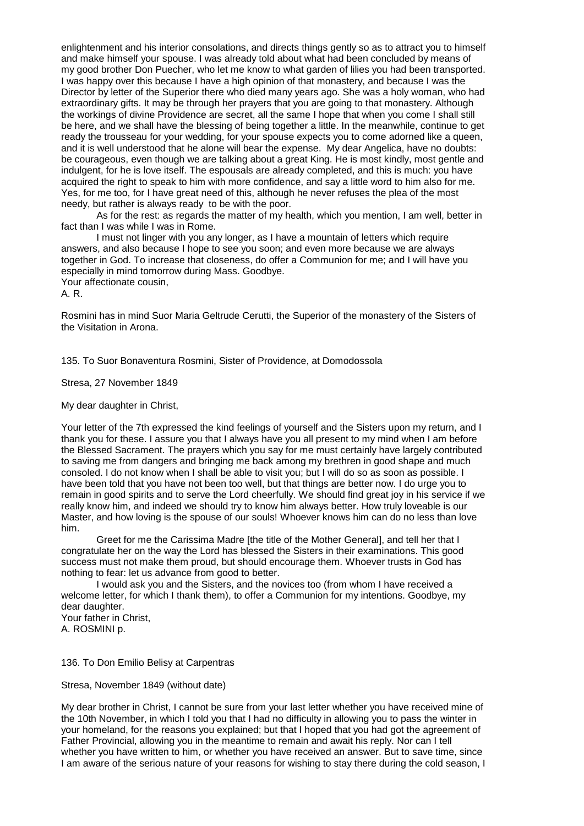enlightenment and his interior consolations, and directs things gently so as to attract you to himself and make himself your spouse. I was already told about what had been concluded by means of my good brother Don Puecher, who let me know to what garden of lilies you had been transported. I was happy over this because I have a high opinion of that monastery, and because I was the Director by letter of the Superior there who died many years ago. She was a holy woman, who had extraordinary gifts. It may be through her prayers that you are going to that monastery. Although the workings of divine Providence are secret, all the same I hope that when you come I shall still be here, and we shall have the blessing of being together a little. In the meanwhile, continue to get ready the trousseau for your wedding, for your spouse expects you to come adorned like a queen, and it is well understood that he alone will bear the expense. My dear Angelica, have no doubts: be courageous, even though we are talking about a great King. He is most kindly, most gentle and indulgent, for he is love itself. The espousals are already completed, and this is much: you have acquired the right to speak to him with more confidence, and say a little word to him also for me. Yes, for me too, for I have great need of this, although he never refuses the plea of the most needy, but rather is always ready to be with the poor.

As for the rest: as regards the matter of my health, which you mention, I am well, better in fact than I was while I was in Rome.

I must not linger with you any longer, as I have a mountain of letters which require answers, and also because I hope to see you soon; and even more because we are always together in God. To increase that closeness, do offer a Communion for me; and I will have you especially in mind tomorrow during Mass. Goodbye.

Your affectionate cousin,

A. R.

Rosmini has in mind Suor Maria Geltrude Cerutti, the Superior of the monastery of the Sisters of the Visitation in Arona.

135. To Suor Bonaventura Rosmini, Sister of Providence, at Domodossola

Stresa, 27 November 1849

My dear daughter in Christ,

Your letter of the 7th expressed the kind feelings of yourself and the Sisters upon my return, and I thank you for these. I assure you that I always have you all present to my mind when I am before the Blessed Sacrament. The prayers which you say for me must certainly have largely contributed to saving me from dangers and bringing me back among my brethren in good shape and much consoled. I do not know when I shall be able to visit you; but I will do so as soon as possible. I have been told that you have not been too well, but that things are better now. I do urge you to remain in good spirits and to serve the Lord cheerfully. We should find great joy in his service if we really know him, and indeed we should try to know him always better. How truly loveable is our Master, and how loving is the spouse of our souls! Whoever knows him can do no less than love him.

Greet for me the Carissima Madre [the title of the Mother General], and tell her that I congratulate her on the way the Lord has blessed the Sisters in their examinations. This good success must not make them proud, but should encourage them. Whoever trusts in God has nothing to fear: let us advance from good to better.

I would ask you and the Sisters, and the novices too (from whom I have received a welcome letter, for which I thank them), to offer a Communion for my intentions. Goodbye, my dear daughter.

Your father in Christ, A. ROSMINI p.

136. To Don Emilio Belisy at Carpentras

Stresa, November 1849 (without date)

My dear brother in Christ, I cannot be sure from your last letter whether you have received mine of the 10th November, in which I told you that I had no difficulty in allowing you to pass the winter in your homeland, for the reasons you explained; but that I hoped that you had got the agreement of Father Provincial, allowing you in the meantime to remain and await his reply. Nor can I tell whether you have written to him, or whether you have received an answer. But to save time, since I am aware of the serious nature of your reasons for wishing to stay there during the cold season, I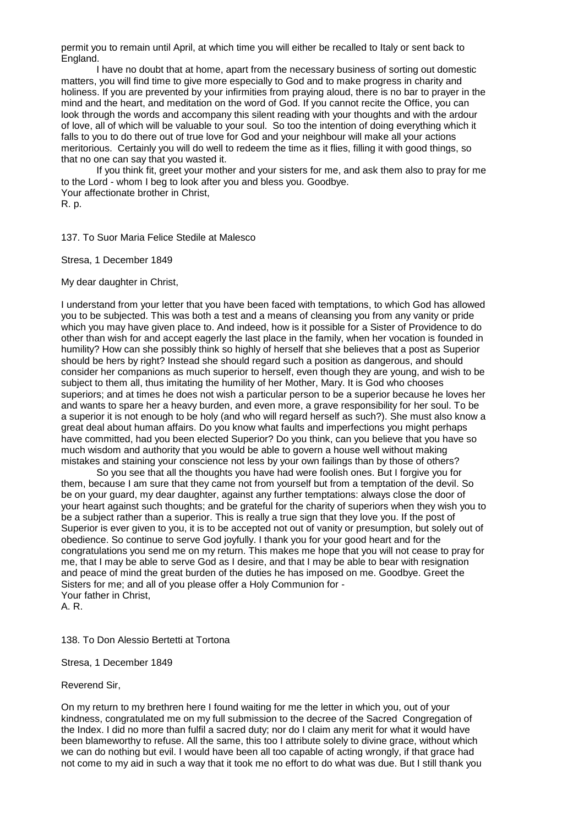permit you to remain until April, at which time you will either be recalled to Italy or sent back to England.

I have no doubt that at home, apart from the necessary business of sorting out domestic matters, you will find time to give more especially to God and to make progress in charity and holiness. If you are prevented by your infirmities from praying aloud, there is no bar to prayer in the mind and the heart, and meditation on the word of God. If you cannot recite the Office, you can look through the words and accompany this silent reading with your thoughts and with the ardour of love, all of which will be valuable to your soul. So too the intention of doing everything which it falls to you to do there out of true love for God and your neighbour will make all your actions meritorious. Certainly you will do well to redeem the time as it flies, filling it with good things, so that no one can say that you wasted it.

If you think fit, greet your mother and your sisters for me, and ask them also to pray for me to the Lord - whom I beg to look after you and bless you. Goodbye. Your affectionate brother in Christ,

R. p.

137. To Suor Maria Felice Stedile at Malesco

Stresa, 1 December 1849

My dear daughter in Christ,

I understand from your letter that you have been faced with temptations, to which God has allowed you to be subjected. This was both a test and a means of cleansing you from any vanity or pride which you may have given place to. And indeed, how is it possible for a Sister of Providence to do other than wish for and accept eagerly the last place in the family, when her vocation is founded in humility? How can she possibly think so highly of herself that she believes that a post as Superior should be hers by right? Instead she should regard such a position as dangerous, and should consider her companions as much superior to herself, even though they are young, and wish to be subject to them all, thus imitating the humility of her Mother, Mary. It is God who chooses superiors; and at times he does not wish a particular person to be a superior because he loves her and wants to spare her a heavy burden, and even more, a grave responsibility for her soul. To be a superior it is not enough to be holy (and who will regard herself as such?). She must also know a great deal about human affairs. Do you know what faults and imperfections you might perhaps have committed, had you been elected Superior? Do you think, can you believe that you have so much wisdom and authority that you would be able to govern a house well without making mistakes and staining your conscience not less by your own failings than by those of others?

So you see that all the thoughts you have had were foolish ones. But I forgive you for them, because I am sure that they came not from yourself but from a temptation of the devil. So be on your guard, my dear daughter, against any further temptations: always close the door of your heart against such thoughts; and be grateful for the charity of superiors when they wish you to be a subject rather than a superior. This is really a true sign that they love you. If the post of Superior is ever given to you, it is to be accepted not out of vanity or presumption, but solely out of obedience. So continue to serve God joyfully. I thank you for your good heart and for the congratulations you send me on my return. This makes me hope that you will not cease to pray for me, that I may be able to serve God as I desire, and that I may be able to bear with resignation and peace of mind the great burden of the duties he has imposed on me. Goodbye. Greet the Sisters for me; and all of you please offer a Holy Communion for - Your father in Christ, A. R.

138. To Don Alessio Bertetti at Tortona

Stresa, 1 December 1849

Reverend Sir,

On my return to my brethren here I found waiting for me the letter in which you, out of your kindness, congratulated me on my full submission to the decree of the Sacred Congregation of the Index. I did no more than fulfil a sacred duty; nor do I claim any merit for what it would have been blameworthy to refuse. All the same, this too I attribute solely to divine grace, without which we can do nothing but evil. I would have been all too capable of acting wrongly, if that grace had not come to my aid in such a way that it took me no effort to do what was due. But I still thank you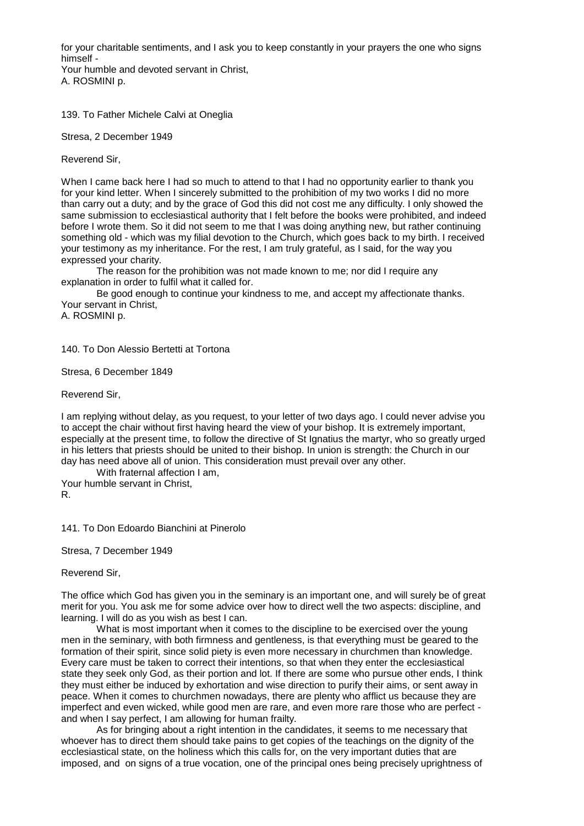for your charitable sentiments, and I ask you to keep constantly in your prayers the one who signs himself -

Your humble and devoted servant in Christ, A. ROSMINI p.

139. To Father Michele Calvi at Oneglia

Stresa, 2 December 1949

Reverend Sir,

When I came back here I had so much to attend to that I had no opportunity earlier to thank you for your kind letter. When I sincerely submitted to the prohibition of my two works I did no more than carry out a duty; and by the grace of God this did not cost me any difficulty. I only showed the same submission to ecclesiastical authority that I felt before the books were prohibited, and indeed before I wrote them. So it did not seem to me that I was doing anything new, but rather continuing something old - which was my filial devotion to the Church, which goes back to my birth. I received your testimony as my inheritance. For the rest, I am truly grateful, as I said, for the way you expressed your charity.

The reason for the prohibition was not made known to me; nor did I require any explanation in order to fulfil what it called for.

Be good enough to continue your kindness to me, and accept my affectionate thanks. Your servant in Christ,

A. ROSMINI p.

140. To Don Alessio Bertetti at Tortona

Stresa, 6 December 1849

Reverend Sir,

I am replying without delay, as you request, to your letter of two days ago. I could never advise you to accept the chair without first having heard the view of your bishop. It is extremely important, especially at the present time, to follow the directive of St Ignatius the martyr, who so greatly urged in his letters that priests should be united to their bishop. In union is strength: the Church in our day has need above all of union. This consideration must prevail over any other.

With fraternal affection I am, Your humble servant in Christ, R.

141. To Don Edoardo Bianchini at Pinerolo

Stresa, 7 December 1949

Reverend Sir,

The office which God has given you in the seminary is an important one, and will surely be of great merit for you. You ask me for some advice over how to direct well the two aspects: discipline, and learning. I will do as you wish as best I can.

What is most important when it comes to the discipline to be exercised over the young men in the seminary, with both firmness and gentleness, is that everything must be geared to the formation of their spirit, since solid piety is even more necessary in churchmen than knowledge. Every care must be taken to correct their intentions, so that when they enter the ecclesiastical state they seek only God, as their portion and lot. If there are some who pursue other ends, I think they must either be induced by exhortation and wise direction to purify their aims, or sent away in peace. When it comes to churchmen nowadays, there are plenty who afflict us because they are imperfect and even wicked, while good men are rare, and even more rare those who are perfect and when I say perfect, I am allowing for human frailty.

As for bringing about a right intention in the candidates, it seems to me necessary that whoever has to direct them should take pains to get copies of the teachings on the dignity of the ecclesiastical state, on the holiness which this calls for, on the very important duties that are imposed, and on signs of a true vocation, one of the principal ones being precisely uprightness of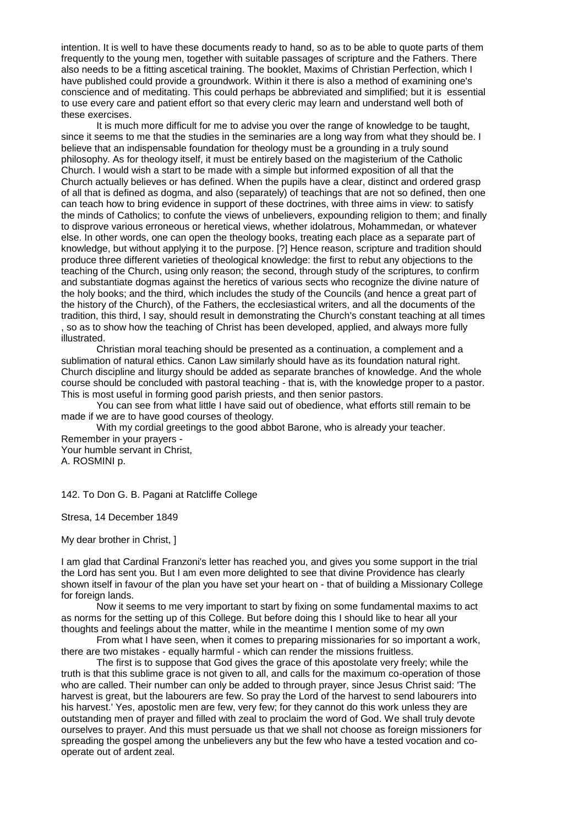intention. It is well to have these documents ready to hand, so as to be able to quote parts of them frequently to the young men, together with suitable passages of scripture and the Fathers. There also needs to be a fitting ascetical training. The booklet, Maxims of Christian Perfection, which I have published could provide a groundwork. Within it there is also a method of examining one's conscience and of meditating. This could perhaps be abbreviated and simplified; but it is essential to use every care and patient effort so that every cleric may learn and understand well both of these exercises.

It is much more difficult for me to advise you over the range of knowledge to be taught, since it seems to me that the studies in the seminaries are a long way from what they should be. I believe that an indispensable foundation for theology must be a grounding in a truly sound philosophy. As for theology itself, it must be entirely based on the magisterium of the Catholic Church. I would wish a start to be made with a simple but informed exposition of all that the Church actually believes or has defined. When the pupils have a clear, distinct and ordered grasp of all that is defined as dogma, and also (separately) of teachings that are not so defined, then one can teach how to bring evidence in support of these doctrines, with three aims in view: to satisfy the minds of Catholics; to confute the views of unbelievers, expounding religion to them; and finally to disprove various erroneous or heretical views, whether idolatrous, Mohammedan, or whatever else. In other words, one can open the theology books, treating each place as a separate part of knowledge, but without applying it to the purpose. [?] Hence reason, scripture and tradition should produce three different varieties of theological knowledge: the first to rebut any objections to the teaching of the Church, using only reason; the second, through study of the scriptures, to confirm and substantiate dogmas against the heretics of various sects who recognize the divine nature of the holy books; and the third, which includes the study of the Councils (and hence a great part of the history of the Church), of the Fathers, the ecclesiastical writers, and all the documents of the tradition, this third, I say, should result in demonstrating the Church's constant teaching at all times , so as to show how the teaching of Christ has been developed, applied, and always more fully illustrated.

Christian moral teaching should be presented as a continuation, a complement and a sublimation of natural ethics. Canon Law similarly should have as its foundation natural right. Church discipline and liturgy should be added as separate branches of knowledge. And the whole course should be concluded with pastoral teaching - that is, with the knowledge proper to a pastor. This is most useful in forming good parish priests, and then senior pastors.

You can see from what little I have said out of obedience, what efforts still remain to be made if we are to have good courses of theology.

With my cordial greetings to the good abbot Barone, who is already your teacher. Remember in your prayers -

Your humble servant in Christ, A. ROSMINI p.

142. To Don G. B. Pagani at Ratcliffe College

Stresa, 14 December 1849

My dear brother in Christ, ]

I am glad that Cardinal Franzoni's letter has reached you, and gives you some support in the trial the Lord has sent you. But I am even more delighted to see that divine Providence has clearly shown itself in favour of the plan you have set your heart on - that of building a Missionary College for foreign lands.

Now it seems to me very important to start by fixing on some fundamental maxims to act as norms for the setting up of this College. But before doing this I should like to hear all your thoughts and feelings about the matter, while in the meantime I mention some of my own

From what I have seen, when it comes to preparing missionaries for so important a work, there are two mistakes - equally harmful - which can render the missions fruitless.

The first is to suppose that God gives the grace of this apostolate very freely; while the truth is that this sublime grace is not given to all, and calls for the maximum co-operation of those who are called. Their number can only be added to through prayer, since Jesus Christ said: 'The harvest is great, but the labourers are few. So pray the Lord of the harvest to send labourers into his harvest.' Yes, apostolic men are few, very few; for they cannot do this work unless they are outstanding men of prayer and filled with zeal to proclaim the word of God. We shall truly devote ourselves to prayer. And this must persuade us that we shall not choose as foreign missioners for spreading the gospel among the unbelievers any but the few who have a tested vocation and cooperate out of ardent zeal.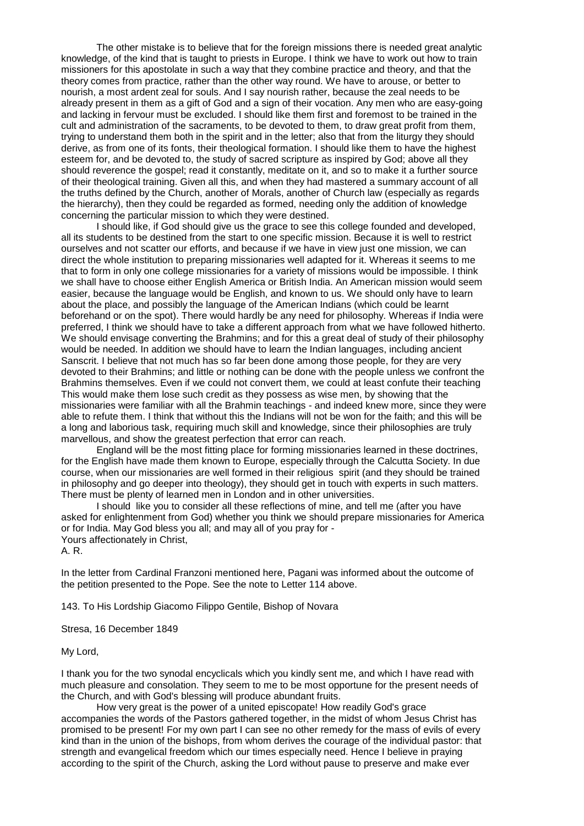The other mistake is to believe that for the foreign missions there is needed great analytic knowledge, of the kind that is taught to priests in Europe. I think we have to work out how to train missioners for this apostolate in such a way that they combine practice and theory, and that the theory comes from practice, rather than the other way round. We have to arouse, or better to nourish, a most ardent zeal for souls. And I say nourish rather, because the zeal needs to be already present in them as a gift of God and a sign of their vocation. Any men who are easy-going and lacking in fervour must be excluded. I should like them first and foremost to be trained in the cult and administration of the sacraments, to be devoted to them, to draw great profit from them, trying to understand them both in the spirit and in the letter; also that from the liturgy they should derive, as from one of its fonts, their theological formation. I should like them to have the highest esteem for, and be devoted to, the study of sacred scripture as inspired by God; above all they should reverence the gospel; read it constantly, meditate on it, and so to make it a further source of their theological training. Given all this, and when they had mastered a summary account of all the truths defined by the Church, another of Morals, another of Church law (especially as regards the hierarchy), then they could be regarded as formed, needing only the addition of knowledge concerning the particular mission to which they were destined.

I should like, if God should give us the grace to see this college founded and developed, all its students to be destined from the start to one specific mission. Because it is well to restrict ourselves and not scatter our efforts, and because if we have in view just one mission, we can direct the whole institution to preparing missionaries well adapted for it. Whereas it seems to me that to form in only one college missionaries for a variety of missions would be impossible. I think we shall have to choose either English America or British India. An American mission would seem easier, because the language would be English, and known to us. We should only have to learn about the place, and possibly the language of the American Indians (which could be learnt beforehand or on the spot). There would hardly be any need for philosophy. Whereas if India were preferred, I think we should have to take a different approach from what we have followed hitherto. We should envisage converting the Brahmins; and for this a great deal of study of their philosophy would be needed. In addition we should have to learn the Indian languages, including ancient Sanscrit. I believe that not much has so far been done among those people, for they are very devoted to their Brahmins; and little or nothing can be done with the people unless we confront the Brahmins themselves. Even if we could not convert them, we could at least confute their teaching This would make them lose such credit as they possess as wise men, by showing that the missionaries were familiar with all the Brahmin teachings - and indeed knew more, since they were able to refute them. I think that without this the Indians will not be won for the faith; and this will be a long and laborious task, requiring much skill and knowledge, since their philosophies are truly marvellous, and show the greatest perfection that error can reach.

England will be the most fitting place for forming missionaries learned in these doctrines, for the English have made them known to Europe, especially through the Calcutta Society. In due course, when our missionaries are well formed in their religious spirit (and they should be trained in philosophy and go deeper into theology), they should get in touch with experts in such matters. There must be plenty of learned men in London and in other universities.

I should like you to consider all these reflections of mine, and tell me (after you have asked for enlightenment from God) whether you think we should prepare missionaries for America or for India. May God bless you all; and may all of you pray for - Yours affectionately in Christ,

A. R.

In the letter from Cardinal Franzoni mentioned here, Pagani was informed about the outcome of the petition presented to the Pope. See the note to Letter 114 above.

143. To His Lordship Giacomo Filippo Gentile, Bishop of Novara

Stresa, 16 December 1849

My Lord,

I thank you for the two synodal encyclicals which you kindly sent me, and which I have read with much pleasure and consolation. They seem to me to be most opportune for the present needs of the Church, and with God's blessing will produce abundant fruits.

How very great is the power of a united episcopate! How readily God's grace accompanies the words of the Pastors gathered together, in the midst of whom Jesus Christ has promised to be present! For my own part I can see no other remedy for the mass of evils of every kind than in the union of the bishops, from whom derives the courage of the individual pastor: that strength and evangelical freedom which our times especially need. Hence I believe in praying according to the spirit of the Church, asking the Lord without pause to preserve and make ever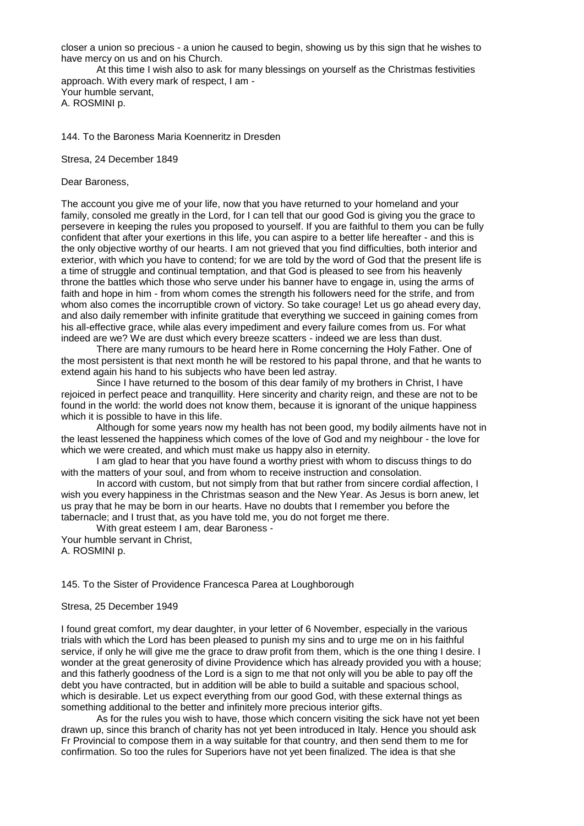closer a union so precious - a union he caused to begin, showing us by this sign that he wishes to have mercy on us and on his Church.

At this time I wish also to ask for many blessings on yourself as the Christmas festivities approach. With every mark of respect, I am - Your humble servant,

A. ROSMINI p.

144. To the Baroness Maria Koenneritz in Dresden

Stresa, 24 December 1849

Dear Baroness,

The account you give me of your life, now that you have returned to your homeland and your family, consoled me greatly in the Lord, for I can tell that our good God is giving you the grace to persevere in keeping the rules you proposed to yourself. If you are faithful to them you can be fully confident that after your exertions in this life, you can aspire to a better life hereafter - and this is the only objective worthy of our hearts. I am not grieved that you find difficulties, both interior and exterior, with which you have to contend; for we are told by the word of God that the present life is a time of struggle and continual temptation, and that God is pleased to see from his heavenly throne the battles which those who serve under his banner have to engage in, using the arms of faith and hope in him - from whom comes the strength his followers need for the strife, and from whom also comes the incorruptible crown of victory. So take courage! Let us go ahead every day, and also daily remember with infinite gratitude that everything we succeed in gaining comes from his all-effective grace, while alas every impediment and every failure comes from us. For what indeed are we? We are dust which every breeze scatters - indeed we are less than dust.

There are many rumours to be heard here in Rome concerning the Holy Father. One of the most persistent is that next month he will be restored to his papal throne, and that he wants to extend again his hand to his subjects who have been led astray.

Since I have returned to the bosom of this dear family of my brothers in Christ, I have rejoiced in perfect peace and tranquillity. Here sincerity and charity reign, and these are not to be found in the world: the world does not know them, because it is ignorant of the unique happiness which it is possible to have in this life.

Although for some years now my health has not been good, my bodily ailments have not in the least lessened the happiness which comes of the love of God and my neighbour - the love for which we were created, and which must make us happy also in eternity.

I am glad to hear that you have found a worthy priest with whom to discuss things to do with the matters of your soul, and from whom to receive instruction and consolation.

In accord with custom, but not simply from that but rather from sincere cordial affection, I wish you every happiness in the Christmas season and the New Year. As Jesus is born anew, let us pray that he may be born in our hearts. Have no doubts that I remember you before the tabernacle; and I trust that, as you have told me, you do not forget me there.

With great esteem I am, dear Baroness -

Your humble servant in Christ, A. ROSMINI p.

145. To the Sister of Providence Francesca Parea at Loughborough

# Stresa, 25 December 1949

I found great comfort, my dear daughter, in your letter of 6 November, especially in the various trials with which the Lord has been pleased to punish my sins and to urge me on in his faithful service, if only he will give me the grace to draw profit from them, which is the one thing I desire. I wonder at the great generosity of divine Providence which has already provided you with a house; and this fatherly goodness of the Lord is a sign to me that not only will you be able to pay off the debt you have contracted, but in addition will be able to build a suitable and spacious school, which is desirable. Let us expect everything from our good God, with these external things as something additional to the better and infinitely more precious interior gifts.

As for the rules you wish to have, those which concern visiting the sick have not yet been drawn up, since this branch of charity has not yet been introduced in Italy. Hence you should ask Fr Provincial to compose them in a way suitable for that country, and then send them to me for confirmation. So too the rules for Superiors have not yet been finalized. The idea is that she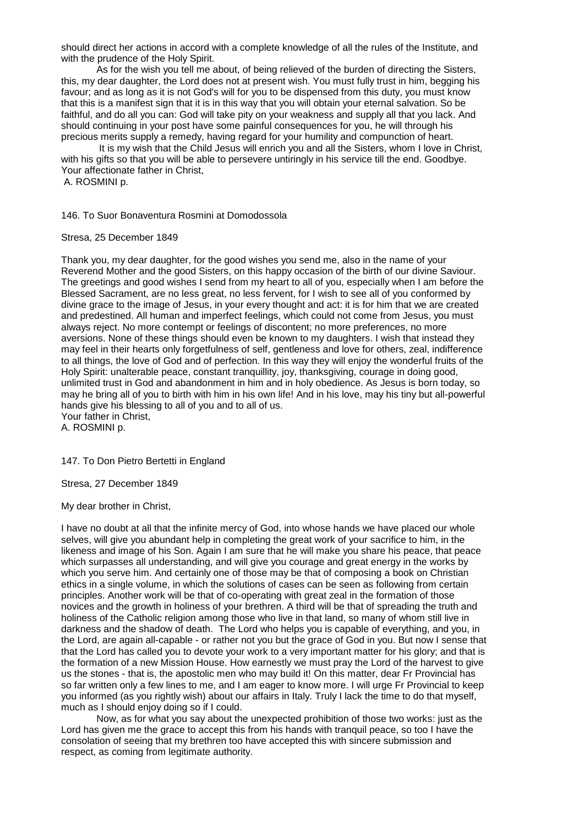should direct her actions in accord with a complete knowledge of all the rules of the Institute, and with the prudence of the Holy Spirit.

As for the wish you tell me about, of being relieved of the burden of directing the Sisters, this, my dear daughter, the Lord does not at present wish. You must fully trust in him, begging his favour; and as long as it is not God's will for you to be dispensed from this duty, you must know that this is a manifest sign that it is in this way that you will obtain your eternal salvation. So be faithful, and do all you can: God will take pity on your weakness and supply all that you lack. And should continuing in your post have some painful consequences for you, he will through his precious merits supply a remedy, having regard for your humility and compunction of heart.

It is my wish that the Child Jesus will enrich you and all the Sisters, whom I love in Christ, with his gifts so that you will be able to persevere untiringly in his service till the end. Goodbye. Your affectionate father in Christ, A. ROSMINI p.

146. To Suor Bonaventura Rosmini at Domodossola

Stresa, 25 December 1849

Thank you, my dear daughter, for the good wishes you send me, also in the name of your Reverend Mother and the good Sisters, on this happy occasion of the birth of our divine Saviour. The greetings and good wishes I send from my heart to all of you, especially when I am before the Blessed Sacrament, are no less great, no less fervent, for I wish to see all of you conformed by divine grace to the image of Jesus, in your every thought and act: it is for him that we are created and predestined. All human and imperfect feelings, which could not come from Jesus, you must always reject. No more contempt or feelings of discontent; no more preferences, no more aversions. None of these things should even be known to my daughters. I wish that instead they may feel in their hearts only forgetfulness of self, gentleness and love for others, zeal, indifference to all things, the love of God and of perfection. In this way they will enjoy the wonderful fruits of the Holy Spirit: unalterable peace, constant tranquillity, joy, thanksgiving, courage in doing good, unlimited trust in God and abandonment in him and in holy obedience. As Jesus is born today, so may he bring all of you to birth with him in his own life! And in his love, may his tiny but all-powerful hands give his blessing to all of you and to all of us.

Your father in Christ, A. ROSMINI p.

147. To Don Pietro Bertetti in England

Stresa, 27 December 1849

My dear brother in Christ,

I have no doubt at all that the infinite mercy of God, into whose hands we have placed our whole selves, will give you abundant help in completing the great work of your sacrifice to him, in the likeness and image of his Son. Again I am sure that he will make you share his peace, that peace which surpasses all understanding, and will give you courage and great energy in the works by which you serve him. And certainly one of those may be that of composing a book on Christian ethics in a single volume, in which the solutions of cases can be seen as following from certain principles. Another work will be that of co-operating with great zeal in the formation of those novices and the growth in holiness of your brethren. A third will be that of spreading the truth and holiness of the Catholic religion among those who live in that land, so many of whom still live in darkness and the shadow of death. The Lord who helps you is capable of everything, and you, in the Lord, are again all-capable - or rather not you but the grace of God in you. But now I sense that that the Lord has called you to devote your work to a very important matter for his glory; and that is the formation of a new Mission House. How earnestly we must pray the Lord of the harvest to give us the stones - that is, the apostolic men who may build it! On this matter, dear Fr Provincial has so far written only a few lines to me, and I am eager to know more. I will urge Fr Provincial to keep you informed (as you rightly wish) about our affairs in Italy. Truly I lack the time to do that myself, much as I should enjoy doing so if I could.

Now, as for what you say about the unexpected prohibition of those two works: just as the Lord has given me the grace to accept this from his hands with tranquil peace, so too I have the consolation of seeing that my brethren too have accepted this with sincere submission and respect, as coming from legitimate authority.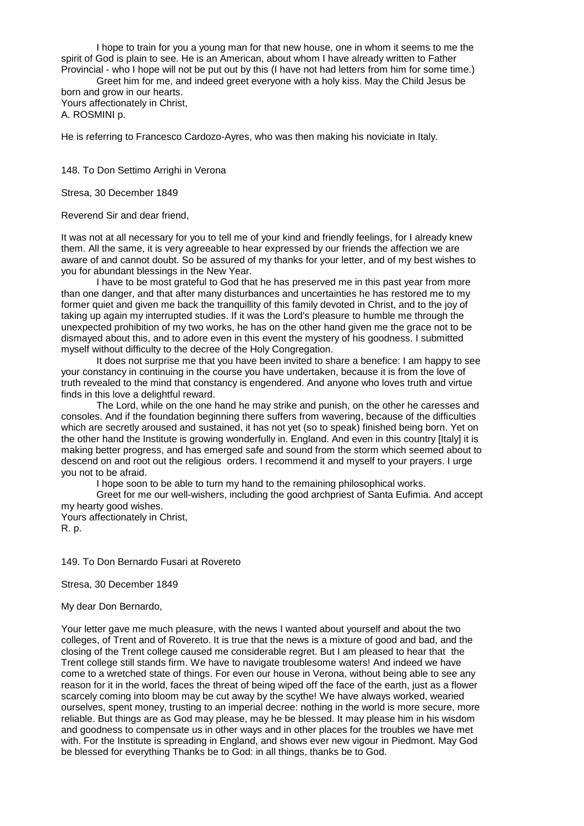I hope to train for you a young man for that new house, one in whom it seems to me the spirit of God is plain to see. He is an American, about whom I have already written to Father Provincial - who I hope will not be put out by this (I have not had letters from him for some time.)

Greet him for me, and indeed greet everyone with a holy kiss. May the Child Jesus be born and grow in our hearts. Yours affectionately in Christ,

A. ROSMINI p.

He is referring to Francesco Cardozo-Ayres, who was then making his noviciate in Italy.

148. To Don Settimo Arrighi in Verona

Stresa, 30 December 1849

Reverend Sir and dear friend,

It was not at all necessary for you to tell me of your kind and friendly feelings, for I already knew them. All the same, it is very agreeable to hear expressed by our friends the affection we are aware of and cannot doubt. So be assured of my thanks for your letter, and of my best wishes to you for abundant blessings in the New Year.

I have to be most grateful to God that he has preserved me in this past year from more than one danger, and that after many disturbances and uncertainties he has restored me to my former quiet and given me back the tranquillity of this family devoted in Christ, and to the joy of taking up again my interrupted studies. If it was the Lord's pleasure to humble me through the unexpected prohibition of my two works, he has on the other hand given me the grace not to be dismayed about this, and to adore even in this event the mystery of his goodness. I submitted myself without difficulty to the decree of the Holy Congregation.

It does not surprise me that you have been invited to share a benefice: I am happy to see your constancy in continuing in the course you have undertaken, because it is from the love of truth revealed to the mind that constancy is engendered. And anyone who loves truth and virtue finds in this love a delightful reward.

The Lord, while on the one hand he may strike and punish, on the other he caresses and consoles. And if the foundation beginning there suffers from wavering, because of the difficulties which are secretly aroused and sustained, it has not yet (so to speak) finished being born. Yet on the other hand the Institute is growing wonderfully in. England. And even in this country [Italy] it is making better progress, and has emerged safe and sound from the storm which seemed about to descend on and root out the religious orders. I recommend it and myself to your prayers. I urge you not to be afraid.

I hope soon to be able to turn my hand to the remaining philosophical works.

Greet for me our well-wishers, including the good archpriest of Santa Eufimia. And accept my hearty good wishes.

Yours affectionately in Christ, R. p.

149. To Don Bernardo Fusari at Rovereto

Stresa, 30 December 1849

My dear Don Bernardo,

Your letter gave me much pleasure, with the news I wanted about yourself and about the two colleges, of Trent and of Rovereto. It is true that the news is a mixture of good and bad, and the closing of the Trent college caused me considerable regret. But I am pleased to hear that the Trent college still stands firm. We have to navigate troublesome waters! And indeed we have come to a wretched state of things. For even our house in Verona, without being able to see any reason for it in the world, faces the threat of being wiped off the face of the earth, just as a flower scarcely coming into bloom may be cut away by the scythe! We have always worked, wearied ourselves, spent money, trusting to an imperial decree: nothing in the world is more secure, more reliable. But things are as God may please, may he be blessed. It may please him in his wisdom and goodness to compensate us in other ways and in other places for the troubles we have met with. For the Institute is spreading in England, and shows ever new vigour in Piedmont. May God be blessed for everything Thanks be to God: in all things, thanks be to God.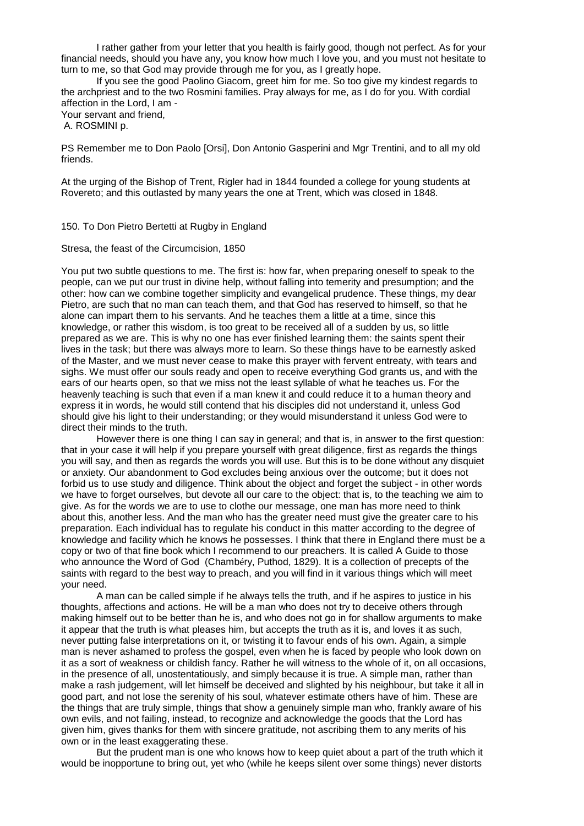I rather gather from your letter that you health is fairly good, though not perfect. As for your financial needs, should you have any, you know how much I love you, and you must not hesitate to turn to me, so that God may provide through me for you, as I greatly hope.

If you see the good Paolino Giacom, greet him for me. So too give my kindest regards to the archpriest and to the two Rosmini families. Pray always for me, as I do for you. With cordial affection in the Lord, I am - Your servant and friend,

A. ROSMINI p.

PS Remember me to Don Paolo [Orsi], Don Antonio Gasperini and Mgr Trentini, and to all my old friends.

At the urging of the Bishop of Trent, Rigler had in 1844 founded a college for young students at Rovereto; and this outlasted by many years the one at Trent, which was closed in 1848.

150. To Don Pietro Bertetti at Rugby in England

Stresa, the feast of the Circumcision, 1850

You put two subtle questions to me. The first is: how far, when preparing oneself to speak to the people, can we put our trust in divine help, without falling into temerity and presumption; and the other: how can we combine together simplicity and evangelical prudence. These things, my dear Pietro, are such that no man can teach them, and that God has reserved to himself, so that he alone can impart them to his servants. And he teaches them a little at a time, since this knowledge, or rather this wisdom, is too great to be received all of a sudden by us, so little prepared as we are. This is why no one has ever finished learning them: the saints spent their lives in the task; but there was always more to learn. So these things have to be earnestly asked of the Master, and we must never cease to make this prayer with fervent entreaty, with tears and sighs. We must offer our souls ready and open to receive everything God grants us, and with the ears of our hearts open, so that we miss not the least syllable of what he teaches us. For the heavenly teaching is such that even if a man knew it and could reduce it to a human theory and express it in words, he would still contend that his disciples did not understand it, unless God should give his light to their understanding; or they would misunderstand it unless God were to direct their minds to the truth.

However there is one thing I can say in general; and that is, in answer to the first question: that in your case it will help if you prepare yourself with great diligence, first as regards the things you will say, and then as regards the words you will use. But this is to be done without any disquiet or anxiety. Our abandonment to God excludes being anxious over the outcome; but it does not forbid us to use study and diligence. Think about the object and forget the subject - in other words we have to forget ourselves, but devote all our care to the object: that is, to the teaching we aim to give. As for the words we are to use to clothe our message, one man has more need to think about this, another less. And the man who has the greater need must give the greater care to his preparation. Each individual has to regulate his conduct in this matter according to the degree of knowledge and facility which he knows he possesses. I think that there in England there must be a copy or two of that fine book which I recommend to our preachers. It is called A Guide to those who announce the Word of God (Chambéry, Puthod, 1829). It is a collection of precepts of the saints with regard to the best way to preach, and you will find in it various things which will meet your need.

A man can be called simple if he always tells the truth, and if he aspires to justice in his thoughts, affections and actions. He will be a man who does not try to deceive others through making himself out to be better than he is, and who does not go in for shallow arguments to make it appear that the truth is what pleases him, but accepts the truth as it is, and loves it as such, never putting false interpretations on it, or twisting it to favour ends of his own. Again, a simple man is never ashamed to profess the gospel, even when he is faced by people who look down on it as a sort of weakness or childish fancy. Rather he will witness to the whole of it, on all occasions, in the presence of all, unostentatiously, and simply because it is true. A simple man, rather than make a rash judgement, will let himself be deceived and slighted by his neighbour, but take it all in good part, and not lose the serenity of his soul, whatever estimate others have of him. These are the things that are truly simple, things that show a genuinely simple man who, frankly aware of his own evils, and not failing, instead, to recognize and acknowledge the goods that the Lord has given him, gives thanks for them with sincere gratitude, not ascribing them to any merits of his own or in the least exaggerating these.

But the prudent man is one who knows how to keep quiet about a part of the truth which it would be inopportune to bring out, yet who (while he keeps silent over some things) never distorts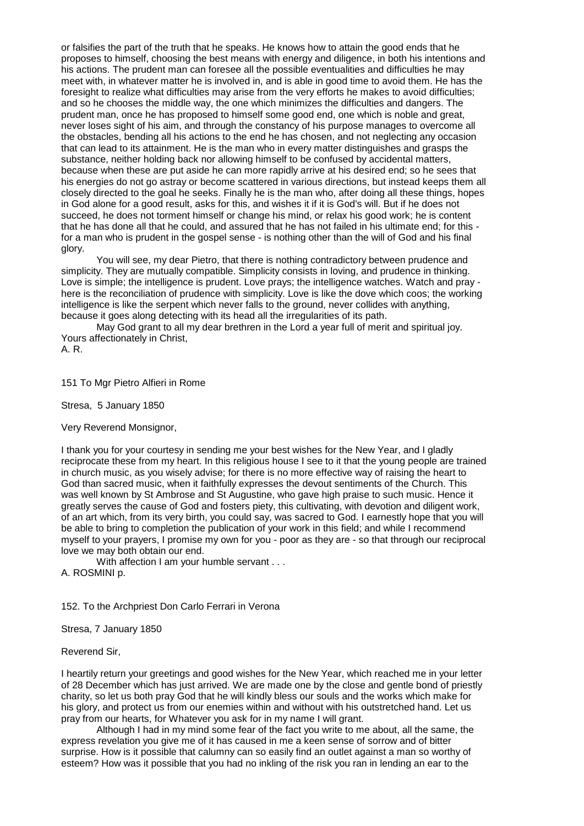or falsifies the part of the truth that he speaks. He knows how to attain the good ends that he proposes to himself, choosing the best means with energy and diligence, in both his intentions and his actions. The prudent man can foresee all the possible eventualities and difficulties he may meet with, in whatever matter he is involved in, and is able in good time to avoid them. He has the foresight to realize what difficulties may arise from the very efforts he makes to avoid difficulties; and so he chooses the middle way, the one which minimizes the difficulties and dangers. The prudent man, once he has proposed to himself some good end, one which is noble and great, never loses sight of his aim, and through the constancy of his purpose manages to overcome all the obstacles, bending all his actions to the end he has chosen, and not neglecting any occasion that can lead to its attainment. He is the man who in every matter distinguishes and grasps the substance, neither holding back nor allowing himself to be confused by accidental matters, because when these are put aside he can more rapidly arrive at his desired end; so he sees that his energies do not go astray or become scattered in various directions, but instead keeps them all closely directed to the goal he seeks. Finally he is the man who, after doing all these things, hopes in God alone for a good result, asks for this, and wishes it if it is God's will. But if he does not succeed, he does not torment himself or change his mind, or relax his good work; he is content that he has done all that he could, and assured that he has not failed in his ultimate end; for this for a man who is prudent in the gospel sense - is nothing other than the will of God and his final glory.

You will see, my dear Pietro, that there is nothing contradictory between prudence and simplicity. They are mutually compatible. Simplicity consists in loving, and prudence in thinking. Love is simple; the intelligence is prudent. Love prays; the intelligence watches. Watch and pray here is the reconciliation of prudence with simplicity. Love is like the dove which coos; the working intelligence is like the serpent which never falls to the ground, never collides with anything, because it goes along detecting with its head all the irregularities of its path.

May God grant to all my dear brethren in the Lord a year full of merit and spiritual joy. Yours affectionately in Christ,

A. R.

151 To Mgr Pietro Alfieri in Rome

Stresa, 5 January 1850

Very Reverend Monsignor,

I thank you for your courtesy in sending me your best wishes for the New Year, and I gladly reciprocate these from my heart. In this religious house I see to it that the young people are trained in church music, as you wisely advise; for there is no more effective way of raising the heart to God than sacred music, when it faithfully expresses the devout sentiments of the Church. This was well known by St Ambrose and St Augustine, who gave high praise to such music. Hence it greatly serves the cause of God and fosters piety, this cultivating, with devotion and diligent work, of an art which, from its very birth, you could say, was sacred to God. I earnestly hope that you will be able to bring to completion the publication of your work in this field; and while I recommend myself to your prayers, I promise my own for you - poor as they are - so that through our reciprocal love we may both obtain our end.

With affection I am your humble servant . . . A. ROSMINI p.

152. To the Archpriest Don Carlo Ferrari in Verona

Stresa, 7 January 1850

Reverend Sir,

I heartily return your greetings and good wishes for the New Year, which reached me in your letter of 28 December which has just arrived. We are made one by the close and gentle bond of priestly charity, so let us both pray God that he will kindly bless our souls and the works which make for his glory, and protect us from our enemies within and without with his outstretched hand. Let us pray from our hearts, for Whatever you ask for in my name I will grant.

Although I had in my mind some fear of the fact you write to me about, all the same, the express revelation you give me of it has caused in me a keen sense of sorrow and of bitter surprise. How is it possible that calumny can so easily find an outlet against a man so worthy of esteem? How was it possible that you had no inkling of the risk you ran in lending an ear to the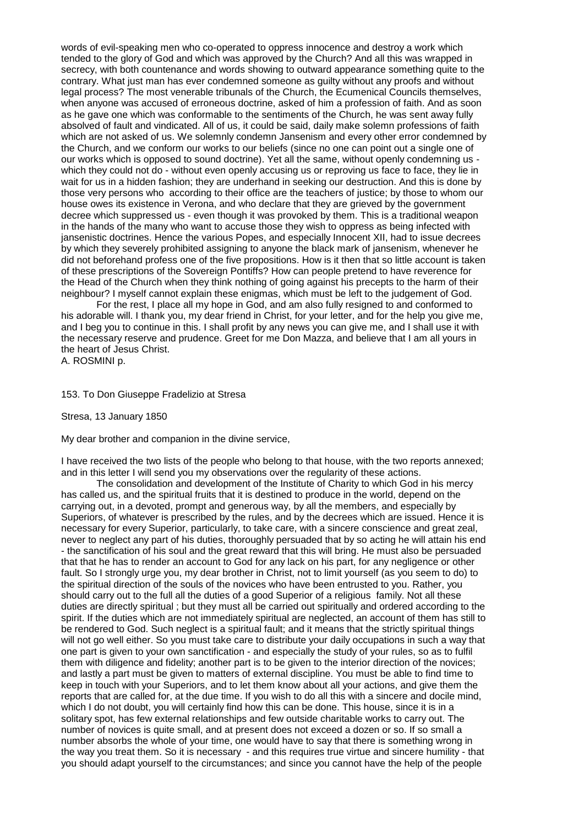words of evil-speaking men who co-operated to oppress innocence and destroy a work which tended to the glory of God and which was approved by the Church? And all this was wrapped in secrecy, with both countenance and words showing to outward appearance something quite to the contrary. What just man has ever condemned someone as guilty without any proofs and without legal process? The most venerable tribunals of the Church, the Ecumenical Councils themselves, when anyone was accused of erroneous doctrine, asked of him a profession of faith. And as soon as he gave one which was conformable to the sentiments of the Church, he was sent away fully absolved of fault and vindicated. All of us, it could be said, daily make solemn professions of faith which are not asked of us. We solemnly condemn Jansenism and every other error condemned by the Church, and we conform our works to our beliefs (since no one can point out a single one of our works which is opposed to sound doctrine). Yet all the same, without openly condemning us which they could not do - without even openly accusing us or reproving us face to face, they lie in wait for us in a hidden fashion; they are underhand in seeking our destruction. And this is done by those very persons who according to their office are the teachers of justice; by those to whom our house owes its existence in Verona, and who declare that they are grieved by the government decree which suppressed us - even though it was provoked by them. This is a traditional weapon in the hands of the many who want to accuse those they wish to oppress as being infected with jansenistic doctrines. Hence the various Popes, and especially Innocent XII, had to issue decrees by which they severely prohibited assigning to anyone the black mark of jansenism, whenever he did not beforehand profess one of the five propositions. How is it then that so little account is taken of these prescriptions of the Sovereign Pontiffs? How can people pretend to have reverence for the Head of the Church when they think nothing of going against his precepts to the harm of their neighbour? I myself cannot explain these enigmas, which must be left to the judgement of God.

For the rest, I place all my hope in God, and am also fully resigned to and conformed to his adorable will. I thank you, my dear friend in Christ, for your letter, and for the help you give me, and I beg you to continue in this. I shall profit by any news you can give me, and I shall use it with the necessary reserve and prudence. Greet for me Don Mazza, and believe that I am all yours in the heart of Jesus Christ.

A. ROSMINI p.

# 153. To Don Giuseppe Fradelizio at Stresa

Stresa, 13 January 1850

My dear brother and companion in the divine service,

I have received the two lists of the people who belong to that house, with the two reports annexed; and in this letter I will send you my observations over the regularity of these actions.

The consolidation and development of the Institute of Charity to which God in his mercy has called us, and the spiritual fruits that it is destined to produce in the world, depend on the carrying out, in a devoted, prompt and generous way, by all the members, and especially by Superiors, of whatever is prescribed by the rules, and by the decrees which are issued. Hence it is necessary for every Superior, particularly, to take care, with a sincere conscience and great zeal, never to neglect any part of his duties, thoroughly persuaded that by so acting he will attain his end - the sanctification of his soul and the great reward that this will bring. He must also be persuaded that that he has to render an account to God for any lack on his part, for any negligence or other fault. So I strongly urge you, my dear brother in Christ, not to limit yourself (as you seem to do) to the spiritual direction of the souls of the novices who have been entrusted to you. Rather, you should carry out to the full all the duties of a good Superior of a religious family. Not all these duties are directly spiritual ; but they must all be carried out spiritually and ordered according to the spirit. If the duties which are not immediately spiritual are neglected, an account of them has still to be rendered to God. Such neglect is a spiritual fault; and it means that the strictly spiritual things will not go well either. So you must take care to distribute your daily occupations in such a way that one part is given to your own sanctification - and especially the study of your rules, so as to fulfil them with diligence and fidelity; another part is to be given to the interior direction of the novices; and lastly a part must be given to matters of external discipline. You must be able to find time to keep in touch with your Superiors, and to let them know about all your actions, and give them the reports that are called for, at the due time. If you wish to do all this with a sincere and docile mind, which I do not doubt, you will certainly find how this can be done. This house, since it is in a solitary spot, has few external relationships and few outside charitable works to carry out. The number of novices is quite small, and at present does not exceed a dozen or so. If so small a number absorbs the whole of your time, one would have to say that there is something wrong in the way you treat them. So it is necessary - and this requires true virtue and sincere humility - that you should adapt yourself to the circumstances; and since you cannot have the help of the people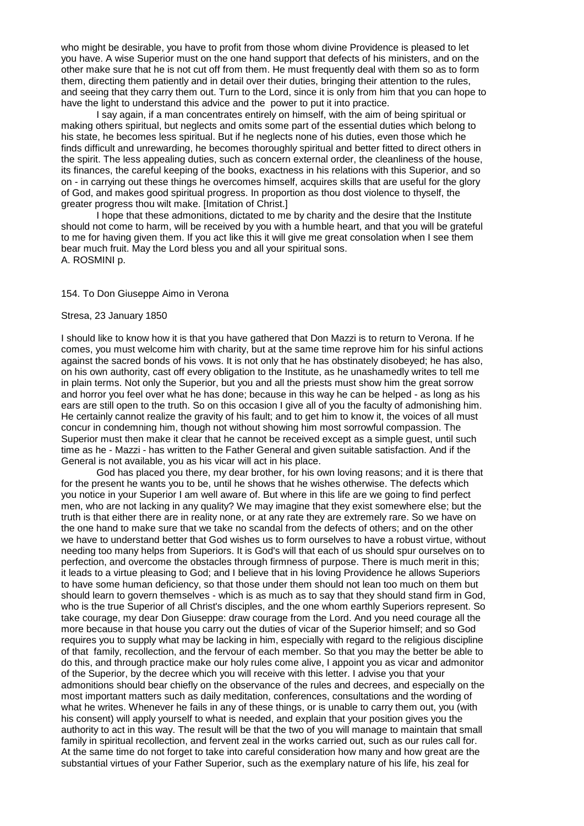who might be desirable, you have to profit from those whom divine Providence is pleased to let you have. A wise Superior must on the one hand support that defects of his ministers, and on the other make sure that he is not cut off from them. He must frequently deal with them so as to form them, directing them patiently and in detail over their duties, bringing their attention to the rules, and seeing that they carry them out. Turn to the Lord, since it is only from him that you can hope to have the light to understand this advice and the power to put it into practice.

I say again, if a man concentrates entirely on himself, with the aim of being spiritual or making others spiritual, but neglects and omits some part of the essential duties which belong to his state, he becomes less spiritual. But if he neglects none of his duties, even those which he finds difficult and unrewarding, he becomes thoroughly spiritual and better fitted to direct others in the spirit. The less appealing duties, such as concern external order, the cleanliness of the house, its finances, the careful keeping of the books, exactness in his relations with this Superior, and so on - in carrying out these things he overcomes himself, acquires skills that are useful for the glory of God, and makes good spiritual progress. In proportion as thou dost violence to thyself, the greater progress thou wilt make. [Imitation of Christ.]

I hope that these admonitions, dictated to me by charity and the desire that the Institute should not come to harm, will be received by you with a humble heart, and that you will be grateful to me for having given them. If you act like this it will give me great consolation when I see them bear much fruit. May the Lord bless you and all your spiritual sons. A. ROSMINI p.

## 154. To Don Giuseppe Aimo in Verona

#### Stresa, 23 January 1850

I should like to know how it is that you have gathered that Don Mazzi is to return to Verona. If he comes, you must welcome him with charity, but at the same time reprove him for his sinful actions against the sacred bonds of his vows. It is not only that he has obstinately disobeyed; he has also, on his own authority, cast off every obligation to the Institute, as he unashamedly writes to tell me in plain terms. Not only the Superior, but you and all the priests must show him the great sorrow and horror you feel over what he has done; because in this way he can be helped - as long as his ears are still open to the truth. So on this occasion I give all of you the faculty of admonishing him. He certainly cannot realize the gravity of his fault; and to get him to know it, the voices of all must concur in condemning him, though not without showing him most sorrowful compassion. The Superior must then make it clear that he cannot be received except as a simple guest, until such time as he - Mazzi - has written to the Father General and given suitable satisfaction. And if the General is not available, you as his vicar will act in his place.

God has placed you there, my dear brother, for his own loving reasons; and it is there that for the present he wants you to be, until he shows that he wishes otherwise. The defects which you notice in your Superior I am well aware of. But where in this life are we going to find perfect men, who are not lacking in any quality? We may imagine that they exist somewhere else; but the truth is that either there are in reality none, or at any rate they are extremely rare. So we have on the one hand to make sure that we take no scandal from the defects of others; and on the other we have to understand better that God wishes us to form ourselves to have a robust virtue, without needing too many helps from Superiors. It is God's will that each of us should spur ourselves on to perfection, and overcome the obstacles through firmness of purpose. There is much merit in this; it leads to a virtue pleasing to God; and I believe that in his loving Providence he allows Superiors to have some human deficiency, so that those under them should not lean too much on them but should learn to govern themselves - which is as much as to say that they should stand firm in God, who is the true Superior of all Christ's disciples, and the one whom earthly Superiors represent. So take courage, my dear Don Giuseppe: draw courage from the Lord. And you need courage all the more because in that house you carry out the duties of vicar of the Superior himself; and so God requires you to supply what may be lacking in him, especially with regard to the religious discipline of that family, recollection, and the fervour of each member. So that you may the better be able to do this, and through practice make our holy rules come alive, I appoint you as vicar and admonitor of the Superior, by the decree which you will receive with this letter. I advise you that your admonitions should bear chiefly on the observance of the rules and decrees, and especially on the most important matters such as daily meditation, conferences, consultations and the wording of what he writes. Whenever he fails in any of these things, or is unable to carry them out, you (with his consent) will apply yourself to what is needed, and explain that your position gives you the authority to act in this way. The result will be that the two of you will manage to maintain that small family in spiritual recollection, and fervent zeal in the works carried out, such as our rules call for. At the same time do not forget to take into careful consideration how many and how great are the substantial virtues of your Father Superior, such as the exemplary nature of his life, his zeal for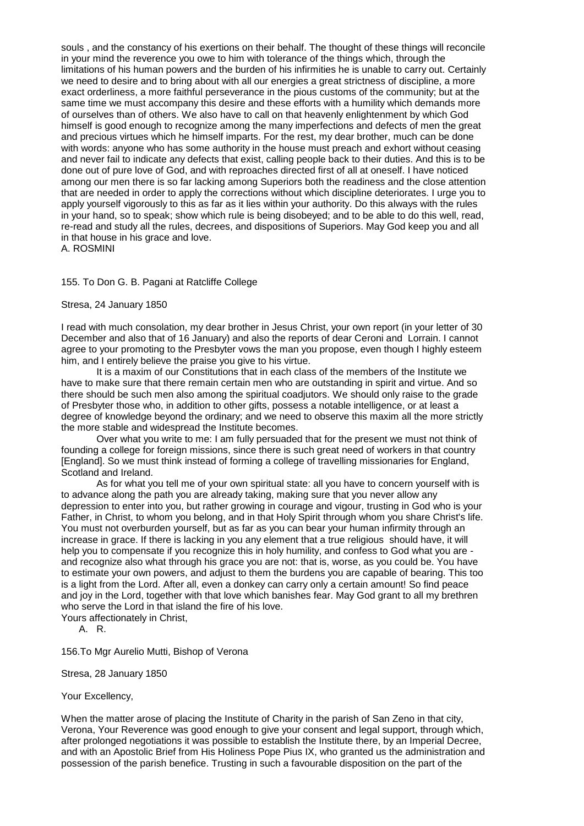souls , and the constancy of his exertions on their behalf. The thought of these things will reconcile in your mind the reverence you owe to him with tolerance of the things which, through the limitations of his human powers and the burden of his infirmities he is unable to carry out. Certainly we need to desire and to bring about with all our energies a great strictness of discipline, a more exact orderliness, a more faithful perseverance in the pious customs of the community; but at the same time we must accompany this desire and these efforts with a humility which demands more of ourselves than of others. We also have to call on that heavenly enlightenment by which God himself is good enough to recognize among the many imperfections and defects of men the great and precious virtues which he himself imparts. For the rest, my dear brother, much can be done with words: anyone who has some authority in the house must preach and exhort without ceasing and never fail to indicate any defects that exist, calling people back to their duties. And this is to be done out of pure love of God, and with reproaches directed first of all at oneself. I have noticed among our men there is so far lacking among Superiors both the readiness and the close attention that are needed in order to apply the corrections without which discipline deteriorates. I urge you to apply yourself vigorously to this as far as it lies within your authority. Do this always with the rules in your hand, so to speak; show which rule is being disobeyed; and to be able to do this well, read, re-read and study all the rules, decrees, and dispositions of Superiors. May God keep you and all in that house in his grace and love.

A. ROSMINI

# 155. To Don G. B. Pagani at Ratcliffe College

## Stresa, 24 January 1850

I read with much consolation, my dear brother in Jesus Christ, your own report (in your letter of 30 December and also that of 16 January) and also the reports of dear Ceroni and Lorrain. I cannot agree to your promoting to the Presbyter vows the man you propose, even though I highly esteem him, and I entirely believe the praise you give to his virtue.

It is a maxim of our Constitutions that in each class of the members of the Institute we have to make sure that there remain certain men who are outstanding in spirit and virtue. And so there should be such men also among the spiritual coadjutors. We should only raise to the grade of Presbyter those who, in addition to other gifts, possess a notable intelligence, or at least a degree of knowledge beyond the ordinary; and we need to observe this maxim all the more strictly the more stable and widespread the Institute becomes.

Over what you write to me: I am fully persuaded that for the present we must not think of founding a college for foreign missions, since there is such great need of workers in that country [England]. So we must think instead of forming a college of travelling missionaries for England, Scotland and Ireland.

As for what you tell me of your own spiritual state: all you have to concern yourself with is to advance along the path you are already taking, making sure that you never allow any depression to enter into you, but rather growing in courage and vigour, trusting in God who is your Father, in Christ, to whom you belong, and in that Holy Spirit through whom you share Christ's life. You must not overburden yourself, but as far as you can bear your human infirmity through an increase in grace. If there is lacking in you any element that a true religious should have, it will help you to compensate if you recognize this in holy humility, and confess to God what you are and recognize also what through his grace you are not: that is, worse, as you could be. You have to estimate your own powers, and adjust to them the burdens you are capable of bearing. This too is a light from the Lord. After all, even a donkey can carry only a certain amount! So find peace and joy in the Lord, together with that love which banishes fear. May God grant to all my brethren who serve the Lord in that island the fire of his love.

Yours affectionately in Christ,

A. R.

156.To Mgr Aurelio Mutti, Bishop of Verona

Stresa, 28 January 1850

Your Excellency,

When the matter arose of placing the Institute of Charity in the parish of San Zeno in that city, Verona, Your Reverence was good enough to give your consent and legal support, through which, after prolonged negotiations it was possible to establish the Institute there, by an Imperial Decree, and with an Apostolic Brief from His Holiness Pope Pius IX, who granted us the administration and possession of the parish benefice. Trusting in such a favourable disposition on the part of the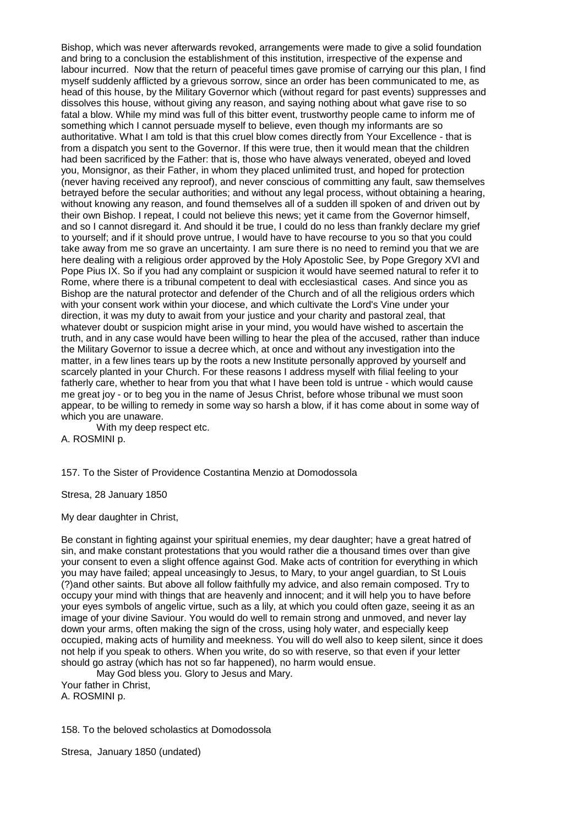Bishop, which was never afterwards revoked, arrangements were made to give a solid foundation and bring to a conclusion the establishment of this institution, irrespective of the expense and labour incurred. Now that the return of peaceful times gave promise of carrying our this plan, I find myself suddenly afflicted by a grievous sorrow, since an order has been communicated to me, as head of this house, by the Military Governor which (without regard for past events) suppresses and dissolves this house, without giving any reason, and saying nothing about what gave rise to so fatal a blow. While my mind was full of this bitter event, trustworthy people came to inform me of something which I cannot persuade myself to believe, even though my informants are so authoritative. What I am told is that this cruel blow comes directly from Your Excellence - that is from a dispatch you sent to the Governor. If this were true, then it would mean that the children had been sacrificed by the Father: that is, those who have always venerated, obeyed and loved you, Monsignor, as their Father, in whom they placed unlimited trust, and hoped for protection (never having received any reproof), and never conscious of committing any fault, saw themselves betrayed before the secular authorities; and without any legal process, without obtaining a hearing, without knowing any reason, and found themselves all of a sudden ill spoken of and driven out by their own Bishop. I repeat, I could not believe this news; yet it came from the Governor himself, and so I cannot disregard it. And should it be true, I could do no less than frankly declare my grief to yourself; and if it should prove untrue, I would have to have recourse to you so that you could take away from me so grave an uncertainty. I am sure there is no need to remind you that we are here dealing with a religious order approved by the Holy Apostolic See, by Pope Gregory XVI and Pope Pius IX. So if you had any complaint or suspicion it would have seemed natural to refer it to Rome, where there is a tribunal competent to deal with ecclesiastical cases. And since you as Bishop are the natural protector and defender of the Church and of all the religious orders which with your consent work within your diocese, and which cultivate the Lord's Vine under your direction, it was my duty to await from your justice and your charity and pastoral zeal, that whatever doubt or suspicion might arise in your mind, you would have wished to ascertain the truth, and in any case would have been willing to hear the plea of the accused, rather than induce the Military Governor to issue a decree which, at once and without any investigation into the matter, in a few lines tears up by the roots a new Institute personally approved by yourself and scarcely planted in your Church. For these reasons I address myself with filial feeling to your fatherly care, whether to hear from you that what I have been told is untrue - which would cause me great joy - or to beg you in the name of Jesus Christ, before whose tribunal we must soon appear, to be willing to remedy in some way so harsh a blow, if it has come about in some way of which you are unaware.

With my deep respect etc. A. ROSMINI p.

157. To the Sister of Providence Costantina Menzio at Domodossola

Stresa, 28 January 1850

My dear daughter in Christ,

Be constant in fighting against your spiritual enemies, my dear daughter; have a great hatred of sin, and make constant protestations that you would rather die a thousand times over than give your consent to even a slight offence against God. Make acts of contrition for everything in which you may have failed; appeal unceasingly to Jesus, to Mary, to your angel guardian, to St Louis (?)and other saints. But above all follow faithfully my advice, and also remain composed. Try to occupy your mind with things that are heavenly and innocent; and it will help you to have before your eyes symbols of angelic virtue, such as a lily, at which you could often gaze, seeing it as an image of your divine Saviour. You would do well to remain strong and unmoved, and never lay down your arms, often making the sign of the cross, using holy water, and especially keep occupied, making acts of humility and meekness. You will do well also to keep silent, since it does not help if you speak to others. When you write, do so with reserve, so that even if your letter should go astray (which has not so far happened), no harm would ensue.

May God bless you. Glory to Jesus and Mary. Your father in Christ, A. ROSMINI p.

158. To the beloved scholastics at Domodossola

Stresa, January 1850 (undated)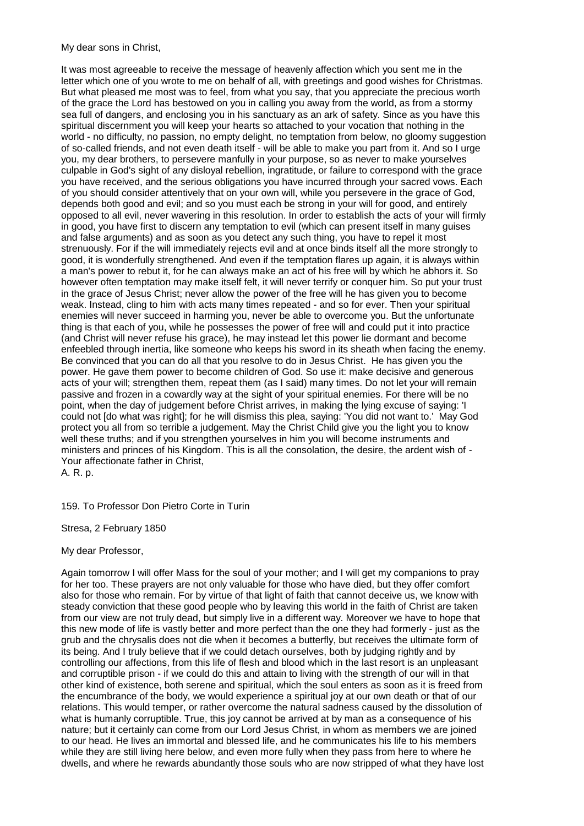My dear sons in Christ,

It was most agreeable to receive the message of heavenly affection which you sent me in the letter which one of you wrote to me on behalf of all, with greetings and good wishes for Christmas. But what pleased me most was to feel, from what you say, that you appreciate the precious worth of the grace the Lord has bestowed on you in calling you away from the world, as from a stormy sea full of dangers, and enclosing you in his sanctuary as an ark of safety. Since as you have this spiritual discernment you will keep your hearts so attached to your vocation that nothing in the world - no difficulty, no passion, no empty delight, no temptation from below, no gloomy suggestion of so-called friends, and not even death itself - will be able to make you part from it. And so I urge you, my dear brothers, to persevere manfully in your purpose, so as never to make yourselves culpable in God's sight of any disloyal rebellion, ingratitude, or failure to correspond with the grace you have received, and the serious obligations you have incurred through your sacred vows. Each of you should consider attentively that on your own will, while you persevere in the grace of God, depends both good and evil; and so you must each be strong in your will for good, and entirely opposed to all evil, never wavering in this resolution. In order to establish the acts of your will firmly in good, you have first to discern any temptation to evil (which can present itself in many guises and false arguments) and as soon as you detect any such thing, you have to repel it most strenuously. For if the will immediately rejects evil and at once binds itself all the more strongly to good, it is wonderfully strengthened. And even if the temptation flares up again, it is always within a man's power to rebut it, for he can always make an act of his free will by which he abhors it. So however often temptation may make itself felt, it will never terrify or conquer him. So put your trust in the grace of Jesus Christ; never allow the power of the free will he has given you to become weak. Instead, cling to him with acts many times repeated - and so for ever. Then your spiritual enemies will never succeed in harming you, never be able to overcome you. But the unfortunate thing is that each of you, while he possesses the power of free will and could put it into practice (and Christ will never refuse his grace), he may instead let this power lie dormant and become enfeebled through inertia, like someone who keeps his sword in its sheath when facing the enemy. Be convinced that you can do all that you resolve to do in Jesus Christ. He has given you the power. He gave them power to become children of God. So use it: make decisive and generous acts of your will; strengthen them, repeat them (as I said) many times. Do not let your will remain passive and frozen in a cowardly way at the sight of your spiritual enemies. For there will be no point, when the day of judgement before Christ arrives, in making the lying excuse of saying: 'I could not [do what was right]; for he will dismiss this plea, saying: 'You did not want to.' May God protect you all from so terrible a judgement. May the Christ Child give you the light you to know well these truths; and if you strengthen yourselves in him you will become instruments and ministers and princes of his Kingdom. This is all the consolation, the desire, the ardent wish of - Your affectionate father in Christ, A. R. p.

159. To Professor Don Pietro Corte in Turin

Stresa, 2 February 1850

# My dear Professor,

Again tomorrow I will offer Mass for the soul of your mother; and I will get my companions to pray for her too. These prayers are not only valuable for those who have died, but they offer comfort also for those who remain. For by virtue of that light of faith that cannot deceive us, we know with steady conviction that these good people who by leaving this world in the faith of Christ are taken from our view are not truly dead, but simply live in a different way. Moreover we have to hope that this new mode of life is vastly better and more perfect than the one they had formerly - just as the grub and the chrysalis does not die when it becomes a butterfly, but receives the ultimate form of its being. And I truly believe that if we could detach ourselves, both by judging rightly and by controlling our affections, from this life of flesh and blood which in the last resort is an unpleasant and corruptible prison - if we could do this and attain to living with the strength of our will in that other kind of existence, both serene and spiritual, which the soul enters as soon as it is freed from the encumbrance of the body, we would experience a spiritual joy at our own death or that of our relations. This would temper, or rather overcome the natural sadness caused by the dissolution of what is humanly corruptible. True, this joy cannot be arrived at by man as a consequence of his nature; but it certainly can come from our Lord Jesus Christ, in whom as members we are joined to our head. He lives an immortal and blessed life, and he communicates his life to his members while they are still living here below, and even more fully when they pass from here to where he dwells, and where he rewards abundantly those souls who are now stripped of what they have lost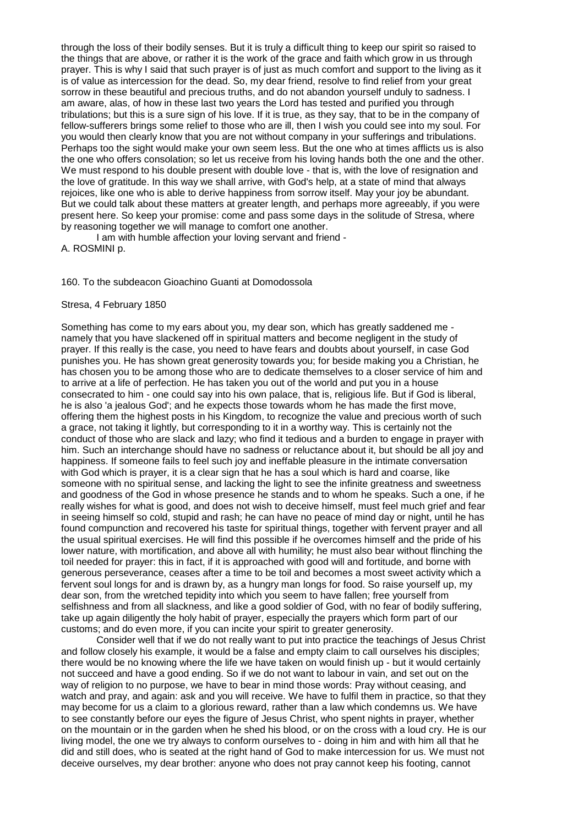through the loss of their bodily senses. But it is truly a difficult thing to keep our spirit so raised to the things that are above, or rather it is the work of the grace and faith which grow in us through prayer. This is why I said that such prayer is of just as much comfort and support to the living as it is of value as intercession for the dead. So, my dear friend, resolve to find relief from your great sorrow in these beautiful and precious truths, and do not abandon yourself unduly to sadness. I am aware, alas, of how in these last two years the Lord has tested and purified you through tribulations; but this is a sure sign of his love. If it is true, as they say, that to be in the company of fellow-sufferers brings some relief to those who are ill, then I wish you could see into my soul. For you would then clearly know that you are not without company in your sufferings and tribulations. Perhaps too the sight would make your own seem less. But the one who at times afflicts us is also the one who offers consolation; so let us receive from his loving hands both the one and the other. We must respond to his double present with double love - that is, with the love of resignation and the love of gratitude. In this way we shall arrive, with God's help, at a state of mind that always rejoices, like one who is able to derive happiness from sorrow itself. May your joy be abundant. But we could talk about these matters at greater length, and perhaps more agreeably, if you were present here. So keep your promise: come and pass some days in the solitude of Stresa, where by reasoning together we will manage to comfort one another.

I am with humble affection your loving servant and friend - A. ROSMINI p.

## 160. To the subdeacon Gioachino Guanti at Domodossola

#### Stresa, 4 February 1850

Something has come to my ears about you, my dear son, which has greatly saddened me namely that you have slackened off in spiritual matters and become negligent in the study of prayer. If this really is the case, you need to have fears and doubts about yourself, in case God punishes you. He has shown great generosity towards you; for beside making you a Christian, he has chosen you to be among those who are to dedicate themselves to a closer service of him and to arrive at a life of perfection. He has taken you out of the world and put you in a house consecrated to him - one could say into his own palace, that is, religious life. But if God is liberal, he is also 'a jealous God'; and he expects those towards whom he has made the first move, offering them the highest posts in his Kingdom, to recognize the value and precious worth of such a grace, not taking it lightly, but corresponding to it in a worthy way. This is certainly not the conduct of those who are slack and lazy; who find it tedious and a burden to engage in prayer with him. Such an interchange should have no sadness or reluctance about it, but should be all joy and happiness. If someone fails to feel such joy and ineffable pleasure in the intimate conversation with God which is prayer, it is a clear sign that he has a soul which is hard and coarse, like someone with no spiritual sense, and lacking the light to see the infinite greatness and sweetness and goodness of the God in whose presence he stands and to whom he speaks. Such a one, if he really wishes for what is good, and does not wish to deceive himself, must feel much grief and fear in seeing himself so cold, stupid and rash; he can have no peace of mind day or night, until he has found compunction and recovered his taste for spiritual things, together with fervent prayer and all the usual spiritual exercises. He will find this possible if he overcomes himself and the pride of his lower nature, with mortification, and above all with humility; he must also bear without flinching the toil needed for prayer: this in fact, if it is approached with good will and fortitude, and borne with generous perseverance, ceases after a time to be toil and becomes a most sweet activity which a fervent soul longs for and is drawn by, as a hungry man longs for food. So raise yourself up, my dear son, from the wretched tepidity into which you seem to have fallen; free yourself from selfishness and from all slackness, and like a good soldier of God, with no fear of bodily suffering, take up again diligently the holy habit of prayer, especially the prayers which form part of our customs; and do even more, if you can incite your spirit to greater generosity.

Consider well that if we do not really want to put into practice the teachings of Jesus Christ and follow closely his example, it would be a false and empty claim to call ourselves his disciples; there would be no knowing where the life we have taken on would finish up - but it would certainly not succeed and have a good ending. So if we do not want to labour in vain, and set out on the way of religion to no purpose, we have to bear in mind those words: Pray without ceasing, and watch and pray, and again: ask and you will receive. We have to fulfil them in practice, so that they may become for us a claim to a glorious reward, rather than a law which condemns us. We have to see constantly before our eyes the figure of Jesus Christ, who spent nights in prayer, whether on the mountain or in the garden when he shed his blood, or on the cross with a loud cry. He is our living model, the one we try always to conform ourselves to - doing in him and with him all that he did and still does, who is seated at the right hand of God to make intercession for us. We must not deceive ourselves, my dear brother: anyone who does not pray cannot keep his footing, cannot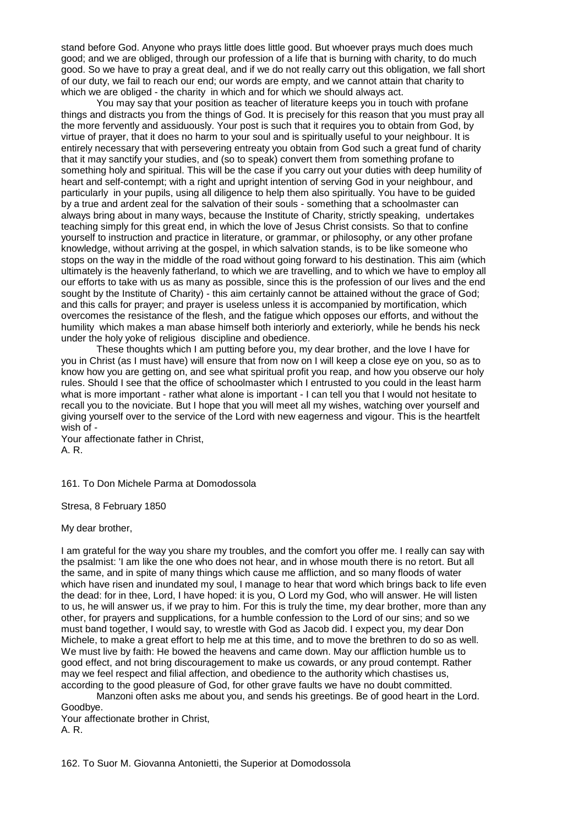stand before God. Anyone who prays little does little good. But whoever prays much does much good; and we are obliged, through our profession of a life that is burning with charity, to do much good. So we have to pray a great deal, and if we do not really carry out this obligation, we fall short of our duty, we fail to reach our end; our words are empty, and we cannot attain that charity to which we are obliged - the charity in which and for which we should always act.

You may say that your position as teacher of literature keeps you in touch with profane things and distracts you from the things of God. It is precisely for this reason that you must pray all the more fervently and assiduously. Your post is such that it requires you to obtain from God, by virtue of prayer, that it does no harm to your soul and is spiritually useful to your neighbour. It is entirely necessary that with persevering entreaty you obtain from God such a great fund of charity that it may sanctify your studies, and (so to speak) convert them from something profane to something holy and spiritual. This will be the case if you carry out your duties with deep humility of heart and self-contempt; with a right and upright intention of serving God in your neighbour, and particularly in your pupils, using all diligence to help them also spiritually. You have to be guided by a true and ardent zeal for the salvation of their souls - something that a schoolmaster can always bring about in many ways, because the Institute of Charity, strictly speaking, undertakes teaching simply for this great end, in which the love of Jesus Christ consists. So that to confine yourself to instruction and practice in literature, or grammar, or philosophy, or any other profane knowledge, without arriving at the gospel, in which salvation stands, is to be like someone who stops on the way in the middle of the road without going forward to his destination. This aim (which ultimately is the heavenly fatherland, to which we are travelling, and to which we have to employ all our efforts to take with us as many as possible, since this is the profession of our lives and the end sought by the Institute of Charity) - this aim certainly cannot be attained without the grace of God; and this calls for prayer; and prayer is useless unless it is accompanied by mortification, which overcomes the resistance of the flesh, and the fatigue which opposes our efforts, and without the humility which makes a man abase himself both interiorly and exteriorly, while he bends his neck under the holy yoke of religious discipline and obedience.

These thoughts which I am putting before you, my dear brother, and the love I have for you in Christ (as I must have) will ensure that from now on I will keep a close eye on you, so as to know how you are getting on, and see what spiritual profit you reap, and how you observe our holy rules. Should I see that the office of schoolmaster which I entrusted to you could in the least harm what is more important - rather what alone is important - I can tell you that I would not hesitate to recall you to the noviciate. But I hope that you will meet all my wishes, watching over yourself and giving yourself over to the service of the Lord with new eagerness and vigour. This is the heartfelt wish of -

Your affectionate father in Christ, A. R.

161. To Don Michele Parma at Domodossola

Stresa, 8 February 1850

My dear brother,

I am grateful for the way you share my troubles, and the comfort you offer me. I really can say with the psalmist: 'I am like the one who does not hear, and in whose mouth there is no retort. But all the same, and in spite of many things which cause me affliction, and so many floods of water which have risen and inundated my soul, I manage to hear that word which brings back to life even the dead: for in thee, Lord, I have hoped: it is you, O Lord my God, who will answer. He will listen to us, he will answer us, if we pray to him. For this is truly the time, my dear brother, more than any other, for prayers and supplications, for a humble confession to the Lord of our sins; and so we must band together, I would say, to wrestle with God as Jacob did. I expect you, my dear Don Michele, to make a great effort to help me at this time, and to move the brethren to do so as well. We must live by faith: He bowed the heavens and came down. May our affliction humble us to good effect, and not bring discouragement to make us cowards, or any proud contempt. Rather may we feel respect and filial affection, and obedience to the authority which chastises us, according to the good pleasure of God, for other grave faults we have no doubt committed.

Manzoni often asks me about you, and sends his greetings. Be of good heart in the Lord. Goodbye.

Your affectionate brother in Christ, A. R.

162. To Suor M. Giovanna Antonietti, the Superior at Domodossola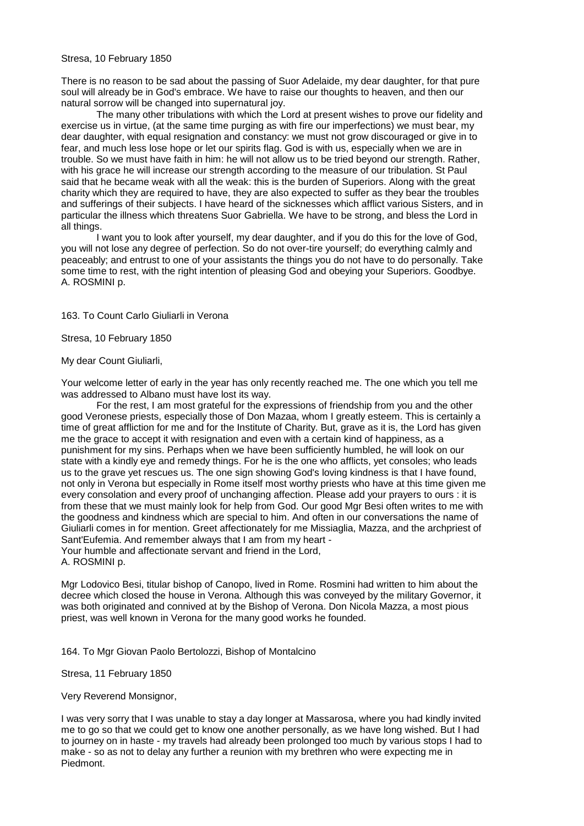There is no reason to be sad about the passing of Suor Adelaide, my dear daughter, for that pure soul will already be in God's embrace. We have to raise our thoughts to heaven, and then our natural sorrow will be changed into supernatural joy.

The many other tribulations with which the Lord at present wishes to prove our fidelity and exercise us in virtue, (at the same time purging as with fire our imperfections) we must bear, my dear daughter, with equal resignation and constancy: we must not grow discouraged or give in to fear, and much less lose hope or let our spirits flag. God is with us, especially when we are in trouble. So we must have faith in him: he will not allow us to be tried beyond our strength. Rather, with his grace he will increase our strength according to the measure of our tribulation. St Paul said that he became weak with all the weak: this is the burden of Superiors. Along with the great charity which they are required to have, they are also expected to suffer as they bear the troubles and sufferings of their subjects. I have heard of the sicknesses which afflict various Sisters, and in particular the illness which threatens Suor Gabriella. We have to be strong, and bless the Lord in all things.

I want you to look after yourself, my dear daughter, and if you do this for the love of God, you will not lose any degree of perfection. So do not over-tire yourself; do everything calmly and peaceably; and entrust to one of your assistants the things you do not have to do personally. Take some time to rest, with the right intention of pleasing God and obeying your Superiors. Goodbye. A. ROSMINI p.

# 163. To Count Carlo Giuliarli in Verona

# Stresa, 10 February 1850

# My dear Count Giuliarli,

Your welcome letter of early in the year has only recently reached me. The one which you tell me was addressed to Albano must have lost its way.

For the rest, I am most grateful for the expressions of friendship from you and the other good Veronese priests, especially those of Don Mazaa, whom I greatly esteem. This is certainly a time of great affliction for me and for the Institute of Charity. But, grave as it is, the Lord has given me the grace to accept it with resignation and even with a certain kind of happiness, as a punishment for my sins. Perhaps when we have been sufficiently humbled, he will look on our state with a kindly eye and remedy things. For he is the one who afflicts, yet consoles; who leads us to the grave yet rescues us. The one sign showing God's loving kindness is that I have found, not only in Verona but especially in Rome itself most worthy priests who have at this time given me every consolation and every proof of unchanging affection. Please add your prayers to ours : it is from these that we must mainly look for help from God. Our good Mgr Besi often writes to me with the goodness and kindness which are special to him. And often in our conversations the name of Giuliarli comes in for mention. Greet affectionately for me Missiaglia, Mazza, and the archpriest of Sant'Eufemia. And remember always that I am from my heart - Your humble and affectionate servant and friend in the Lord,

A. ROSMINI p.

Mgr Lodovico Besi, titular bishop of Canopo, lived in Rome. Rosmini had written to him about the decree which closed the house in Verona. Although this was conveyed by the military Governor, it was both originated and connived at by the Bishop of Verona. Don Nicola Mazza, a most pious priest, was well known in Verona for the many good works he founded.

164. To Mgr Giovan Paolo Bertolozzi, Bishop of Montalcino

Stresa, 11 February 1850

Very Reverend Monsignor,

I was very sorry that I was unable to stay a day longer at Massarosa, where you had kindly invited me to go so that we could get to know one another personally, as we have long wished. But I had to journey on in haste - my travels had already been prolonged too much by various stops I had to make - so as not to delay any further a reunion with my brethren who were expecting me in Piedmont.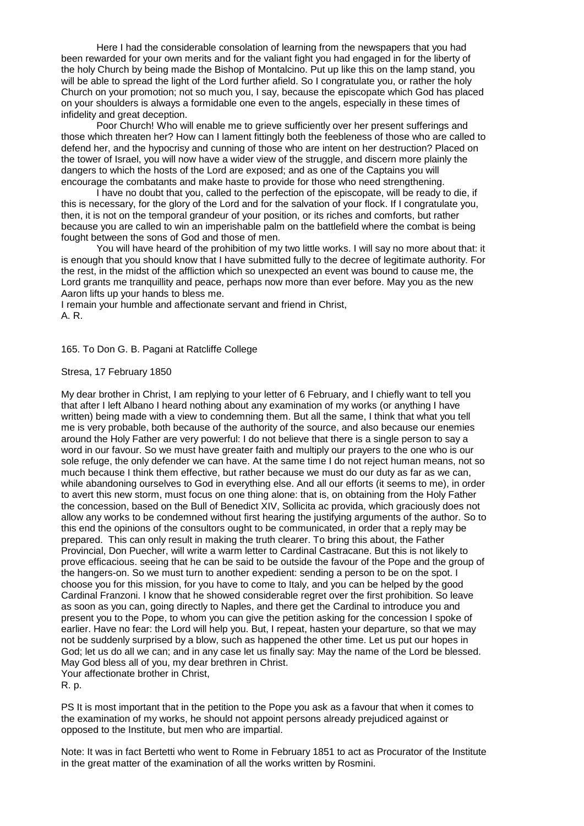Here I had the considerable consolation of learning from the newspapers that you had been rewarded for your own merits and for the valiant fight you had engaged in for the liberty of the holy Church by being made the Bishop of Montalcino. Put up like this on the lamp stand, you will be able to spread the light of the Lord further afield. So I congratulate you, or rather the holy Church on your promotion; not so much you, I say, because the episcopate which God has placed on your shoulders is always a formidable one even to the angels, especially in these times of infidelity and great deception.

Poor Church! Who will enable me to grieve sufficiently over her present sufferings and those which threaten her? How can I lament fittingly both the feebleness of those who are called to defend her, and the hypocrisy and cunning of those who are intent on her destruction? Placed on the tower of Israel, you will now have a wider view of the struggle, and discern more plainly the dangers to which the hosts of the Lord are exposed; and as one of the Captains you will encourage the combatants and make haste to provide for those who need strengthening.

I have no doubt that you, called to the perfection of the episcopate, will be ready to die, if this is necessary, for the glory of the Lord and for the salvation of your flock. If I congratulate you, then, it is not on the temporal grandeur of your position, or its riches and comforts, but rather because you are called to win an imperishable palm on the battlefield where the combat is being fought between the sons of God and those of men.

You will have heard of the prohibition of my two little works. I will say no more about that: it is enough that you should know that I have submitted fully to the decree of legitimate authority. For the rest, in the midst of the affliction which so unexpected an event was bound to cause me, the Lord grants me tranquillity and peace, perhaps now more than ever before. May you as the new Aaron lifts up your hands to bless me.

I remain your humble and affectionate servant and friend in Christ, A. R.

# 165. To Don G. B. Pagani at Ratcliffe College

## Stresa, 17 February 1850

My dear brother in Christ, I am replying to your letter of 6 February, and I chiefly want to tell you that after I left Albano I heard nothing about any examination of my works (or anything I have written) being made with a view to condemning them. But all the same, I think that what you tell me is very probable, both because of the authority of the source, and also because our enemies around the Holy Father are very powerful: I do not believe that there is a single person to say a word in our favour. So we must have greater faith and multiply our prayers to the one who is our sole refuge, the only defender we can have. At the same time I do not reject human means, not so much because I think them effective, but rather because we must do our duty as far as we can, while abandoning ourselves to God in everything else. And all our efforts (it seems to me), in order to avert this new storm, must focus on one thing alone: that is, on obtaining from the Holy Father the concession, based on the Bull of Benedict XIV, Sollicita ac provida, which graciously does not allow any works to be condemned without first hearing the justifying arguments of the author. So to this end the opinions of the consultors ought to be communicated, in order that a reply may be prepared. This can only result in making the truth clearer. To bring this about, the Father Provincial, Don Puecher, will write a warm letter to Cardinal Castracane. But this is not likely to prove efficacious. seeing that he can be said to be outside the favour of the Pope and the group of the hangers-on. So we must turn to another expedient: sending a person to be on the spot. I choose you for this mission, for you have to come to Italy, and you can be helped by the good Cardinal Franzoni. I know that he showed considerable regret over the first prohibition. So leave as soon as you can, going directly to Naples, and there get the Cardinal to introduce you and present you to the Pope, to whom you can give the petition asking for the concession I spoke of earlier. Have no fear: the Lord will help you. But, I repeat, hasten your departure, so that we may not be suddenly surprised by a blow, such as happened the other time. Let us put our hopes in God; let us do all we can; and in any case let us finally say: May the name of the Lord be blessed. May God bless all of you, my dear brethren in Christ. Your affectionate brother in Christ,

R. p.

PS It is most important that in the petition to the Pope you ask as a favour that when it comes to the examination of my works, he should not appoint persons already prejudiced against or opposed to the Institute, but men who are impartial.

Note: It was in fact Bertetti who went to Rome in February 1851 to act as Procurator of the Institute in the great matter of the examination of all the works written by Rosmini.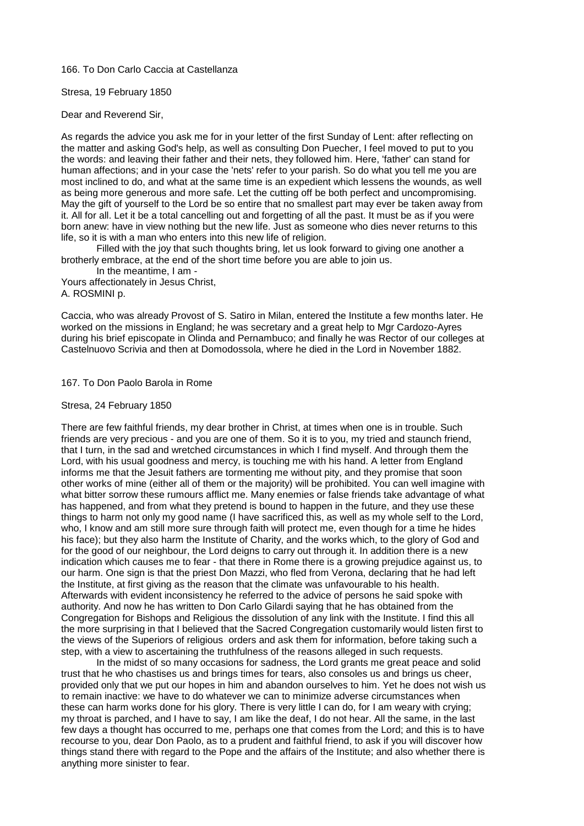166. To Don Carlo Caccia at Castellanza

Stresa, 19 February 1850

Dear and Reverend Sir,

As regards the advice you ask me for in your letter of the first Sunday of Lent: after reflecting on the matter and asking God's help, as well as consulting Don Puecher, I feel moved to put to you the words: and leaving their father and their nets, they followed him. Here, 'father' can stand for human affections; and in your case the 'nets' refer to your parish. So do what you tell me you are most inclined to do, and what at the same time is an expedient which lessens the wounds, as well as being more generous and more safe. Let the cutting off be both perfect and uncompromising. May the gift of yourself to the Lord be so entire that no smallest part may ever be taken away from it. All for all. Let it be a total cancelling out and forgetting of all the past. It must be as if you were born anew: have in view nothing but the new life. Just as someone who dies never returns to this life, so it is with a man who enters into this new life of religion.

Filled with the joy that such thoughts bring, let us look forward to giving one another a brotherly embrace, at the end of the short time before you are able to join us.

In the meantime, I am - Yours affectionately in Jesus Christ, A. ROSMINI p.

Caccia, who was already Provost of S. Satiro in Milan, entered the Institute a few months later. He worked on the missions in England; he was secretary and a great help to Mgr Cardozo-Ayres during his brief episcopate in Olinda and Pernambuco; and finally he was Rector of our colleges at Castelnuovo Scrivia and then at Domodossola, where he died in the Lord in November 1882.

167. To Don Paolo Barola in Rome

## Stresa, 24 February 1850

There are few faithful friends, my dear brother in Christ, at times when one is in trouble. Such friends are very precious - and you are one of them. So it is to you, my tried and staunch friend, that I turn, in the sad and wretched circumstances in which I find myself. And through them the Lord, with his usual goodness and mercy, is touching me with his hand. A letter from England informs me that the Jesuit fathers are tormenting me without pity, and they promise that soon other works of mine (either all of them or the majority) will be prohibited. You can well imagine with what bitter sorrow these rumours afflict me. Many enemies or false friends take advantage of what has happened, and from what they pretend is bound to happen in the future, and they use these things to harm not only my good name (I have sacrificed this, as well as my whole self to the Lord, who, I know and am still more sure through faith will protect me, even though for a time he hides his face); but they also harm the Institute of Charity, and the works which, to the glory of God and for the good of our neighbour, the Lord deigns to carry out through it. In addition there is a new indication which causes me to fear - that there in Rome there is a growing prejudice against us, to our harm. One sign is that the priest Don Mazzi, who fled from Verona, declaring that he had left the Institute, at first giving as the reason that the climate was unfavourable to his health. Afterwards with evident inconsistency he referred to the advice of persons he said spoke with authority. And now he has written to Don Carlo Gilardi saying that he has obtained from the Congregation for Bishops and Religious the dissolution of any link with the Institute. I find this all the more surprising in that I believed that the Sacred Congregation customarily would listen first to the views of the Superiors of religious orders and ask them for information, before taking such a step, with a view to ascertaining the truthfulness of the reasons alleged in such requests.

In the midst of so many occasions for sadness, the Lord grants me great peace and solid trust that he who chastises us and brings times for tears, also consoles us and brings us cheer, provided only that we put our hopes in him and abandon ourselves to him. Yet he does not wish us to remain inactive: we have to do whatever we can to minimize adverse circumstances when these can harm works done for his glory. There is very little I can do, for I am weary with crying; my throat is parched, and I have to say, I am like the deaf, I do not hear. All the same, in the last few days a thought has occurred to me, perhaps one that comes from the Lord; and this is to have recourse to you, dear Don Paolo, as to a prudent and faithful friend, to ask if you will discover how things stand there with regard to the Pope and the affairs of the Institute; and also whether there is anything more sinister to fear.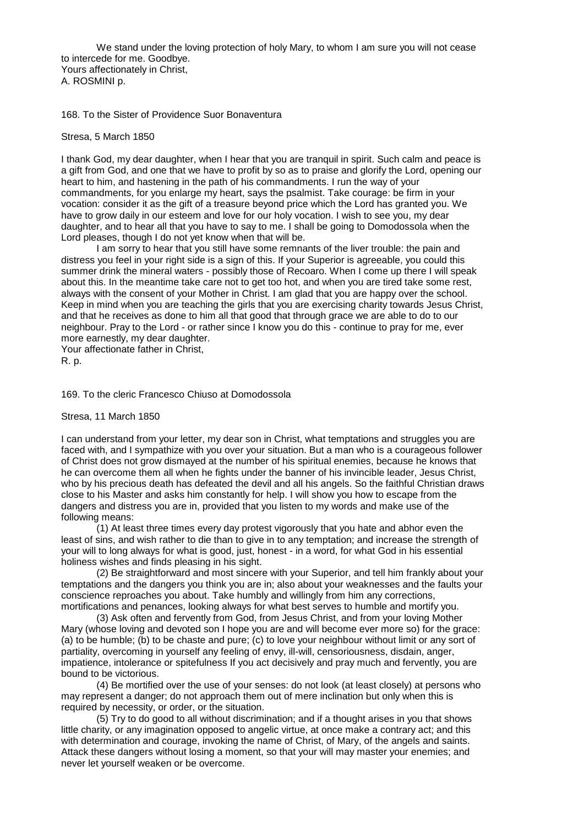We stand under the loving protection of holy Mary, to whom I am sure you will not cease to intercede for me. Goodbye. Yours affectionately in Christ, A. ROSMINI p.

168. To the Sister of Providence Suor Bonaventura

## Stresa, 5 March 1850

I thank God, my dear daughter, when I hear that you are tranquil in spirit. Such calm and peace is a gift from God, and one that we have to profit by so as to praise and glorify the Lord, opening our heart to him, and hastening in the path of his commandments. I run the way of your commandments, for you enlarge my heart, says the psalmist. Take courage: be firm in your vocation: consider it as the gift of a treasure beyond price which the Lord has granted you. We have to grow daily in our esteem and love for our holy vocation. I wish to see you, my dear daughter, and to hear all that you have to say to me. I shall be going to Domodossola when the Lord pleases, though I do not yet know when that will be.

I am sorry to hear that you still have some remnants of the liver trouble: the pain and distress you feel in your right side is a sign of this. If your Superior is agreeable, you could this summer drink the mineral waters - possibly those of Recoaro. When I come up there I will speak about this. In the meantime take care not to get too hot, and when you are tired take some rest, always with the consent of your Mother in Christ. I am glad that you are happy over the school. Keep in mind when you are teaching the girls that you are exercising charity towards Jesus Christ, and that he receives as done to him all that good that through grace we are able to do to our neighbour. Pray to the Lord - or rather since I know you do this - continue to pray for me, ever more earnestly, my dear daughter.

Your affectionate father in Christ, R. p.

169. To the cleric Francesco Chiuso at Domodossola

## Stresa, 11 March 1850

I can understand from your letter, my dear son in Christ, what temptations and struggles you are faced with, and I sympathize with you over your situation. But a man who is a courageous follower of Christ does not grow dismayed at the number of his spiritual enemies, because he knows that he can overcome them all when he fights under the banner of his invincible leader, Jesus Christ, who by his precious death has defeated the devil and all his angels. So the faithful Christian draws close to his Master and asks him constantly for help. I will show you how to escape from the dangers and distress you are in, provided that you listen to my words and make use of the following means:

(1) At least three times every day protest vigorously that you hate and abhor even the least of sins, and wish rather to die than to give in to any temptation; and increase the strength of your will to long always for what is good, just, honest - in a word, for what God in his essential holiness wishes and finds pleasing in his sight.

(2) Be straightforward and most sincere with your Superior, and tell him frankly about your temptations and the dangers you think you are in; also about your weaknesses and the faults your conscience reproaches you about. Take humbly and willingly from him any corrections, mortifications and penances, looking always for what best serves to humble and mortify you.

(3) Ask often and fervently from God, from Jesus Christ, and from your loving Mother Mary (whose loving and devoted son I hope you are and will become ever more so) for the grace: (a) to be humble; (b) to be chaste and pure; (c) to love your neighbour without limit or any sort of partiality, overcoming in yourself any feeling of envy, ill-will, censoriousness, disdain, anger, impatience, intolerance or spitefulness If you act decisively and pray much and fervently, you are bound to be victorious.

(4) Be mortified over the use of your senses: do not look (at least closely) at persons who may represent a danger; do not approach them out of mere inclination but only when this is required by necessity, or order, or the situation.

(5) Try to do good to all without discrimination; and if a thought arises in you that shows little charity, or any imagination opposed to angelic virtue, at once make a contrary act; and this with determination and courage, invoking the name of Christ, of Mary, of the angels and saints. Attack these dangers without losing a moment, so that your will may master your enemies; and never let yourself weaken or be overcome.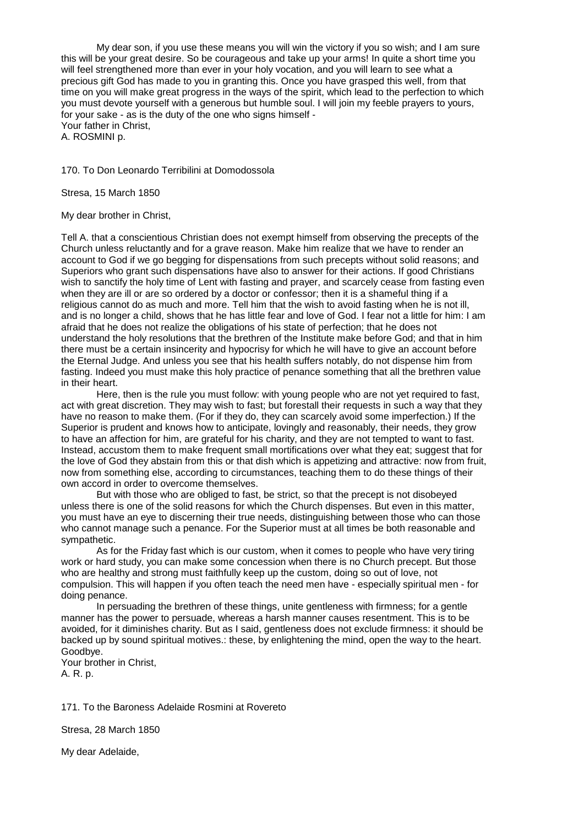My dear son, if you use these means you will win the victory if you so wish; and I am sure this will be your great desire. So be courageous and take up your arms! In quite a short time you will feel strengthened more than ever in your holy vocation, and you will learn to see what a precious gift God has made to you in granting this. Once you have grasped this well, from that time on you will make great progress in the ways of the spirit, which lead to the perfection to which you must devote yourself with a generous but humble soul. I will join my feeble prayers to yours, for your sake - as is the duty of the one who signs himself - Your father in Christ,

A. ROSMINI p.

## 170. To Don Leonardo Terribilini at Domodossola

Stresa, 15 March 1850

My dear brother in Christ,

Tell A. that a conscientious Christian does not exempt himself from observing the precepts of the Church unless reluctantly and for a grave reason. Make him realize that we have to render an account to God if we go begging for dispensations from such precepts without solid reasons; and Superiors who grant such dispensations have also to answer for their actions. If good Christians wish to sanctify the holy time of Lent with fasting and prayer, and scarcely cease from fasting even when they are ill or are so ordered by a doctor or confessor; then it is a shameful thing if a religious cannot do as much and more. Tell him that the wish to avoid fasting when he is not ill, and is no longer a child, shows that he has little fear and love of God. I fear not a little for him: I am afraid that he does not realize the obligations of his state of perfection; that he does not understand the holy resolutions that the brethren of the Institute make before God; and that in him there must be a certain insincerity and hypocrisy for which he will have to give an account before the Eternal Judge. And unless you see that his health suffers notably, do not dispense him from fasting. Indeed you must make this holy practice of penance something that all the brethren value in their heart.

Here, then is the rule you must follow: with young people who are not yet required to fast, act with great discretion. They may wish to fast; but forestall their requests in such a way that they have no reason to make them. (For if they do, they can scarcely avoid some imperfection.) If the Superior is prudent and knows how to anticipate, lovingly and reasonably, their needs, they grow to have an affection for him, are grateful for his charity, and they are not tempted to want to fast. Instead, accustom them to make frequent small mortifications over what they eat; suggest that for the love of God they abstain from this or that dish which is appetizing and attractive: now from fruit, now from something else, according to circumstances, teaching them to do these things of their own accord in order to overcome themselves.

But with those who are obliged to fast, be strict, so that the precept is not disobeyed unless there is one of the solid reasons for which the Church dispenses. But even in this matter, you must have an eye to discerning their true needs, distinguishing between those who can those who cannot manage such a penance. For the Superior must at all times be both reasonable and sympathetic.

As for the Friday fast which is our custom, when it comes to people who have very tiring work or hard study, you can make some concession when there is no Church precept. But those who are healthy and strong must faithfully keep up the custom, doing so out of love, not compulsion. This will happen if you often teach the need men have - especially spiritual men - for doing penance.

In persuading the brethren of these things, unite gentleness with firmness; for a gentle manner has the power to persuade, whereas a harsh manner causes resentment. This is to be avoided, for it diminishes charity. But as I said, gentleness does not exclude firmness: it should be backed up by sound spiritual motives.: these, by enlightening the mind, open the way to the heart. Goodbye.

Your brother in Christ, A. R. p.

171. To the Baroness Adelaide Rosmini at Rovereto

Stresa, 28 March 1850

My dear Adelaide,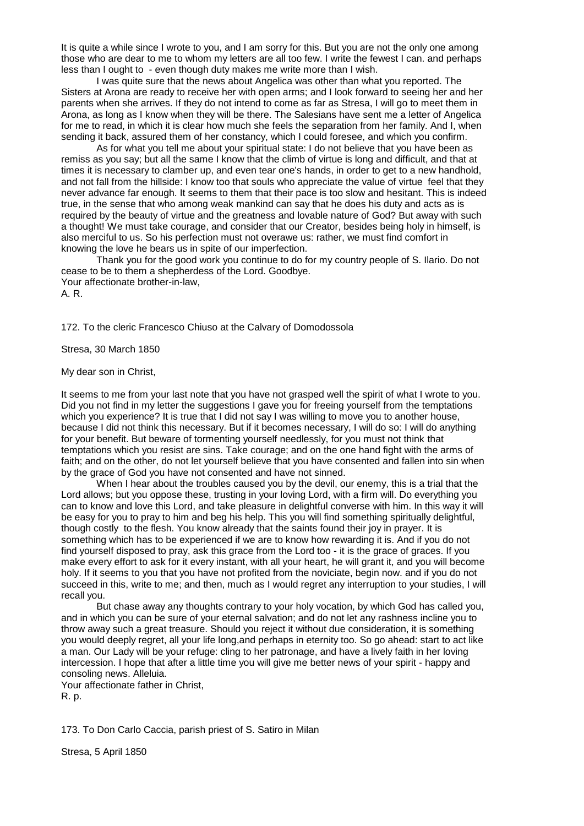It is quite a while since I wrote to you, and I am sorry for this. But you are not the only one among those who are dear to me to whom my letters are all too few. I write the fewest I can. and perhaps less than I ought to - even though duty makes me write more than I wish.

I was quite sure that the news about Angelica was other than what you reported. The Sisters at Arona are ready to receive her with open arms; and I look forward to seeing her and her parents when she arrives. If they do not intend to come as far as Stresa, I will go to meet them in Arona, as long as I know when they will be there. The Salesians have sent me a letter of Angelica for me to read, in which it is clear how much she feels the separation from her family. And I, when sending it back, assured them of her constancy, which I could foresee, and which you confirm.

As for what you tell me about your spiritual state: I do not believe that you have been as remiss as you say; but all the same I know that the climb of virtue is long and difficult, and that at times it is necessary to clamber up, and even tear one's hands, in order to get to a new handhold, and not fall from the hillside: I know too that souls who appreciate the value of virtue feel that they never advance far enough. It seems to them that their pace is too slow and hesitant. This is indeed true, in the sense that who among weak mankind can say that he does his duty and acts as is required by the beauty of virtue and the greatness and lovable nature of God? But away with such a thought! We must take courage, and consider that our Creator, besides being holy in himself, is also merciful to us. So his perfection must not overawe us: rather, we must find comfort in knowing the love he bears us in spite of our imperfection.

Thank you for the good work you continue to do for my country people of S. Ilario. Do not cease to be to them a shepherdess of the Lord. Goodbye. Your affectionate brother-in-law,

A. R.

172. To the cleric Francesco Chiuso at the Calvary of Domodossola

Stresa, 30 March 1850

My dear son in Christ,

It seems to me from your last note that you have not grasped well the spirit of what I wrote to you. Did you not find in my letter the suggestions I gave you for freeing yourself from the temptations which you experience? It is true that I did not say I was willing to move you to another house, because I did not think this necessary. But if it becomes necessary, I will do so: I will do anything for your benefit. But beware of tormenting yourself needlessly, for you must not think that temptations which you resist are sins. Take courage; and on the one hand fight with the arms of faith; and on the other, do not let yourself believe that you have consented and fallen into sin when by the grace of God you have not consented and have not sinned.

When I hear about the troubles caused you by the devil, our enemy, this is a trial that the Lord allows; but you oppose these, trusting in your loving Lord, with a firm will. Do everything you can to know and love this Lord, and take pleasure in delightful converse with him. In this way it will be easy for you to pray to him and beg his help. This you will find something spiritually delightful, though costly to the flesh. You know already that the saints found their joy in prayer. It is something which has to be experienced if we are to know how rewarding it is. And if you do not find yourself disposed to pray, ask this grace from the Lord too - it is the grace of graces. If you make every effort to ask for it every instant, with all your heart, he will grant it, and you will become holy. If it seems to you that you have not profited from the noviciate, begin now. and if you do not succeed in this, write to me; and then, much as I would regret any interruption to your studies, I will recall you.

But chase away any thoughts contrary to your holy vocation, by which God has called you, and in which you can be sure of your eternal salvation; and do not let any rashness incline you to throw away such a great treasure. Should you reject it without due consideration, it is something you would deeply regret, all your life long,and perhaps in eternity too. So go ahead: start to act like a man. Our Lady will be your refuge: cling to her patronage, and have a lively faith in her loving intercession. I hope that after a little time you will give me better news of your spirit - happy and consoling news. Alleluia.

Your affectionate father in Christ,

R. p.

173. To Don Carlo Caccia, parish priest of S. Satiro in Milan

Stresa, 5 April 1850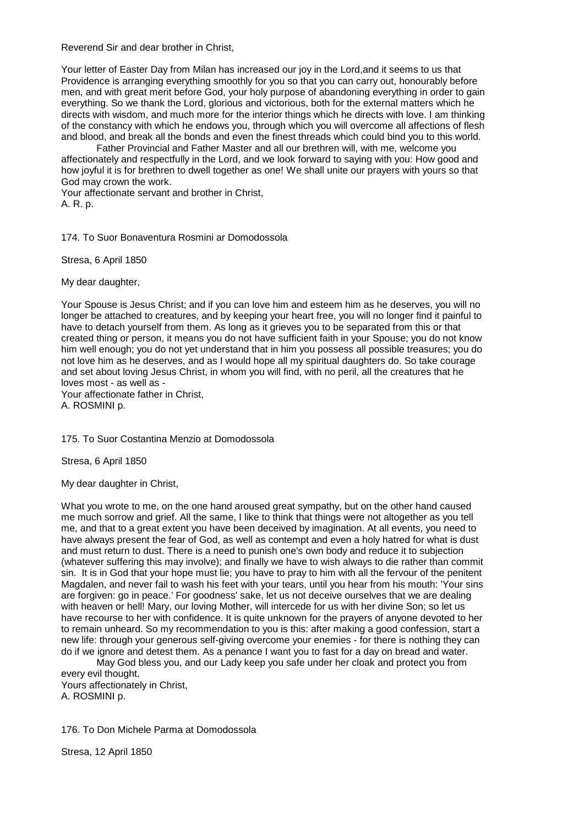Reverend Sir and dear brother in Christ,

Your letter of Easter Day from Milan has increased our joy in the Lord,and it seems to us that Providence is arranging everything smoothly for you so that you can carry out, honourably before men, and with great merit before God, your holy purpose of abandoning everything in order to gain everything. So we thank the Lord, glorious and victorious, both for the external matters which he directs with wisdom, and much more for the interior things which he directs with love. I am thinking of the constancy with which he endows you, through which you will overcome all affections of flesh and blood, and break all the bonds and even the finest threads which could bind you to this world.

Father Provincial and Father Master and all our brethren will, with me, welcome you affectionately and respectfully in the Lord, and we look forward to saying with you: How good and how joyful it is for brethren to dwell together as one! We shall unite our prayers with yours so that God may crown the work.

Your affectionate servant and brother in Christ, A. R. p.

174. To Suor Bonaventura Rosmini ar Domodossola

Stresa, 6 April 1850

My dear daughter,

Your Spouse is Jesus Christ; and if you can love him and esteem him as he deserves, you will no longer be attached to creatures, and by keeping your heart free, you will no longer find it painful to have to detach yourself from them. As long as it grieves you to be separated from this or that created thing or person, it means you do not have sufficient faith in your Spouse; you do not know him well enough; you do not yet understand that in him you possess all possible treasures; you do not love him as he deserves, and as I would hope all my spiritual daughters do. So take courage and set about loving Jesus Christ, in whom you will find, with no peril, all the creatures that he loves most - as well as -

Your affectionate father in Christ, A. ROSMINI p.

175. To Suor Costantina Menzio at Domodossola

Stresa, 6 April 1850

My dear daughter in Christ,

What you wrote to me, on the one hand aroused great sympathy, but on the other hand caused me much sorrow and grief. All the same, I like to think that things were not altogether as you tell me, and that to a great extent you have been deceived by imagination. At all events, you need to have always present the fear of God, as well as contempt and even a holy hatred for what is dust and must return to dust. There is a need to punish one's own body and reduce it to subjection (whatever suffering this may involve); and finally we have to wish always to die rather than commit sin. It is in God that your hope must lie; you have to pray to him with all the fervour of the penitent Magdalen, and never fail to wash his feet with your tears, until you hear from his mouth: 'Your sins are forgiven: go in peace.' For goodness' sake, let us not deceive ourselves that we are dealing with heaven or hell! Mary, our loving Mother, will intercede for us with her divine Son; so let us have recourse to her with confidence. It is quite unknown for the prayers of anyone devoted to her to remain unheard. So my recommendation to you is this: after making a good confession, start a new life: through your generous self-giving overcome your enemies - for there is nothing they can do if we ignore and detest them. As a penance I want you to fast for a day on bread and water.

May God bless you, and our Lady keep you safe under her cloak and protect you from every evil thought.

Yours affectionately in Christ, A. ROSMINI p.

176. To Don Michele Parma at Domodossola

Stresa, 12 April 1850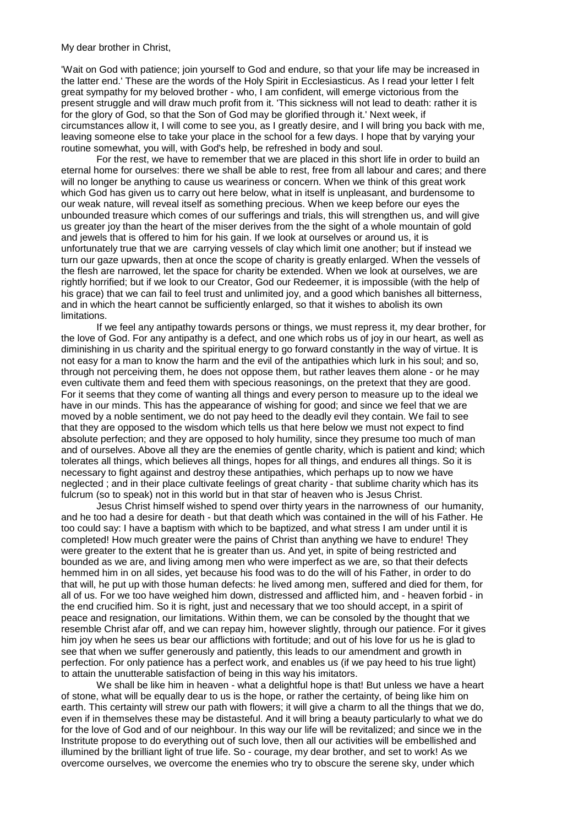## My dear brother in Christ,

'Wait on God with patience; join yourself to God and endure, so that your life may be increased in the latter end.' These are the words of the Holy Spirit in Ecclesiasticus. As I read your letter I felt great sympathy for my beloved brother - who, I am confident, will emerge victorious from the present struggle and will draw much profit from it. 'This sickness will not lead to death: rather it is for the glory of God, so that the Son of God may be glorified through it.' Next week, if circumstances allow it, I will come to see you, as I greatly desire, and I will bring you back with me, leaving someone else to take your place in the school for a few days. I hope that by varying your routine somewhat, you will, with God's help, be refreshed in body and soul.

For the rest, we have to remember that we are placed in this short life in order to build an eternal home for ourselves: there we shall be able to rest, free from all labour and cares; and there will no longer be anything to cause us weariness or concern. When we think of this great work which God has given us to carry out here below, what in itself is unpleasant, and burdensome to our weak nature, will reveal itself as something precious. When we keep before our eyes the unbounded treasure which comes of our sufferings and trials, this will strengthen us, and will give us greater joy than the heart of the miser derives from the the sight of a whole mountain of gold and jewels that is offered to him for his gain. If we look at ourselves or around us, it is unfortunately true that we are carrying vessels of clay which limit one another; but if instead we turn our gaze upwards, then at once the scope of charity is greatly enlarged. When the vessels of the flesh are narrowed, let the space for charity be extended. When we look at ourselves, we are rightly horrified; but if we look to our Creator, God our Redeemer, it is impossible (with the help of his grace) that we can fail to feel trust and unlimited joy, and a good which banishes all bitterness, and in which the heart cannot be sufficiently enlarged, so that it wishes to abolish its own limitations.

If we feel any antipathy towards persons or things, we must repress it, my dear brother, for the love of God. For any antipathy is a defect, and one which robs us of joy in our heart, as well as diminishing in us charity and the spiritual energy to go forward constantly in the way of virtue. It is not easy for a man to know the harm and the evil of the antipathies which lurk in his soul; and so, through not perceiving them, he does not oppose them, but rather leaves them alone - or he may even cultivate them and feed them with specious reasonings, on the pretext that they are good. For it seems that they come of wanting all things and every person to measure up to the ideal we have in our minds. This has the appearance of wishing for good; and since we feel that we are moved by a noble sentiment, we do not pay heed to the deadly evil they contain. We fail to see that they are opposed to the wisdom which tells us that here below we must not expect to find absolute perfection; and they are opposed to holy humility, since they presume too much of man and of ourselves. Above all they are the enemies of gentle charity, which is patient and kind; which tolerates all things, which believes all things, hopes for all things, and endures all things. So it is necessary to fight against and destroy these antipathies, which perhaps up to now we have neglected ; and in their place cultivate feelings of great charity - that sublime charity which has its fulcrum (so to speak) not in this world but in that star of heaven who is Jesus Christ.

Jesus Christ himself wished to spend over thirty years in the narrowness of our humanity, and he too had a desire for death - but that death which was contained in the will of his Father. He too could say: I have a baptism with which to be baptized, and what stress I am under until it is completed! How much greater were the pains of Christ than anything we have to endure! They were greater to the extent that he is greater than us. And yet, in spite of being restricted and bounded as we are, and living among men who were imperfect as we are, so that their defects hemmed him in on all sides, yet because his food was to do the will of his Father, in order to do that will, he put up with those human defects: he lived among men, suffered and died for them, for all of us. For we too have weighed him down, distressed and afflicted him, and - heaven forbid - in the end crucified him. So it is right, just and necessary that we too should accept, in a spirit of peace and resignation, our limitations. Within them, we can be consoled by the thought that we resemble Christ afar off, and we can repay him, however slightly, through our patience. For it gives him joy when he sees us bear our afflictions with fortitude; and out of his love for us he is glad to see that when we suffer generously and patiently, this leads to our amendment and growth in perfection. For only patience has a perfect work, and enables us (if we pay heed to his true light) to attain the unutterable satisfaction of being in this way his imitators.

We shall be like him in heaven - what a delightful hope is that! But unless we have a heart of stone, what will be equally dear to us is the hope, or rather the certainty, of being like him on earth. This certainty will strew our path with flowers; it will give a charm to all the things that we do, even if in themselves these may be distasteful. And it will bring a beauty particularly to what we do for the love of God and of our neighbour. In this way our life will be revitalized; and since we in the Instritute propose to do everything out of such love, then all our activities will be embellished and illumined by the brilliant light of true life. So - courage, my dear brother, and set to work! As we overcome ourselves, we overcome the enemies who try to obscure the serene sky, under which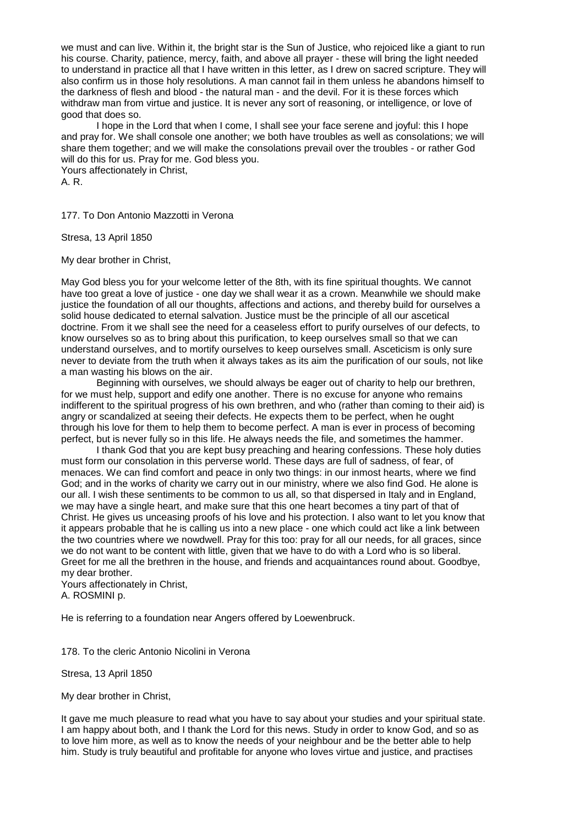we must and can live. Within it, the bright star is the Sun of Justice, who rejoiced like a giant to run his course. Charity, patience, mercy, faith, and above all prayer - these will bring the light needed to understand in practice all that I have written in this letter, as I drew on sacred scripture. They will also confirm us in those holy resolutions. A man cannot fail in them unless he abandons himself to the darkness of flesh and blood - the natural man - and the devil. For it is these forces which withdraw man from virtue and justice. It is never any sort of reasoning, or intelligence, or love of good that does so.

I hope in the Lord that when I come, I shall see your face serene and joyful: this I hope and pray for. We shall console one another; we both have troubles as well as consolations; we will share them together; and we will make the consolations prevail over the troubles - or rather God will do this for us. Pray for me. God bless you.

Yours affectionately in Christ, A. R.

177. To Don Antonio Mazzotti in Verona

Stresa, 13 April 1850

My dear brother in Christ,

May God bless you for your welcome letter of the 8th, with its fine spiritual thoughts. We cannot have too great a love of justice - one day we shall wear it as a crown. Meanwhile we should make justice the foundation of all our thoughts, affections and actions, and thereby build for ourselves a solid house dedicated to eternal salvation. Justice must be the principle of all our ascetical doctrine. From it we shall see the need for a ceaseless effort to purify ourselves of our defects, to know ourselves so as to bring about this purification, to keep ourselves small so that we can understand ourselves, and to mortify ourselves to keep ourselves small. Asceticism is only sure never to deviate from the truth when it always takes as its aim the purification of our souls, not like a man wasting his blows on the air.

Beginning with ourselves, we should always be eager out of charity to help our brethren, for we must help, support and edify one another. There is no excuse for anyone who remains indifferent to the spiritual progress of his own brethren, and who (rather than coming to their aid) is angry or scandalized at seeing their defects. He expects them to be perfect, when he ought through his love for them to help them to become perfect. A man is ever in process of becoming perfect, but is never fully so in this life. He always needs the file, and sometimes the hammer.

I thank God that you are kept busy preaching and hearing confessions. These holy duties must form our consolation in this perverse world. These days are full of sadness, of fear, of menaces. We can find comfort and peace in only two things: in our inmost hearts, where we find God; and in the works of charity we carry out in our ministry, where we also find God. He alone is our all. I wish these sentiments to be common to us all, so that dispersed in Italy and in England, we may have a single heart, and make sure that this one heart becomes a tiny part of that of Christ. He gives us unceasing proofs of his love and his protection. I also want to let you know that it appears probable that he is calling us into a new place - one which could act like a link between the two countries where we nowdwell. Pray for this too: pray for all our needs, for all graces, since we do not want to be content with little, given that we have to do with a Lord who is so liberal. Greet for me all the brethren in the house, and friends and acquaintances round about. Goodbye, my dear brother.

Yours affectionately in Christ, A. ROSMINI p.

He is referring to a foundation near Angers offered by Loewenbruck.

178. To the cleric Antonio Nicolini in Verona

Stresa, 13 April 1850

My dear brother in Christ,

It gave me much pleasure to read what you have to say about your studies and your spiritual state. I am happy about both, and I thank the Lord for this news. Study in order to know God, and so as to love him more, as well as to know the needs of your neighbour and be the better able to help him. Study is truly beautiful and profitable for anyone who loves virtue and justice, and practises